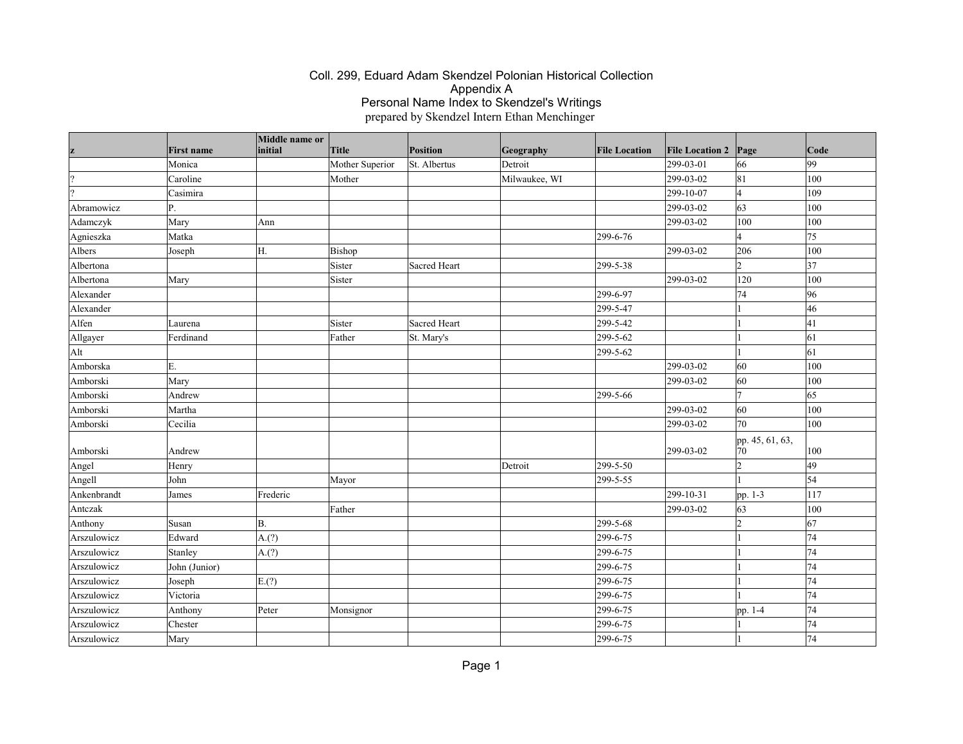| z             | <b>First name</b> | Middle name or<br>initial | Title           | Position     | Geography     | <b>File Location</b> | <b>File Location 2</b> | Page                    | Code |
|---------------|-------------------|---------------------------|-----------------|--------------|---------------|----------------------|------------------------|-------------------------|------|
|               | Monica            |                           | Mother Superior | St. Albertus | Detroit       |                      | 299-03-01              | 66                      | 99   |
| $\mathcal{P}$ | Caroline          |                           | Mother          |              | Milwaukee, WI |                      | 299-03-02              | 81                      | 100  |
|               | Casimira          |                           |                 |              |               |                      | 299-10-07              | 14                      | 109  |
| Abramowicz    | P.                |                           |                 |              |               |                      | 299-03-02              | 63                      | 100  |
| Adamczyk      | Mary              | Ann                       |                 |              |               |                      | 299-03-02              | 100                     | 100  |
| Agnieszka     | Matka             |                           |                 |              |               | 299-6-76             |                        | $\overline{\mathbf{A}}$ | 75   |
| Albers        | Joseph            | H.                        | Bishop          |              |               |                      | 299-03-02              | 206                     | 100  |
| Albertona     |                   |                           | Sister          | Sacred Heart |               | 299-5-38             |                        | $\overline{2}$          | 37   |
| Albertona     | Mary              |                           | Sister          |              |               |                      | 299-03-02              | 120                     | 100  |
| Alexander     |                   |                           |                 |              |               | 299-6-97             |                        | 74                      | 96   |
| Alexander     |                   |                           |                 |              |               | 299-5-47             |                        |                         | 46   |
| Alfen         | Laurena           |                           | Sister          | Sacred Heart |               | 299-5-42             |                        |                         | 41   |
| Allgayer      | Ferdinand         |                           | Father          | St. Mary's   |               | 299-5-62             |                        |                         | 61   |
| Alt           |                   |                           |                 |              |               | 299-5-62             |                        |                         | 61   |
| Amborska      | E.                |                           |                 |              |               |                      | 299-03-02              | 60                      | 100  |
| Amborski      | Mary              |                           |                 |              |               |                      | 299-03-02              | 60                      | 100  |
| Amborski      | Andrew            |                           |                 |              |               | 299-5-66             |                        | $\overline{7}$          | 65   |
| Amborski      | Martha            |                           |                 |              |               |                      | 299-03-02              | 60                      | 100  |
| Amborski      | Cecilia           |                           |                 |              |               |                      | 299-03-02              | 70                      | 100  |
| Amborski      | Andrew            |                           |                 |              |               |                      | 299-03-02              | pp. 45, 61, 63,<br>70   | 100  |
| Angel         | Henry             |                           |                 |              | Detroit       | 299-5-50             |                        | $\overline{2}$          | 49   |
| Angell        | John              |                           | Mayor           |              |               | 299-5-55             |                        |                         | 54   |
| Ankenbrandt   | James             | Frederic                  |                 |              |               |                      | 299-10-31              | pp. 1-3                 | 117  |
| Antezak       |                   |                           | Father          |              |               |                      | 299-03-02              | 63                      | 100  |
| Anthony       | Susan             | <b>B.</b>                 |                 |              |               | 299-5-68             |                        | $\overline{2}$          | 67   |
| Arszulowicz   | Edward            | A.(?)                     |                 |              |               | 299-6-75             |                        |                         | 74   |
| Arszulowicz   | Stanley           | A.(?)                     |                 |              |               | 299-6-75             |                        |                         | 74   |
| Arszulowicz   | John (Junior)     |                           |                 |              |               | 299-6-75             |                        |                         | 74   |
| Arszulowicz   | Joseph            | E(?)                      |                 |              |               | 299-6-75             |                        |                         | 74   |
| Arszulowicz   | Victoria          |                           |                 |              |               | 299-6-75             |                        |                         | 74   |
| Arszulowicz   | Anthony           | Peter                     | Monsignor       |              |               | 299-6-75             |                        | pp. 1-4                 | 74   |
| Arszulowicz   | Chester           |                           |                 |              |               | 299-6-75             |                        |                         | 74   |
| Arszulowicz   | Mary              |                           |                 |              |               | 299-6-75             |                        |                         | 74   |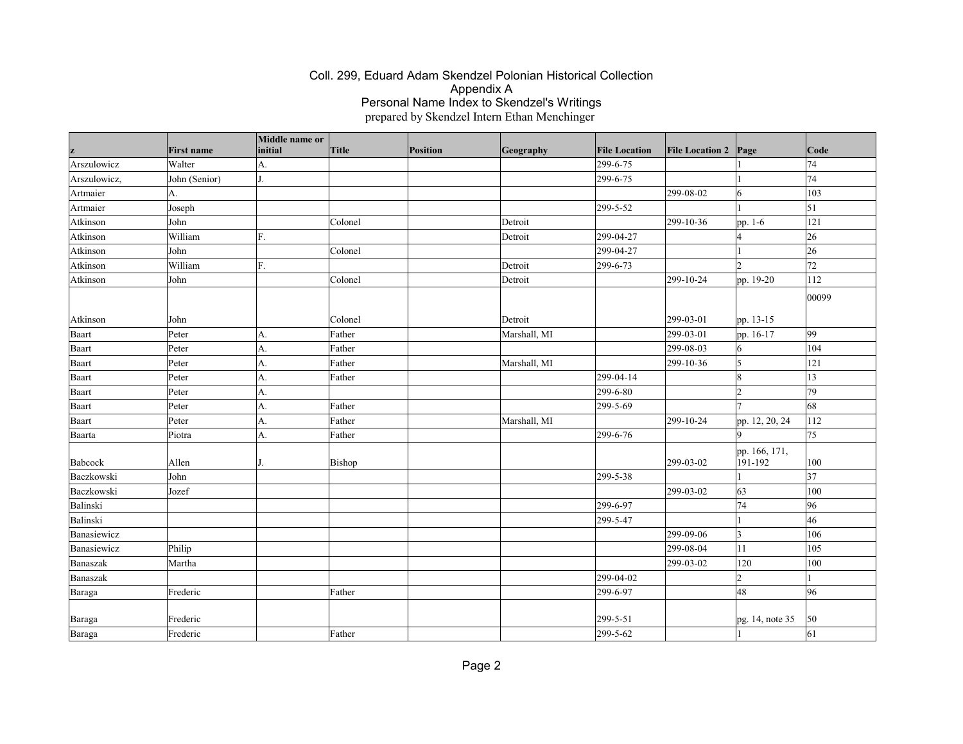|              | <b>First name</b> | Middle name or<br>initial | Title   | Position | Geography    | <b>File Location</b> | <b>File Location 2</b> | Page                     | Code            |
|--------------|-------------------|---------------------------|---------|----------|--------------|----------------------|------------------------|--------------------------|-----------------|
| Arszulowicz  | Walter            | A.                        |         |          |              | 299-6-75             |                        |                          | 74              |
| Arszulowicz, | John (Senior)     | J.                        |         |          |              | 299-6-75             |                        |                          | 74              |
| Artmaier     | IA.               |                           |         |          |              |                      | 299-08-02              | 6                        | 103             |
| Artmaier     | Joseph            |                           |         |          |              | 299-5-52             |                        |                          | $\vert$ 51      |
| Atkinson     | John              |                           | Colonel |          | Detroit      |                      | 299-10-36              | pp. 1-6                  | 121             |
| Atkinson     | William           | F.                        |         |          | Detroit      | 299-04-27            |                        |                          | 26              |
| Atkinson     | John              |                           | Colonel |          |              | 299-04-27            |                        |                          | $ 26\rangle$    |
| Atkinson     | William           | F.                        |         |          | Detroit      | 299-6-73             |                        | $\circ$                  | 72              |
| Atkinson     | John              |                           | Colonel |          | Detroit      |                      | 299-10-24              | pp. 19-20                | 112             |
|              |                   |                           |         |          |              |                      |                        |                          | 00099           |
| Atkinson     | John              |                           | Colonel |          | Detroit      |                      | 299-03-01              | pp. 13-15                |                 |
| Baart        | Peter             | A.                        | Father  |          | Marshall, MI |                      | 299-03-01              | pp. 16-17                | 99              |
| Baart        | Peter             | A.                        | Father  |          |              |                      | 299-08-03              | 16                       | 104             |
| Baart        | Peter             | A.                        | Father  |          | Marshall, MI |                      | 299-10-36              | 15                       | 121             |
| Baart        | Peter             | A.                        | Father  |          |              | 299-04-14            |                        | 18                       | 13              |
| Baart        | Peter             | A.                        |         |          |              | 299-6-80             |                        | 12                       | 79              |
| Baart        | Peter             | A.                        | Father  |          |              | 299-5-69             |                        |                          | 68              |
| Baart        | Peter             | A.                        | Father  |          | Marshall, MI |                      | 299-10-24              | pp. 12, 20, 24           | 112             |
| Baarta       | Piotra            | A.                        | Father  |          |              | 299-6-76             |                        | <b>Q</b>                 | 75              |
| Babcock      | Allen             |                           | Bishop  |          |              |                      | 299-03-02              | pp. 166, 171,<br>191-192 | 100             |
| Baczkowski   | John              |                           |         |          |              | 299-5-38             |                        |                          | $\overline{37}$ |
| Baczkowski   | Jozef             |                           |         |          |              |                      | 299-03-02              | 63                       | 100             |
| Balinski     |                   |                           |         |          |              | 299-6-97             |                        | 74                       | 96              |
| Balinski     |                   |                           |         |          |              | 299-5-47             |                        |                          | 46              |
| Banasiewicz  |                   |                           |         |          |              |                      | 299-09-06              | 3                        | 106             |
| Banasiewicz  | Philip            |                           |         |          |              |                      | 299-08-04              | 11                       | 105             |
| Banaszak     | Martha            |                           |         |          |              |                      | 299-03-02              | 120                      | 100             |
| Banaszak     |                   |                           |         |          |              | 299-04-02            |                        | $\overline{2}$           |                 |
| Baraga       | Frederic          |                           | Father  |          |              | 299-6-97             |                        | 48                       | 96              |
| Baraga       | Frederic          |                           |         |          |              | 299-5-51             |                        | pg. 14, note 35          | 50              |
| Baraga       | Frederic          |                           | Father  |          |              | 299-5-62             |                        |                          | $\vert$ 61      |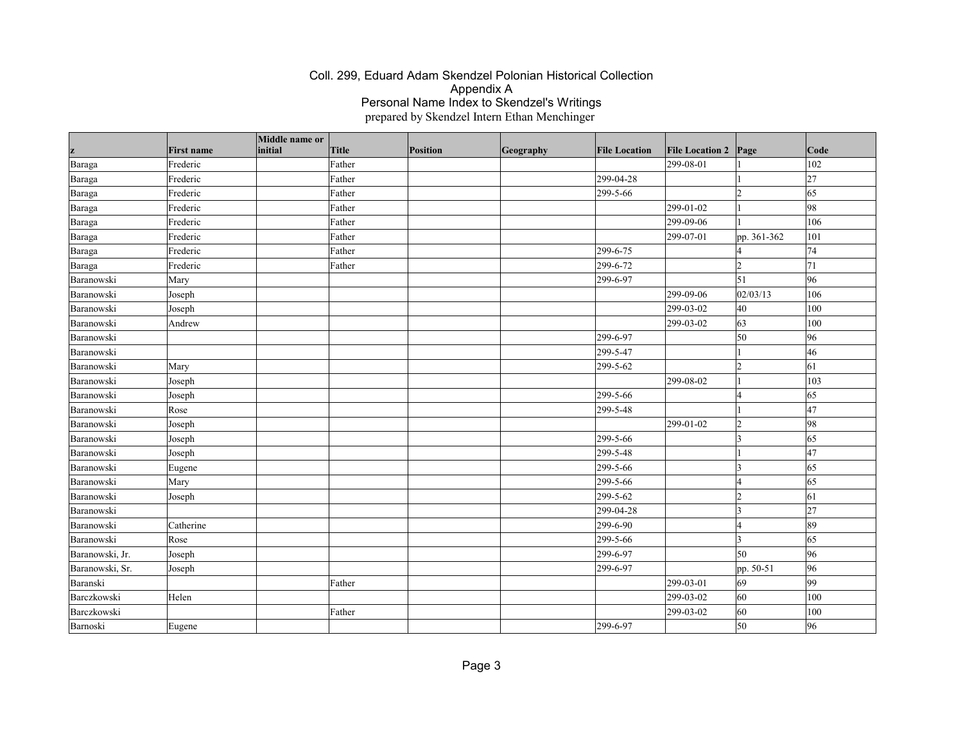|                 |                               | Middle name or<br>initial | Title  | Position |           |                      |                                     |                     | $\vert$ Code     |
|-----------------|-------------------------------|---------------------------|--------|----------|-----------|----------------------|-------------------------------------|---------------------|------------------|
| z               | <b>First name</b><br>Frederic |                           | Father |          | Geography | <b>File Location</b> | <b>File Location 2</b><br>299-08-01 | Page                | 102              |
| Baraga          | Frederic                      |                           | Father |          |           | 299-04-28            |                                     |                     | 27               |
| Baraga          |                               |                           |        |          |           |                      |                                     |                     | 65               |
| Baraga          | Frederic                      |                           | Father |          |           | 299-5-66             |                                     | l2                  |                  |
| Baraga          | Frederic                      |                           | Father |          |           |                      | 299-01-02                           |                     | 98               |
| Baraga          | Frederic                      |                           | Father |          |           |                      | 299-09-06                           |                     | 106              |
| Baraga          | Frederic                      |                           | Father |          |           |                      | 299-07-01                           | pp. 361-362         | 101              |
| Baraga          | Frederic                      |                           | Father |          |           | 299-6-75             |                                     |                     | 74               |
| Baraga          | Frederic                      |                           | Father |          |           | 299-6-72             |                                     | $\mathcal{D}$       | 71               |
| Baranowski      | Mary                          |                           |        |          |           | 299-6-97             |                                     | $\vert$ 51          | 96               |
| Baranowski      | Joseph                        |                           |        |          |           |                      | 299-09-06                           | 02/03/13            | 106              |
| Baranowski      | Joseph                        |                           |        |          |           |                      | 299-03-02                           | 40                  | 100              |
| Baranowski      | Andrew                        |                           |        |          |           |                      | 299-03-02                           | 63                  | 100              |
| Baranowski      |                               |                           |        |          |           | 299-6-97             |                                     | 50                  | 96               |
| Baranowski      |                               |                           |        |          |           | 299-5-47             |                                     |                     | 46               |
| Baranowski      | Mary                          |                           |        |          |           | 299-5-62             |                                     | 2                   | 61               |
| Baranowski      | Joseph                        |                           |        |          |           |                      | 299-08-02                           |                     | 103              |
| Baranowski      | Joseph                        |                           |        |          |           | 299-5-66             |                                     |                     | 65               |
| Baranowski      | Rose                          |                           |        |          |           | 299-5-48             |                                     |                     | 47               |
| Baranowski      | Joseph                        |                           |        |          |           |                      | 299-01-02                           | 12                  | 98               |
| Baranowski      | Joseph                        |                           |        |          |           | 299-5-66             |                                     | ੨                   | 65               |
| Baranowski      | Joseph                        |                           |        |          |           | 299-5-48             |                                     |                     | 47               |
| Baranowski      | Eugene                        |                           |        |          |           | 299-5-66             |                                     | 3                   | 65               |
| Baranowski      | Mary                          |                           |        |          |           | 299-5-66             |                                     | I4                  | 65               |
| Baranowski      | Joseph                        |                           |        |          |           | 299-5-62             |                                     | l2                  | $\vert 61 \vert$ |
| Baranowski      |                               |                           |        |          |           | 299-04-28            |                                     | ١3                  | 27               |
| Baranowski      | Catherine                     |                           |        |          |           | 299-6-90             |                                     | $\overline{\Delta}$ | 89               |
| Baranowski      | Rose                          |                           |        |          |           | 299-5-66             |                                     | ١3                  | 65               |
| Baranowski, Jr. | Joseph                        |                           |        |          |           | 299-6-97             |                                     | 50                  | $ 96\rangle$     |
| Baranowski, Sr. | Joseph                        |                           |        |          |           | 299-6-97             |                                     | pp. 50-51           | 96               |
| Baranski        |                               |                           | Father |          |           |                      | 299-03-01                           | 69                  | 99               |
| Barczkowski     | Helen                         |                           |        |          |           |                      | 299-03-02                           | 60                  | 100              |
| Barczkowski     |                               |                           | Father |          |           |                      | 299-03-02                           | 60                  | 100              |
| Barnoski        | Eugene                        |                           |        |          |           | 299-6-97             |                                     | 50                  | 96               |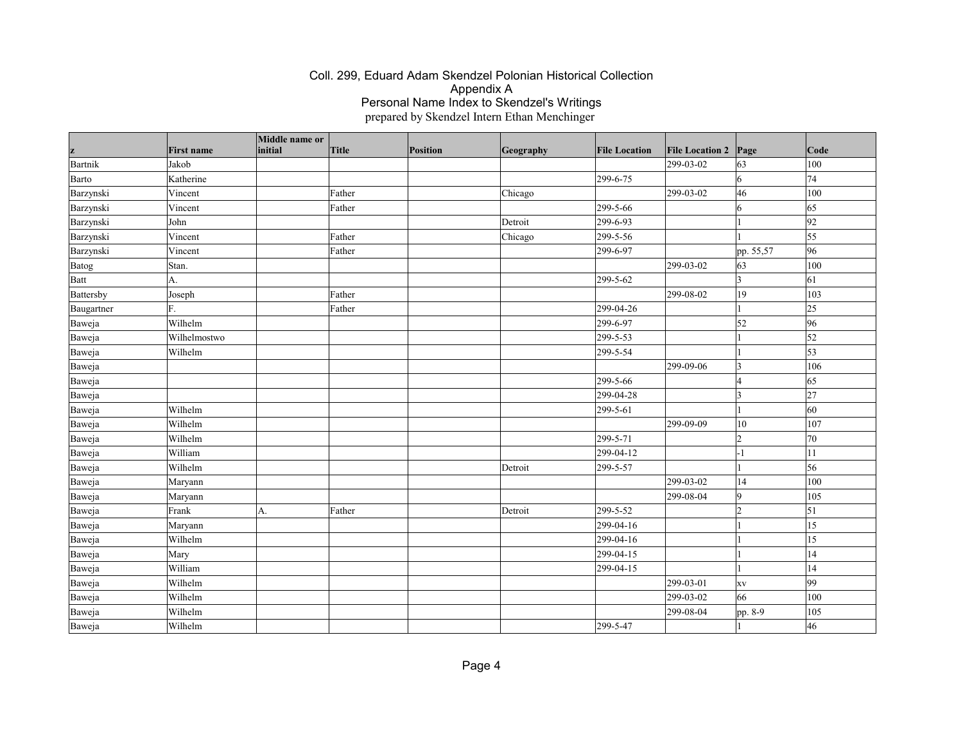| z          | <b>First name</b> | Middle name or<br>initial | Title  | <b>Position</b> | Geography | <b>File Location</b> | <b>File Location 2</b> | Page           | $\vert$ Code    |
|------------|-------------------|---------------------------|--------|-----------------|-----------|----------------------|------------------------|----------------|-----------------|
| Bartnik    | Jakob             |                           |        |                 |           |                      | 299-03-02              | 63             | 100             |
| Barto      | Katherine         |                           |        |                 |           | 299-6-75             |                        | 6              | 74              |
| Barzynski  | Vincent           |                           | Father |                 | Chicago   |                      | 299-03-02              | 46             | 100             |
| Barzynski  | Vincent           |                           | Father |                 |           | 299-5-66             |                        | 6              | 65              |
| Barzynski  | John              |                           |        |                 | Detroit   | 299-6-93             |                        |                | 92              |
| Barzynski  | Vincent           |                           | Father |                 | Chicago   | 299-5-56             |                        |                | 55              |
| Barzynski  | Vincent           |                           | Father |                 |           | 299-6-97             |                        | pp. 55,57      | 96              |
| Batog      | Stan.             |                           |        |                 |           |                      | 299-03-02              | 63             | 100             |
| Batt       | A.                |                           |        |                 |           | 299-5-62             |                        | 3              | 61              |
| Battersby  | Joseph            |                           | Father |                 |           |                      | 299-08-02              | 19             | 103             |
| Baugartner | F.                |                           | Father |                 |           | 299-04-26            |                        |                | 25              |
| Baweja     | Wilhelm           |                           |        |                 |           | 299-6-97             |                        | 52             | 96              |
| Baweja     | Wilhelmostwo      |                           |        |                 |           | 299-5-53             |                        |                | $\vert$ 52      |
| Baweja     | Wilhelm           |                           |        |                 |           | 299-5-54             |                        |                | $\vert$ 53      |
| Baweja     |                   |                           |        |                 |           |                      | 299-09-06              | 3              | 106             |
| Baweja     |                   |                           |        |                 |           | 299-5-66             |                        | $\overline{A}$ | 65              |
| Baweja     |                   |                           |        |                 |           | 299-04-28            |                        | 3              | 27              |
| Baweja     | Wilhelm           |                           |        |                 |           | 299-5-61             |                        |                | $\overline{60}$ |
| Baweja     | Wilhelm           |                           |        |                 |           |                      | 299-09-09              | 10             | 107             |
| Baweja     | Wilhelm           |                           |        |                 |           | 299-5-71             |                        | $\overline{2}$ | 70              |
| Baweja     | William           |                           |        |                 |           | 299-04-12            |                        | - 1            | 11              |
| Baweja     | Wilhelm           |                           |        |                 | Detroit   | 299-5-57             |                        |                | 56              |
| Baweja     | Maryann           |                           |        |                 |           |                      | 299-03-02              | 14             | 100             |
| Baweja     | Maryann           |                           |        |                 |           |                      | 299-08-04              | 9              | 105             |
| Baweja     | Frank             | A.                        | Father |                 | Detroit   | 299-5-52             |                        | $\overline{2}$ | $\vert$ 51      |
| Baweja     | Maryann           |                           |        |                 |           | 299-04-16            |                        |                | 15              |
| Baweja     | Wilhelm           |                           |        |                 |           | 299-04-16            |                        |                | 15              |
| Baweja     | Mary              |                           |        |                 |           | 299-04-15            |                        |                | 14              |
| Baweja     | William           |                           |        |                 |           | 299-04-15            |                        |                | 14              |
| Baweja     | Wilhelm           |                           |        |                 |           |                      | 299-03-01              | XV             | $ 99\rangle$    |
| Baweja     | Wilhelm           |                           |        |                 |           |                      | 299-03-02              | 66             | 100             |
| Baweja     | Wilhelm           |                           |        |                 |           |                      | 299-08-04              | pp. 8-9        | 105             |
| Baweja     | Wilhelm           |                           |        |                 |           | 299-5-47             |                        |                | 46              |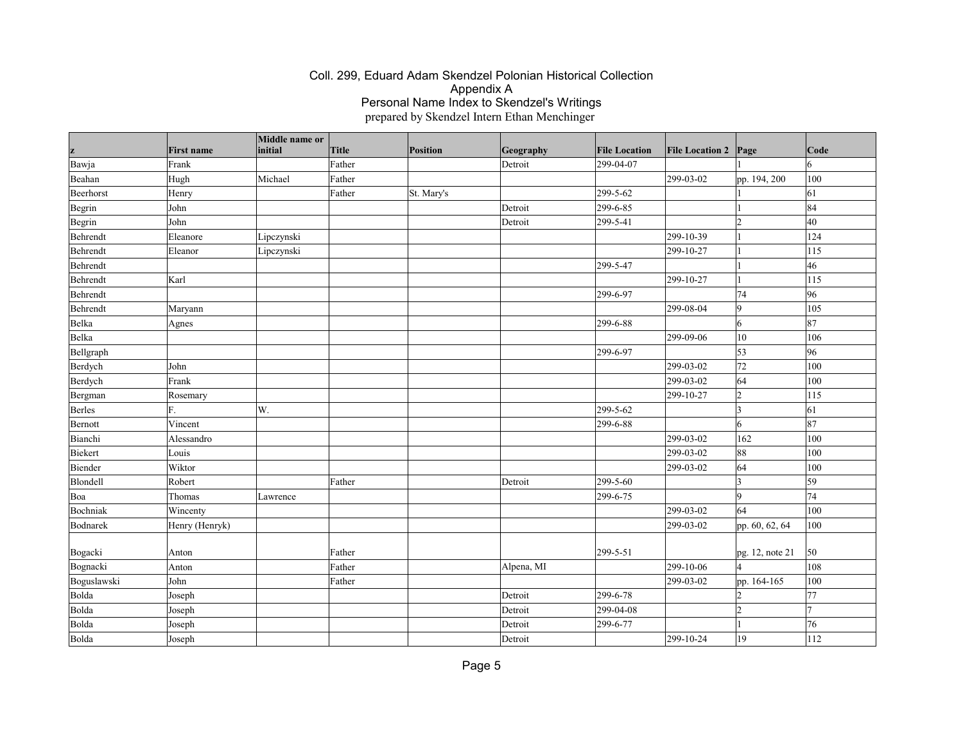| z           | <b>First name</b> | Middle name or<br>initial | <b>Title</b> | Position   | Geography  | <b>File Location</b> | <b>File Location 2</b> | Page            | Code |
|-------------|-------------------|---------------------------|--------------|------------|------------|----------------------|------------------------|-----------------|------|
| Bawja       | Frank             |                           | Father       |            | Detroit    | 299-04-07            |                        |                 | 6    |
| Beahan      | Hugh              | Michael                   | Father       |            |            |                      | 299-03-02              | pp. 194, 200    | 100  |
| Beerhorst   | Henry             |                           | Father       | St. Mary's |            | 299-5-62             |                        |                 | 61   |
| Begrin      | John              |                           |              |            | Detroit    | 299-6-85             |                        |                 | 84   |
| Begrin      | John              |                           |              |            | Detroit    | 299-5-41             |                        | $\overline{2}$  | 40   |
| Behrendt    | Eleanore          | Lipczynski                |              |            |            |                      | 299-10-39              |                 | 124  |
| Behrendt    | Eleanor           | Lipczynski                |              |            |            |                      | 299-10-27              |                 | 115  |
| Behrendt    |                   |                           |              |            |            | 299-5-47             |                        |                 | 46   |
| Behrendt    | Karl              |                           |              |            |            |                      | 299-10-27              | $\overline{1}$  | 115  |
| Behrendt    |                   |                           |              |            |            | 299-6-97             |                        | 74              | 96   |
| Behrendt    | Maryann           |                           |              |            |            |                      | 299-08-04              | $\vert$ 9       | 105  |
| Belka       | Agnes             |                           |              |            |            | 299-6-88             |                        | 6               | 87   |
| Belka       |                   |                           |              |            |            |                      | 299-09-06              | $ 10\rangle$    | 106  |
| Bellgraph   |                   |                           |              |            |            | 299-6-97             |                        | 53              | 96   |
| Berdych     | John              |                           |              |            |            |                      | 299-03-02              | 72              | 100  |
| Berdych     | Frank             |                           |              |            |            |                      | 299-03-02              | 64              | 100  |
| Bergman     | Rosemary          |                           |              |            |            |                      | 299-10-27              | $\vert$ 2       | 115  |
| Berles      | F.                | W.                        |              |            |            | 299-5-62             |                        | <sub>3</sub>    | 61   |
| Bernott     | Vincent           |                           |              |            |            | 299-6-88             |                        | 6               | 87   |
| Bianchi     | Alessandro        |                           |              |            |            |                      | 299-03-02              | 162             | 100  |
| Biekert     | Louis             |                           |              |            |            |                      | 299-03-02              | 88              | 100  |
| Biender     | Wiktor            |                           |              |            |            |                      | 299-03-02              | 64              | 100  |
| Blondell    | Robert            |                           | Father       |            | Detroit    | 299-5-60             |                        | $\vert$ 3       | 59   |
| Boa         | Thomas            | Lawrence                  |              |            |            | 299-6-75             |                        | 9               | 74   |
| Bochniak    | Wincenty          |                           |              |            |            |                      | 299-03-02              | 64              | 100  |
| Bodnarek    | Henry (Henryk)    |                           |              |            |            |                      | 299-03-02              | pp. 60, 62, 64  | 100  |
|             |                   |                           |              |            |            |                      |                        |                 |      |
| Bogacki     | Anton             |                           | Father       |            |            | 299-5-51             |                        | pg. 12, note 21 | 50   |
| Bognacki    | Anton             |                           | Father       |            | Alpena, MI |                      | 299-10-06              | $\overline{4}$  | 108  |
| Boguslawski | John              |                           | Father       |            |            |                      | 299-03-02              | pp. 164-165     | 100  |
| Bolda       | Joseph            |                           |              |            | Detroit    | 299-6-78             |                        | $\overline{2}$  | 77   |
| Bolda       | Joseph            |                           |              |            | Detroit    | 299-04-08            |                        | $\overline{2}$  | 7    |
| Bolda       | Joseph            |                           |              |            | Detroit    | 299-6-77             |                        |                 | 76   |
| Bolda       | Joseph            |                           |              |            | Detroit    |                      | 299-10-24              | $ 19\rangle$    | 112  |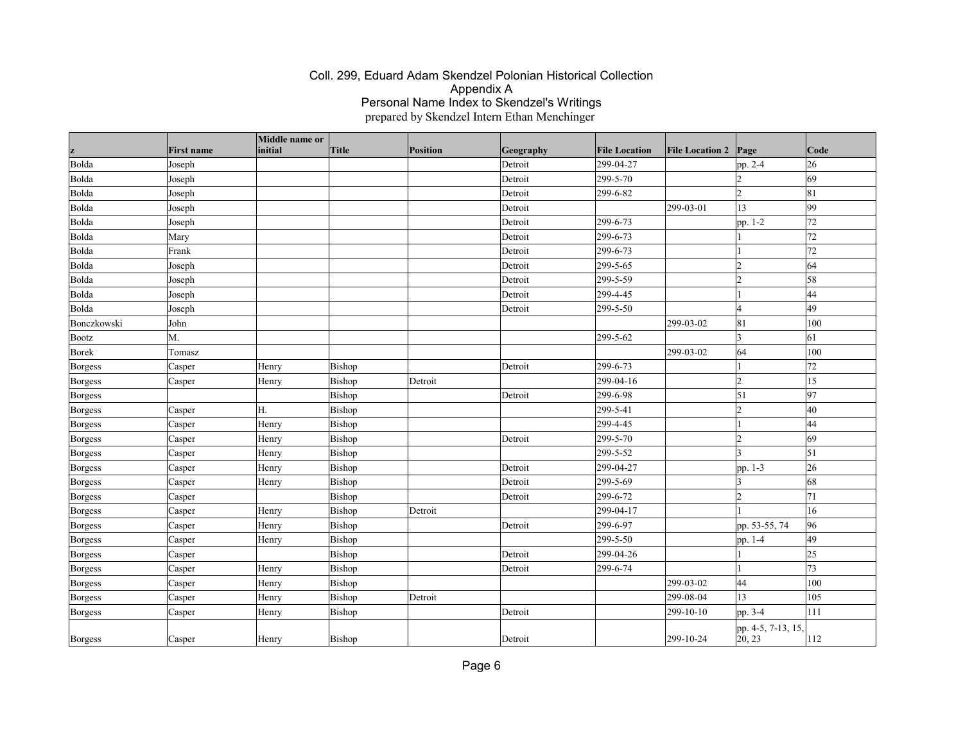| z                            | <b>First name</b> | Middle name or<br>initial | <b>Title</b>     | Position | Geography          | <b>File Location</b> | <b>File Location 2</b> | Page                         | Code            |
|------------------------------|-------------------|---------------------------|------------------|----------|--------------------|----------------------|------------------------|------------------------------|-----------------|
| Bolda                        | Joseph            |                           |                  |          | Detroit            | 299-04-27            |                        |                              | 26              |
| Bolda                        | Joseph            |                           |                  |          | Detroit            | 299-5-70             |                        | pp. 2-4<br>$\mathcal{D}$     | 69              |
| Bolda                        | Joseph            |                           |                  |          | Detroit            | 299-6-82             |                        | $\overline{2}$               | 81              |
| Bolda                        | Joseph            |                           |                  |          | Detroit            |                      | $ 299-03-01$           | 13                           | 99              |
| Bolda                        | Joseph            |                           |                  |          | Detroit            | 299-6-73             |                        | pp. 1-2                      | 72              |
| Bolda                        | Mary              |                           |                  |          | Detroit            | 299-6-73             |                        |                              | 72              |
| Bolda                        | Frank             |                           |                  |          |                    | 299-6-73             |                        |                              | 72              |
| Bolda                        | Joseph            |                           |                  |          | Detroit<br>Detroit | 299-5-65             |                        | $\overline{2}$               | 64              |
| Bolda                        |                   |                           |                  |          | Detroit            | 299-5-59             |                        | $\overline{2}$               | 58              |
| Bolda                        | Joseph<br>Joseph  |                           |                  |          | Detroit            | 299-4-45             |                        |                              | 44              |
| Bolda                        | Joseph            |                           |                  |          | Detroit            | 299-5-50             |                        | $\overline{4}$               | 49              |
| Bonczkowski                  | John              |                           |                  |          |                    |                      | 299-03-02              | 81                           | 100             |
|                              | M.                |                           |                  |          |                    | 299-5-62             |                        | $\overline{3}$               | 61              |
| <b>Bootz</b><br><b>Borek</b> | Tomasz            |                           |                  |          |                    |                      | $ 299-03-02 $          | 64                           | 100             |
|                              |                   |                           |                  |          | Detroit            | 299-6-73             |                        |                              | 72              |
| <b>Borgess</b>               | Casper            | Henry                     | Bishop           |          |                    | 299-04-16            |                        | $\overline{2}$               | 15              |
| <b>Borgess</b>               | Casper            | Henry                     | Bishop<br>Bishop | Detroit  | Detroit            | 299-6-98             |                        | 51                           | 97              |
| <b>Borgess</b>               |                   | H.                        | Bishop           |          |                    | 299-5-41             |                        | $\overline{2}$               | 40              |
| Borgess                      | Casper            |                           |                  |          |                    |                      |                        |                              | 44              |
| Borgess                      | Casper            | Henry                     | Bishop           |          |                    | 299-4-45             |                        |                              | 69              |
| <b>Borgess</b>               | Casper            | Henry                     | Bishop           |          | Detroit            | 299-5-70             |                        | $\overline{2}$<br>I٩         |                 |
| Borgess                      | Casper            | Henry                     | Bishop           |          |                    | 299-5-52             |                        |                              | 51              |
| <b>Borgess</b>               | Casper            | Henry                     | Bishop           |          | Detroit            | 299-04-27            |                        | pp. 1-3                      | 26              |
| Borgess                      | Casper            | Henry                     | Bishop           |          | Detroit            | 299-5-69             |                        | $\overline{3}$               | 68              |
| <b>Borgess</b>               | Casper            |                           | Bishop           |          | Detroit            | 299-6-72             |                        | $\overline{2}$               | 71              |
| <b>Borgess</b>               | Casper            | Henry                     | Bishop           | Detroit  |                    | 299-04-17            |                        |                              | 16              |
| <b>Borgess</b>               | Casper            | Henry                     | Bishop           |          | Detroit            | 299-6-97             |                        | pp. 53-55, 74                | 96              |
| Borgess                      | Casper            | Henry                     | Bishop           |          |                    | 299-5-50             |                        | pp. 1-4                      | 49              |
| Borgess                      | Casper            |                           | Bishop           |          | Detroit            | 299-04-26            |                        |                              | $\overline{25}$ |
| Borgess                      | Casper            | Henry                     | Bishop           |          | Detroit            | 299-6-74             |                        |                              | 73              |
| Borgess                      | Casper            | Henry                     | Bishop           |          |                    |                      | 299-03-02              | 44                           | 100             |
| <b>Borgess</b>               | Casper            | Henry                     | Bishop           | Detroit  |                    |                      | 299-08-04              | 13                           | 105             |
| Borgess                      | Casper            | Henry                     | Bishop           |          | Detroit            |                      | $ 299-10-10$           | pp. 3-4                      | 111             |
| Borgess                      | Casper            | Henry                     | Bishop           |          | Detroit            |                      | $ 299-10-24$           | pp. 4-5, 7-13, 15,<br>20, 23 | 112             |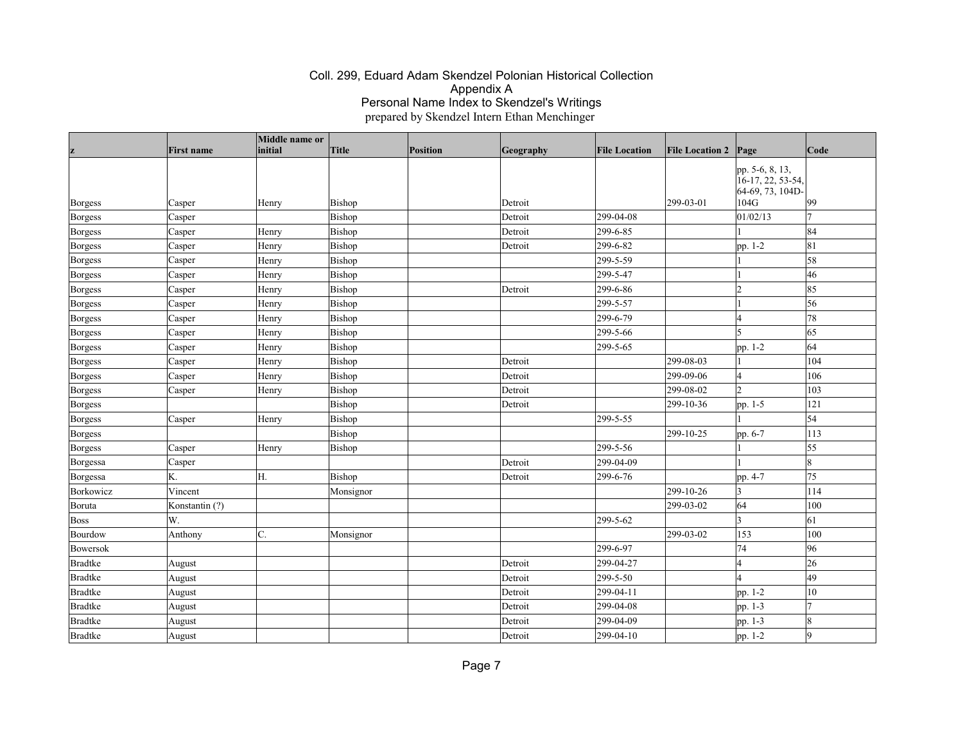|           |                   | Middle name or |               |                 |           |                      |                        |                                                                  |              |
|-----------|-------------------|----------------|---------------|-----------------|-----------|----------------------|------------------------|------------------------------------------------------------------|--------------|
| z         | <b>First name</b> | initial        | Title         | <b>Position</b> | Geography | <b>File Location</b> | <b>File Location 2</b> | Page                                                             | Code         |
| Borgess   | Casper            | Henry          | <b>Bishop</b> |                 | Detroit   |                      | 299-03-01              | pp. 5-6, 8, 13,<br>16-17, 22, 53-54,<br>64-69, 73, 104D-<br>104G | $ 99\rangle$ |
| Borgess   | Casper            |                | Bishop        |                 | Detroit   | 299-04-08            |                        | 01/02/13                                                         | 17           |
| Borgess   | Casper            | Henry          | Bishop        |                 | Detroit   | 299-6-85             |                        |                                                                  | 84           |
| Borgess   | Casper            | Henry          | Bishop        |                 | Detroit   | 299-6-82             |                        | pp. 1-2                                                          | 81           |
| Borgess   | Casper            | Henry          | Bishop        |                 |           | 299-5-59             |                        |                                                                  | 58           |
| Borgess   | Casper            | Henry          | Bishop        |                 |           | 299-5-47             |                        |                                                                  | 46           |
| Borgess   | Casper            | Henry          | Bishop        |                 | Detroit   | 299-6-86             |                        | 2                                                                | 85           |
| Borgess   | Casper            | Henry          | Bishop        |                 |           | 299-5-57             |                        |                                                                  | 56           |
| Borgess   | Casper            | Henry          | Bishop        |                 |           | 299-6-79             |                        | l4                                                               | 78           |
| Borgess   | Casper            | Henry          | Bishop        |                 |           | 299-5-66             |                        | l5                                                               | 65           |
| Borgess   | Casper            | Henry          | Bishop        |                 |           | 299-5-65             |                        | pp. 1-2                                                          | 64           |
| Borgess   | Casper            | Henry          | Bishop        |                 | Detroit   |                      | 299-08-03              |                                                                  | 104          |
| Borgess   | Casper            | Henry          | Bishop        |                 | Detroit   |                      | 299-09-06              | l4                                                               | 106          |
| Borgess   | Casper            | Henry          | Bishop        |                 | Detroit   |                      | 299-08-02              | 12                                                               | 103          |
| Borgess   |                   |                | Bishop        |                 | Detroit   |                      | 299-10-36              | pp. 1-5                                                          | 121          |
| Borgess   | Casper            | Henry          | Bishop        |                 |           | 299-5-55             |                        |                                                                  | $\vert$ 54   |
| Borgess   |                   |                | Bishop        |                 |           |                      | 299-10-25              | pp. 6-7                                                          | 113          |
| Borgess   | Casper            | Henry          | Bishop        |                 |           | 299-5-56             |                        |                                                                  | 55           |
| Borgessa  | Casper            |                |               |                 | Detroit   | 299-04-09            |                        |                                                                  | 8            |
| Borgessa  | K.                | H.             | Bishop        |                 | Detroit   | 299-6-76             |                        | pp. 4-7                                                          | 75           |
| Borkowicz | Vincent           |                | Monsignor     |                 |           |                      | 299-10-26              | $ 3\rangle$                                                      | 114          |
| Boruta    | Konstantin (?)    |                |               |                 |           |                      | 299-03-02              | 64                                                               | 100          |
| Boss      | W.                |                |               |                 |           | 299-5-62             |                        | 3                                                                | 61           |
| Bourdow   | Anthony           | C.             | Monsignor     |                 |           |                      | 299-03-02              | 153                                                              | 100          |
| Bowersok  |                   |                |               |                 |           | 299-6-97             |                        | 74                                                               | 96           |
| Bradtke   | August            |                |               |                 | Detroit   | 299-04-27            |                        | 4                                                                | 26           |
| Bradtke   | August            |                |               |                 | Detroit   | 299-5-50             |                        | l4                                                               | 49           |
| Bradtke   | August            |                |               |                 | Detroit   | 299-04-11            |                        | pp. 1-2                                                          | 10           |
| Bradtke   | August            |                |               |                 | Detroit   | 299-04-08            |                        | pp. 1-3                                                          | 17           |
| Bradtke   | August            |                |               |                 | Detroit   | 299-04-09            |                        | pp. 1-3                                                          | 8            |
| Bradtke   | August            |                |               |                 | Detroit   | 299-04-10            |                        | pp. 1-2                                                          | g            |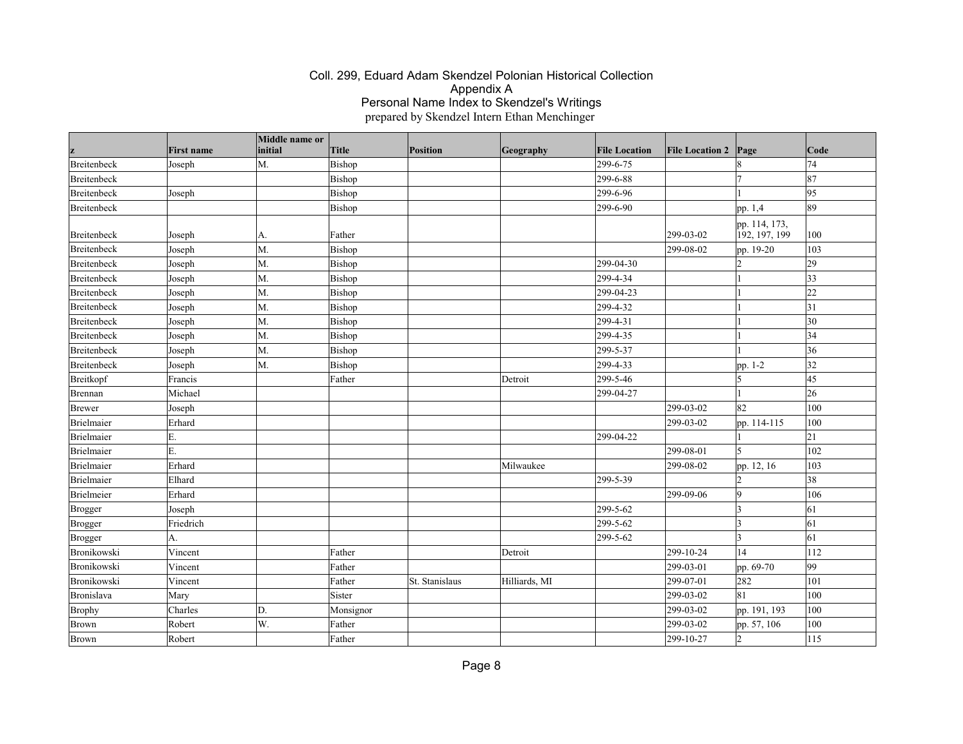|             | <b>First name</b> | Middle name or<br>initial | <b>Title</b> | Position       | Geography     | <b>File Location</b> | <b>File Location 2</b> | Page                           | Code         |
|-------------|-------------------|---------------------------|--------------|----------------|---------------|----------------------|------------------------|--------------------------------|--------------|
| Breitenbeck | Joseph            | M.                        | Bishop       |                |               | 299-6-75             |                        |                                | 74           |
| Breitenbeck |                   |                           | Bishop       |                |               | 299-6-88             |                        |                                | 87           |
| Breitenbeck | Joseph            |                           | Bishop       |                |               | 299-6-96             |                        |                                | 95           |
| Breitenbeck |                   |                           | Bishop       |                |               | 299-6-90             |                        | pp. 1,4                        | 89           |
| Breitenbeck | Joseph            | А.                        | Father       |                |               |                      | 299-03-02              | pp. 114, 173,<br>192, 197, 199 | 100          |
| Breitenbeck | Joseph            | M.                        | Bishop       |                |               |                      | 299-08-02              | pp. 19-20                      | 103          |
| Breitenbeck | Joseph            | M.                        | Bishop       |                |               | 299-04-30            |                        |                                | 29           |
| Breitenbeck | Joseph            | M.                        | Bishop       |                |               | 299-4-34             |                        |                                | $ 33\rangle$ |
| Breitenbeck | Joseph            | M.                        | Bishop       |                |               | 299-04-23            |                        |                                | $ _{22}$     |
| Breitenbeck | Joseph            | M.                        | Bishop       |                |               | 299-4-32             |                        |                                | 31           |
| Breitenbeck | Joseph            | M.                        | Bishop       |                |               | 299-4-31             |                        |                                | 30           |
| Breitenbeck | Joseph            | M.                        | Bishop       |                |               | 299-4-35             |                        |                                | 34           |
| Breitenbeck | Joseph            | M.                        | Bishop       |                |               | 299-5-37             |                        |                                | 36           |
| Breitenbeck | Joseph            | M.                        | Bishop       |                |               | 299-4-33             |                        | pp. 1-2                        | 32           |
| Breitkopf   | Francis           |                           | Father       |                | Detroit       | 299-5-46             |                        | 5                              | 45           |
| Brennan     | Michael           |                           |              |                |               | 299-04-27            |                        |                                | 26           |
| Brewer      | Joseph            |                           |              |                |               |                      | 299-03-02              | 82                             | 100          |
| Brielmaier  | Erhard            |                           |              |                |               |                      | 299-03-02              | pp. 114-115                    | 100          |
| Brielmaier  | E.                |                           |              |                |               | 299-04-22            |                        |                                | 21           |
| Brielmaier  | E.                |                           |              |                |               |                      | 299-08-01              | 15                             | 102          |
| Brielmaier  | Erhard            |                           |              |                | Milwaukee     |                      | 299-08-02              | pp. 12, 16                     | 103          |
| Brielmaier  | Elhard            |                           |              |                |               | 299-5-39             |                        |                                | 38           |
| Brielmeier  | Erhard            |                           |              |                |               |                      | 299-09-06              | 9                              | 106          |
| Brogger     | Joseph            |                           |              |                |               | 299-5-62             |                        | 3                              | 61           |
| Brogger     | Friedrich         |                           |              |                |               | 299-5-62             |                        | 3                              | 61           |
| Brogger     | А.                |                           |              |                |               | 299-5-62             |                        | 3                              | 61           |
| Bronikowski | Vincent           |                           | Father       |                | Detroit       |                      | 299-10-24              | 14                             | 112          |
| Bronikowski | Vincent           |                           | Father       |                |               |                      | 299-03-01              | pp. 69-70                      | 99           |
| Bronikowski | Vincent           |                           | Father       | St. Stanislaus | Hilliards, MI |                      | 299-07-01              | 282                            | 101          |
| Bronislava  | Mary              |                           | Sister       |                |               |                      | 299-03-02              | 81                             | 100          |
| Brophy      | Charles           | D.                        | Monsignor    |                |               |                      | 299-03-02              | pp. 191, 193                   | 100          |
| Brown       | Robert            | W.                        | Father       |                |               |                      | 299-03-02              | pp. 57, 106                    | 100          |
| Brown       | Robert            |                           | Father       |                |               |                      | 299-10-27              | $ 2\rangle$                    | 115          |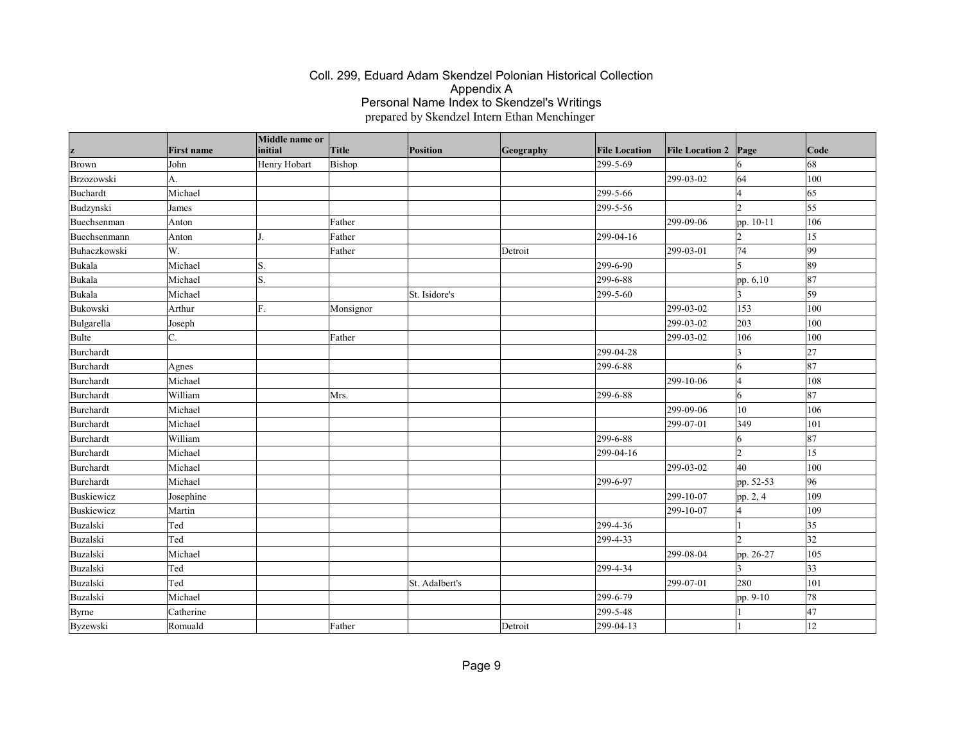| z            | <b>First name</b> | Middle name or<br>initial | Title     | <b>Position</b> | Geography | <b>File Location</b> | <b>File Location 2</b> | Page            | Code         |
|--------------|-------------------|---------------------------|-----------|-----------------|-----------|----------------------|------------------------|-----------------|--------------|
| Brown        | John              | Henry Hobart              | Bishop    |                 |           | 299-5-69             |                        | 16              | 68           |
| Brzozowski   | A.                |                           |           |                 |           |                      | 299-03-02              | 64              | 100          |
| Buchardt     | Michael           |                           |           |                 |           | 299-5-66             |                        | l4              | 65           |
| Budzynski    | James             |                           |           |                 |           | 299-5-56             |                        | 12              | 55           |
| Buechsenman  | Anton             |                           | Father    |                 |           |                      | 299-09-06              | pp. 10-11       | 106          |
| Buechsenmann | Anton             |                           | Father    |                 |           | 299-04-16            |                        | 12              | 15           |
| Buhaczkowski | W.                |                           | Father    |                 | Detroit   |                      | 299-03-01              | 74              | 99           |
| Bukala       | Michael           | S.                        |           |                 |           | 299-6-90             |                        | I٢              | 89           |
| Bukala       | Michael           | S.                        |           |                 |           | 299-6-88             |                        | pp. 6,10        | 87           |
| Bukala       | Michael           |                           |           | St. Isidore's   |           | 299-5-60             |                        | 3               | 59           |
| Bukowski     | Arthur            | F.                        | Monsignor |                 |           |                      | 299-03-02              | 153             | 100          |
| Bulgarella   | Joseph            |                           |           |                 |           |                      | 299-03-02              | 203             | 100          |
| Bulte        | C.                |                           | Father    |                 |           |                      | 299-03-02              | 106             | 100          |
| Burchardt    |                   |                           |           |                 |           | 299-04-28            |                        | 3               | 27           |
| Burchardt    | Agnes             |                           |           |                 |           | 299-6-88             |                        | 6               | 87           |
| Burchardt    | Michael           |                           |           |                 |           |                      | 299-10-06              | l4              | 108          |
| Burchardt    | William           |                           | Mrs.      |                 |           | 299-6-88             |                        | $\vert 6 \vert$ | 87           |
| Burchardt    | Michael           |                           |           |                 |           |                      | 299-09-06              | $ 10\rangle$    | 106          |
| Burchardt    | Michael           |                           |           |                 |           |                      | 299-07-01              | 349             | 101          |
| Burchardt    | William           |                           |           |                 |           | 299-6-88             |                        | 6               | 87           |
| Burchardt    | Michael           |                           |           |                 |           | 299-04-16            |                        | l2              | 15           |
| Burchardt    | Michael           |                           |           |                 |           |                      | 299-03-02              | 40              | 100          |
| Burchardt    | Michael           |                           |           |                 |           | 299-6-97             |                        | pp. 52-53       | 96           |
| Buskiewicz   | Josephine         |                           |           |                 |           |                      | 299-10-07              | pp. 2, 4        | 109          |
| Buskiewicz   | Martin            |                           |           |                 |           |                      | 299-10-07              | 14              | 109          |
| Buzalski     | Ted               |                           |           |                 |           | 299-4-36             |                        |                 | $ 35\rangle$ |
| Buzalski     | Ted               |                           |           |                 |           | 299-4-33             |                        | b               | 32           |
| Buzalski     | Michael           |                           |           |                 |           |                      | 299-08-04              | pp. 26-27       | 105          |
| Buzalski     | Ted               |                           |           |                 |           | 299-4-34             |                        |                 | $ 33\rangle$ |
| Buzalski     | Ted               |                           |           | St. Adalbert's  |           |                      | 299-07-01              | 280             | 101          |
| Buzalski     | Michael           |                           |           |                 |           | 299-6-79             |                        | pp. 9-10        | 78           |
| <b>Byrne</b> | Catherine         |                           |           |                 |           | 299-5-48             |                        |                 | 47           |
| Byzewski     | Romuald           |                           | Father    |                 | Detroit   | 299-04-13            |                        |                 | 12           |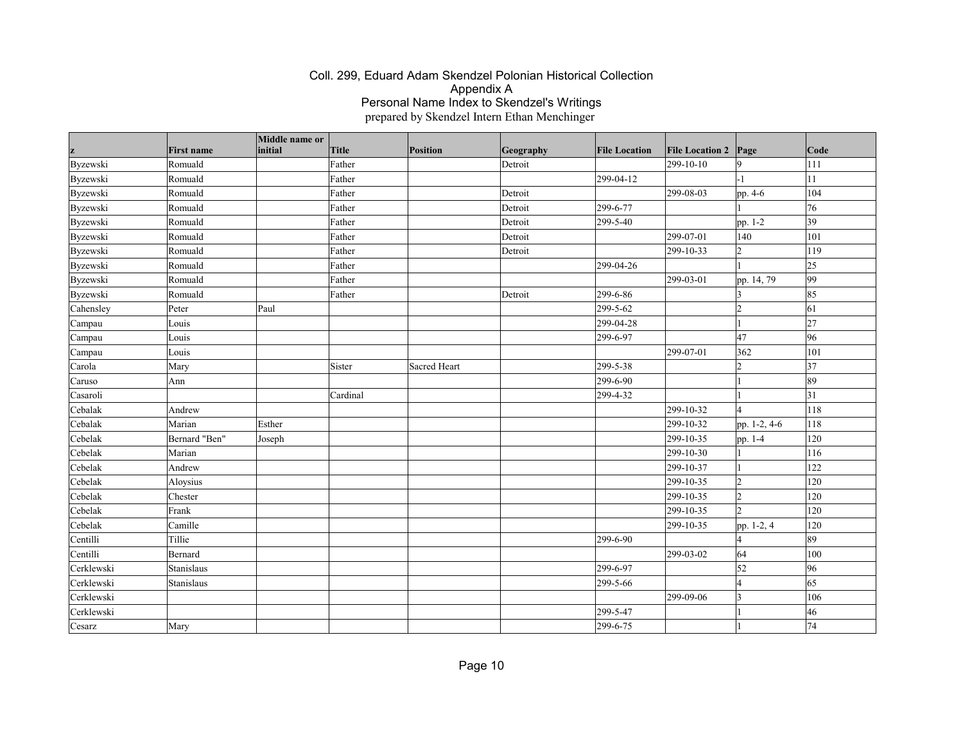|            |                   | Middle name or |          |                 |           |                      |                        |                |              |
|------------|-------------------|----------------|----------|-----------------|-----------|----------------------|------------------------|----------------|--------------|
| z          | <b>First name</b> | initial        | Title    | <b>Position</b> | Geography | <b>File Location</b> | <b>File Location 2</b> | Page           | $\vert$ Code |
| Byzewski   | Romuald           |                | Father   |                 | Detroit   |                      | 299-10-10              | 9              | 111          |
| Byzewski   | Romuald           |                | Father   |                 |           | 299-04-12            |                        | -1             | 11           |
| Byzewski   | Romuald           |                | Father   |                 | Detroit   |                      | 299-08-03              | pp. 4-6        | 104          |
| Byzewski   | Romuald           |                | Father   |                 | Detroit   | 299-6-77             |                        |                | 76           |
| Byzewski   | Romuald           |                | Father   |                 | Detroit   | 299-5-40             |                        | pp. 1-2        | 39           |
| Byzewski   | Romuald           |                | Father   |                 | Detroit   |                      | 299-07-01              | 140            | 101          |
| Byzewski   | Romuald           |                | Father   |                 | Detroit   |                      | 299-10-33              | $\overline{2}$ | 119          |
| Byzewski   | Romuald           |                | Father   |                 |           | 299-04-26            |                        |                | 25           |
| Byzewski   | Romuald           |                | Father   |                 |           |                      | 299-03-01              | pp. 14, 79     | $ 99\rangle$ |
| Byzewski   | Romuald           |                | Father   |                 | Detroit   | 299-6-86             |                        | 13             | 85           |
| Cahensley  | Peter             | Paul           |          |                 |           | 299-5-62             |                        | $\overline{2}$ | 61           |
| Campau     | Louis             |                |          |                 |           | 299-04-28            |                        |                | 27           |
| Campau     | Louis             |                |          |                 |           | 299-6-97             |                        | 47             | 96           |
| Campau     | Louis             |                |          |                 |           |                      | 299-07-01              | 362            | 101          |
| Carola     | Mary              |                | Sister   | Sacred Heart    |           | 299-5-38             |                        | 12             | 37           |
| Caruso     | Ann               |                |          |                 |           | 299-6-90             |                        |                | 89           |
| Casaroli   |                   |                | Cardinal |                 |           | 299-4-32             |                        |                | 31           |
| Cebalak    | Andrew            |                |          |                 |           |                      | 299-10-32              | $\overline{4}$ | 118          |
| Cebalak    | Marian            | Esther         |          |                 |           |                      | 299-10-32              | pp. 1-2, 4-6   | 118          |
| Cebelak    | Bernard "Ben"     | Joseph         |          |                 |           |                      | 299-10-35              | pp. 1-4        | 120          |
| Cebelak    | Marian            |                |          |                 |           |                      | 299-10-30              |                | 116          |
| Cebelak    | Andrew            |                |          |                 |           |                      | 299-10-37              |                | 122          |
| Cebelak    | Aloysius          |                |          |                 |           |                      | 299-10-35              | 2              | 120          |
| Cebelak    | Chester           |                |          |                 |           |                      | 299-10-35              | 12             | 120          |
| Cebelak    | Frank             |                |          |                 |           |                      | 299-10-35              | $\mathsf{D}$   | 120          |
| Cebelak    | Camille           |                |          |                 |           |                      | 299-10-35              | pp. 1-2, 4     | 120          |
| Centilli   | Tillie            |                |          |                 |           | 299-6-90             |                        | $\overline{4}$ | 89           |
| Centilli   | Bernard           |                |          |                 |           |                      | 299-03-02              | 64             | 100          |
| Cerklewski | Stanislaus        |                |          |                 |           | 299-6-97             |                        | 52             | 96           |
| Cerklewski | Stanislaus        |                |          |                 |           | 299-5-66             |                        | 14             | $ 65\rangle$ |
| Cerklewski |                   |                |          |                 |           |                      | 299-09-06              | 3              | 106          |
| Cerklewski |                   |                |          |                 |           | 299-5-47             |                        |                | 46           |
| Cesarz     | Mary              |                |          |                 |           | 299-6-75             |                        |                | 74           |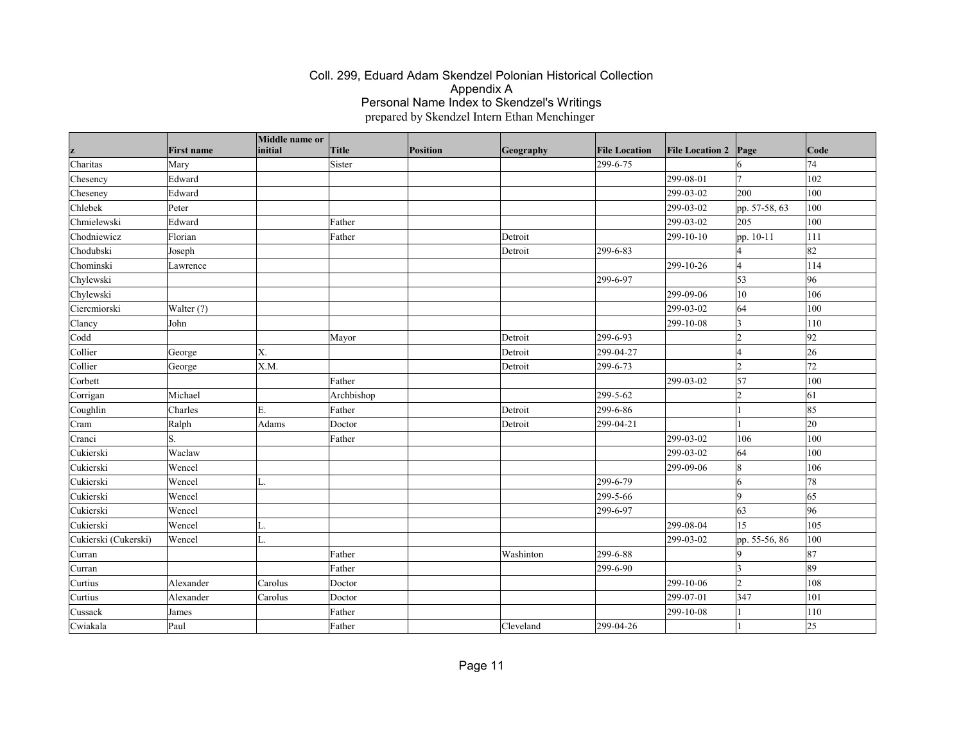|                      |                   | Middle name or<br>initial |            |          |           |                      |                        |                |              |
|----------------------|-------------------|---------------------------|------------|----------|-----------|----------------------|------------------------|----------------|--------------|
| z                    | <b>First name</b> |                           | Title      | Position | Geography | <b>File Location</b> | <b>File Location 2</b> | Page           | Code         |
| Charitas             | Mary              |                           | Sister     |          |           | 299-6-75             |                        | $\overline{7}$ | 74           |
| Chesency             | Edward            |                           |            |          |           |                      | 299-08-01              |                | 102          |
| Cheseney             | Edward            |                           |            |          |           |                      | 299-03-02              | 200            | 100          |
| Chlebek              | Peter             |                           |            |          |           |                      | 299-03-02              | pp. 57-58, 63  | 100          |
| Chmielewski          | Edward            |                           | Father     |          |           |                      | 299-03-02              | 205            | 100          |
| Chodniewicz          | Florian           |                           | Father     |          | Detroit   |                      | 299-10-10              | pp. 10-11      | 111          |
| Chodubski            | Joseph            |                           |            |          | Detroit   | 299-6-83             |                        |                | 82           |
| Chominski            | Lawrence          |                           |            |          |           |                      | 299-10-26              | $\overline{A}$ | 114          |
| Chylewski            |                   |                           |            |          |           | 299-6-97             |                        | $\vert$ 53     | 96           |
| Chylewski            |                   |                           |            |          |           |                      | 299-09-06              | 10             | 106          |
| Ciercmiorski         | Walter (?)        |                           |            |          |           |                      | 299-03-02              | 64             | 100          |
| Clancy               | John              |                           |            |          |           |                      | 299-10-08              | 3              | 110          |
| Codd                 |                   |                           | Mayor      |          | Detroit   | 299-6-93             |                        | 2              | 92           |
| Collier              | George            | Х.                        |            |          | Detroit   | 299-04-27            |                        | $\overline{A}$ | 26           |
| Collier              | George            | X.M.                      |            |          | Detroit   | 299-6-73             |                        | 2              | 72           |
| Corbett              |                   |                           | Father     |          |           |                      | 299-03-02              | 57             | 100          |
| Corrigan             | Michael           |                           | Archbishop |          |           | 299-5-62             |                        | $\overline{2}$ | 61           |
| Coughlin             | Charles           | Ε.                        | Father     |          | Detroit   | 299-6-86             |                        |                | 85           |
| Cram                 | Ralph             | Adams                     | Doctor     |          | Detroit   | 299-04-21            |                        |                | 20           |
| Cranci               | lS.               |                           | Father     |          |           |                      | 299-03-02              | 106            | 100          |
| Cukierski            | Waclaw            |                           |            |          |           |                      | 299-03-02              | 64             | 100          |
| Cukierski            | Wencel            |                           |            |          |           |                      | 299-09-06              | 8              | 106          |
| Cukierski            | Wencel            | L.                        |            |          |           | 299-6-79             |                        | 6              | 78           |
| Cukierski            | Wencel            |                           |            |          |           | 299-5-66             |                        | 19             | 65           |
| Cukierski            | Wencel            |                           |            |          |           | 299-6-97             |                        | 63             | 96           |
| Cukierski            | Wencel            | L.                        |            |          |           |                      | 299-08-04              | 15             | 105          |
| Cukierski (Cukerski) | Wencel            | L.                        |            |          |           |                      | 299-03-02              | pp. 55-56, 86  | 100          |
| Curran               |                   |                           | Father     |          | Washinton | 299-6-88             |                        | 9              | 87           |
| Curran               |                   |                           | Father     |          |           | 299-6-90             |                        | 3              | 89           |
| Curtius              | Alexander         | Carolus                   | Doctor     |          |           |                      | 299-10-06              | 12             | 108          |
| Curtius              | Alexander         | Carolus                   | Doctor     |          |           |                      | 299-07-01              | 347            | 101          |
| Cussack              | James             |                           | Father     |          |           |                      | 299-10-08              |                | 110          |
| Cwiakala             | Paul              |                           | Father     |          | Cleveland | 299-04-26            |                        |                | $ 25\rangle$ |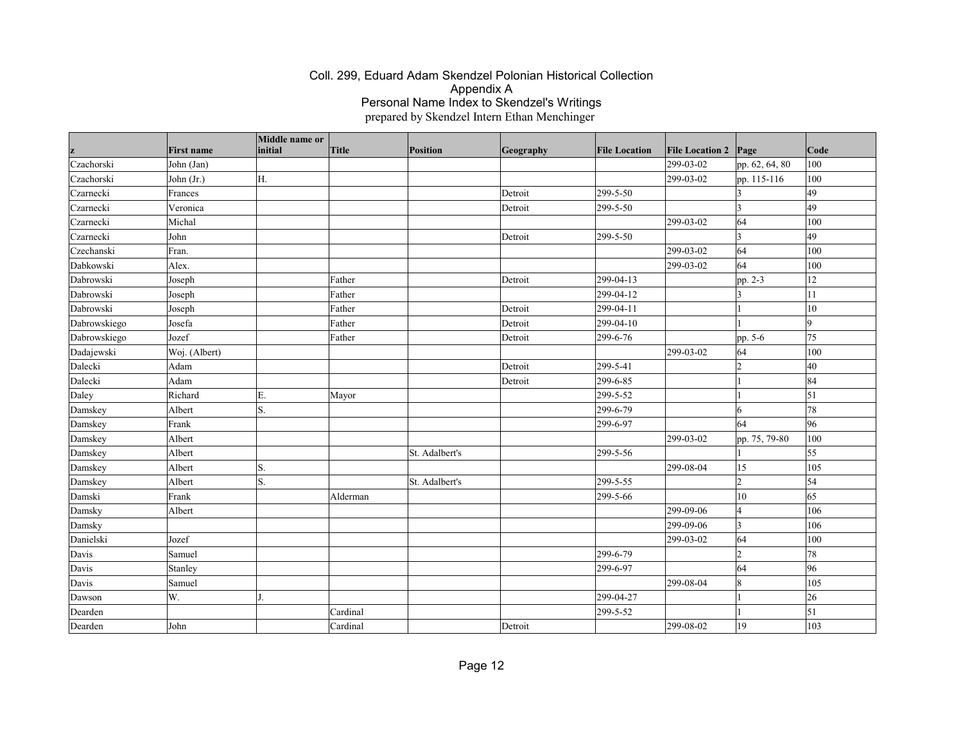| z            | <b>First name</b> | Middle name or<br>initial | Title    | Position       | Geography | <b>File Location</b> | <b>File Location 2</b> | Page           | Code       |
|--------------|-------------------|---------------------------|----------|----------------|-----------|----------------------|------------------------|----------------|------------|
| Czachorski   | John (Jan)        |                           |          |                |           |                      | 299-03-02              | pp. 62, 64, 80 | 100        |
| Czachorski   | John (Jr.)        | H.                        |          |                |           |                      | 299-03-02              | pp. 115-116    | 100        |
| Czarnecki    | Frances           |                           |          |                | Detroit   | 299-5-50             |                        |                | 49         |
| Czarnecki    | Veronica          |                           |          |                | Detroit   | 299-5-50             |                        | $\vert$ 3      | 49         |
| Czarnecki    | Michal            |                           |          |                |           |                      | 299-03-02              | 64             | 100        |
| Czarnecki    | John              |                           |          |                | Detroit   | 299-5-50             |                        | 3              | 49         |
| Czechanski   | Fran.             |                           |          |                |           |                      | 299-03-02              | 64             | 100        |
| Dabkowski    | Alex.             |                           |          |                |           |                      | 299-03-02              | 64             | 100        |
| Dabrowski    | Joseph            |                           | Father   |                | Detroit   | 299-04-13            |                        | pp. 2-3        | 12         |
| Dabrowski    | Joseph            |                           | Father   |                |           | 299-04-12            |                        | I٩             | 11         |
| Dabrowski    | Joseph            |                           | Father   |                | Detroit   | 299-04-11            |                        |                | 10         |
| Dabrowskiego | Josefa            |                           | Father   |                | Detroit   | 299-04-10            |                        |                | ۱q         |
| Dabrowskiego | Jozef             |                           | Father   |                | Detroit   | 299-6-76             |                        | pp. 5-6        | 75         |
| Dadajewski   | Woj. (Albert)     |                           |          |                |           |                      | 299-03-02              | 64             | 100        |
| Dalecki      | Adam              |                           |          |                | Detroit   | 299-5-41             |                        | $\vert$ 2      | 40         |
| Dalecki      | Adam              |                           |          |                | Detroit   | 299-6-85             |                        |                | 84         |
| Daley        | Richard           | Ε.                        | Mayor    |                |           | 299-5-52             |                        |                | $\vert$ 51 |
| Damskey      | Albert            | S.                        |          |                |           | 299-6-79             |                        | 16             | 78         |
| Damskey      | Frank             |                           |          |                |           | 299-6-97             |                        | 64             | 96         |
| Damskey      | Albert            |                           |          |                |           |                      | 299-03-02              | pp. 75, 79-80  | 100        |
| Damskey      | Albert            |                           |          | St. Adalbert's |           | 299-5-56             |                        |                | 55         |
| Damskey      | Albert            | S.                        |          |                |           |                      | 299-08-04              | 15             | 105        |
| Damskey      | Albert            | S.                        |          | St. Adalbert's |           | 299-5-55             |                        | $\vert$ 2      | 54         |
| Damski       | Frank             |                           | Alderman |                |           | 299-5-66             |                        | 10             | 65         |
| Damsky       | Albert            |                           |          |                |           |                      | 299-09-06              | l4             | 106        |
| Damsky       |                   |                           |          |                |           |                      | 299-09-06              | $\vert$ 3      | 106        |
| Danielski    | Jozef             |                           |          |                |           |                      | 299-03-02              | 64             | 100        |
| Davis        | Samuel            |                           |          |                |           | 299-6-79             |                        | $\overline{2}$ | 78         |
| Davis        | Stanley           |                           |          |                |           | 299-6-97             |                        | 64             | 96         |
| Davis        | Samuel            |                           |          |                |           |                      | 299-08-04              | 18             | 105        |
| Dawson       | W.                |                           |          |                |           | 299-04-27            |                        |                | 26         |
| Dearden      |                   |                           | Cardinal |                |           | 299-5-52             |                        |                | $\vert$ 51 |
| Dearden      | John              |                           | Cardinal |                | Detroit   |                      | 299-08-02              | 19             | 103        |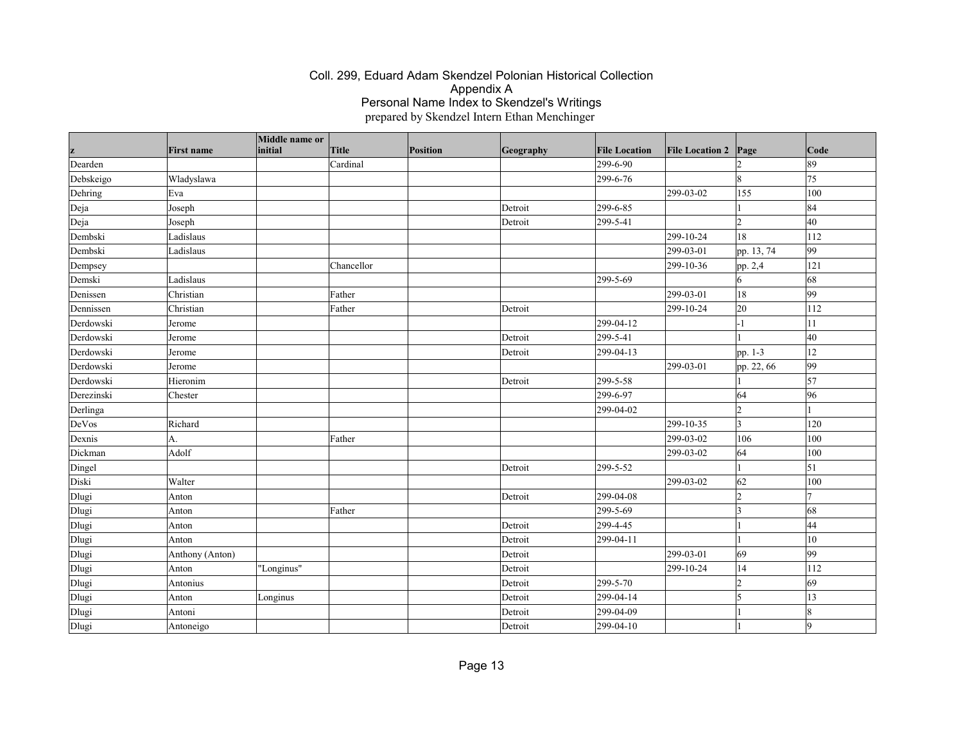| z          | <b>First name</b> | Middle name or<br>initial | Title      | Position | Geography | <b>File Location</b> | <b>File Location 2</b> | Page           | $\vert$ Code    |
|------------|-------------------|---------------------------|------------|----------|-----------|----------------------|------------------------|----------------|-----------------|
| Dearden    |                   |                           | Cardinal   |          |           | 299-6-90             |                        |                | 89              |
| Debskeigo  | Wladyslawa        |                           |            |          |           | 299-6-76             |                        | 8              | 75              |
| Dehring    | Eva               |                           |            |          |           |                      | 299-03-02              | 155            | 100             |
| Deja       | Joseph            |                           |            |          | Detroit   | 299-6-85             |                        |                | 84              |
| Deja       | Joseph            |                           |            |          | Detroit   | 299-5-41             |                        | $\mathcal{D}$  | 40              |
| Dembski    | Ladislaus         |                           |            |          |           |                      | 299-10-24              | 18             | 112             |
| Dembski    | Ladislaus         |                           |            |          |           |                      | 299-03-01              | pp. 13, 74     | 99              |
| Dempsey    |                   |                           | Chancellor |          |           |                      | 299-10-36              | pp. 2,4        | 121             |
| Demski     | Ladislaus         |                           |            |          |           | 299-5-69             |                        | 6              | 68              |
| Denissen   | Christian         |                           | Father     |          |           |                      | 299-03-01              | 18             | 99              |
| Dennissen  | Christian         |                           | Father     |          | Detroit   |                      | 299-10-24              | 20             | 112             |
| Derdowski  | Jerome            |                           |            |          |           | 299-04-12            |                        | -1             | 11              |
| Derdowski  | Jerome            |                           |            |          | Detroit   | 299-5-41             |                        |                | 40              |
| Derdowski  | Jerome            |                           |            |          | Detroit   | 299-04-13            |                        | pp. 1-3        | 12              |
| Derdowski  | Jerome            |                           |            |          |           |                      | 299-03-01              | pp. 22, 66     | $ 99\rangle$    |
| Derdowski  | Hieronim          |                           |            |          | Detroit   | 299-5-58             |                        |                | $\vert$ 57      |
| Derezinski | Chester           |                           |            |          |           | 299-6-97             |                        | 64             | 96              |
| Derlinga   |                   |                           |            |          |           | 299-04-02            |                        | l2             |                 |
| DeVos      | Richard           |                           |            |          |           |                      | 299-10-35              | $\overline{3}$ | 120             |
| Dexnis     | A.                |                           | Father     |          |           |                      | 299-03-02              | 106            | 100             |
| Dickman    | Adolf             |                           |            |          |           |                      | 299-03-02              | 64             | 100             |
| Dingel     |                   |                           |            |          | Detroit   | 299-5-52             |                        |                | $\vert$ 51      |
| Diski      | Walter            |                           |            |          |           |                      | 299-03-02              | 62             | 100             |
| Dlugi      | Anton             |                           |            |          | Detroit   | 299-04-08            |                        | $\overline{2}$ | $\overline{7}$  |
| Dlugi      | Anton             |                           | Father     |          |           | 299-5-69             |                        | 3              | 68              |
| Dlugi      | Anton             |                           |            |          | Detroit   | 299-4-45             |                        |                | $\overline{44}$ |
| Dlugi      | Anton             |                           |            |          | Detroit   | 299-04-11            |                        |                | $10\,$          |
| Dlugi      | Anthony (Anton)   |                           |            |          | Detroit   |                      | 299-03-01              | 69             | 99              |
| Dlugi      | Anton             | "Longinus"                |            |          | Detroit   |                      | 299-10-24              | 14             | 112             |
| Dlugi      | Antonius          |                           |            |          | Detroit   | 299-5-70             |                        | 2              | $ 69\rangle$    |
| Dlugi      | Anton             | Longinus                  |            |          | Detroit   | 299-04-14            |                        | $\overline{5}$ | 13              |
| Dlugi      | Antoni            |                           |            |          | Detroit   | 299-04-09            |                        |                | $\mathbf{Q}$    |
| Dlugi      | Antoneigo         |                           |            |          | Detroit   | 299-04-10            |                        |                | g               |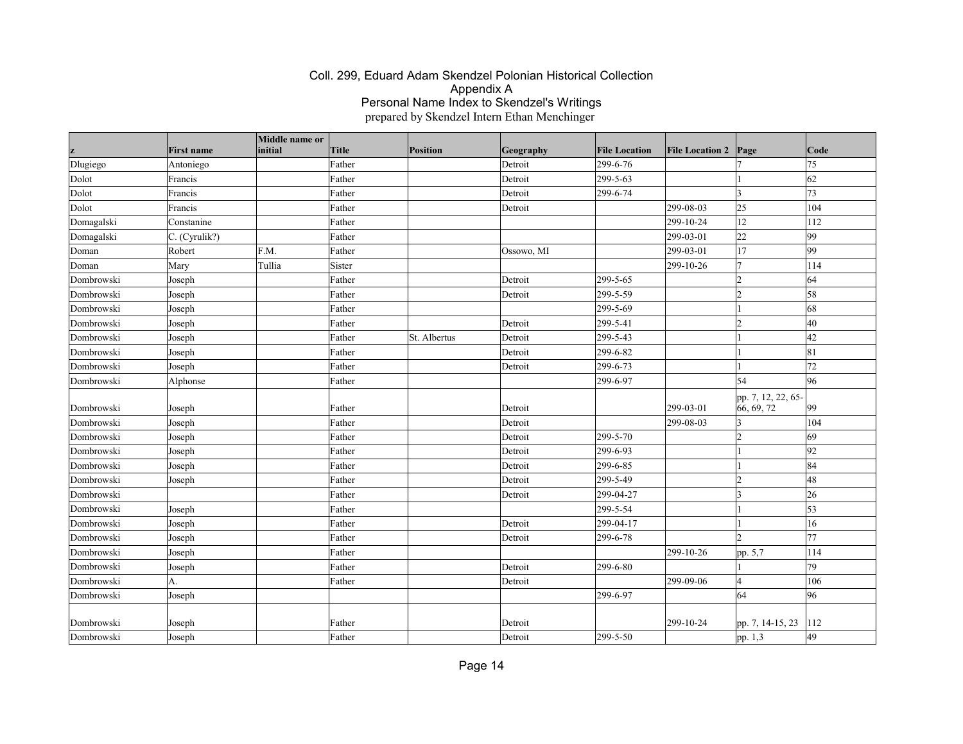|                   | <b>First name</b>    | Middle name or<br>initial | Title  | Position     | Geography  | <b>File Location</b> | <b>File Location 2</b> | Page                             | $\vert$ Code |
|-------------------|----------------------|---------------------------|--------|--------------|------------|----------------------|------------------------|----------------------------------|--------------|
|                   |                      |                           | Father |              | Detroit    | 299-6-76             |                        |                                  | 75           |
| Dlugiego<br>Dolot | Antoniego<br>Francis |                           | Father |              | Detroit    | 299-5-63             |                        |                                  | 62           |
|                   | Francis              |                           |        |              |            | 299-6-74             |                        | 3                                | 73           |
| Dolot<br>Dolot    |                      |                           | Father |              | Detroit    |                      | 299-08-03              | 25                               | 104          |
|                   | Francis              |                           | Father |              | Detroit    |                      |                        |                                  |              |
| Domagalski        | Constanine           |                           | Father |              |            |                      | 299-10-24              | 12                               | 112          |
| Domagalski        | $C.$ (Cyrulik?)      |                           | Father |              |            |                      | 299-03-01              | 22                               | 99           |
| Doman             | Robert               | F.M.                      | Father |              | Ossowo, MI |                      | 299-03-01              | 17                               | $ 99\rangle$ |
| Doman             | Mary                 | Tullia                    | Sister |              |            |                      | 299-10-26              | $\overline{7}$                   | 114          |
| Dombrowski        | Joseph               |                           | Father |              | Detroit    | 299-5-65             |                        | 12                               | 64           |
| Dombrowski        | Joseph               |                           | Father |              | Detroit    | 299-5-59             |                        | $\overline{2}$                   | 58           |
| Dombrowski        | Joseph               |                           | Father |              |            | 299-5-69             |                        |                                  | 68           |
| Dombrowski        | Joseph               |                           | Father |              | Detroit    | 299-5-41             |                        | 12                               | 40           |
| Dombrowski        | Joseph               |                           | Father | St. Albertus | Detroit    | 299-5-43             |                        |                                  | 42           |
| Dombrowski        | Joseph               |                           | Father |              | Detroit    | 299-6-82             |                        |                                  | 81           |
| Dombrowski        | Joseph               |                           | Father |              | Detroit    | 299-6-73             |                        |                                  | 72           |
| Dombrowski        | Alphonse             |                           | Father |              |            | 299-6-97             |                        | 54                               | 96           |
| Dombrowski        | Joseph               |                           | Father |              | Detroit    |                      | 299-03-01              | pp. 7, 12, 22, 65-<br>66, 69, 72 | 99           |
| Dombrowski        | Joseph               |                           | Father |              | Detroit    |                      | 299-08-03              | 3                                | 104          |
| Dombrowski        | Joseph               |                           | Father |              | Detroit    | 299-5-70             |                        | $\mathcal{D}$                    | 69           |
| Dombrowski        | Joseph               |                           | Father |              | Detroit    | 299-6-93             |                        |                                  | 92           |
| Dombrowski        | Joseph               |                           | Father |              | Detroit    | 299-6-85             |                        |                                  | 84           |
| Dombrowski        | Joseph               |                           | Father |              | Detroit    | 299-5-49             |                        | l2                               | 48           |
| Dombrowski        |                      |                           | Father |              | Detroit    | 299-04-27            |                        | ١3                               | 26           |
| Dombrowski        | Joseph               |                           | Father |              |            | 299-5-54             |                        |                                  | 53           |
| Dombrowski        | Joseph               |                           | Father |              | Detroit    | 299-04-17            |                        |                                  | 16           |
| Dombrowski        | Joseph               |                           | Father |              | Detroit    | 299-6-78             |                        | b                                | 77           |
| Dombrowski        | Joseph               |                           | Father |              |            |                      | 299-10-26              | pp. 5,7                          | 114          |
| Dombrowski        | Joseph               |                           | Father |              | Detroit    | 299-6-80             |                        |                                  | 79           |
| Dombrowski        | A.                   |                           | Father |              | Detroit    |                      | 299-09-06              | $\overline{A}$                   | 106          |
| Dombrowski        | Joseph               |                           |        |              |            | 299-6-97             |                        | 64                               | 96           |
|                   |                      |                           |        |              |            |                      |                        |                                  |              |
| Dombrowski        | Joseph               |                           | Father |              | Detroit    |                      | 299-10-24              | pp. 7, 14-15, 23                 | 112          |
| Dombrowski        | Joseph               |                           | Father |              | Detroit    | 299-5-50             |                        | pp. 1,3                          | 49           |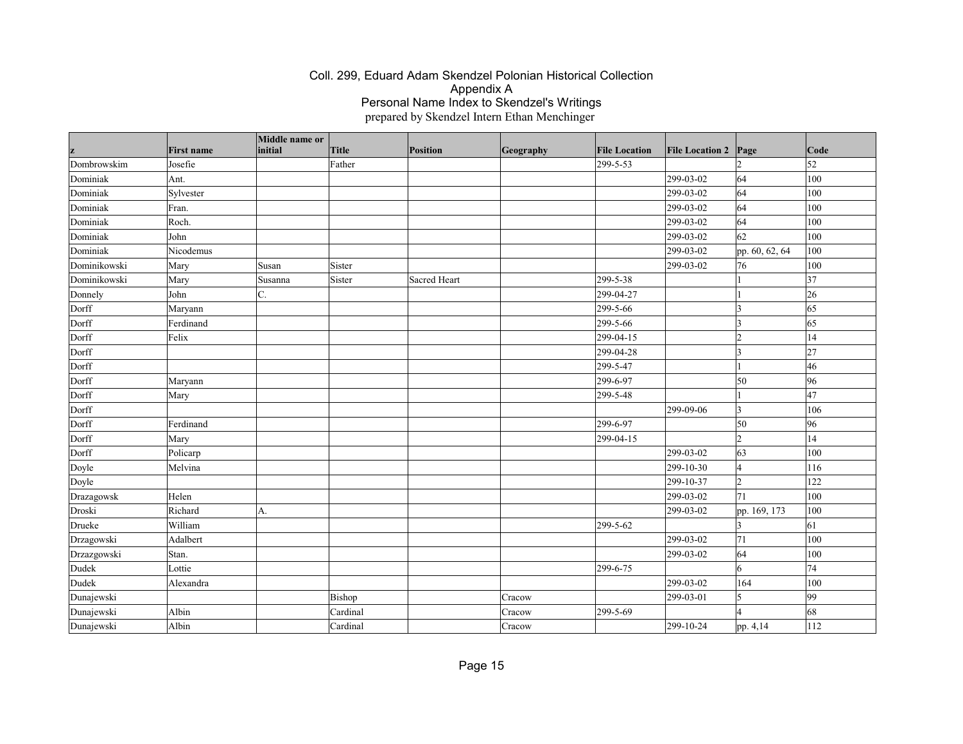|              |                   | Middle name or |          |              |           |                      |                        |                |              |
|--------------|-------------------|----------------|----------|--------------|-----------|----------------------|------------------------|----------------|--------------|
| z            | <b>First name</b> | initial        | Title    | Position     | Geography | <b>File Location</b> | <b>File Location 2</b> | Page           | $\vert$ Code |
| Dombrowskim  | Josefie           |                | Father   |              |           | 299-5-53             |                        |                | 52           |
| Dominiak     | Ant.              |                |          |              |           |                      | 299-03-02              | 64             | 100          |
| Dominiak     | Sylvester         |                |          |              |           |                      | 299-03-02              | 64             | 100          |
| Dominiak     | Fran.             |                |          |              |           |                      | 299-03-02              | 64             | 100          |
| Dominiak     | Roch.             |                |          |              |           |                      | 299-03-02              | 64             | 100          |
| Dominiak     | John              |                |          |              |           |                      | 299-03-02              | 62             | 100          |
| Dominiak     | Nicodemus         |                |          |              |           |                      | 299-03-02              | pp. 60, 62, 64 | 100          |
| Dominikowski | Mary              | Susan          | Sister   |              |           |                      | 299-03-02              | 76             | 100          |
| Dominikowski | Mary              | Susanna        | Sister   | Sacred Heart |           | 299-5-38             |                        |                | 37           |
| Donnely      | John              | C.             |          |              |           | 299-04-27            |                        |                | 26           |
| Dorff        | Maryann           |                |          |              |           | 299-5-66             |                        | 13             | 65           |
| Dorff        | Ferdinand         |                |          |              |           | 299-5-66             |                        | 3              | 65           |
| Dorff        | Felix             |                |          |              |           | 299-04-15            |                        | $\overline{2}$ | 14           |
| Dorff        |                   |                |          |              |           | 299-04-28            |                        | 3              | 27           |
| Dorff        |                   |                |          |              |           | 299-5-47             |                        |                | 46           |
| Dorff        | Maryann           |                |          |              |           | 299-6-97             |                        | 50             | 96           |
| Dorff        | Mary              |                |          |              |           | 299-5-48             |                        |                | 47           |
| Dorff        |                   |                |          |              |           |                      | 299-09-06              | 3              | 106          |
| Dorff        | Ferdinand         |                |          |              |           | 299-6-97             |                        | 50             | 96           |
| Dorff        | Mary              |                |          |              |           | 299-04-15            |                        | $\overline{2}$ | 14           |
| Dorff        | Policarp          |                |          |              |           |                      | 299-03-02              | 63             | 100          |
| Doyle        | Melvina           |                |          |              |           |                      | 299-10-30              | l4             | 116          |
| Doyle        |                   |                |          |              |           |                      | 299-10-37              | $\overline{2}$ | 122          |
| Drazagowsk   | Helen             |                |          |              |           |                      | 299-03-02              | 71             | 100          |
| Droski       | Richard           | A.             |          |              |           |                      | 299-03-02              | pp. 169, 173   | 100          |
| Drueke       | William           |                |          |              |           | 299-5-62             |                        |                | 61           |
| Drzagowski   | Adalbert          |                |          |              |           |                      | 299-03-02              | 71             | 100          |
| Drzazgowski  | Stan.             |                |          |              |           |                      | 299-03-02              | 64             | 100          |
| Dudek        | Lottie            |                |          |              |           | 299-6-75             |                        | 6              | 74           |
| Dudek        | Alexandra         |                |          |              |           |                      | 299-03-02              | 164            | 100          |
| Dunajewski   |                   |                | Bishop   |              | Cracow    |                      | 299-03-01              | 15             | 99           |
| Dunajewski   | Albin             |                | Cardinal |              | Cracow    | 299-5-69             |                        |                | 68           |
| Dunajewski   | Albin             |                | Cardinal |              | Cracow    |                      | 299-10-24              | pp. 4,14       | 112          |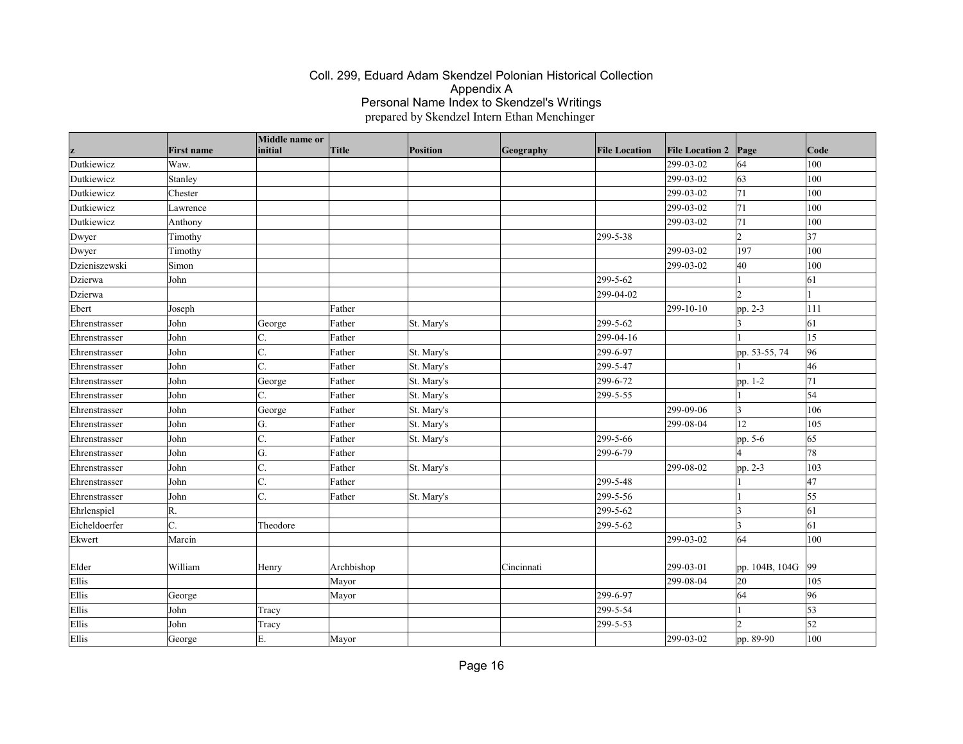|               | <b>First name</b> | Middle name or<br>initial | Title      | Position   | Geography  | <b>File Location</b> | <b>File Location 2</b> | Page                     | Code         |
|---------------|-------------------|---------------------------|------------|------------|------------|----------------------|------------------------|--------------------------|--------------|
| Dutkiewicz    | Waw.              |                           |            |            |            |                      | 299-03-02              | 64                       | 100          |
| Dutkiewicz    | Stanley           |                           |            |            |            |                      | 299-03-02              | 63                       | 100          |
| Dutkiewicz    | Chester           |                           |            |            |            |                      | 299-03-02              | 71                       | 100          |
| Dutkiewicz    | Lawrence          |                           |            |            |            |                      | 299-03-02              | 71                       | 100          |
| Dutkiewicz    | Anthony           |                           |            |            |            |                      | 299-03-02              | 71                       | 100          |
| Dwyer         | Timothy           |                           |            |            |            | 299-5-38             |                        | $\overline{\mathcal{L}}$ | 37           |
| Dwyer         | Timothy           |                           |            |            |            |                      | 299-03-02              | 197                      | 100          |
| Dzieniszewski | Simon             |                           |            |            |            |                      | 299-03-02              | 40                       | 100          |
| Dzierwa       | John              |                           |            |            |            | 299-5-62             |                        |                          | 61           |
| Dzierwa       |                   |                           |            |            |            | 299-04-02            |                        | $\overline{\mathcal{L}}$ |              |
| Ebert         | Joseph            |                           | Father     |            |            |                      | 299-10-10              | pp. 2-3                  | 111          |
| Ehrenstrasser | John              | George                    | Father     | St. Mary's |            | 299-5-62             |                        |                          | 61           |
| Ehrenstrasser | John              | C.                        | Father     |            |            | 299-04-16            |                        |                          | 15           |
| Ehrenstrasser | John              | C.                        | Father     | St. Mary's |            | 299-6-97             |                        | pp. 53-55, 74            | 96           |
| Ehrenstrasser | John              | C.                        | Father     | St. Mary's |            | 299-5-47             |                        |                          | 46           |
| Ehrenstrasser | John              | George                    | Father     | St. Mary's |            | 299-6-72             |                        | pp. 1-2                  | 71           |
| Ehrenstrasser | John              | C.                        | Father     | St. Mary's |            | 299-5-55             |                        |                          | 54           |
| Ehrenstrasser | John              | George                    | Father     | St. Mary's |            |                      | 299-09-06              | 3                        | 106          |
| Ehrenstrasser | John              | G.                        | Father     | St. Mary's |            |                      | 299-08-04              | 12                       | 105          |
| Ehrenstrasser | John              | C.                        | Father     | St. Mary's |            | 299-5-66             |                        | pp. 5-6                  | 65           |
| Ehrenstrasser | John              | G.                        | Father     |            |            | 299-6-79             |                        |                          | 78           |
| Ehrenstrasser | John              | C.                        | Father     | St. Mary's |            |                      | 299-08-02              | pp. 2-3                  | 103          |
| Ehrenstrasser | John              | C.                        | Father     |            |            | 299-5-48             |                        |                          | 47           |
| Ehrenstrasser | John              | C.                        | Father     | St. Mary's |            | 299-5-56             |                        |                          | 55           |
| Ehrlenspiel   | R.                |                           |            |            |            | 299-5-62             |                        | 13                       | 61           |
| Eicheldoerfer | C.                | Theodore                  |            |            |            | 299-5-62             |                        | 13                       | 61           |
| Ekwert        | Marcin            |                           |            |            |            |                      | 299-03-02              | 64                       | 100          |
|               |                   |                           |            |            |            |                      |                        |                          |              |
| Elder         | William           | Henry                     | Archbishop |            | Cincinnati |                      | 299-03-01              | pp. 104B, 104G           | $ 99\rangle$ |
| Ellis         |                   |                           | Mayor      |            |            |                      | 299-08-04              | 20                       | 105          |
| Ellis         | George            |                           | Mayor      |            |            | 299-6-97             |                        | 64                       | 96           |
| Ellis         | John              | Tracy                     |            |            |            | 299-5-54             |                        |                          | 53           |
| Ellis         | John              | Tracy                     |            |            |            | 299-5-53             |                        |                          | 52           |
| Ellis         | George            | E.                        | Mayor      |            |            |                      | 299-03-02              | pp. 89-90                | 100          |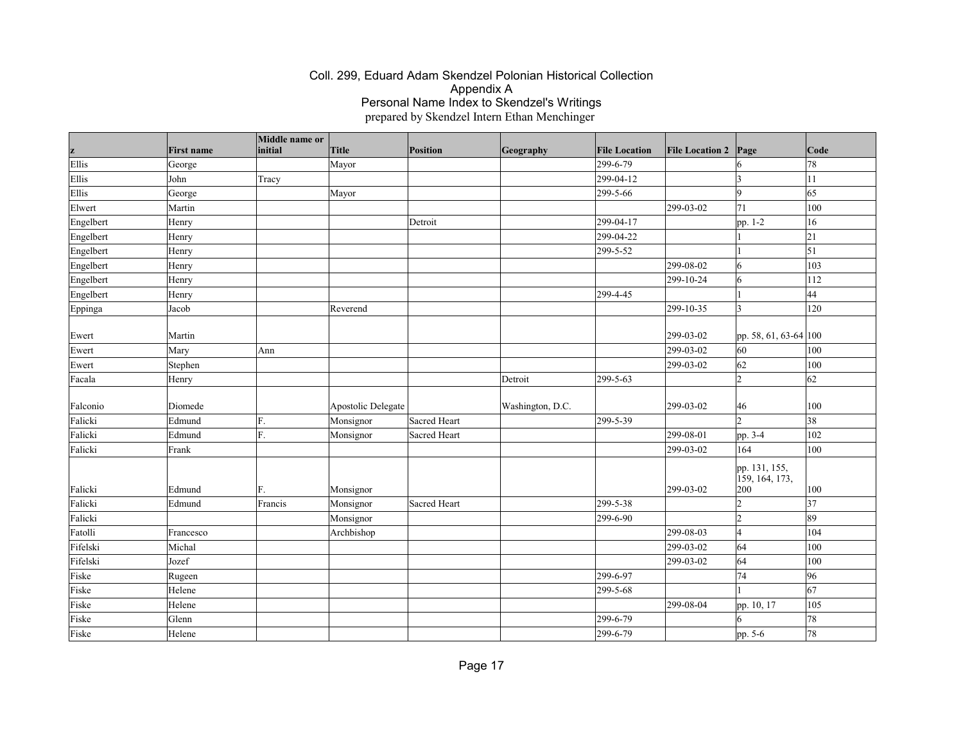|           |                   | Middle name or<br>initial | Title              | Position     |                  | <b>File Location</b> | <b>File Location 2</b> |                                        | Code       |
|-----------|-------------------|---------------------------|--------------------|--------------|------------------|----------------------|------------------------|----------------------------------------|------------|
| z         | <b>First name</b> |                           |                    |              | Geography        | 299-6-79             |                        | Page                                   |            |
| Ellis     | George            |                           | Mayor              |              |                  |                      |                        | 3                                      | 78         |
| Ellis     | John              | Tracy                     |                    |              |                  | 299-04-12            |                        |                                        | 11         |
| Ellis     | George            |                           | Mayor              |              |                  | 299-5-66             |                        | 9                                      | 65         |
| Elwert    | Martin            |                           |                    |              |                  |                      | 299-03-02              | 71                                     | 100        |
| Engelbert | Henry             |                           |                    | Detroit      |                  | 299-04-17            |                        | pp. 1-2                                | 16         |
| Engelbert | Henry             |                           |                    |              |                  | 299-04-22            |                        |                                        | 21         |
| Engelbert | Henry             |                           |                    |              |                  | 299-5-52             |                        |                                        | $\vert$ 51 |
| Engelbert | Henry             |                           |                    |              |                  |                      | 299-08-02              | 6                                      | 103        |
| Engelbert | Henry             |                           |                    |              |                  |                      | 299-10-24              | 6                                      | 112        |
| Engelbert | Henry             |                           |                    |              |                  | 299-4-45             |                        |                                        | 44         |
| Eppinga   | Jacob             |                           | Reverend           |              |                  |                      | 299-10-35              | 3                                      | 120        |
| Ewert     | Martin            |                           |                    |              |                  |                      | 299-03-02              | pp. 58, 61, 63-64 100                  |            |
| Ewert     | Mary              | Ann                       |                    |              |                  |                      | 299-03-02              | 60                                     | 100        |
| Ewert     | Stephen           |                           |                    |              |                  |                      | 299-03-02              | 62                                     | 100        |
| Facala    | Henry             |                           |                    |              | Detroit          | 299-5-63             |                        | $\overline{2}$                         | 62         |
|           |                   |                           |                    |              |                  |                      |                        |                                        |            |
| Falconio  | Diomede           |                           | Apostolic Delegate |              | Washington, D.C. |                      | 299-03-02              | 46                                     | 100        |
| Falicki   | Edmund            | F.                        | Monsignor          | Sacred Heart |                  | 299-5-39             |                        | $\overline{2}$                         | 38         |
| Falicki   | Edmund            | F.                        | Monsignor          | Sacred Heart |                  |                      | 299-08-01              | pp. 3-4                                | 102        |
| Falicki   | Frank             |                           |                    |              |                  |                      | 299-03-02              | 164                                    | 100        |
| Falicki   | Edmund            | F.                        | Monsignor          |              |                  |                      | 299-03-02              | pp. 131, 155,<br>159, 164, 173,<br>200 | 100        |
| Falicki   | Edmund            | Francis                   | Monsignor          | Sacred Heart |                  | 299-5-38             |                        | 12                                     | 37         |
| Falicki   |                   |                           | Monsignor          |              |                  | 299-6-90             |                        | l2                                     | 89         |
| Fatolli   | Francesco         |                           | Archbishop         |              |                  |                      | 299-08-03              | <sup>4</sup>                           | 104        |
| Fifelski  | Michal            |                           |                    |              |                  |                      | 299-03-02              | 64                                     | 100        |
| Fifelski  | Jozef             |                           |                    |              |                  |                      | 299-03-02              | 64                                     | 100        |
| Fiske     | Rugeen            |                           |                    |              |                  | 299-6-97             |                        | 74                                     | 96         |
| Fiske     | Helene            |                           |                    |              |                  | 299-5-68             |                        |                                        | 67         |
| Fiske     | Helene            |                           |                    |              |                  |                      | 299-08-04              | pp. 10, 17                             | 105        |
| Fiske     | Glenn             |                           |                    |              |                  | 299-6-79             |                        | 6                                      | 78         |
| Fiske     | Helene            |                           |                    |              |                  | 299-6-79             |                        | pp. 5-6                                | 78         |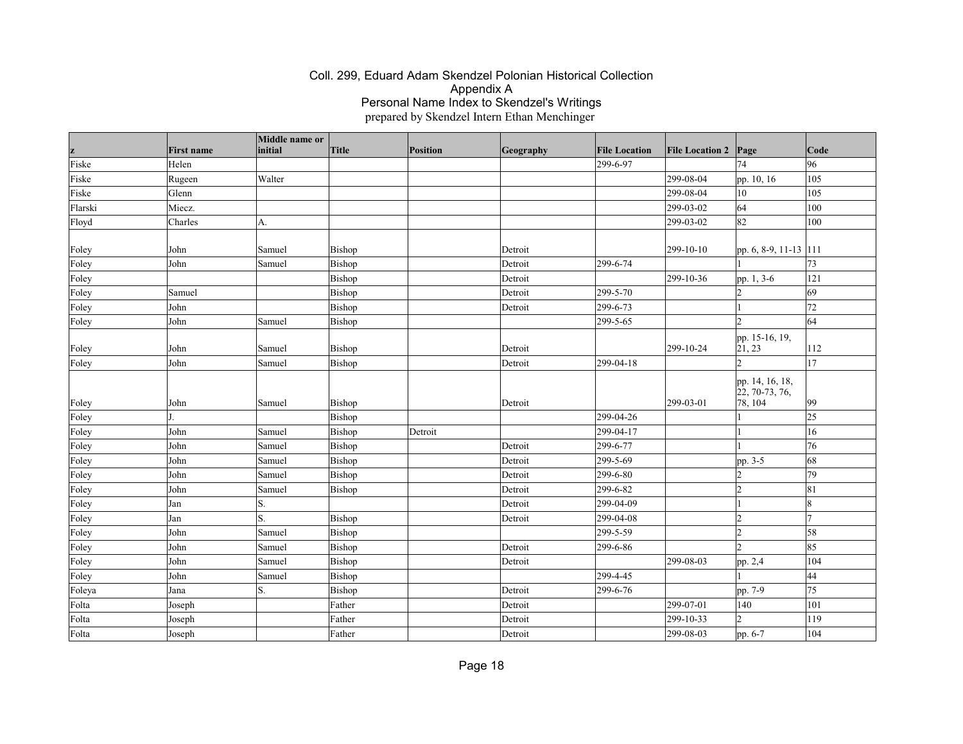| z       | <b>First name</b> | Middle name or<br>initial | Title  | Position | Geography | <b>File Location</b> | <b>File Location 2</b> | Page                                                         | $\vert$ Code |
|---------|-------------------|---------------------------|--------|----------|-----------|----------------------|------------------------|--------------------------------------------------------------|--------------|
| Fiske   | Helen             |                           |        |          |           | 299-6-97             |                        | 74                                                           | 96           |
| Fiske   | Rugeen            | Walter                    |        |          |           |                      | 299-08-04              | pp. 10, 16                                                   | 105          |
| Fiske   | Glenn             |                           |        |          |           |                      | 299-08-04              | 10                                                           | 105          |
| Flarski | Miecz.            |                           |        |          |           |                      | 299-03-02              | 64                                                           | 100          |
| Floyd   | Charles           | А.                        |        |          |           |                      | 299-03-02              | 82                                                           | 100          |
| Foley   | John              | Samuel                    | Bishop |          | Detroit   |                      | 299-10-10              | pp. 6, 8-9, 11-13 111                                        |              |
| Foley   | John              | Samuel                    | Bishop |          | Detroit   | 299-6-74             |                        |                                                              | 73           |
| Foley   |                   |                           | Bishop |          | Detroit   |                      | 299-10-36              | pp. 1, 3-6                                                   | 121          |
| Foley   | Samuel            |                           | Bishop |          | Detroit   | 299-5-70             |                        | $\mathcal{D}$                                                | 69           |
| Foley   | John              |                           | Bishop |          | Detroit   | 299-6-73             |                        |                                                              | 72           |
| Foley   | John              | Samuel                    | Bishop |          |           | 299-5-65             |                        | ١C                                                           | 64           |
| Foley   | John              | Samuel                    | Bishop |          | Detroit   |                      | 299-10-24              | pp. 15-16, 19,<br> 21, 23                                    | 112          |
| Foley   | John              | Samuel                    | Bishop |          | Detroit   | 299-04-18            |                        | $\mathfrak{D}$                                               | 17           |
| Foley   | John              | Samuel                    | Bishop |          | Detroit   |                      | $ 299-03-01$           | pp. 14, 16, 18,<br>$\left[22, 70 - 73, 76\right]$<br>78, 104 | $ 99\rangle$ |
| Foley   |                   |                           | Bishop |          |           | 299-04-26            |                        |                                                              | 25           |
| Foley   | John              | Samuel                    | Bishop | Detroit  |           | 299-04-17            |                        |                                                              | 16           |
| Foley   | John              | Samuel                    | Bishop |          | Detroit   | 299-6-77             |                        |                                                              | 76           |
| Foley   | John              | Samuel                    | Bishop |          | Detroit   | 299-5-69             |                        | pp. 3-5                                                      | 68           |
| Foley   | John              | Samuel                    | Bishop |          | Detroit   | 299-6-80             |                        | $\mathcal{D}$                                                | 79           |
| Foley   | John              | Samuel                    | Bishop |          | Detroit   | 299-6-82             |                        | $\overline{2}$                                               | 81           |
| Foley   | Jan               | S.                        |        |          | Detroit   | 299-04-09            |                        |                                                              | 18           |
| Foley   | Jan               | S.                        | Bishop |          | Detroit   | 299-04-08            |                        | $\overline{2}$                                               | 17           |
| Foley   | John              | Samuel                    | Bishop |          |           | 299-5-59             |                        | $\overline{2}$                                               | 58           |
| Foley   | John              | Samuel                    | Bishop |          | Detroit   | 299-6-86             |                        | $\mathcal{D}$                                                | 85           |
| Foley   | John              | Samuel                    | Bishop |          | Detroit   |                      | 299-08-03              | pp. 2,4                                                      | 104          |
| Foley   | John              | Samuel                    | Bishop |          |           | 299-4-45             |                        |                                                              | 44           |
| Foleya  | Jana              | S.                        | Bishop |          | Detroit   | 299-6-76             |                        | pp. 7-9                                                      | 75           |
| Folta   | Joseph            |                           | Father |          | Detroit   |                      | 299-07-01              | 140                                                          | 101          |
| Folta   | Joseph            |                           | Father |          | Detroit   |                      | 299-10-33              | $\overline{2}$                                               | 119          |
| Folta   | Joseph            |                           | Father |          | Detroit   |                      | 299-08-03              | pp. 6-7                                                      | 104          |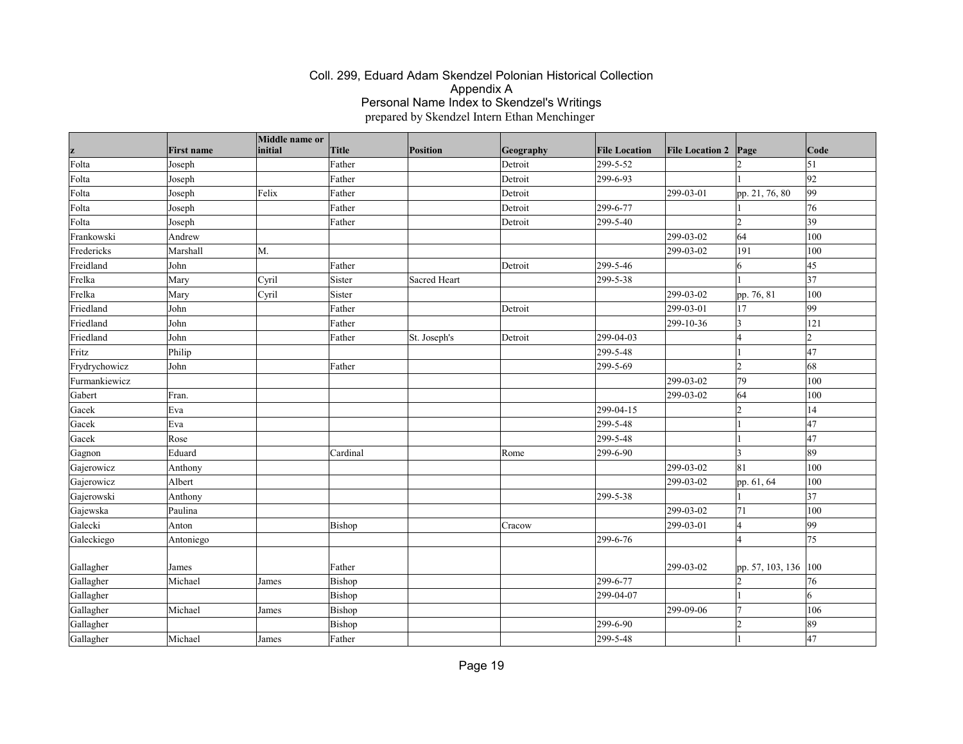|               |                   | Middle name or |          |              |           |                      |                        |                      |                 |
|---------------|-------------------|----------------|----------|--------------|-----------|----------------------|------------------------|----------------------|-----------------|
| z             | <b>First name</b> | initial        | Title    | Position     | Geography | <b>File Location</b> | <b>File Location 2</b> | Page                 | Code            |
| Folta         | Joseph            |                | Father   |              | Detroit   | 299-5-52             |                        |                      | $\vert$ 51      |
| Folta         | Joseph            |                | Father   |              | Detroit   | 299-6-93             |                        |                      | 92              |
| Folta         | Joseph            | Felix          | Father   |              | Detroit   |                      | 299-03-01              | pp. 21, 76, 80       | 99              |
| Folta         | Joseph            |                | Father   |              | Detroit   | 299-6-77             |                        |                      | 76              |
| Folta         | Joseph            |                | Father   |              | Detroit   | 299-5-40             |                        | $ 2\rangle$          | 39              |
| Frankowski    | Andrew            |                |          |              |           |                      | 299-03-02              | 64                   | 100             |
| Fredericks    | Marshall          | M.             |          |              |           |                      | 299-03-02              | 191                  | 100             |
| Freidland     | John              |                | Father   |              | Detroit   | 299-5-46             |                        | 6                    | 45              |
| Frelka        | Mary              | Cyril          | Sister   | Sacred Heart |           | 299-5-38             |                        |                      | 37              |
| Frelka        | Mary              | Cyril          | Sister   |              |           |                      | 299-03-02              | pp. 76, 81           | 100             |
| Friedland     | John              |                | Father   |              | Detroit   |                      | 299-03-01              | 17                   | 99              |
| Friedland     | John              |                | Father   |              |           |                      | 299-10-36              | 13                   | 121             |
| Friedland     | John              |                | Father   | St. Joseph's | Detroit   | 299-04-03            |                        | 14                   | 12              |
| Fritz         | Philip            |                |          |              |           | 299-5-48             |                        |                      | 47              |
| Frydrychowicz | John              |                | Father   |              |           | 299-5-69             |                        | l2                   | 68              |
| Furmankiewicz |                   |                |          |              |           |                      | 299-03-02              | 79                   | 100             |
| Gabert        | Fran.             |                |          |              |           |                      | 299-03-02              | 64                   | 100             |
| Gacek         | Eva               |                |          |              |           | 299-04-15            |                        | $\overline{2}$       | 14              |
| Gacek         | Eva               |                |          |              |           | 299-5-48             |                        |                      | 47              |
| Gacek         | Rose              |                |          |              |           | 299-5-48             |                        |                      | $\overline{47}$ |
| Gagnon        | Eduard            |                | Cardinal |              | Rome      | 299-6-90             |                        | I٩                   | 89              |
| Gajerowicz    | Anthony           |                |          |              |           |                      | 299-03-02              | 81                   | 100             |
| Gajerowicz    | Albert            |                |          |              |           |                      | 299-03-02              | pp. 61, 64           | 100             |
| Gajerowski    | Anthony           |                |          |              |           | 299-5-38             |                        |                      | 37              |
| Gajewska      | Paulina           |                |          |              |           |                      | 299-03-02              | 71                   | 100             |
| Galecki       | Anton             |                | Bishop   |              | Cracow    |                      | 299-03-01              | 4                    | 99              |
| Galeckiego    | Antoniego         |                |          |              |           | 299-6-76             |                        | l4                   | 75              |
|               |                   |                |          |              |           |                      |                        |                      |                 |
| Gallagher     | James             |                | Father   |              |           |                      | 299-03-02              | pp. 57, 103, 136 100 |                 |
| Gallagher     | Michael           | James          | Bishop   |              |           | 299-6-77             |                        | l2                   | 76              |
| Gallagher     |                   |                | Bishop   |              |           | 299-04-07            |                        |                      | 6               |
| Gallagher     | Michael           | James          | Bishop   |              |           |                      | 299-09-06              |                      | 106             |
| Gallagher     |                   |                | Bishop   |              |           | 299-6-90             |                        | $\overline{2}$       | 89              |
| Gallagher     | Michael           | James          | Father   |              |           | 299-5-48             |                        |                      | 47              |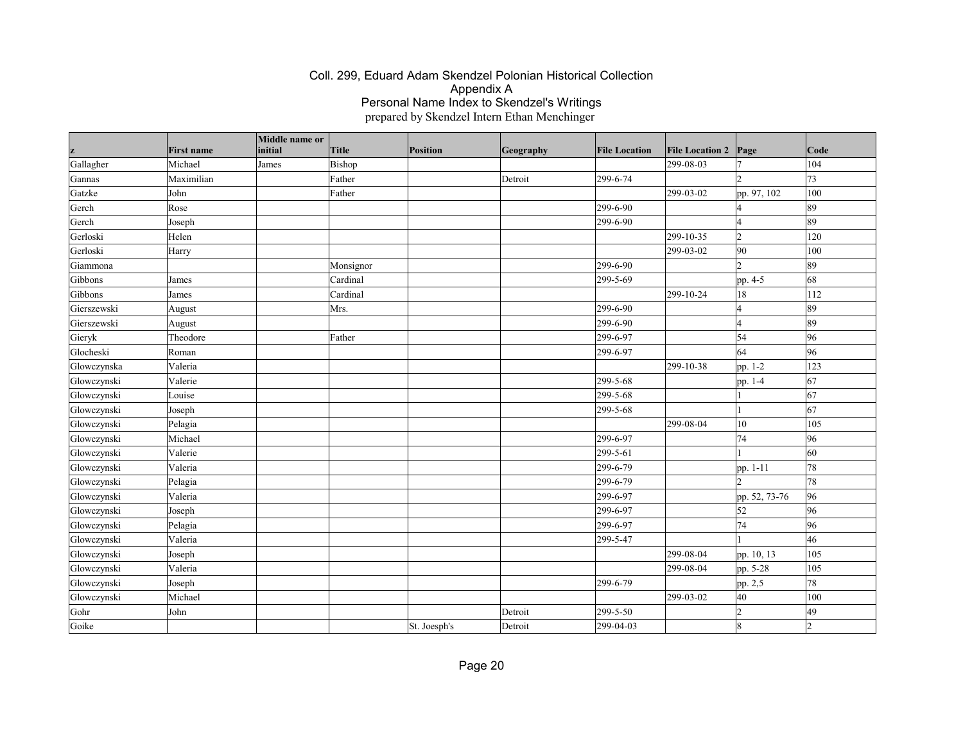| z           | <b>First name</b> | Middle name or<br>initial | Title     | Position     | Geography | <b>File Location</b> | <b>File Location 2</b> | Page           | Code |
|-------------|-------------------|---------------------------|-----------|--------------|-----------|----------------------|------------------------|----------------|------|
| Gallagher   | Michael           | James                     | Bishop    |              |           |                      | 299-08-03              |                | 104  |
| Gannas      | Maximilian        |                           | Father    |              | Detroit   | 299-6-74             |                        |                | 73   |
| Gatzke      | John              |                           | Father    |              |           |                      | 299-03-02              | pp. 97, 102    | 100  |
| Gerch       | Rose              |                           |           |              |           | 299-6-90             |                        |                | 89   |
| Gerch       | Joseph            |                           |           |              |           | 299-6-90             |                        | l A            | 89   |
| Gerloski    | Helen             |                           |           |              |           |                      | 299-10-35              | $\overline{2}$ | 120  |
| Gerloski    | Harry             |                           |           |              |           |                      | 299-03-02              | 90             | 100  |
| Giammona    |                   |                           | Monsignor |              |           | 299-6-90             |                        |                | 89   |
| Gibbons     | James             |                           | Cardinal  |              |           | 299-5-69             |                        | pp. 4-5        | 68   |
| Gibbons     | James             |                           | Cardinal  |              |           |                      | 299-10-24              | 18             | 112  |
| Gierszewski | August            |                           | Mrs.      |              |           | 299-6-90             |                        | l4             | 89   |
| Gierszewski | August            |                           |           |              |           | 299-6-90             |                        | 14             | 89   |
| Gieryk      | Theodore          |                           | Father    |              |           | 299-6-97             |                        | 54             | 96   |
| Glocheski   | Roman             |                           |           |              |           | 299-6-97             |                        | 64             | 96   |
| Glowczynska | Valeria           |                           |           |              |           |                      | 299-10-38              | pp. 1-2        | 123  |
| Glowczynski | Valerie           |                           |           |              |           | 299-5-68             |                        | pp. 1-4        | 67   |
| Glowczynski | Louise            |                           |           |              |           | 299-5-68             |                        |                | 67   |
| Glowczynski | Joseph            |                           |           |              |           | 299-5-68             |                        |                | 67   |
| Glowczynski | Pelagia           |                           |           |              |           |                      | 299-08-04              | 10             | 105  |
| Glowczynski | Michael           |                           |           |              |           | 299-6-97             |                        | 74             | 96   |
| Glowczynski | Valerie           |                           |           |              |           | 299-5-61             |                        |                | 60   |
| Glowczynski | Valeria           |                           |           |              |           | 299-6-79             |                        | pp. 1-11       | 78   |
| Glowczynski | Pelagia           |                           |           |              |           | 299-6-79             |                        |                | 78   |
| Glowczynski | Valeria           |                           |           |              |           | 299-6-97             |                        | pp. 52, 73-76  | 96   |
| Glowczynski | Joseph            |                           |           |              |           | 299-6-97             |                        | 52             | 96   |
| Glowczynski | Pelagia           |                           |           |              |           | 299-6-97             |                        | 74             | 96   |
| Glowczynski | Valeria           |                           |           |              |           | 299-5-47             |                        |                | 46   |
| Glowczynski | Joseph            |                           |           |              |           |                      | 299-08-04              | pp. 10, 13     | 105  |
| Glowczynski | Valeria           |                           |           |              |           |                      | 299-08-04              | pp. 5-28       | 105  |
| Glowczynski | Joseph            |                           |           |              |           | 299-6-79             |                        | pp. 2,5        | 78   |
| Glowczynski | Michael           |                           |           |              |           |                      | 299-03-02              | 40             | 100  |
| Gohr        | John              |                           |           |              | Detroit   | 299-5-50             |                        | $\overline{2}$ | 49   |
| Goike       |                   |                           |           | St. Joesph's | Detroit   | 299-04-03            |                        | 18             | ١C   |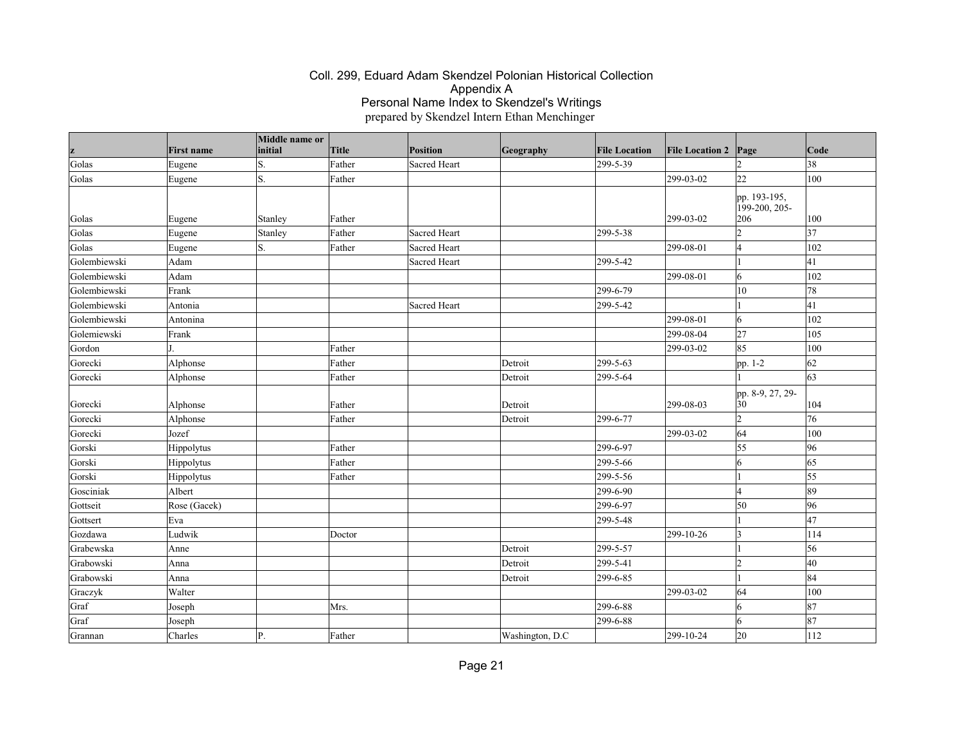|              | <b>First name</b> | Middle name or<br>initial | Title  | <b>Position</b>     | Geography       | <b>File Location</b> | <b>File Location 2</b> | Page                          | Code            |
|--------------|-------------------|---------------------------|--------|---------------------|-----------------|----------------------|------------------------|-------------------------------|-----------------|
| z<br>Golas   |                   | Ś.                        | Father | Sacred Heart        |                 | 299-5-39             |                        |                               | 38              |
| Golas        | Eugene            | S.                        | Father |                     |                 |                      | 299-03-02              | 22                            | 100             |
|              | Eugene            |                           |        |                     |                 |                      |                        | pp. 193-195,<br>199-200, 205- |                 |
| Golas        | Eugene            | Stanley                   | Father |                     |                 |                      | 299-03-02              | 206                           | 100             |
| Golas        | Eugene            | Stanley                   | Father | Sacred Heart        |                 | 299-5-38             |                        | l2                            | $\overline{37}$ |
| Golas        | Eugene            | S.                        | Father | <b>Sacred Heart</b> |                 |                      | 299-08-01              | $\vert 4$                     | 102             |
| Golembiewski | Adam              |                           |        | Sacred Heart        |                 | 299-5-42             |                        |                               | 41              |
| Golembiewski | Adam              |                           |        |                     |                 |                      | 299-08-01              | $\overline{6}$                | 102             |
| Golembiewski | Frank             |                           |        |                     |                 | 299-6-79             |                        | $ 10\rangle$                  | 78              |
| Golembiewski | Antonia           |                           |        | Sacred Heart        |                 | 299-5-42             |                        |                               | 41              |
| Golembiewski | Antonina          |                           |        |                     |                 |                      | 299-08-01              | 6                             | 102             |
| Golemiewski  | Frank             |                           |        |                     |                 |                      | 299-08-04              | 27                            | 105             |
| Gordon       |                   |                           | Father |                     |                 |                      | 299-03-02              | 85                            | 100             |
| Gorecki      | Alphonse          |                           | Father |                     | Detroit         | 299-5-63             |                        | pp. 1-2                       | 62              |
| Gorecki      | Alphonse          |                           | Father |                     | Detroit         | 299-5-64             |                        |                               | $\vert$ 63      |
| Gorecki      | Alphonse          |                           | Father |                     | Detroit         |                      | 299-08-03              | pp. 8-9, 27, 29-<br>30        | 104             |
| Gorecki      | Alphonse          |                           | Father |                     | Detroit         | 299-6-77             |                        | $\vert$ 2                     | 76              |
| Gorecki      | Jozef             |                           |        |                     |                 |                      | 299-03-02              | 64                            | 100             |
| Gorski       | Hippolytus        |                           | Father |                     |                 | 299-6-97             |                        | 55                            | 96              |
| Gorski       | Hippolytus        |                           | Father |                     |                 | 299-5-66             |                        | 6                             | 65              |
| Gorski       | Hippolytus        |                           | Father |                     |                 | 299-5-56             |                        |                               | 55              |
| Gosciniak    | Albert            |                           |        |                     |                 | 299-6-90             |                        | l4                            | 89              |
| Gottseit     | Rose (Gacek)      |                           |        |                     |                 | 299-6-97             |                        | 50                            | 96              |
| Gottsert     | Eva               |                           |        |                     |                 | 299-5-48             |                        |                               | 47              |
| Gozdawa      | Ludwik            |                           | Doctor |                     |                 |                      | 299-10-26              | $\vert$ 3                     | 114             |
| Grabewska    | Anne              |                           |        |                     | Detroit         | 299-5-57             |                        |                               | 56              |
| Grabowski    | Anna              |                           |        |                     | Detroit         | 299-5-41             |                        | $\vert$ <sub>2</sub>          | 40              |
| Grabowski    | Anna              |                           |        |                     | Detroit         | 299-6-85             |                        |                               | 84              |
| Graczyk      | Walter            |                           |        |                     |                 |                      | 299-03-02              | 64                            | 100             |
| Graf         | Joseph            |                           | Mrs.   |                     |                 | 299-6-88             |                        | 6                             | 87              |
| Graf         | Joseph            |                           |        |                     |                 | 299-6-88             |                        | 6                             | 87              |
| Grannan      | Charles           | P.                        | Father |                     | Washington, D.C |                      | 299-10-24              | 20                            | 112             |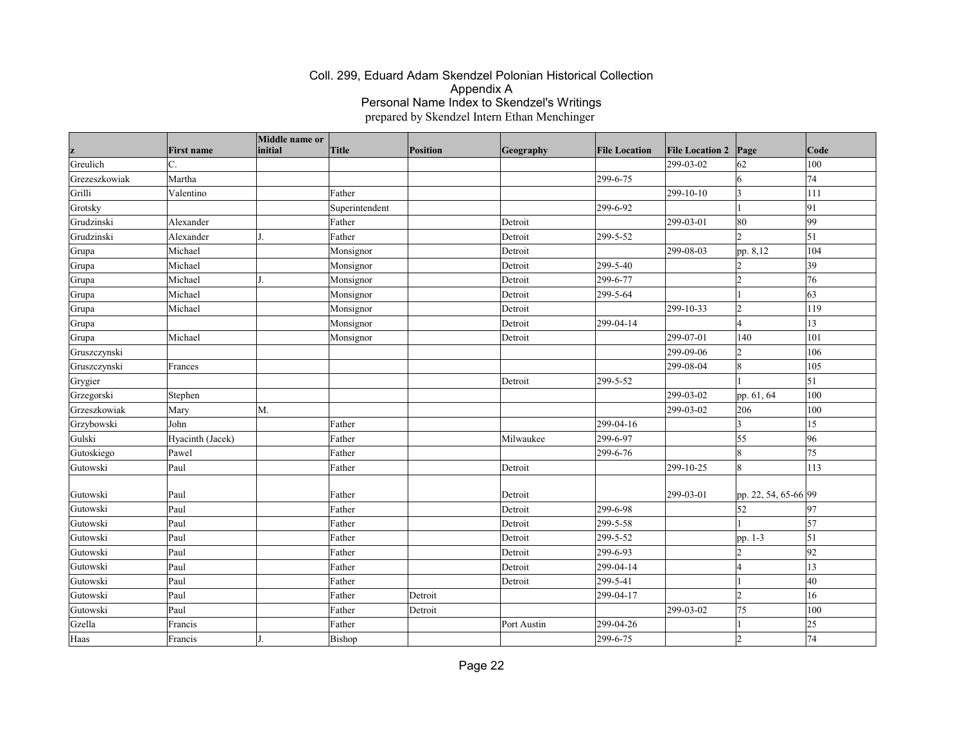|               |                   | Middle name or |                |                 |             |                      |                        |                      |              |
|---------------|-------------------|----------------|----------------|-----------------|-------------|----------------------|------------------------|----------------------|--------------|
|               | <b>First name</b> | initial        | Title          | <b>Position</b> | Geography   | <b>File Location</b> | <b>File Location 2</b> | Page                 | Code         |
| Greulich      | lc.               |                |                |                 |             |                      | 299-03-02              | 62                   | 100          |
| Grezeszkowiak | Martha            |                |                |                 |             | 299-6-75             |                        | 6                    | 74           |
| Grilli        | Valentino         |                | Father         |                 |             |                      | 299-10-10              | $\vert$ 3            | 111          |
| Grotsky       |                   |                | Superintendent |                 |             | 299-6-92             |                        |                      | 91           |
| Grudzinski    | Alexander         |                | Father         |                 | Detroit     |                      | 299-03-01              | 80                   | 99           |
| Grudzinski    | Alexander         |                | Father         |                 | Detroit     | 299-5-52             |                        | $\overline{2}$       | 51           |
| Grupa         | Michael           |                | Monsignor      |                 | Detroit     |                      | 299-08-03              | pp. 8,12             | 104          |
| Grupa         | Michael           |                | Monsignor      |                 | Detroit     | 299-5-40             |                        | 12                   | $ 39\rangle$ |
| Grupa         | Michael           |                | Monsignor      |                 | Detroit     | 299-6-77             |                        | l2                   | 76           |
| Grupa         | Michael           |                | Monsignor      |                 | Detroit     | 299-5-64             |                        |                      | 63           |
| Grupa         | Michael           |                | Monsignor      |                 | Detroit     |                      | 299-10-33              | $\vert$ 2            | 119          |
| Grupa         |                   |                | Monsignor      |                 | Detroit     | 299-04-14            |                        | l4                   | $\vert$ 13   |
| Grupa         | Michael           |                | Monsignor      |                 | Detroit     |                      | 299-07-01              | 140                  | 101          |
| Gruszczynski  |                   |                |                |                 |             |                      | 299-09-06              | $\vert$ 2            | 106          |
| Gruszczynski  | Frances           |                |                |                 |             |                      | 299-08-04              | 8                    | 105          |
| Grygier       |                   |                |                |                 | Detroit     | 299-5-52             |                        |                      | $\vert$ 51   |
| Grzegorski    | Stephen           |                |                |                 |             |                      | 299-03-02              | pp. 61, 64           | 100          |
| Grzeszkowiak  | Mary              | M.             |                |                 |             |                      | 299-03-02              | 206                  | 100          |
| Grzybowski    | John              |                | Father         |                 |             | 299-04-16            |                        | $\vert$ 3            | 15           |
| Gulski        | Hyacinth (Jacek)  |                | Father         |                 | Milwaukee   | 299-6-97             |                        | 55                   | 96           |
| Gutoskiego    | Pawel             |                | Father         |                 |             | 299-6-76             |                        | 8                    | 75           |
| Gutowski      | Paul              |                | Father         |                 | Detroit     |                      | 299-10-25              | 18                   | 113          |
| Gutowski      | Paul              |                | Father         |                 | Detroit     |                      | 299-03-01              | pp. 22, 54, 65-66 99 |              |
| Gutowski      | Paul              |                | Father         |                 | Detroit     | 299-6-98             |                        | 52                   | 97           |
| Gutowski      | Paul              |                | Father         |                 | Detroit     | 299-5-58             |                        |                      | $\vert$ 57   |
| Gutowski      | Paul              |                | Father         |                 | Detroit     | 299-5-52             |                        | pp. 1-3              | $\vert$ 51   |
| Gutowski      | Paul              |                | Father         |                 | Detroit     | 299-6-93             |                        | 2                    | 92           |
| Gutowski      | Paul              |                | Father         |                 | Detroit     | 299-04-14            |                        | l4                   | $ 13\rangle$ |
| Gutowski      | Paul              |                | Father         |                 | Detroit     | 299-5-41             |                        |                      | 40           |
| Gutowski      | Paul              |                | Father         | Detroit         |             | 299-04-17            |                        | l2                   | 16           |
| Gutowski      | Paul              |                | Father         | Detroit         |             |                      | 299-03-02              | 75                   | 100          |
| Gzella        | Francis           |                | Father         |                 | Port Austin | 299-04-26            |                        |                      | 25           |
| Haas          | Francis           |                | Bishop         |                 |             | 299-6-75             |                        | l2                   | 74           |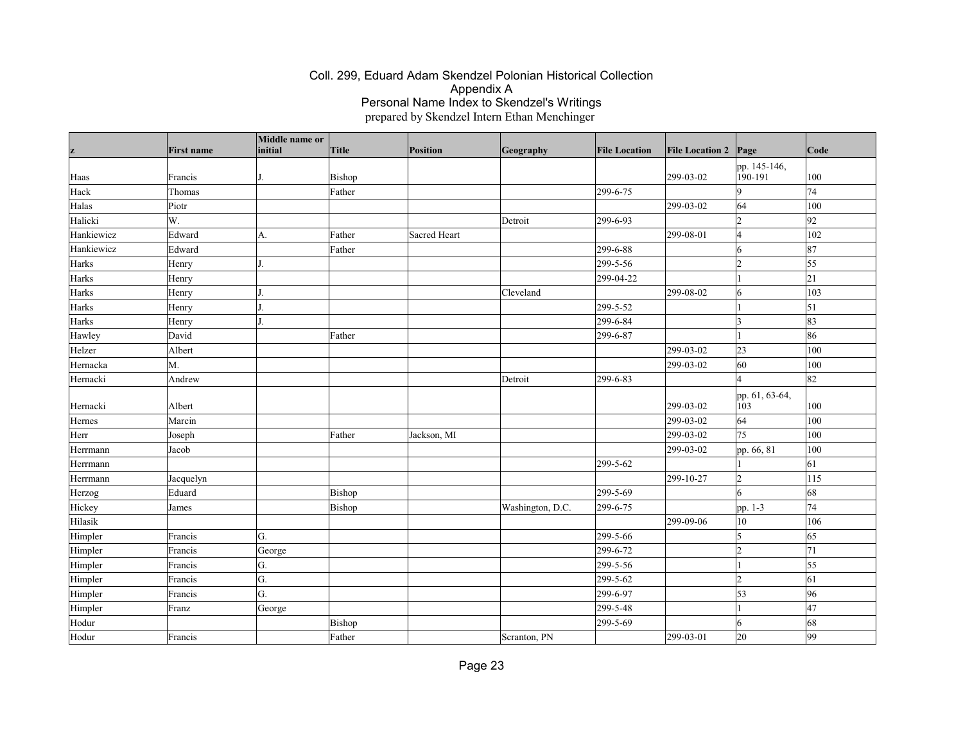|            | <b>First name</b> | Middle name or<br>initial | Title  | Position     | Geography        | <b>File Location</b>  | <b>File Location 2</b> | Page                    | Code       |
|------------|-------------------|---------------------------|--------|--------------|------------------|-----------------------|------------------------|-------------------------|------------|
| z          |                   |                           |        |              |                  |                       |                        |                         |            |
| Haas       | Francis           |                           | Bishop |              |                  |                       | 299-03-02              | pp. 145-146,<br>190-191 | 100        |
| Hack       | Thomas            |                           | Father |              |                  | 299-6-75              |                        | 9                       | 74         |
| Halas      | Piotr             |                           |        |              |                  |                       | 299-03-02              | 64                      | 100        |
| Halicki    | W.                |                           |        |              | Detroit          | 299-6-93              |                        | $\overline{2}$          | 92         |
| Hankiewicz | Edward            | A.                        | Father | Sacred Heart |                  |                       | 299-08-01              | 14                      | 102        |
| Hankiewicz | Edward            |                           | Father |              |                  | 299-6-88              |                        | 6                       | 87         |
| Harks      | Henry             |                           |        |              |                  | 299-5-56              |                        | 12                      | 55         |
| Harks      | Henry             |                           |        |              |                  | 299-04-22             |                        |                         | 21         |
| Harks      | Henry             |                           |        |              | Cleveland        |                       | 299-08-02              | 6                       | 103        |
| Harks      | Henry             |                           |        |              |                  | 299-5-52              |                        |                         | $\vert$ 51 |
| Harks      | Henry             |                           |        |              |                  | $\overline{299-6-84}$ |                        | ١3                      | 83         |
| Hawley     | David             |                           | Father |              |                  | 299-6-87              |                        |                         | 86         |
| Helzer     | Albert            |                           |        |              |                  |                       | 299-03-02              | 23                      | 100        |
| Hernacka   | M.                |                           |        |              |                  |                       | 299-03-02              | 60                      | 100        |
| Hernacki   | Andrew            |                           |        |              | Detroit          | 299-6-83              |                        | $\overline{\mathbf{A}}$ | 82         |
|            |                   |                           |        |              |                  |                       |                        | pp. 61, 63-64,          |            |
| Hernacki   | Albert            |                           |        |              |                  |                       | 299-03-02              | 103                     | 100        |
| Hernes     | Marcin            |                           |        |              |                  |                       | 299-03-02              | 64                      | 100        |
| Herr       | Joseph            |                           | Father | Jackson, MI  |                  |                       | 299-03-02              | 75                      | 100        |
| Herrmann   | Jacob             |                           |        |              |                  |                       | 299-03-02              | pp. 66, 81              | 100        |
| Herrmann   |                   |                           |        |              |                  | 299-5-62              |                        |                         | 61         |
| Herrmann   | Jacquelyn         |                           |        |              |                  |                       | 299-10-27              | $\overline{2}$          | 115        |
| Herzog     | Eduard            |                           | Bishop |              |                  | 299-5-69              |                        | 6                       | 68         |
| Hickey     | James             |                           | Bishop |              | Washington, D.C. | 299-6-75              |                        | pp. 1-3                 | 74         |
| Hilasik    |                   |                           |        |              |                  |                       | 299-09-06              | $10\,$                  | 106        |
| Himpler    | Francis           | G.                        |        |              |                  | 299-5-66              |                        | 5                       | 65         |
| Himpler    | Francis           | George                    |        |              |                  | 299-6-72              |                        | l2                      | 71         |
| Himpler    | Francis           | G.                        |        |              |                  | 299-5-56              |                        |                         | 55         |
| Himpler    | Francis           | G.                        |        |              |                  | 299-5-62              |                        | $\vert$ <sub>2</sub>    | 61         |
| Himpler    | Francis           | G.                        |        |              |                  | 299-6-97              |                        | 53                      | 96         |
| Himpler    | Franz             | George                    |        |              |                  | 299-5-48              |                        |                         | 47         |
| Hodur      |                   |                           | Bishop |              |                  | 299-5-69              |                        | 6                       | 68         |
| Hodur      | Francis           |                           | Father |              | Scranton, PN     |                       | 299-03-01              | 20                      | 99         |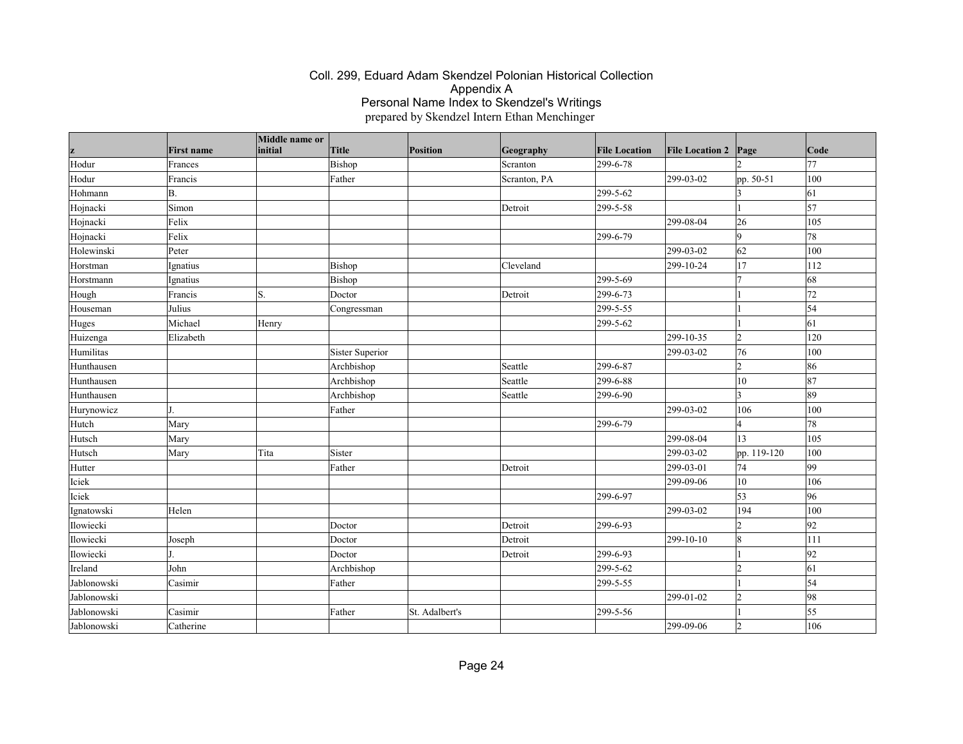| z           | <b>First name</b> | Middle name or<br>initial | <b>Title</b>           | Position       | Geography    | <b>File Location</b> | <b>File Location 2</b> | Page           | Code       |
|-------------|-------------------|---------------------------|------------------------|----------------|--------------|----------------------|------------------------|----------------|------------|
| Hodur       | Frances           |                           | Bishop                 |                | Scranton     | 299-6-78             |                        | b              | 77         |
| Hodur       | Francis           |                           | Father                 |                | Scranton, PA |                      | 299-03-02              | pp. 50-51      | 100        |
| Hohmann     | B.                |                           |                        |                |              | 299-5-62             |                        | 3              | 61         |
| Hojnacki    | Simon             |                           |                        |                | Detroit      | 299-5-58             |                        |                | $\vert$ 57 |
| Hojnacki    | Felix             |                           |                        |                |              |                      | 299-08-04              | 26             | 105        |
| Hojnacki    | Felix             |                           |                        |                |              | 299-6-79             |                        | 9              | 78         |
| Holewinski  | Peter             |                           |                        |                |              |                      | 299-03-02              | 62             | 100        |
| Horstman    | Ignatius          |                           | Bishop                 |                | Cleveland    |                      | 299-10-24              | 17             | 112        |
| Horstmann   | Ignatius          |                           | Bishop                 |                |              | 299-5-69             |                        | 7              | 68         |
| Hough       | Francis           | S.                        | Doctor                 |                | Detroit      | 299-6-73             |                        |                | 72         |
| Houseman    | Julius            |                           | Congressman            |                |              | 299-5-55             |                        |                | 54         |
| Huges       | Michael           | Henry                     |                        |                |              | 299-5-62             |                        |                | 61         |
| Huizenga    | Elizabeth         |                           |                        |                |              |                      | 299-10-35              | $\overline{2}$ | 120        |
| Humilitas   |                   |                           | <b>Sister Superior</b> |                |              |                      | 299-03-02              | 76             | 100        |
| Hunthausen  |                   |                           | Archbishop             |                | Seattle      | 299-6-87             |                        | $\overline{2}$ | 86         |
| Hunthausen  |                   |                           | Archbishop             |                | Seattle      | 299-6-88             |                        | $ 10\rangle$   | 87         |
| Hunthausen  |                   |                           | Archbishop             |                | Seattle      | 299-6-90             |                        | $\overline{3}$ | 89         |
| Hurynowicz  | l T               |                           | Father                 |                |              |                      | 299-03-02              | 106            | 100        |
| Hutch       | Mary              |                           |                        |                |              | 299-6-79             |                        | $\overline{4}$ | 78         |
| Hutsch      | Mary              |                           |                        |                |              |                      | 299-08-04              | 13             | 105        |
| Hutsch      | Mary              | Tita                      | Sister                 |                |              |                      | 299-03-02              | pp. 119-120    | 100        |
| Hutter      |                   |                           | Father                 |                | Detroit      |                      | 299-03-01              | 74             | 99         |
| Iciek       |                   |                           |                        |                |              |                      | 299-09-06              | 10             | 106        |
| Iciek       |                   |                           |                        |                |              | 299-6-97             |                        | 53             | 96         |
| Ignatowski  | Helen             |                           |                        |                |              |                      | 299-03-02              | 194            | 100        |
| Ilowiecki   |                   |                           | Doctor                 |                | Detroit      | 299-6-93             |                        | $\overline{2}$ | 92         |
| Ilowiecki   | Joseph            |                           | Doctor                 |                | Detroit      |                      | 299-10-10              | $\overline{8}$ | 111        |
| Ilowiecki   |                   |                           | Doctor                 |                | Detroit      | 299-6-93             |                        | $\vert$ 1      | 92         |
| Ireland     | John              |                           | Archbishop             |                |              | 299-5-62             |                        | $\overline{2}$ | 61         |
| Jablonowski | Casimir           |                           | Father                 |                |              | 299-5-55             |                        |                | 54         |
| Jablonowski |                   |                           |                        |                |              |                      | 299-01-02              | $\overline{2}$ | 98         |
| Jablonowski | Casimir           |                           | Father                 | St. Adalbert's |              | 299-5-56             |                        |                | 55         |
| Jablonowski | Catherine         |                           |                        |                |              |                      | 299-09-06              | $\overline{2}$ | 106        |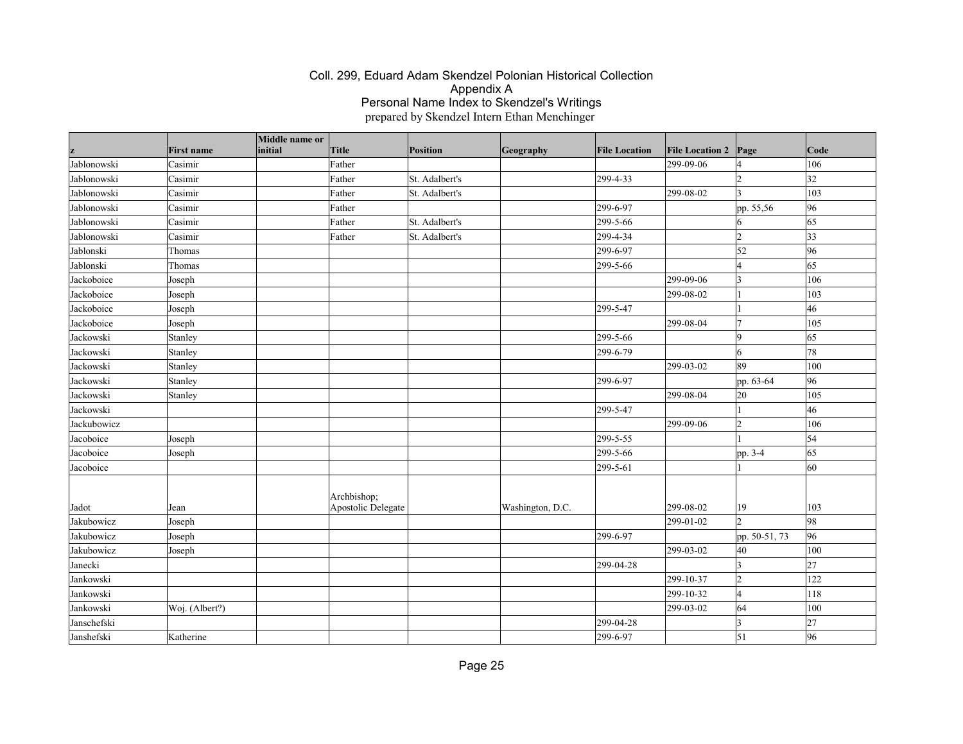| z                        | <b>First name</b> | Middle name or<br>initial | Title              | <b>Position</b> | Geography        | <b>File Location</b> | <b>File Location 2</b> | Page                 | Code            |
|--------------------------|-------------------|---------------------------|--------------------|-----------------|------------------|----------------------|------------------------|----------------------|-----------------|
| Jablonowski              | Casimir           |                           | Father             |                 |                  |                      | 299-09-06              | l4                   | 106             |
| Jablonowski              | Casimir           |                           | Father             | St. Adalbert's  |                  | 299-4-33             |                        | l2                   | $\overline{32}$ |
| Jablonowski              | Casimir           |                           | Father             | St. Adalbert's  |                  |                      | 299-08-02              | $\vert$ 3            | 103             |
| Jablonowski              | Casimir           |                           | Father             |                 |                  | 299-6-97             |                        | pp. 55,56            | 96              |
| Jablonowski              | Casimir           |                           | Father             | St. Adalbert's  |                  | 299-5-66             |                        | 16                   | 65              |
| Jablonowski              | Casimir           |                           | Father             | St. Adalbert's  |                  | 299-4-34             |                        | $\overline{2}$       | $ 33\rangle$    |
| Jablonski                | Thomas            |                           |                    |                 |                  | 299-6-97             |                        | 52                   | 96              |
| Jablonski                | Thomas            |                           |                    |                 |                  | 299-5-66             |                        | 14                   | 65              |
| Jackoboice               | Joseph            |                           |                    |                 |                  |                      | 299-09-06              | $\vert$ 3            | 106             |
| Jackoboice               | Joseph            |                           |                    |                 |                  |                      | 299-08-02              |                      | 103             |
| Jackoboice               | Joseph            |                           |                    |                 |                  | 299-5-47             |                        |                      | 46              |
| Jackoboice               | Joseph            |                           |                    |                 |                  |                      | 299-08-04              | 17                   | 105             |
| Jackowski                | Stanley           |                           |                    |                 |                  | 299-5-66             |                        | $\vert$ 9            | 65              |
| Jackowski                | Stanley           |                           |                    |                 |                  | 299-6-79             |                        | 6                    | 78              |
| Jackowski                | Stanley           |                           |                    |                 |                  |                      | 299-03-02              | 89                   | 100             |
| Jackowski                | Stanley           |                           |                    |                 |                  | 299-6-97             |                        | pp. 63-64            | 96              |
| Jackowski                | Stanley           |                           |                    |                 |                  |                      | 299-08-04              | 20                   | 105             |
| Jackowski                |                   |                           |                    |                 |                  | 299-5-47             |                        |                      | 46              |
| Jackubowicz              |                   |                           |                    |                 |                  |                      | 299-09-06              | $\vert$ 2            | 106             |
| Jacoboice                | Joseph            |                           |                    |                 |                  | 299-5-55             |                        |                      | $\vert$ 54      |
| Jacoboice                | Joseph            |                           |                    |                 |                  | 299-5-66             |                        | pp. $3-\overline{4}$ | 65              |
| Jacoboice                |                   |                           |                    |                 |                  | 299-5-61             |                        |                      | 60              |
| Jadot                    |                   |                           | Archbishop;        |                 |                  |                      | 299-08-02              | 19                   | 103             |
| Jakubowicz               | Jean              |                           | Apostolic Delegate |                 | Washington, D.C. |                      | 299-01-02              | b.                   | 98              |
|                          | Joseph            |                           |                    |                 |                  |                      |                        |                      |                 |
| Jakubowicz<br>Jakubowicz | Joseph            |                           |                    |                 |                  | 299-6-97             | 299-03-02              | pp. 50-51, 73<br>40  | 96<br>100       |
| Janecki                  | Joseph            |                           |                    |                 |                  | 299-04-28            |                        | $\vert$ 3            | 27              |
| Jankowski                |                   |                           |                    |                 |                  |                      | 299-10-37              | $\overline{2}$       | 122             |
| Jankowski                |                   |                           |                    |                 |                  |                      | 299-10-32              | l4                   | 118             |
| Jankowski                | Woj. (Albert?)    |                           |                    |                 |                  |                      | 299-03-02              | 64                   | 100             |
| Janschefski              |                   |                           |                    |                 |                  | 299-04-28            |                        | $\vert$ 3            | 27              |
|                          |                   |                           |                    |                 |                  |                      |                        |                      |                 |
| Janshefski               | Katherine         |                           |                    |                 |                  | 299-6-97             |                        | $\vert$ 51           | 96              |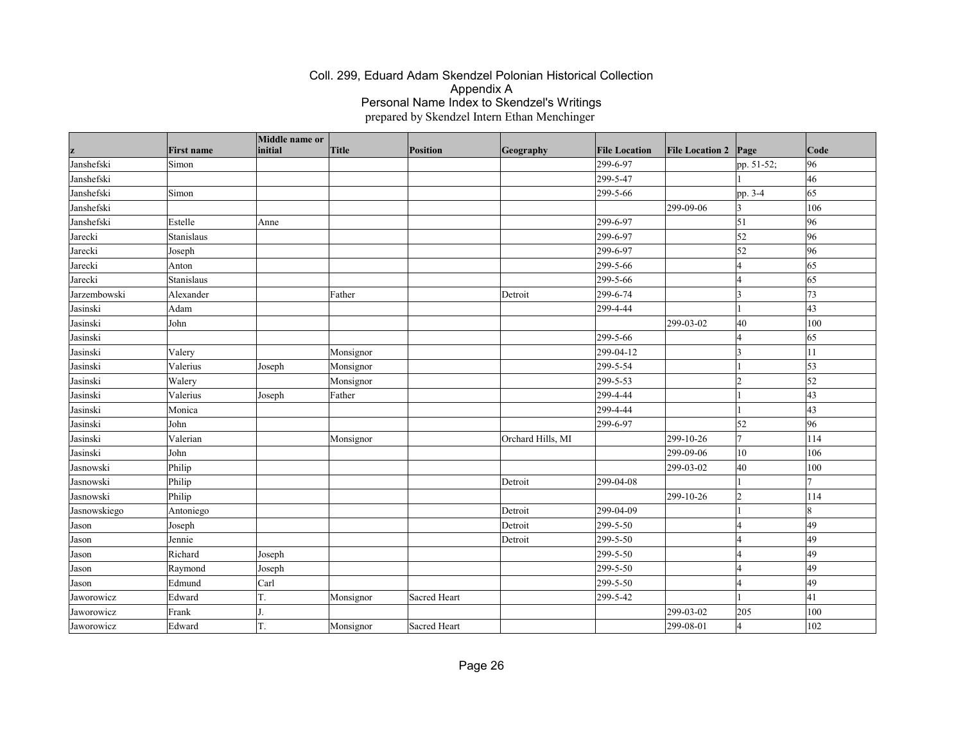|              | <b>First name</b> | Middle name or<br>initial | Title     | Position     | Geography         | <b>File Location</b> | <b>File Location 2</b> | Page         | Code       |
|--------------|-------------------|---------------------------|-----------|--------------|-------------------|----------------------|------------------------|--------------|------------|
| Janshefski   | Simon             |                           |           |              |                   | 299-6-97             |                        | pp. 51-52;   | 96         |
| Janshefski   |                   |                           |           |              |                   | 299-5-47             |                        |              | 46         |
| Janshefski   | Simon             |                           |           |              |                   | 299-5-66             |                        | pp. 3-4      | 65         |
| Janshefski   |                   |                           |           |              |                   |                      | 299-09-06              | $\vert$ 3    | 106        |
| Janshefski   | Estelle           | Anne                      |           |              |                   | 299-6-97             |                        | $\vert$ 51   | 96         |
| Jarecki      | Stanislaus        |                           |           |              |                   | 299-6-97             |                        | 52           | 96         |
| Jarecki      | Joseph            |                           |           |              |                   | 299-6-97             |                        | 52           | 96         |
| Jarecki      | Anton             |                           |           |              |                   | 299-5-66             |                        | 4            | 65         |
| Jarecki      | Stanislaus        |                           |           |              |                   | 299-5-66             |                        | l4           | 65         |
| Jarzembowski | Alexander         |                           | Father    |              | Detroit           | 299-6-74             |                        | $\vert$ 3    | 73         |
| Jasinski     | Adam              |                           |           |              |                   | 299-4-44             |                        |              | 43         |
| Jasinski     | John              |                           |           |              |                   |                      | 299-03-02              | 40           | 100        |
| Jasinski     |                   |                           |           |              |                   | 299-5-66             |                        | l4           | 65         |
| Jasinski     | Valery            |                           | Monsignor |              |                   | 299-04-12            |                        | $\vert$ 3    | 11         |
| Jasinski     | Valerius          | Joseph                    | Monsignor |              |                   | 299-5-54             |                        |              | $\vert$ 53 |
| Jasinski     | Walery            |                           | Monsignor |              |                   | 299-5-53             |                        | $\vert$ 2    | $\vert$ 52 |
| Jasinski     | Valerius          | Joseph                    | Father    |              |                   | 299-4-44             |                        |              | 43         |
| Jasinski     | Monica            |                           |           |              |                   | 299-4-44             |                        |              | 43         |
| Jasinski     | John              |                           |           |              |                   | 299-6-97             |                        | 52           | 96         |
| Jasinski     | Valerian          |                           | Monsignor |              | Orchard Hills, MI |                      | 299-10-26              | 7            | 114        |
| Jasinski     | John              |                           |           |              |                   |                      | 299-09-06              | $ 10\rangle$ | 106        |
| Jasnowski    | Philip            |                           |           |              |                   |                      | 299-03-02              | 40           | 100        |
| Jasnowski    | Philip            |                           |           |              | Detroit           | 299-04-08            |                        |              |            |
| Jasnowski    | Philip            |                           |           |              |                   |                      | 299-10-26              | $ 2\rangle$  | 114        |
| Jasnowskiego | Antoniego         |                           |           |              | Detroit           | 299-04-09            |                        |              | 18         |
| Jason        | Joseph            |                           |           |              | Detroit           | 299-5-50             |                        | l4           | 49         |
| Jason        | Jennie            |                           |           |              | Detroit           | 299-5-50             |                        | l4           | 49         |
| Jason        | Richard           | Joseph                    |           |              |                   | 299-5-50             |                        | l4           | 49         |
| Jason        | Raymond           | Joseph                    |           |              |                   | 299-5-50             |                        | l4           | 49         |
| Jason        | Edmund            | Carl                      |           |              |                   | 299-5-50             |                        | l4           | 49         |
| Jaworowicz   | Edward            | T.                        | Monsignor | Sacred Heart |                   | 299-5-42             |                        |              | 41         |
| Jaworowicz   | Frank             |                           |           |              |                   |                      | 299-03-02              | 205          | 100        |
| Jaworowicz   | Edward            | T.                        | Monsignor | Sacred Heart |                   |                      | 299-08-01              | 4            | 102        |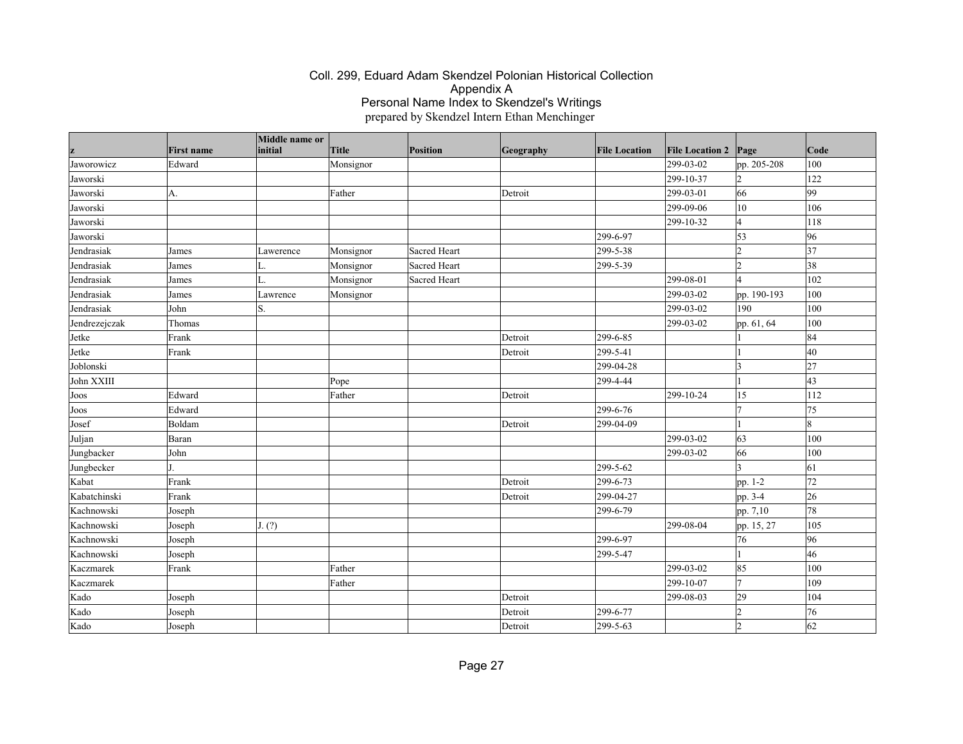|               |                   | Middle name or |           |                 |           |                      |                        |             |      |
|---------------|-------------------|----------------|-----------|-----------------|-----------|----------------------|------------------------|-------------|------|
|               | <b>First name</b> | initial        | Title     | <b>Position</b> | Geography | <b>File Location</b> | <b>File Location 2</b> | Page        | Code |
| Jaworowicz    | Edward            |                | Monsignor |                 |           |                      | 299-03-02              | pp. 205-208 | 100  |
| Jaworski      |                   |                |           |                 |           |                      | 299-10-37              | 2           | 122  |
| Jaworski      | A.                |                | Father    |                 | Detroit   |                      | 299-03-01              | 66          | 99   |
| Jaworski      |                   |                |           |                 |           |                      | 299-09-06              | 10          | 106  |
| Jaworski      |                   |                |           |                 |           |                      | 299-10-32              | 4           | 118  |
| Jaworski      |                   |                |           |                 |           | 299-6-97             |                        | 53          | 96   |
| Jendrasiak    | James             | Lawerence      | Monsignor | Sacred Heart    |           | 299-5-38             |                        | 2           | 37   |
| Jendrasiak    | James             | L.             | Monsignor | Sacred Heart    |           | 299-5-39             |                        | l2          | 38   |
| Jendrasiak    | James             | L.             | Monsignor | Sacred Heart    |           |                      | 299-08-01              | l4          | 102  |
| Jendrasiak    | James             | Lawrence       | Monsignor |                 |           |                      | 299-03-02              | pp. 190-193 | 100  |
| Jendrasiak    | John              | S.             |           |                 |           |                      | 299-03-02              | 190         | 100  |
| Jendrezejczak | Thomas            |                |           |                 |           |                      | 299-03-02              | pp. 61, 64  | 100  |
| Jetke         | Frank             |                |           |                 | Detroit   | 299-6-85             |                        |             | 84   |
| Jetke         | Frank             |                |           |                 | Detroit   | 299-5-41             |                        |             | 40   |
| Joblonski     |                   |                |           |                 |           | 299-04-28            |                        | $\vert$ 3   | 27   |
| John XXIII    |                   |                | Pope      |                 |           | 299-4-44             |                        |             | 43   |
| Joos          | Edward            |                | Father    |                 | Detroit   |                      | 299-10-24              | 15          | 112  |
| Joos          | Edward            |                |           |                 |           | 299-6-76             |                        | 17          | 75   |
| Josef         | Boldam            |                |           |                 | Detroit   | 299-04-09            |                        |             | 18   |
| Juljan        | Baran             |                |           |                 |           |                      | 299-03-02              | 63          | 100  |
| Jungbacker    | John              |                |           |                 |           |                      | 299-03-02              | 66          | 100  |
| Jungbecker    |                   |                |           |                 |           | 299-5-62             |                        | 3           | 61   |
| Kabat         | Frank             |                |           |                 | Detroit   | 299-6-73             |                        | pp. 1-2     | 72   |
| Kabatchinski  | Frank             |                |           |                 | Detroit   | 299-04-27            |                        | pp. 3-4     | 26   |
| Kachnowski    | Joseph            |                |           |                 |           | 299-6-79             |                        | pp. 7,10    | 78   |
| Kachnowski    | Joseph            | J. (?)         |           |                 |           |                      | 299-08-04              | pp. 15, 27  | 105  |
| Kachnowski    | Joseph            |                |           |                 |           | 299-6-97             |                        | 76          | 96   |
| Kachnowski    | Joseph            |                |           |                 |           | 299-5-47             |                        |             | 46   |
| Kaczmarek     | Frank             |                | Father    |                 |           |                      | 299-03-02              | 85          | 100  |
| Kaczmarek     |                   |                | Father    |                 |           |                      | 299-10-07              | 17          | 109  |
| Kado          | Joseph            |                |           |                 | Detroit   |                      | 299-08-03              | 29          | 104  |
| Kado          | Joseph            |                |           |                 | Detroit   | 299-6-77             |                        | 2           | 76   |
| Kado          | Joseph            |                |           |                 | Detroit   | 299-5-63             |                        | 12          | 62   |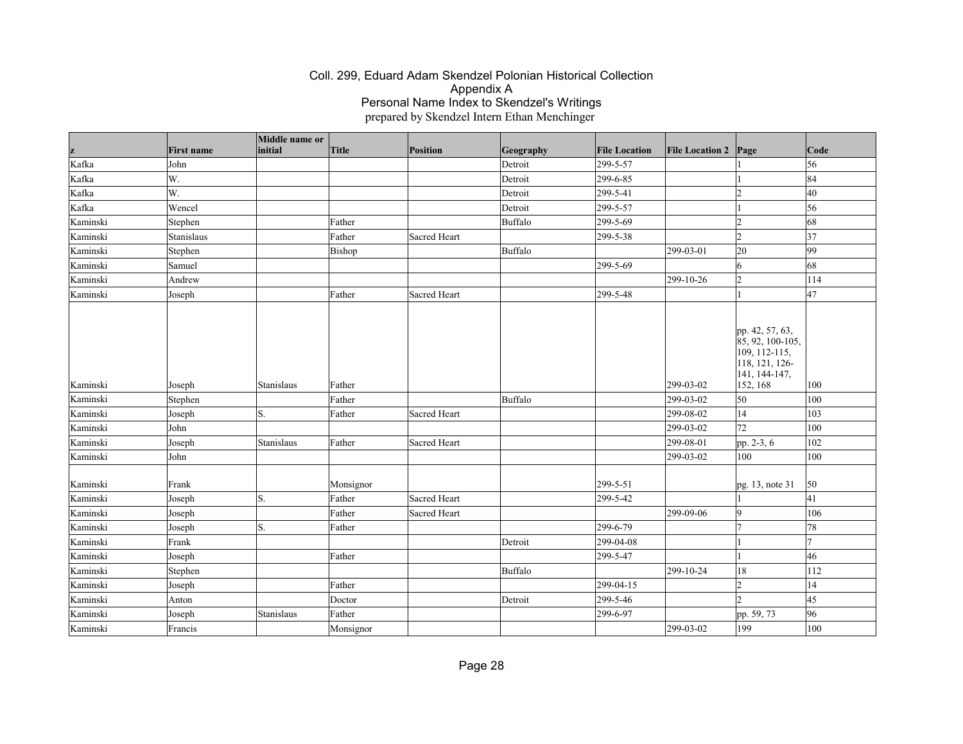|          |                   | Middle name or |           |              |                |                      |                        |                                                                                                         |                |
|----------|-------------------|----------------|-----------|--------------|----------------|----------------------|------------------------|---------------------------------------------------------------------------------------------------------|----------------|
| z        | <b>First name</b> | initial        | Title     | Position     | Geography      | <b>File Location</b> | <b>File Location 2</b> | Page                                                                                                    | $\vert$ Code   |
| Kafka    | John              |                |           |              | Detroit        | 299-5-57             |                        |                                                                                                         | 56             |
| Kafka    | W.                |                |           |              | Detroit        | 299-6-85             |                        |                                                                                                         | 84             |
| Kafka    | W.                |                |           |              | Detroit        | 299-5-41             |                        | $\overline{2}$                                                                                          | 40             |
| Kafka    | Wencel            |                |           |              | Detroit        | 299-5-57             |                        |                                                                                                         | 56             |
| Kaminski | Stephen           |                | Father    |              | <b>Buffalo</b> | 299-5-69             |                        | l2                                                                                                      | 68             |
| Kaminski | Stanislaus        |                | Father    | Sacred Heart |                | 299-5-38             |                        | $\overline{2}$                                                                                          | 37             |
| Kaminski | Stephen           |                | Bishop    |              | <b>Buffalo</b> |                      | 299-03-01              | 20                                                                                                      | 99             |
| Kaminski | Samuel            |                |           |              |                | 299-5-69             |                        | 6                                                                                                       | 68             |
| Kaminski | Andrew            |                |           |              |                |                      | 299-10-26              | 2                                                                                                       | 114            |
| Kaminski | Joseph            |                | Father    | Sacred Heart |                | 299-5-48             |                        |                                                                                                         | 47             |
| Kaminski | Joseph            | Stanislaus     | Father    |              |                |                      | 299-03-02              | pp. 42, 57, 63,<br>85, 92, 100-105,<br>$109, 112 - 115,$<br>118, 121, 126-<br>141, 144-147,<br>152, 168 | 100            |
| Kaminski | Stephen           |                | Father    |              | Buffalo        |                      | 299-03-02              | 50                                                                                                      | 100            |
| Kaminski | Joseph            | S.             | Father    | Sacred Heart |                |                      | 299-08-02              | 14                                                                                                      | 103            |
| Kaminski | John              |                |           |              |                |                      | 299-03-02              | 72                                                                                                      | 100            |
| Kaminski | Joseph            | Stanislaus     | Father    | Sacred Heart |                |                      | 299-08-01              | pp. 2-3, 6                                                                                              | 102            |
| Kaminski | John              |                |           |              |                |                      | 299-03-02              | 100                                                                                                     | 100            |
| Kaminski | Frank             |                | Monsignor |              |                | 299-5-51             |                        | pg. 13, note 31                                                                                         | 50             |
| Kaminski | Joseph            | S.             | Father    | Sacred Heart |                | 299-5-42             |                        |                                                                                                         | 41             |
| Kaminski | Joseph            |                | Father    | Sacred Heart |                |                      | 299-09-06              | 9                                                                                                       | 106            |
| Kaminski | Joseph            | S.             | Father    |              |                | 299-6-79             |                        |                                                                                                         | 78             |
| Kaminski | Frank             |                |           |              | Detroit        | 299-04-08            |                        |                                                                                                         | $\overline{7}$ |
| Kaminski | Joseph            |                | Father    |              |                | 299-5-47             |                        |                                                                                                         | 46             |
| Kaminski | Stephen           |                |           |              | <b>Buffalo</b> |                      | 299-10-24              | 18                                                                                                      | 112            |
| Kaminski | Joseph            |                | Father    |              |                | 299-04-15            |                        | l2                                                                                                      | 14             |
| Kaminski | Anton             |                | Doctor    |              | Detroit        | 299-5-46             |                        | $\mathcal{L}$                                                                                           | 45             |
| Kaminski | Joseph            | Stanislaus     | Father    |              |                | 299-6-97             |                        | pp. 59, 73                                                                                              | 96             |
| Kaminski | Francis           |                | Monsignor |              |                |                      | 299-03-02              | 199                                                                                                     | 100            |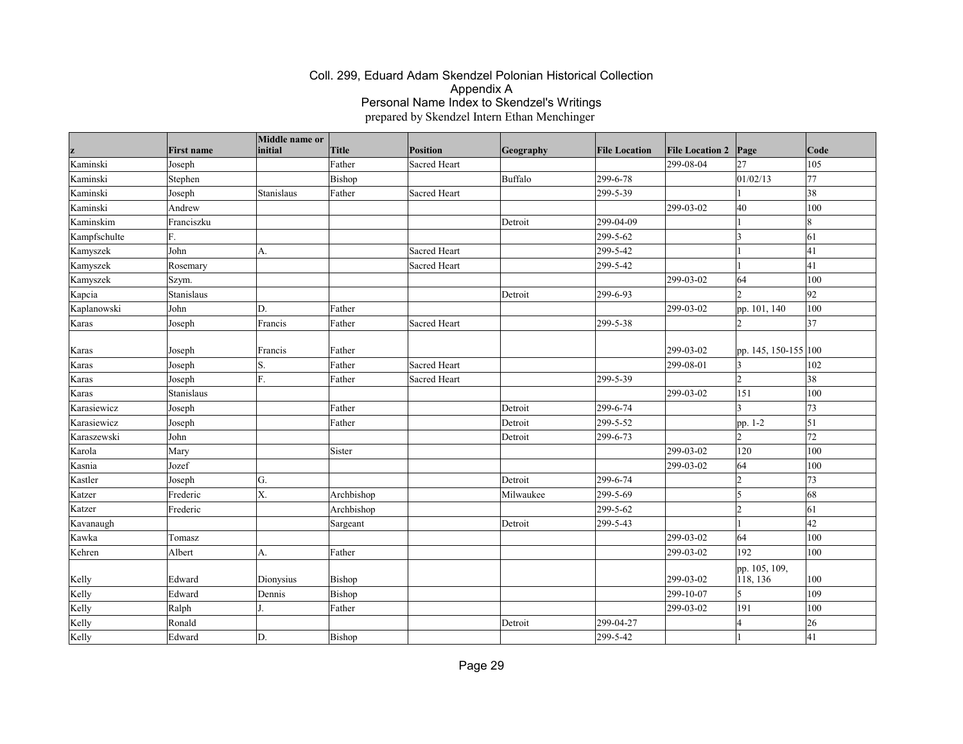| z            | <b>First name</b> | Middle name or<br>initial | <b>Title</b> | <b>Position</b> | Geography | <b>File Location</b> | <b>File Location 2</b> | Page                      | Code            |
|--------------|-------------------|---------------------------|--------------|-----------------|-----------|----------------------|------------------------|---------------------------|-----------------|
| Kaminski     | Joseph            |                           | Father       | Sacred Heart    |           |                      | 299-08-04              | 27                        | 105             |
| Kaminski     | Stephen           |                           | Bishop       |                 | Buffalo   | 299-6-78             |                        | 01/02/13                  | 77              |
| Kaminski     | Joseph            | Stanislaus                | Father       | Sacred Heart    |           | 299-5-39             |                        |                           | $\overline{38}$ |
| Kaminski     | Andrew            |                           |              |                 |           |                      | 299-03-02              | 40                        | 100             |
| Kaminskim    | Franciszku        |                           |              |                 | Detroit   | 299-04-09            |                        |                           | 8               |
| Kampfschulte | F.                |                           |              |                 |           | 299-5-62             |                        | $\vert$ 3                 | 61              |
| Kamyszek     | John              | A.                        |              | Sacred Heart    |           | 299-5-42             |                        | $\overline{1}$            | 41              |
| Kamyszek     | Rosemary          |                           |              | Sacred Heart    |           | 299-5-42             |                        |                           | 41              |
| Kamyszek     | Szym.             |                           |              |                 |           |                      | 299-03-02              | 64                        | 100             |
| Kapcia       | Stanislaus        |                           |              |                 | Detroit   | 299-6-93             |                        | $\mathcal{L}$             | 92              |
| Kaplanowski  | John              | D.                        | Father       |                 |           |                      | 299-03-02              | pp. 101, 140              | 100             |
| Karas        | Joseph            | Francis                   | Father       | Sacred Heart    |           | 299-5-38             |                        | $\overline{2}$            | 37              |
|              |                   |                           |              |                 |           |                      |                        |                           |                 |
| Karas        | Joseph            | Francis                   | Father       |                 |           |                      | 299-03-02              | pp. 145, 150-155 100      |                 |
| Karas        | Joseph            | S.                        | Father       | Sacred Heart    |           |                      | 299-08-01              | $\overline{3}$            | 102             |
| Karas        | Joseph            | F.                        | Father       | Sacred Heart    |           | 299-5-39             |                        | $\overline{2}$            | 38              |
| Karas        | Stanislaus        |                           |              |                 |           |                      | 299-03-02              | 151                       | 100             |
| Karasiewicz  | Joseph            |                           | Father       |                 | Detroit   | 299-6-74             |                        | $\overline{3}$            | 73              |
| Karasiewicz  | Joseph            |                           | Father       |                 | Detroit   | 299-5-52             |                        | pp. 1-2                   | $\vert$ 51      |
| Karaszewski  | John              |                           |              |                 | Detroit   | 299-6-73             |                        | $\overline{2}$            | 72              |
| Karola       | Mary              |                           | Sister       |                 |           |                      | 299-03-02              | 120                       | 100             |
| Kasnia       | Jozef             |                           |              |                 |           |                      | 299-03-02              | 64                        | 100             |
| Kastler      | Joseph            | G.                        |              |                 | Detroit   | 299-6-74             |                        | $\overline{2}$            | 73              |
| Katzer       | Frederic          | $\overline{\mathrm{X}}$ . | Archbishop   |                 | Milwaukee | 299-5-69             |                        | $\vert$ 5                 | 68              |
| Katzer       | Frederic          |                           | Archbishop   |                 |           | 299-5-62             |                        | $\overline{2}$            | 61              |
| Kavanaugh    |                   |                           | Sargeant     |                 | Detroit   | 299-5-43             |                        | $\overline{1}$            | 42              |
| Kawka        | Tomasz            |                           |              |                 |           |                      | 299-03-02              | 64                        | 100             |
| Kehren       | Albert            | A.                        | Father       |                 |           |                      | 299-03-02              | 192                       | 100             |
| Kelly        | Edward            | Dionysius                 | Bishop       |                 |           |                      | 299-03-02              | pp. 105, 109,<br>118, 136 | 100             |
| Kelly        | Edward            | Dennis                    | Bishop       |                 |           |                      | 299-10-07              | 5                         | 109             |
| Kelly        | Ralph             |                           | Father       |                 |           |                      | 299-03-02              | 191                       | 100             |
| Kelly        | Ronald            |                           |              |                 | Detroit   | 299-04-27            |                        | $\overline{4}$            | 26              |
| Kelly        | Edward            | D.                        | Bishop       |                 |           | 299-5-42             |                        |                           | 41              |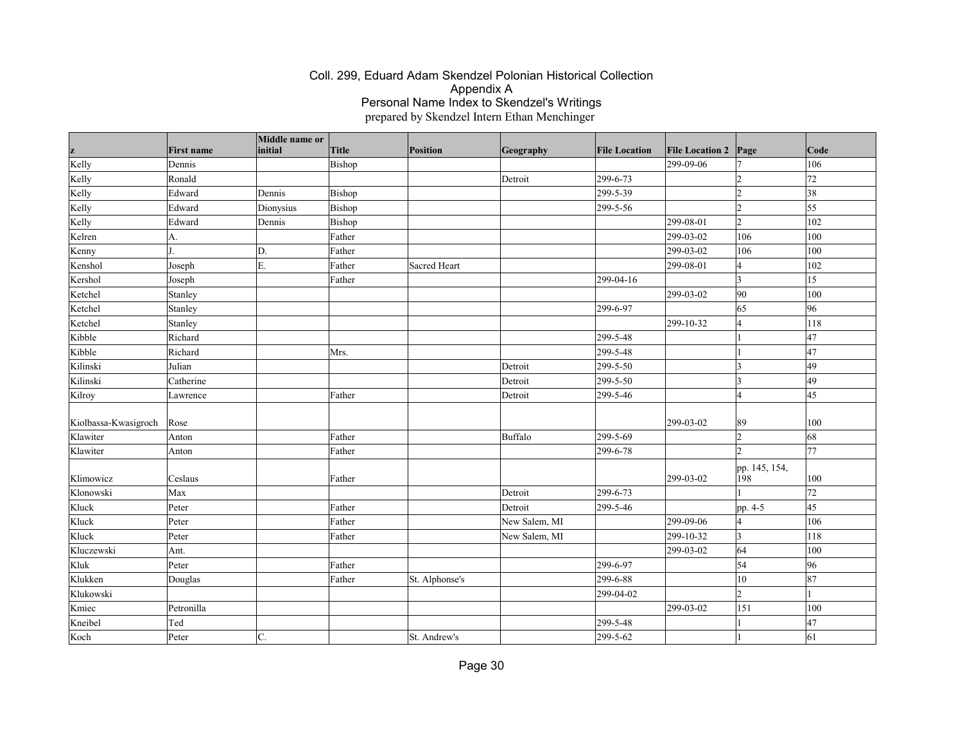| z                    | <b>First name</b> | Middle name or<br>initial | <b>Title</b> | Position       | Geography     | <b>File Location</b> | <b>File Location 2</b> | Page                 | Code            |
|----------------------|-------------------|---------------------------|--------------|----------------|---------------|----------------------|------------------------|----------------------|-----------------|
| Kelly                | Dennis            |                           | Bishop       |                |               |                      | 299-09-06              | 17                   | 106             |
| Kelly                | Ronald            |                           |              |                | Detroit       | 299-6-73             |                        | $\overline{2}$       | 72              |
| Kelly                | Edward            | Dennis                    | Bishop       |                |               | 299-5-39             |                        | $\overline{2}$       | 38              |
| Kelly                | Edward            | Dionysius                 | Bishop       |                |               | 299-5-56             |                        | $\overline{2}$       | $\overline{55}$ |
| Kelly                | Edward            | Dennis                    | Bishop       |                |               |                      | 299-08-01              | $\overline{2}$       | 102             |
| Kelren               | A.                |                           | Father       |                |               |                      | 299-03-02              | 106                  | 100             |
| Kenny                |                   | D.                        | Father       |                |               |                      | 299-03-02              | 106                  | 100             |
| Kenshol              | Joseph            | E.                        | Father       | Sacred Heart   |               |                      | 299-08-01              | $\overline{4}$       | 102             |
| Kershol              | Joseph            |                           | Father       |                |               | 299-04-16            |                        | $\vert$ 3            | 15              |
| Ketchel              | Stanley           |                           |              |                |               |                      | 299-03-02              | 90                   | 100             |
| Ketchel              | Stanley           |                           |              |                |               | 299-6-97             |                        | 65                   | 96              |
| Ketchel              | Stanley           |                           |              |                |               |                      | 299-10-32              | 4                    | 118             |
| Kibble               | Richard           |                           |              |                |               | 299-5-48             |                        |                      | 47              |
| Kibble               | Richard           |                           | Mrs.         |                |               | 299-5-48             |                        |                      | 47              |
| Kilinski             | Julian            |                           |              |                | Detroit       | 299-5-50             |                        | $\vert$ 3            | 49              |
| Kilinski             | Catherine         |                           |              |                | Detroit       | 299-5-50             |                        | $\vert$ 3            | 49              |
| Kilroy               | Lawrence          |                           | Father       |                | Detroit       | 299-5-46             |                        | $\overline{4}$       | 45              |
| Kiolbassa-Kwasigroch | Rose              |                           |              |                |               |                      | 299-03-02              | 89                   | 100             |
| Klawiter             | Anton             |                           | Father       |                | Buffalo       | 299-5-69             |                        | $\overline{2}$       | 68              |
| Klawiter             | Anton             |                           | Father       |                |               | 299-6-78             |                        | $\overline{2}$       | 77              |
| Klimowicz            | Ceslaus           |                           | Father       |                |               |                      | 299-03-02              | pp. 145, 154,<br>198 | 100             |
| Klonowski            | Max               |                           |              |                | Detroit       | 299-6-73             |                        |                      | 72              |
| Kluck                | Peter             |                           | Father       |                | Detroit       | 299-5-46             |                        | pp. 4-5              | $\overline{45}$ |
| Kluck                | Peter             |                           | Father       |                | New Salem, MI |                      | 299-09-06              | $\overline{4}$       | 106             |
| Kluck                | Peter             |                           | Father       |                | New Salem, MI |                      | 299-10-32              | $\vert$ 3            | 118             |
| Kluczewski           | Ant.              |                           |              |                |               |                      | 299-03-02              | 64                   | 100             |
| Kluk                 | Peter             |                           | Father       |                |               | 299-6-97             |                        | 54                   | 96              |
| Klukken              | Douglas           |                           | Father       | St. Alphonse's |               | 299-6-88             |                        | 10                   | 87              |
| Klukowski            |                   |                           |              |                |               | 299-04-02            |                        | $\overline{2}$       |                 |
| Kmiec                | Petronilla        |                           |              |                |               |                      | 299-03-02              | 151                  | 100             |
| Kneibel              | Ted               |                           |              |                |               | 299-5-48             |                        |                      | 47              |
| Koch                 | Peter             | C.                        |              | St. Andrew's   |               | 299-5-62             |                        |                      | 61              |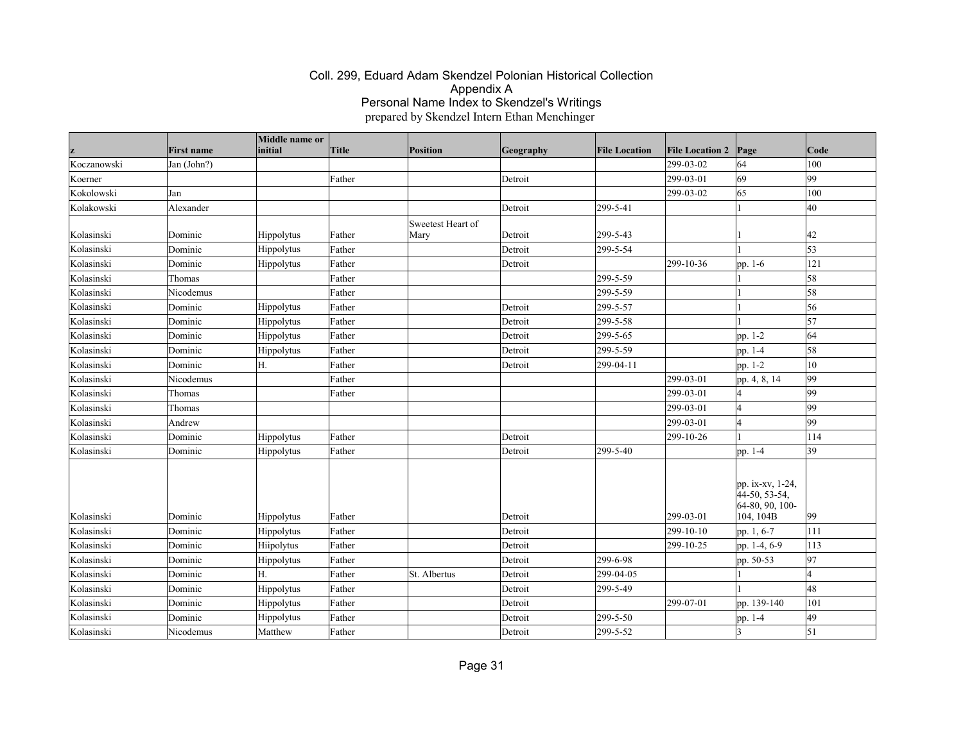|             | <b>First name</b> | Middle name or<br>initial | Title  | <b>Position</b>           | Geography | <b>File Location</b> | <b>File Location 2</b> | Page                                                                | Code         |
|-------------|-------------------|---------------------------|--------|---------------------------|-----------|----------------------|------------------------|---------------------------------------------------------------------|--------------|
| Koczanowski | Jan (John?)       |                           |        |                           |           |                      | 299-03-02              | 64                                                                  | 100          |
| Koerner     |                   |                           | Father |                           | Detroit   |                      | 299-03-01              | 69                                                                  | 99           |
| Kokolowski  | Jan               |                           |        |                           |           |                      | 299-03-02              | 65                                                                  | 100          |
| Kolakowski  | Alexander         |                           |        |                           | Detroit   | 299-5-41             |                        |                                                                     | 40           |
| Kolasinski  | Dominic           | Hippolytus                | Father | Sweetest Heart of<br>Mary | Detroit   | 299-5-43             |                        |                                                                     | 42           |
| Kolasinski  | Dominic           | Hippolytus                | Father |                           | Detroit   | 299-5-54             |                        |                                                                     | 53           |
| Kolasinski  | Dominic           | <b>Hippolytus</b>         | Father |                           | Detroit   |                      | 299-10-36              | pp. 1-6                                                             | 121          |
| Kolasinski  | Thomas            |                           | Father |                           |           | 299-5-59             |                        |                                                                     | 58           |
| Kolasinski  | Nicodemus         |                           | Father |                           |           | 299-5-59             |                        |                                                                     | 58           |
| Kolasinski  | Dominic           | Hippolytus                | Father |                           | Detroit   | 299-5-57             |                        |                                                                     | 56           |
| Kolasinski  | Dominic           | Hippolytus                | Father |                           | Detroit   | 299-5-58             |                        |                                                                     | 57           |
| Kolasinski  | Dominic           | <b>Hippolytus</b>         | Father |                           | Detroit   | 299-5-65             |                        | pp. 1-2                                                             | 64           |
| Kolasinski  | Dominic           | Hippolytus                | Father |                           | Detroit   | 299-5-59             |                        | pp. 1-4                                                             | 58           |
| Kolasinski  | Dominic           | Н.                        | Father |                           | Detroit   | 299-04-11            |                        | pp. 1-2                                                             | 10           |
| Kolasinski  | Nicodemus         |                           | Father |                           |           |                      | 299-03-01              | pp. 4, 8, 14                                                        | 99           |
| Kolasinski  | Thomas            |                           | Father |                           |           |                      | 299-03-01              |                                                                     | 99           |
| Kolasinski  | Thomas            |                           |        |                           |           |                      | 299-03-01              |                                                                     | 99           |
| Kolasinski  | Andrew            |                           |        |                           |           |                      | 299-03-01              |                                                                     | 99           |
| Kolasinski  | Dominic           | Hippolytus                | Father |                           | Detroit   |                      | 299-10-26              |                                                                     | 114          |
| Kolasinski  | Dominic           | <b>Hippolytus</b>         | Father |                           | Detroit   | 299-5-40             |                        | pp. 1-4                                                             | 39           |
| Kolasinski  | Dominic           | Hippolytus                | Father |                           | Detroit   |                      | 299-03-01              | pp. ix-xv, 1-24,<br>$44-50, 53-54,$<br>64-80, 90, 100-<br>104, 104B | $ 99\rangle$ |
| Kolasinski  | Dominic           | Hippolytus                | Father |                           | Detroit   |                      | 299-10-10              | pp. 1, 6-7                                                          | 111          |
| Kolasinski  | Dominic           | Hiipolytus                | Father |                           | Detroit   |                      | 299-10-25              | pp. 1-4, 6-9                                                        | 113          |
| Kolasinski  | Dominic           | Hippolytus                | Father |                           | Detroit   | 299-6-98             |                        | pp. 50-53                                                           | 97           |
| Kolasinski  | Dominic           | H                         | Father | St. Albertus              | Detroit   | 299-04-05            |                        |                                                                     |              |
| Kolasinski  | Dominic           | Hippolytus                | Father |                           | Detroit   | 299-5-49             |                        |                                                                     | 48           |
| Kolasinski  | Dominic           | Hippolytus                | Father |                           | Detroit   |                      | 299-07-01              | pp. 139-140                                                         | 101          |
| Kolasinski  | Dominic           | Hippolytus                | Father |                           | Detroit   | 299-5-50             |                        | pp. 1-4                                                             | 49           |
| Kolasinski  | Nicodemus         | Matthew                   | Father |                           | Detroit   | 299-5-52             |                        |                                                                     | $\vert$ 51   |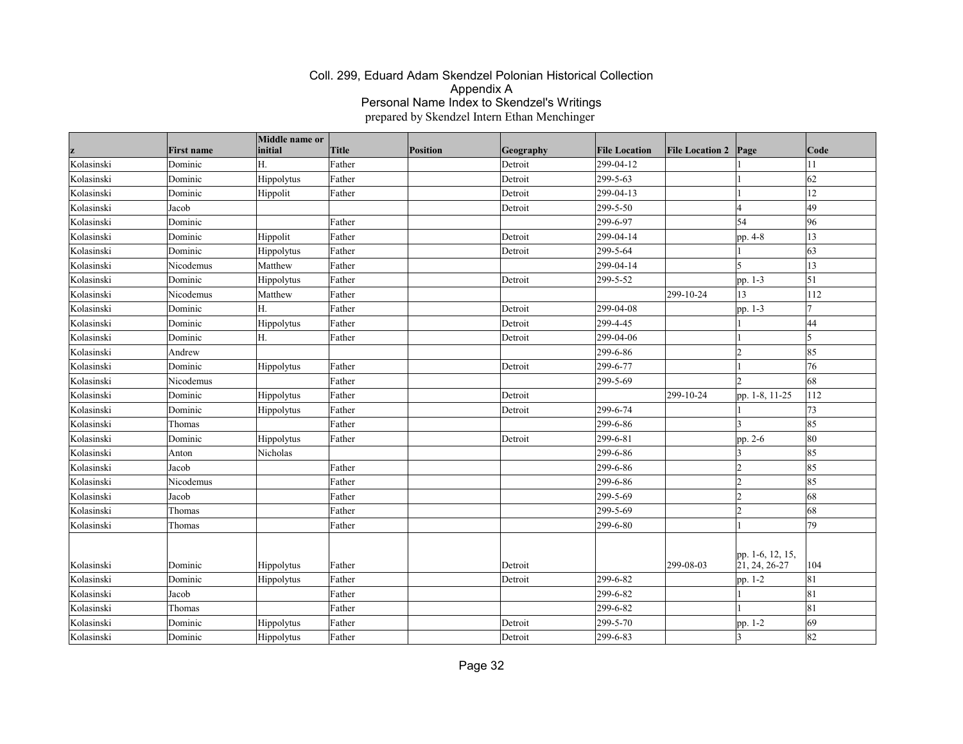|            | <b>First name</b> | Middle name or<br>initial | Title  | Position | Geography | <b>File Location</b> | <b>File Location 2</b> | Page                              | Code         |
|------------|-------------------|---------------------------|--------|----------|-----------|----------------------|------------------------|-----------------------------------|--------------|
| Kolasinski | Dominic           | Η.                        | Father |          | Detroit   | 299-04-12            |                        |                                   | 11           |
| Kolasinski | Dominic           | Hippolytus                | Father |          | Detroit   | 299-5-63             |                        |                                   | 62           |
| Kolasinski | Dominic           | Hippolit                  | Father |          | Detroit   | 299-04-13            |                        |                                   | 12           |
| Kolasinski | Jacob             |                           |        |          | Detroit   | 299-5-50             |                        |                                   | 49           |
| Kolasinski | Dominic           |                           | Father |          |           | 299-6-97             |                        | 54                                | 96           |
| Kolasinski | Dominic           | Hippolit                  | Father |          | Detroit   | 299-04-14            |                        | pp. 4-8                           | 13           |
| Kolasinski | Dominic           | Hippolytus                | Father |          | Detroit   | 299-5-64             |                        |                                   | $ 63\rangle$ |
| Kolasinski | Nicodemus         | Matthew                   | Father |          |           | 299-04-14            |                        | 5                                 | 13           |
| Kolasinski | Dominic           | Hippolytus                | Father |          | Detroit   | 299-5-52             |                        | pp. 1-3                           | $\vert$ 51   |
| Kolasinski | Nicodemus         | Matthew                   | Father |          |           |                      | 299-10-24              | 13                                | 112          |
| Kolasinski | Dominic           | Η.                        | Father |          | Detroit   | 299-04-08            |                        | pp. 1-3                           |              |
| Kolasinski | Dominic           | Hippolytus                | Father |          | Detroit   | 299-4-45             |                        |                                   | 44           |
| Kolasinski | Dominic           | H.                        | Father |          | Detroit   | 299-04-06            |                        |                                   | I٢           |
| Kolasinski | Andrew            |                           |        |          |           | 299-6-86             |                        | $\overline{2}$                    | 85           |
| Kolasinski | Dominic           | Hippolytus                | Father |          | Detroit   | 299-6-77             |                        |                                   | 76           |
| Kolasinski | Nicodemus         |                           | Father |          |           | 299-5-69             |                        |                                   | 68           |
| Kolasinski | Dominic           | Hippolytus                | Father |          | Detroit   |                      | 299-10-24              | pp. 1-8, 11-25                    | 112          |
| Kolasinski | Dominic           | Hippolytus                | Father |          | Detroit   | 299-6-74             |                        |                                   | 73           |
| Kolasinski | Thomas            |                           | Father |          |           | 299-6-86             |                        |                                   | 85           |
| Kolasinski | Dominic           | Hippolytus                | Father |          | Detroit   | 299-6-81             |                        | pp. 2-6                           | 80           |
| Kolasinski | Anton             | Nicholas                  |        |          |           | 299-6-86             |                        |                                   | 85           |
| Kolasinski | Jacob             |                           | Father |          |           | 299-6-86             |                        | $\overline{2}$                    | 85           |
| Kolasinski | Nicodemus         |                           | Father |          |           | 299-6-86             |                        | $\overline{2}$                    | 85           |
| Kolasinski | Jacob             |                           | Father |          |           | 299-5-69             |                        | $\overline{2}$                    | 68           |
| Kolasinski | Thomas            |                           | Father |          |           | 299-5-69             |                        | $\overline{2}$                    | 68           |
| Kolasinski | Thomas            |                           | Father |          |           | 299-6-80             |                        |                                   | 79           |
| Kolasinski | Dominic           | Hippolytus                | Father |          | Detroit   |                      | 299-08-03              | pp. 1-6, 12, 15,<br>21, 24, 26-27 | 104          |
| Kolasinski | Dominic           | Hippolytus                | Father |          | Detroit   | 299-6-82             |                        | pp. 1-2                           | 81           |
| Kolasinski | Jacob             |                           | Father |          |           | 299-6-82             |                        |                                   | 81           |
| Kolasinski | Thomas            |                           | Father |          |           | 299-6-82             |                        |                                   | 81           |
| Kolasinski | Dominic           | Hippolytus                | Father |          | Detroit   | 299-5-70             |                        | pp. 1-2                           | 69           |
| Kolasinski | Dominic           | Hippolytus                | Father |          | Detroit   | 299-6-83             |                        |                                   | 82           |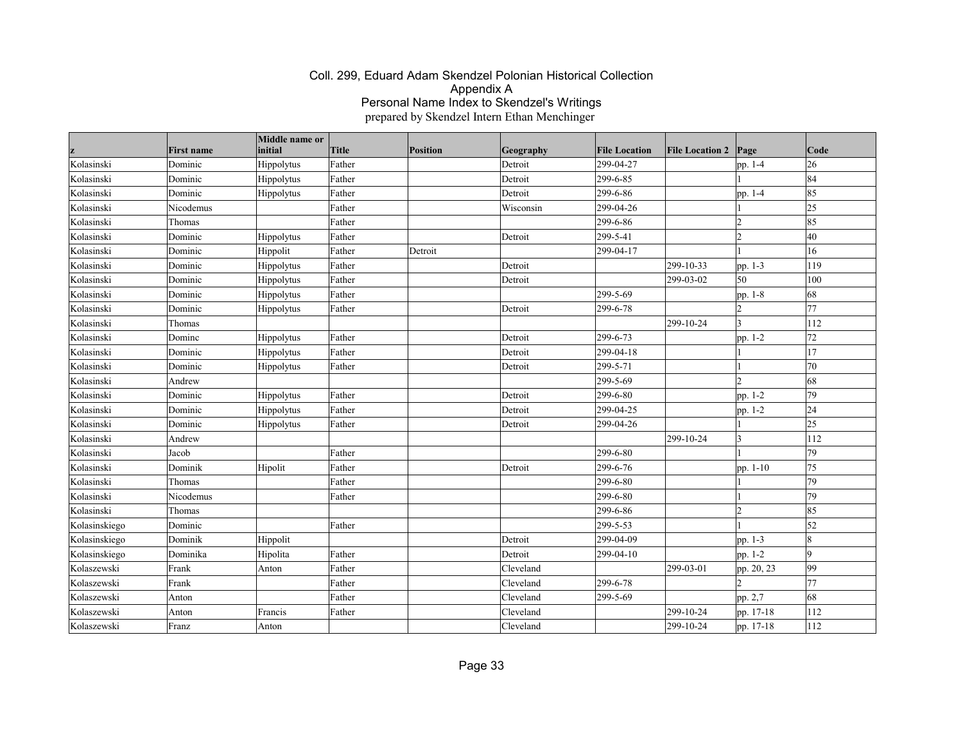| z             | <b>First name</b> | Middle name or<br>initial | <b>Title</b> | Position | Geography | <b>File Location</b> | <b>File Location 2</b> | Page           | Code            |
|---------------|-------------------|---------------------------|--------------|----------|-----------|----------------------|------------------------|----------------|-----------------|
| Kolasinski    | Dominic           | Hippolytus                | Father       |          | Detroit   | 299-04-27            |                        | pp. 1-4        | 26              |
| Kolasinski    | Dominic           | Hippolytus                | Father       |          | Detroit   | 299-6-85             |                        |                | 84              |
| Kolasinski    | Dominic           | Hippolytus                | Father       |          | Detroit   | 299-6-86             |                        | pp. 1-4        | 85              |
| Kolasinski    | Nicodemus         |                           | Father       |          | Wisconsin | 299-04-26            |                        |                | $ 25\rangle$    |
| Kolasinski    | Thomas            |                           | Father       |          |           | 299-6-86             |                        | $\overline{2}$ | 85              |
| Kolasinski    | Dominic           | Hippolytus                | Father       |          | Detroit   | 299-5-41             |                        | $\overline{2}$ | 40              |
| Kolasinski    | Dominic           | Hippolit                  | Father       | Detroit  |           | 299-04-17            |                        |                | 16              |
| Kolasinski    | Dominic           | Hippolytus                | Father       |          | Detroit   |                      | 299-10-33              | pp. 1-3        | 119             |
| Kolasinski    | Dominic           | Hippolytus                | Father       |          | Detroit   |                      | $ 299-03-02 $          | 50             | 100             |
| Kolasinski    | Dominic           | Hippolytus                | Father       |          |           | 299-5-69             |                        | pp. 1-8        | 68              |
| Kolasinski    | Dominic           | Hippolytus                | Father       |          | Detroit   | 299-6-78             |                        | $\overline{2}$ | 77              |
| Kolasinski    | Thomas            |                           |              |          |           |                      | $ 299-10-24$           | 3              | 112             |
| Kolasinski    | Dominc            | Hippolytus                | Father       |          | Detroit   | 299-6-73             |                        | pp. 1-2        | 72              |
| Kolasinski    | Dominic           | Hippolytus                | Father       |          | Detroit   | 299-04-18            |                        |                | 17              |
| Kolasinski    | Dominic           | Hippolytus                | Father       |          | Detroit   | 299-5-71             |                        |                | 70              |
| Kolasinski    | Andrew            |                           |              |          |           | 299-5-69             |                        | $\overline{2}$ | 68              |
| Kolasinski    | Dominic           | Hippolytus                | Father       |          | Detroit   | 299-6-80             |                        | pp. 1-2        | 79              |
| Kolasinski    | Dominic           | Hippolytus                | Father       |          | Detroit   | 299-04-25            |                        | pp. 1-2        | 24              |
| Kolasinski    | Dominic           | Hippolytus                | Father       |          | Detroit   | 299-04-26            |                        |                | $\overline{25}$ |
| Kolasinski    | Andrew            |                           |              |          |           |                      | 299-10-24              | 3              | 112             |
| Kolasinski    | Jacob             |                           | Father       |          |           | 299-6-80             |                        |                | 79              |
| Kolasinski    | Dominik           | Hipolit                   | Father       |          | Detroit   | 299-6-76             |                        | pp. 1-10       | 75              |
| Kolasinski    | Thomas            |                           | Father       |          |           | 299-6-80             |                        |                | 79              |
| Kolasinski    | Nicodemus         |                           | Father       |          |           | 299-6-80             |                        |                | 79              |
| Kolasinski    | Thomas            |                           |              |          |           | 299-6-86             |                        | $\overline{2}$ | 85              |
| Kolasinskiego | Dominic           |                           | Father       |          |           | 299-5-53             |                        |                | $\vert$ 52      |
| Kolasinskiego | Dominik           | Hippolit                  |              |          | Detroit   | 299-04-09            |                        | pp. 1-3        | 18              |
| Kolasinskiego | Dominika          | Hipolita                  | Father       |          | Detroit   | 299-04-10            |                        | pp. 1-2        | ۱q              |
| Kolaszewski   | Frank             | Anton                     | Father       |          | Cleveland |                      | 299-03-01              | pp. 20, 23     | 99              |
| Kolaszewski   | Frank             |                           | Father       |          | Cleveland | 299-6-78             |                        |                | 77              |
| Kolaszewski   | Anton             |                           | Father       |          | Cleveland | 299-5-69             |                        | pp. 2,7        | 68              |
| Kolaszewski   | Anton             | Francis                   | Father       |          | Cleveland |                      | 299-10-24              | pp. 17-18      | 112             |
| Kolaszewski   | Franz             | Anton                     |              |          | Cleveland |                      | 299-10-24              | pp. 17-18      | 112             |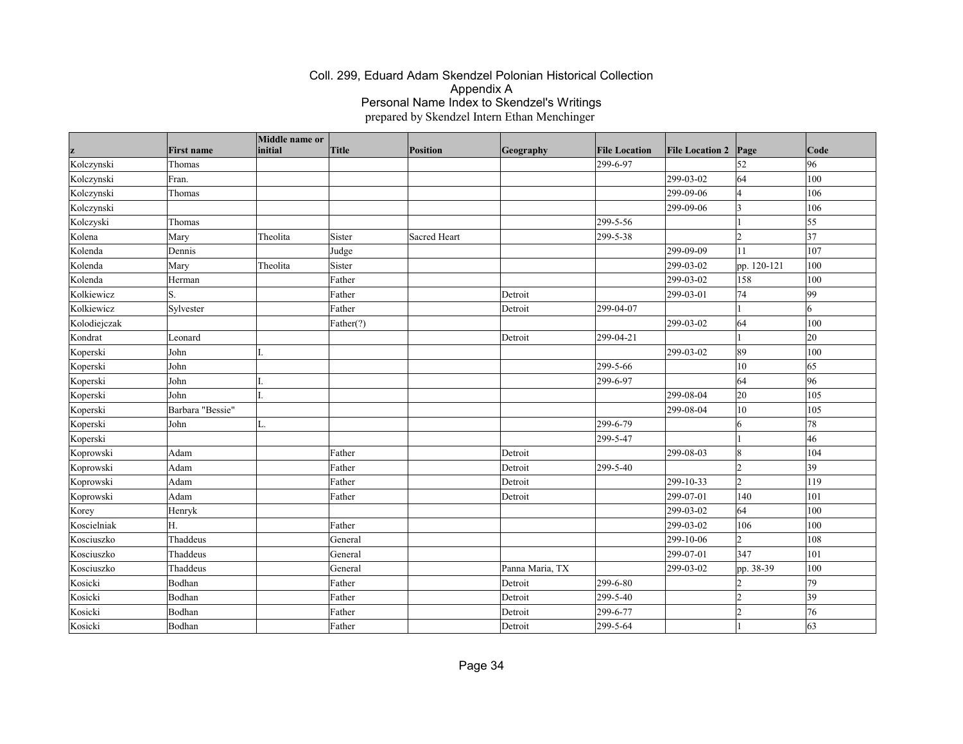|              | <b>First name</b> | Middle name or<br>initial | Title     | <b>Position</b> | Geography       | <b>File Location</b> | <b>File Location 2</b> | Page          | Code         |
|--------------|-------------------|---------------------------|-----------|-----------------|-----------------|----------------------|------------------------|---------------|--------------|
| Kolczynski   | Thomas            |                           |           |                 |                 | 299-6-97             |                        | 52            | 96           |
| Kolczynski   | Fran.             |                           |           |                 |                 |                      | 299-03-02              | 64            | 100          |
| Kolczynski   | Thomas            |                           |           |                 |                 |                      | 299-09-06              | 4             | 106          |
| Kolczynski   |                   |                           |           |                 |                 |                      | 299-09-06              | <sub>3</sub>  | 106          |
| Kolczyski    | Thomas            |                           |           |                 |                 | 299-5-56             |                        |               | 55           |
| Kolena       | Mary              | Theolita                  | Sister    | Sacred Heart    |                 | 299-5-38             |                        | l2            | 37           |
| Kolenda      | Dennis            |                           | Judge     |                 |                 |                      | 299-09-09              | 11            | 107          |
| Kolenda      | Mary              | Theolita                  | Sister    |                 |                 |                      | 299-03-02              | pp. 120-121   | 100          |
| Kolenda      | Herman            |                           | Father    |                 |                 |                      | 299-03-02              | 158           | 100          |
| Kolkiewicz   | S.                |                           | Father    |                 | Detroit         |                      | 299-03-01              | 74            | 99           |
| Kolkiewicz   | Sylvester         |                           | Father    |                 | Detroit         | 299-04-07            |                        |               | 6            |
| Kolodiejczak |                   |                           | Father(?) |                 |                 |                      | 299-03-02              | 64            | 100          |
| Kondrat      | Leonard           |                           |           |                 | Detroit         | 299-04-21            |                        |               | $ 20\rangle$ |
| Koperski     | John              |                           |           |                 |                 |                      | 299-03-02              | 89            | 100          |
| Koperski     | John              |                           |           |                 |                 | 299-5-66             |                        | 10            | 65           |
| Koperski     | John              |                           |           |                 |                 | 299-6-97             |                        | 64            | 96           |
| Koperski     | John              |                           |           |                 |                 |                      | 299-08-04              | 20            | 105          |
| Koperski     | Barbara "Bessie"  |                           |           |                 |                 |                      | 299-08-04              | 10            | 105          |
| Koperski     | John              | L.                        |           |                 |                 | 299-6-79             |                        | 6             | 78           |
| Koperski     |                   |                           |           |                 |                 | 299-5-47             |                        |               | 46           |
| Koprowski    | Adam              |                           | Father    |                 | Detroit         |                      | 299-08-03              | 8             | 104          |
| Koprowski    | Adam              |                           | Father    |                 | Detroit         | 299-5-40             |                        | $\vert$ 2     | 39           |
| Koprowski    | Adam              |                           | Father    |                 | Detroit         |                      | 299-10-33              | 2             | 119          |
| Koprowski    | Adam              |                           | Father    |                 | Detroit         |                      | 299-07-01              | $ 140\rangle$ | 101          |
| Korey        | Henryk            |                           |           |                 |                 |                      | 299-03-02              | 64            | 100          |
| Koscielniak  | H.                |                           | Father    |                 |                 |                      | 299-03-02              | 106           | 100          |
| Kosciuszko   | Thaddeus          |                           | General   |                 |                 |                      | 299-10-06              | $\vert$ 2     | 108          |
| Kosciuszko   | Thaddeus          |                           | General   |                 |                 |                      | 299-07-01              | 347           | 101          |
| Kosciuszko   | Thaddeus          |                           | General   |                 | Panna Maria, TX |                      | 299-03-02              | pp. 38-39     | 100          |
| Kosicki      | Bodhan            |                           | Father    |                 | Detroit         | 299-6-80             |                        | 12            | 79           |
| Kosicki      | Bodhan            |                           | Father    |                 | Detroit         | 299-5-40             |                        | $\vert$ 2     | $ 39\rangle$ |
| Kosicki      | Bodhan            |                           | Father    |                 | Detroit         | 299-6-77             |                        | l2            | 76           |
| Kosicki      | Bodhan            |                           | Father    |                 | Detroit         | 299-5-64             |                        |               | 63           |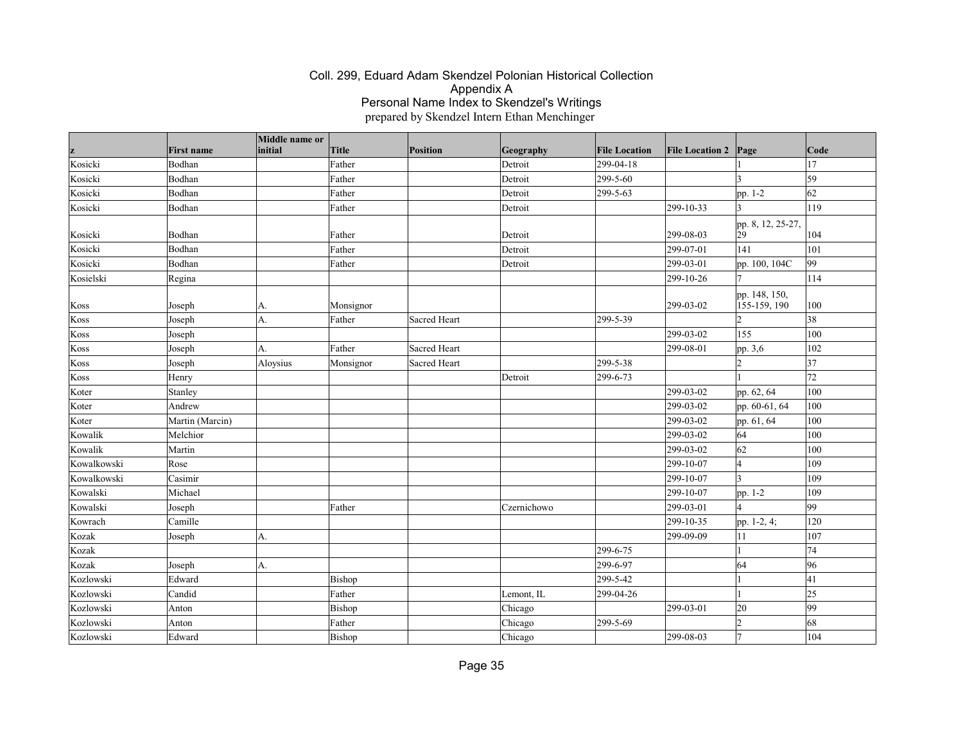| z           | <b>First name</b> | Middle name or<br>initial | <b>Title</b> | Position     | Geography   | <b>File Location</b> | <b>File Location 2</b> | Page                          | Code         |
|-------------|-------------------|---------------------------|--------------|--------------|-------------|----------------------|------------------------|-------------------------------|--------------|
| Kosicki     | Bodhan            |                           | Father       |              | Detroit     | 299-04-18            |                        |                               | 17           |
| Kosicki     | Bodhan            |                           | Father       |              | Detroit     | 299-5-60             |                        | I٩                            | 59           |
| Kosicki     | Bodhan            |                           | Father       |              | Detroit     | 299-5-63             |                        | pp. 1-2                       | 62           |
| Kosicki     | Bodhan            |                           | Father       |              | Detroit     |                      | 299-10-33              | $\overline{3}$                | 119          |
|             |                   |                           |              |              |             |                      |                        |                               |              |
| Kosicki     | Bodhan            |                           | Father       |              | Detroit     |                      | 299-08-03              | pp. 8, 12, 25-27,<br>29       | 104          |
| Kosicki     | Bodhan            |                           | Father       |              | Detroit     |                      | 299-07-01              | 141                           | 101          |
| Kosicki     | Bodhan            |                           | Father       |              | Detroit     |                      | 299-03-01              | pp. 100, 104C                 | 99           |
| Kosielski   | Regina            |                           |              |              |             |                      | 299-10-26              |                               | 114          |
| Koss        | Joseph            | А.                        | Monsignor    |              |             |                      | 299-03-02              | pp. 148, 150,<br>155-159, 190 | 100          |
| Koss        | Joseph            | A.                        | Father       | Sacred Heart |             | 299-5-39             |                        | $\overline{2}$                | 38           |
| Koss        | Joseph            |                           |              |              |             |                      | 299-03-02              | 155                           | 100          |
| Koss        | Joseph            | A.                        | Father       | Sacred Heart |             |                      | 299-08-01              | pp. 3,6                       | 102          |
| Koss        | Joseph            | Aloysius                  | Monsignor    | Sacred Heart |             | 299-5-38             |                        | $\overline{\mathcal{L}}$      | 37           |
| Koss        | Henry             |                           |              |              | Detroit     | 299-6-73             |                        |                               | 72           |
| Koter       | Stanley           |                           |              |              |             |                      | 299-03-02              | pp. 62, 64                    | 100          |
| Koter       | Andrew            |                           |              |              |             |                      | 299-03-02              | pp. 60-61, 64                 | 100          |
| Koter       | Martin (Marcin)   |                           |              |              |             |                      | 299-03-02              | pp. 61, 64                    | 100          |
| Kowalik     | Melchior          |                           |              |              |             |                      | 299-03-02              | 64                            | 100          |
| Kowalik     | Martin            |                           |              |              |             |                      | 299-03-02              | 62                            | 100          |
| Kowalkowski | Rose              |                           |              |              |             |                      | 299-10-07              | $\overline{4}$                | 109          |
| Kowalkowski | Casimir           |                           |              |              |             |                      | 299-10-07              | $\overline{3}$                | 109          |
| Kowalski    | Michael           |                           |              |              |             |                      | 299-10-07              | pp. 1-2                       | 109          |
| Kowalski    | Joseph            |                           | Father       |              | Czernichowo |                      | 299-03-01              | $\overline{4}$                | 99           |
| Kowrach     | Camille           |                           |              |              |             |                      | 299-10-35              | pp. 1-2, 4;                   | 120          |
| Kozak       | Joseph            | A.                        |              |              |             |                      | 299-09-09              | 11                            | 107          |
| Kozak       |                   |                           |              |              |             | 299-6-75             |                        |                               | 74           |
| Kozak       | Joseph            | A.                        |              |              |             | 299-6-97             |                        | 64                            | 96           |
| Kozlowski   | Edward            |                           | Bishop       |              |             | 299-5-42             |                        | 1                             | 41           |
| Kozlowski   | Candid            |                           | Father       |              | Lemont, IL  | 299-04-26            |                        |                               | $ 25\rangle$ |
| Kozlowski   | Anton             |                           | Bishop       |              | Chicago     |                      | 299-03-01              | 20                            | 99           |
| Kozlowski   | Anton             |                           | Father       |              | Chicago     | 299-5-69             |                        | $\overline{2}$                | 68           |
| Kozlowski   | Edward            |                           | Bishop       |              | Chicago     |                      | 299-08-03              | $\overline{7}$                | 104          |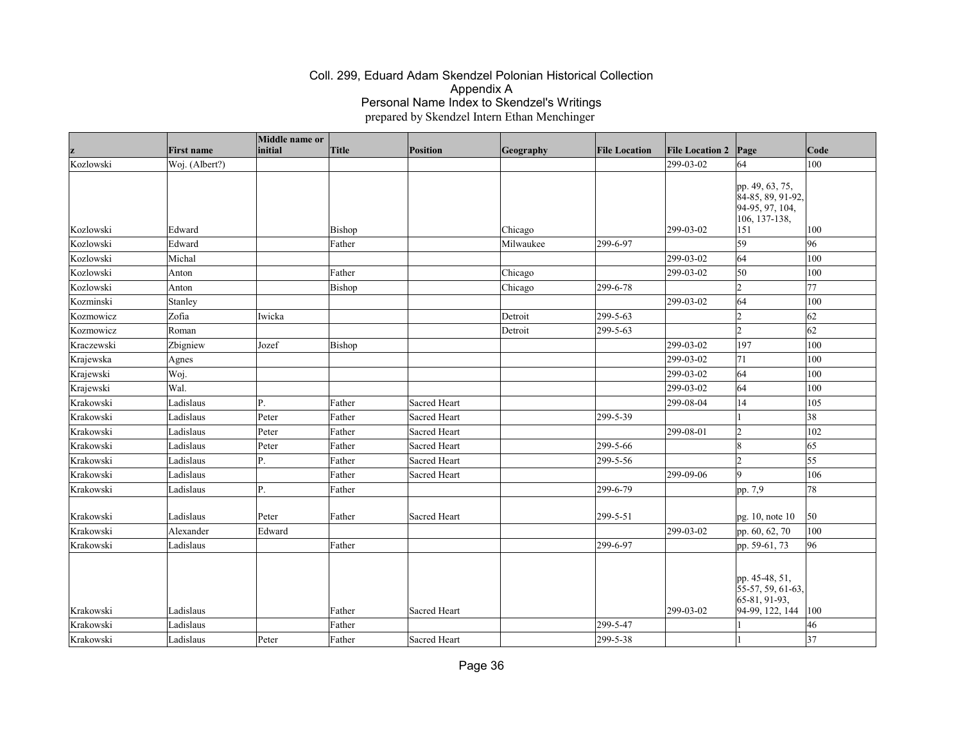|            | <b>First name</b> | Middle name or<br>initial | Title  | Position     | Geography | <b>File Location</b> | <b>File Location 2 Page</b> |                                  | Code            |
|------------|-------------------|---------------------------|--------|--------------|-----------|----------------------|-----------------------------|----------------------------------|-----------------|
| z          |                   |                           |        |              |           |                      | 299-03-02                   |                                  | 100             |
| Kozlowski  | Woj. (Albert?)    |                           |        |              |           |                      |                             | 64                               |                 |
|            |                   |                           |        |              |           |                      |                             | pp. 49, 63, 75,                  |                 |
|            |                   |                           |        |              |           |                      |                             | 84-85, 89, 91-92,                |                 |
|            |                   |                           |        |              |           |                      |                             | 94-95, 97, 104,<br>106, 137-138, |                 |
| Kozlowski  | Edward            |                           | Bishop |              | Chicago   |                      | 299-03-02                   | 151                              | 100             |
| Kozlowski  | Edward            |                           | Father |              | Milwaukee | 299-6-97             |                             | 59                               | 96              |
| Kozlowski  | Michal            |                           |        |              |           |                      | 299-03-02                   | 64                               | 100             |
| Kozlowski  | Anton             |                           | Father |              | Chicago   |                      | 299-03-02                   | 50                               | 100             |
| Kozlowski  | Anton             |                           | Bishop |              | Chicago   | 299-6-78             |                             | $ 2\rangle$                      | 77              |
| Kozminski  | Stanley           |                           |        |              |           |                      | 299-03-02                   | 64                               | 100             |
| Kozmowicz  | Zofia             | Iwicka                    |        |              | Detroit   | 299-5-63             |                             | $\vert$ 2                        | 62              |
| Kozmowicz  | Roman             |                           |        |              | Detroit   | 299-5-63             |                             | $\overline{2}$                   | 62              |
| Kraczewski | Zbigniew          | Jozef                     | Bishop |              |           |                      | 299-03-02                   | 197                              | 100             |
| Krajewska  | Agnes             |                           |        |              |           |                      | 299-03-02                   | 71                               | 100             |
| Krajewski  | Woj.              |                           |        |              |           |                      | 299-03-02                   | 64                               | 100             |
| Krajewski  | Wal.              |                           |        |              |           |                      | 299-03-02                   | 64                               | 100             |
| Krakowski  | Ladislaus         | Ρ.                        | Father | Sacred Heart |           |                      | 299-08-04                   | 14                               | 105             |
| Krakowski  | Ladislaus         | Peter                     | Father | Sacred Heart |           | 299-5-39             |                             |                                  | 38              |
| Krakowski  | Ladislaus         | Peter                     | Father | Sacred Heart |           |                      | 299-08-01                   | $ 2\rangle$                      | 102             |
| Krakowski  | Ladislaus         | Peter                     | Father | Sacred Heart |           | 299-5-66             |                             | 18                               | 65              |
| Krakowski  | Ladislaus         | Ρ.                        | Father | Sacred Heart |           | 299-5-56             |                             | l2                               | 55              |
| Krakowski  | Ladislaus         |                           | Father | Sacred Heart |           |                      | 299-09-06                   | l9                               | 106             |
| Krakowski  | Ladislaus         | $\overline{\mathbf{P}}$ . | Father |              |           | 299-6-79             |                             | pp. 7,9                          | 78              |
| Krakowski  | Ladislaus         | Peter                     | Father | Sacred Heart |           | 299-5-51             |                             | pg. 10, note 10                  | 50              |
| Krakowski  | Alexander         | Edward                    |        |              |           |                      | 299-03-02                   | pp. 60, 62, 70                   | 100             |
| Krakowski  | Ladislaus         |                           | Father |              |           | 299-6-97             |                             | pp. 59-61, 73                    | 96              |
|            |                   |                           |        |              |           |                      |                             |                                  |                 |
|            |                   |                           |        |              |           |                      |                             | pp. 45-48, 51,                   |                 |
|            |                   |                           |        |              |           |                      |                             | 55-57, 59, 61-63,                |                 |
|            |                   |                           |        |              |           |                      |                             | 65-81, 91-93,                    |                 |
| Krakowski  | Ladislaus         |                           | Father | Sacred Heart |           |                      | 299-03-02                   | 94-99, 122, 144                  | 100             |
| Krakowski  | Ladislaus         |                           | Father |              |           | 299-5-47             |                             |                                  | 46              |
| Krakowski  | Ladislaus         | Peter                     | Father | Sacred Heart |           | 299-5-38             |                             |                                  | $\overline{37}$ |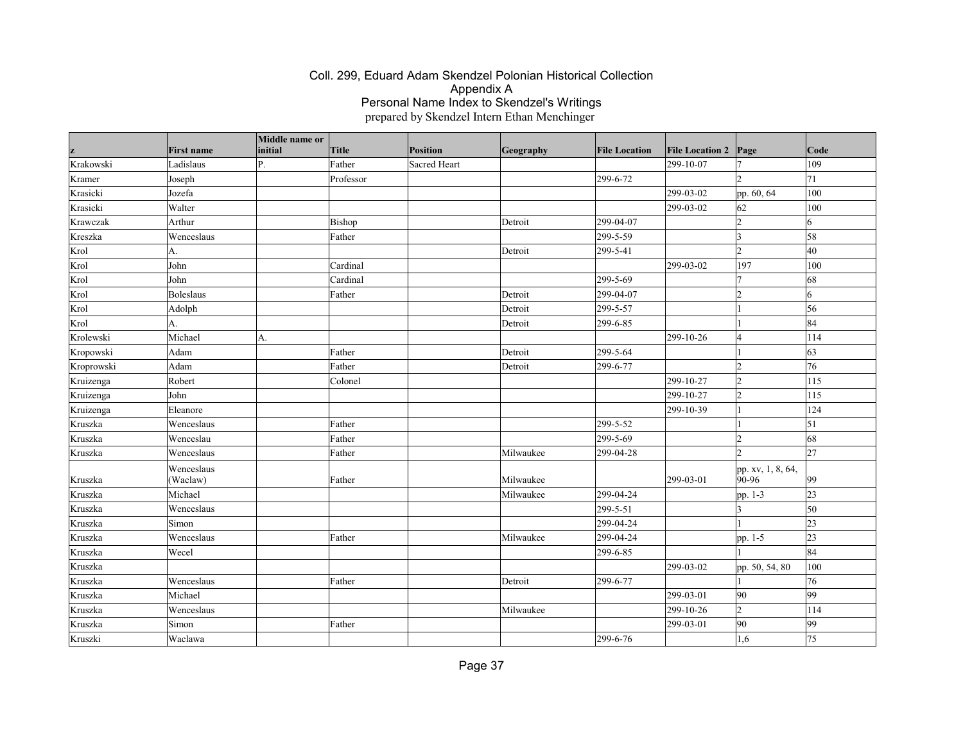| z          | <b>First name</b>      | Middle name or<br>initial | Title     | <b>Position</b> | Geography | <b>File Location</b> | <b>File Location 2</b> | Page                       | $\vert$ Code |
|------------|------------------------|---------------------------|-----------|-----------------|-----------|----------------------|------------------------|----------------------------|--------------|
| Krakowski  | Ladislaus              | Ρ.                        | Father    | Sacred Heart    |           |                      | 299-10-07              |                            | 109          |
| Kramer     | Joseph                 |                           | Professor |                 |           | 299-6-72             |                        | $\mathcal{D}$              | 71           |
| Krasicki   | Jozefa                 |                           |           |                 |           |                      | 299-03-02              | pp. 60, 64                 | 100          |
| Krasicki   | Walter                 |                           |           |                 |           |                      | 299-03-02              | 62                         | 100          |
| Krawczak   | Arthur                 |                           | Bishop    |                 | Detroit   | 299-04-07            |                        | 12                         | 16           |
| Kreszka    | Wenceslaus             |                           | Father    |                 |           | 299-5-59             |                        | 3                          | 58           |
| Krol       | A.                     |                           |           |                 | Detroit   | 299-5-41             |                        | $\overline{2}$             | 40           |
| Krol       | John                   |                           | Cardinal  |                 |           |                      | 299-03-02              | 197                        | 100          |
| Krol       | John                   |                           | Cardinal  |                 |           | 299-5-69             |                        | $\overline{7}$             | 68           |
| Krol       | Boleslaus              |                           | Father    |                 | Detroit   | 299-04-07            |                        | $\overline{2}$             | 6            |
| Krol       | Adolph                 |                           |           |                 | Detroit   | 299-5-57             |                        |                            | 56           |
| Krol       | A.                     |                           |           |                 | Detroit   | 299-6-85             |                        |                            | 84           |
| Krolewski  | Michael                | A.                        |           |                 |           |                      | 299-10-26              | $\overline{4}$             | 114          |
| Kropowski  | Adam                   |                           | Father    |                 | Detroit   | 299-5-64             |                        |                            | $ 63\rangle$ |
| Kroprowski | Adam                   |                           | Father    |                 | Detroit   | 299-6-77             |                        | $\overline{2}$             | 76           |
| Kruizenga  | Robert                 |                           | Colonel   |                 |           |                      | 299-10-27              | 12                         | 115          |
| Kruizenga  | John                   |                           |           |                 |           |                      | 299-10-27              | $\overline{2}$             | 115          |
| Kruizenga  | Eleanore               |                           |           |                 |           |                      | 299-10-39              |                            | 124          |
| Kruszka    | Wenceslaus             |                           | Father    |                 |           | 299-5-52             |                        |                            | $\vert$ 51   |
| Kruszka    | Wenceslau              |                           | Father    |                 |           | 299-5-69             |                        | $\mathcal{D}$              | 68           |
| Kruszka    | Wenceslaus             |                           | Father    |                 | Milwaukee | 299-04-28            |                        | $\mathbf{\hat{z}}$         | 27           |
| Kruszka    | Wenceslaus<br>(Waclaw) |                           | Father    |                 | Milwaukee |                      | 299-03-01              | pp. xv, 1, 8, 64,<br>90-96 | $ 99\rangle$ |
| Kruszka    | Michael                |                           |           |                 | Milwaukee | 299-04-24            |                        | pp. 1-3                    | 23           |
| Kruszka    | Wenceslaus             |                           |           |                 |           | 299-5-51             |                        | 13                         | $\vert$ 50   |
| Kruszka    | Simon                  |                           |           |                 |           | 299-04-24            |                        |                            | 23           |
| Kruszka    | Wenceslaus             |                           | Father    |                 | Milwaukee | 299-04-24            |                        | pp. 1-5                    | 23           |
| Kruszka    | Wecel                  |                           |           |                 |           | 299-6-85             |                        |                            | 84           |
| Kruszka    |                        |                           |           |                 |           |                      | 299-03-02              | pp. 50, 54, 80             | 100          |
| Kruszka    | Wenceslaus             |                           | Father    |                 | Detroit   | 299-6-77             |                        |                            | 76           |
| Kruszka    | Michael                |                           |           |                 |           |                      | 299-03-01              | 90                         | 99           |
| Kruszka    | Wenceslaus             |                           |           |                 | Milwaukee |                      | 299-10-26              | $ 2\rangle$                | 114          |
| Kruszka    | Simon                  |                           | Father    |                 |           |                      | 299-03-01              | 90                         | 99           |
| Kruszki    | Waclawa                |                           |           |                 |           | 299-6-76             |                        | 1,6                        | 75           |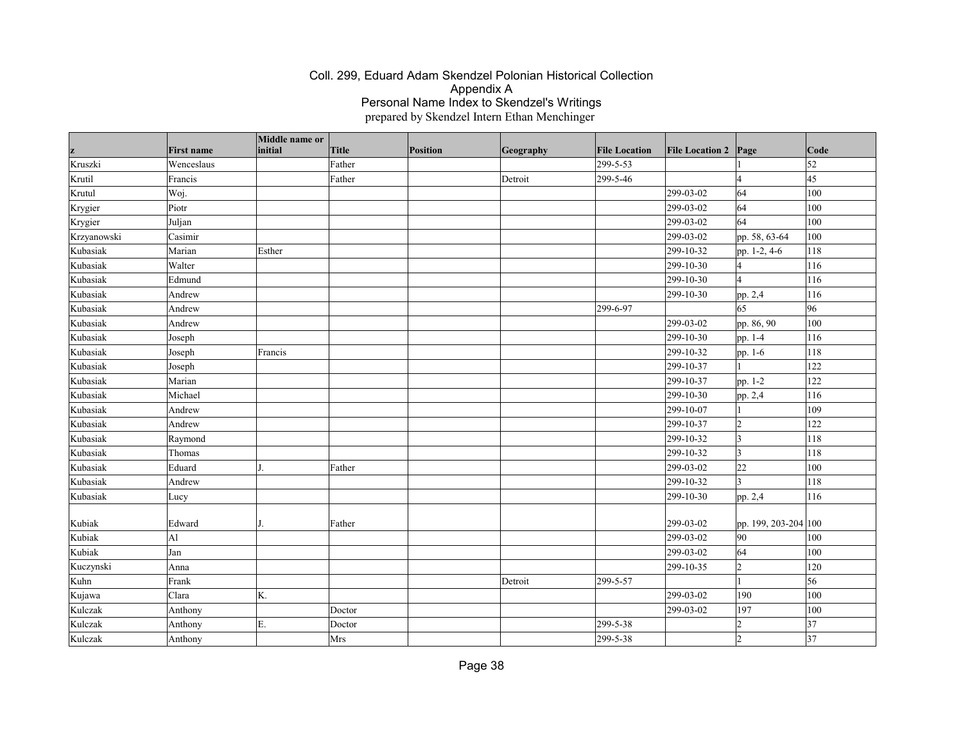| z           | <b>First name</b> | Middle name or<br>initial | <b>Title</b> | Position | Geography | <b>File Location</b> | <b>File Location 2</b> | Page                 | Code       |
|-------------|-------------------|---------------------------|--------------|----------|-----------|----------------------|------------------------|----------------------|------------|
| Kruszki     | Wenceslaus        |                           | Father       |          |           | 299-5-53             |                        |                      | $\vert$ 52 |
| Krutil      | Francis           |                           | Father       |          | Detroit   | 299-5-46             |                        | $\overline{4}$       | 45         |
| Krutul      | Woj.              |                           |              |          |           |                      | 299-03-02              | 64                   | 100        |
| Krygier     | Piotr             |                           |              |          |           |                      | 299-03-02              | 64                   | 100        |
| Krygier     | Juljan            |                           |              |          |           |                      | 299-03-02              | 64                   | 100        |
| Krzyanowski | Casimir           |                           |              |          |           |                      | 299-03-02              | pp. 58, 63-64        | 100        |
| Kubasiak    | Marian            | Esther                    |              |          |           |                      | 299-10-32              | pp. 1-2, 4-6         | 118        |
| Kubasiak    | Walter            |                           |              |          |           |                      | 299-10-30              | 4                    | 116        |
| Kubasiak    | Edmund            |                           |              |          |           |                      | 299-10-30              | $\vert_4$            | 116        |
| Kubasiak    | Andrew            |                           |              |          |           |                      | 299-10-30              | pp. 2,4              | 116        |
| Kubasiak    | Andrew            |                           |              |          |           | 299-6-97             |                        | 65                   | 96         |
| Kubasiak    | Andrew            |                           |              |          |           |                      | 299-03-02              | pp. 86, 90           | 100        |
| Kubasiak    | Joseph            |                           |              |          |           |                      | 299-10-30              | pp. 1-4              | 116        |
| Kubasiak    | Joseph            | Francis                   |              |          |           |                      | 299-10-32              | pp. 1-6              | 118        |
| Kubasiak    | Joseph            |                           |              |          |           |                      | 299-10-37              |                      | 122        |
| Kubasiak    | Marian            |                           |              |          |           |                      | 299-10-37              | pp. 1-2              | 122        |
| Kubasiak    | Michael           |                           |              |          |           |                      | 299-10-30              | pp. 2,4              | 116        |
| Kubasiak    | Andrew            |                           |              |          |           |                      | 299-10-07              |                      | 109        |
| Kubasiak    | Andrew            |                           |              |          |           |                      | 299-10-37              | $ 2\rangle$          | 122        |
| Kubasiak    | Raymond           |                           |              |          |           |                      | 299-10-32              | <sub>3</sub>         | 118        |
| Kubasiak    | Thomas            |                           |              |          |           |                      | 299-10-32              | $\vert$ 3            | 118        |
| Kubasiak    | Eduard            |                           | Father       |          |           |                      | 299-03-02              | 22                   | 100        |
| Kubasiak    | Andrew            |                           |              |          |           |                      | 299-10-32              | ١3                   | 118        |
| Kubasiak    | Lucy              |                           |              |          |           |                      | 299-10-30              | pp. 2,4              | 116        |
|             |                   |                           |              |          |           |                      |                        |                      |            |
| Kubiak      | Edward            |                           | Father       |          |           |                      | 299-03-02              | pp. 199, 203-204 100 |            |
| Kubiak      | A1                |                           |              |          |           |                      | 299-03-02              | 90                   | 100        |
| Kubiak      | Jan               |                           |              |          |           |                      | 299-03-02              | 64                   | 100        |
| Kuczynski   | Anna              |                           |              |          |           |                      | 299-10-35              | $\vert$ 2            | 120        |
| Kuhn        | Frank             |                           |              |          | Detroit   | 299-5-57             |                        |                      | 56         |
| Kujawa      | Clara             | K.                        |              |          |           |                      | 299-03-02              | 190                  | 100        |
| Kulczak     | Anthony           |                           | Doctor       |          |           |                      | 299-03-02              | 197                  | 100        |
| Kulczak     | Anthony           | E.                        | Doctor       |          |           | 299-5-38             |                        | $\overline{2}$       | 37         |
| Kulczak     | Anthony           |                           | Mrs          |          |           | 299-5-38             |                        | $\overline{2}$       | 37         |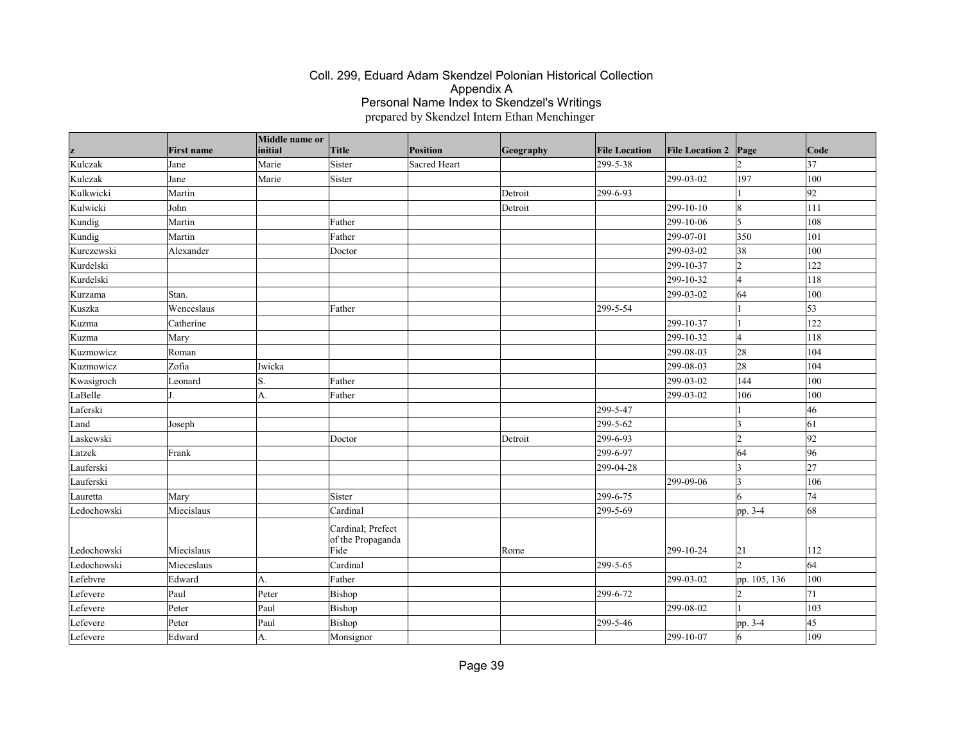| z           | <b>First name</b> | Middle name or<br>initial | Title                                          | Position     | Geography | <b>File Location</b> | <b>File Location 2</b> | Page            | Code |
|-------------|-------------------|---------------------------|------------------------------------------------|--------------|-----------|----------------------|------------------------|-----------------|------|
| Kulczak     | Jane              | Marie                     | Sister                                         | Sacred Heart |           | 299-5-38             |                        |                 | 37   |
| Kulczak     | Jane              | Marie                     | Sister                                         |              |           |                      | 299-03-02              | 197             | 100  |
| Kulkwicki   | Martin            |                           |                                                |              | Detroit   | 299-6-93             |                        |                 | 92   |
| Kulwicki    | John              |                           |                                                |              | Detroit   |                      | 299-10-10              | 8               | 111  |
| Kundig      | Martin            |                           | Father                                         |              |           |                      | 299-10-06              | 5               | 108  |
| Kundig      | Martin            |                           | Father                                         |              |           |                      | 299-07-01              | 350             | 101  |
| Kurczewski  | Alexander         |                           | Doctor                                         |              |           |                      | 299-03-02              | 38              | 100  |
| Kurdelski   |                   |                           |                                                |              |           |                      | 299-10-37              | 2               | 122  |
| Kurdelski   |                   |                           |                                                |              |           |                      | 299-10-32              | $\overline{4}$  | 118  |
| Kurzama     | Stan.             |                           |                                                |              |           |                      | 299-03-02              | 64              | 100  |
| Kuszka      | Wenceslaus        |                           | Father                                         |              |           | 299-5-54             |                        |                 | 53   |
| Kuzma       | Catherine         |                           |                                                |              |           |                      | 299-10-37              |                 | 122  |
| Kuzma       | Mary              |                           |                                                |              |           |                      | 299-10-32              | 14              | 118  |
| Kuzmowicz   | Roman             |                           |                                                |              |           |                      | 299-08-03              | 28              | 104  |
| Kuzmowicz   | Zofia             | Iwicka                    |                                                |              |           |                      | 299-08-03              | 28              | 104  |
| Kwasigroch  | Leonard           | S.                        | Father                                         |              |           |                      | 299-03-02              | 144             | 100  |
| LaBelle     |                   | A.                        | Father                                         |              |           |                      | 299-03-02              | 106             | 100  |
| Laferski    |                   |                           |                                                |              |           | 299-5-47             |                        |                 | 46   |
| Land        | Joseph            |                           |                                                |              |           | 299-5-62             |                        | ١3              | 61   |
| Laskewski   |                   |                           | Doctor                                         |              | Detroit   | 299-6-93             |                        | $\overline{2}$  | 92   |
| Latzek      | Frank             |                           |                                                |              |           | 299-6-97             |                        | 64              | 96   |
| Lauferski   |                   |                           |                                                |              |           | 299-04-28            |                        | 3               | 27   |
| Lauferski   |                   |                           |                                                |              |           |                      | 299-09-06              | 3               | 106  |
| Lauretta    | Mary              |                           | Sister                                         |              |           | 299-6-75             |                        | 6               | 74   |
| Ledochowski | Miecislaus        |                           | Cardinal                                       |              |           | 299-5-69             |                        | pp. 3-4         | 68   |
| Ledochowski | Miecislaus        |                           | Cardinal; Prefect<br>of the Propaganda<br>Fide |              | Rome      |                      | 299-10-24              | 21              | 112  |
| Ledochowski | Mieceslaus        |                           | Cardinal                                       |              |           | 299-5-65             |                        |                 | 64   |
| Lefebvre    | Edward            | А.                        | Father                                         |              |           |                      | 299-03-02              | pp. 105, 136    | 100  |
| Lefevere    | Paul              | Peter                     | Bishop                                         |              |           | 299-6-72             |                        |                 | 71   |
| Lefevere    | Peter             | Paul                      | Bishop                                         |              |           |                      | 299-08-02              |                 | 103  |
| Lefevere    | Peter             | Paul                      | Bishop                                         |              |           | 299-5-46             |                        | pp. 3-4         | 45   |
| Lefevere    | Edward            | A.                        | Monsignor                                      |              |           |                      | 299-10-07              | $\vert 6 \vert$ | 109  |
|             |                   |                           |                                                |              |           |                      |                        |                 |      |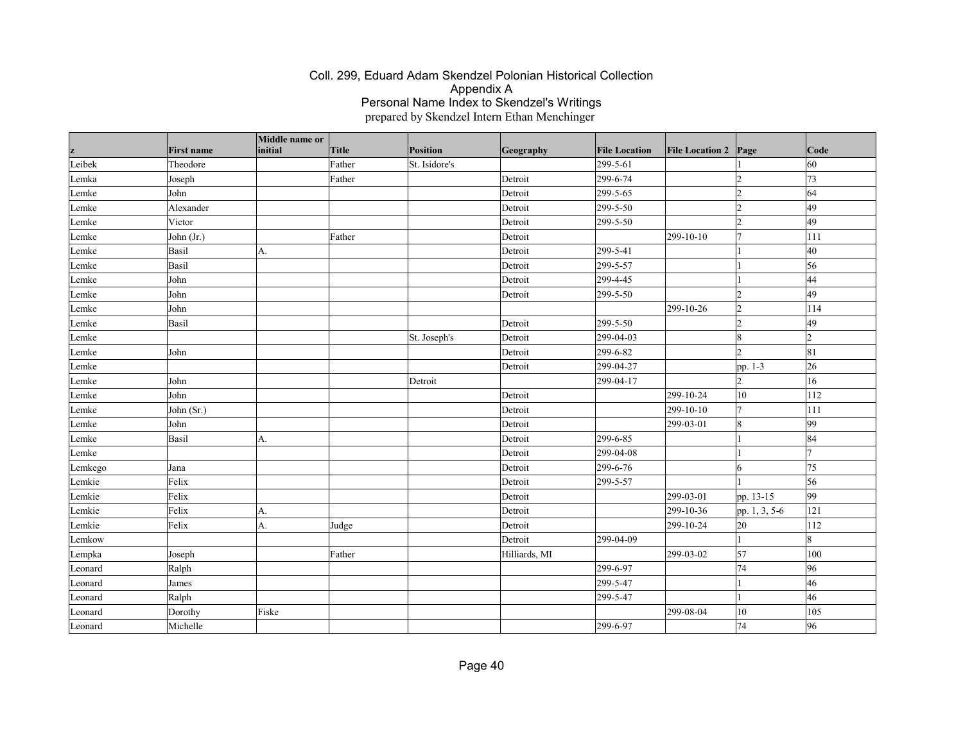|         |                   | Middle name or |              |               |               |                      |                        |                      |      |
|---------|-------------------|----------------|--------------|---------------|---------------|----------------------|------------------------|----------------------|------|
| z       | <b>First name</b> | initial        | <b>Title</b> | Position      | Geography     | <b>File Location</b> | <b>File Location 2</b> | Page                 | Code |
| Leibek  | Theodore          |                | Father       | St. Isidore's |               | 299-5-61             |                        |                      | 60   |
| Lemka   | Joseph            |                | Father       |               | Detroit       | 299-6-74             |                        | $\overline{2}$       | 73   |
| Lemke   | John              |                |              |               | Detroit       | 299-5-65             |                        | $\vert$ <sub>2</sub> | 64   |
| Lemke   | Alexander         |                |              |               | Detroit       | 299-5-50             |                        | $\overline{2}$       | 49   |
| Lemke   | Victor            |                |              |               | Detroit       | 299-5-50             |                        | $\overline{2}$       | 49   |
| Lemke   | John (Jr.)        |                | Father       |               | Detroit       |                      | 299-10-10              | 7                    | 111  |
| Lemke   | Basil             | А.             |              |               | Detroit       | 299-5-41             |                        |                      | 40   |
| Lemke   | Basil             |                |              |               | Detroit       | 299-5-57             |                        |                      | 56   |
| Lemke   | John              |                |              |               | Detroit       | 299-4-45             |                        |                      | 44   |
| Lemke   | John              |                |              |               | Detroit       | 299-5-50             |                        | $\overline{2}$       | 49   |
| Lemke   | John              |                |              |               |               |                      | 299-10-26              | 2                    | 114  |
| Lemke   | Basil             |                |              |               | Detroit       | 299-5-50             |                        | $\overline{2}$       | 49   |
| Lemke   |                   |                |              | St. Joseph's  | Detroit       | 299-04-03            |                        | $\vert 8$            | 12   |
| Lemke   | John              |                |              |               | Detroit       | 299-6-82             |                        | $\overline{2}$       | 81   |
| Lemke   |                   |                |              |               | Detroit       | 299-04-27            |                        | pp. 1-3              | 26   |
| Lemke   | John              |                |              | Detroit       |               | 299-04-17            |                        | $\overline{2}$       | 16   |
| Lemke   | John              |                |              |               | Detroit       |                      | 299-10-24              | 10                   | 112  |
| Lemke   | John (Sr.)        |                |              |               | Detroit       |                      | 299-10-10              | 7                    | 111  |
| Lemke   | John              |                |              |               | Detroit       |                      | 299-03-01              | $\vert 8$            | 99   |
| Lemke   | Basil             | А.             |              |               | Detroit       | 299-6-85             |                        |                      | 84   |
| Lemke   |                   |                |              |               | Detroit       | 299-04-08            |                        |                      | 17   |
| Lemkego | Jana              |                |              |               | Detroit       | 299-6-76             |                        | 6                    | 75   |
| Lemkie  | Felix             |                |              |               | Detroit       | 299-5-57             |                        |                      | 56   |
| Lemkie  | Felix             |                |              |               | Detroit       |                      | 299-03-01              | pp. 13-15            | 99   |
| Lemkie  | Felix             | A.             |              |               | Detroit       |                      | 299-10-36              | pp. 1, 3, 5-6        | 121  |
| Lemkie  | Felix             | A.             | Judge        |               | Detroit       |                      | 299-10-24              | 20                   | 112  |
| Lemkow  |                   |                |              |               | Detroit       | 299-04-09            |                        | $\vert$ 1            | 8    |
| Lempka  | Joseph            |                | Father       |               | Hilliards, MI |                      | 299-03-02              | 57                   | 100  |
| Leonard | Ralph             |                |              |               |               | 299-6-97             |                        | 74                   | 96   |
| Leonard | James             |                |              |               |               | 299-5-47             |                        | $\vert$ 1            | 46   |
| Leonard | Ralph             |                |              |               |               | 299-5-47             |                        |                      | 46   |
| Leonard | Dorothy           | Fiske          |              |               |               |                      | 299-08-04              | 10                   | 105  |
| Leonard | Michelle          |                |              |               |               | 299-6-97             |                        | 74                   | 96   |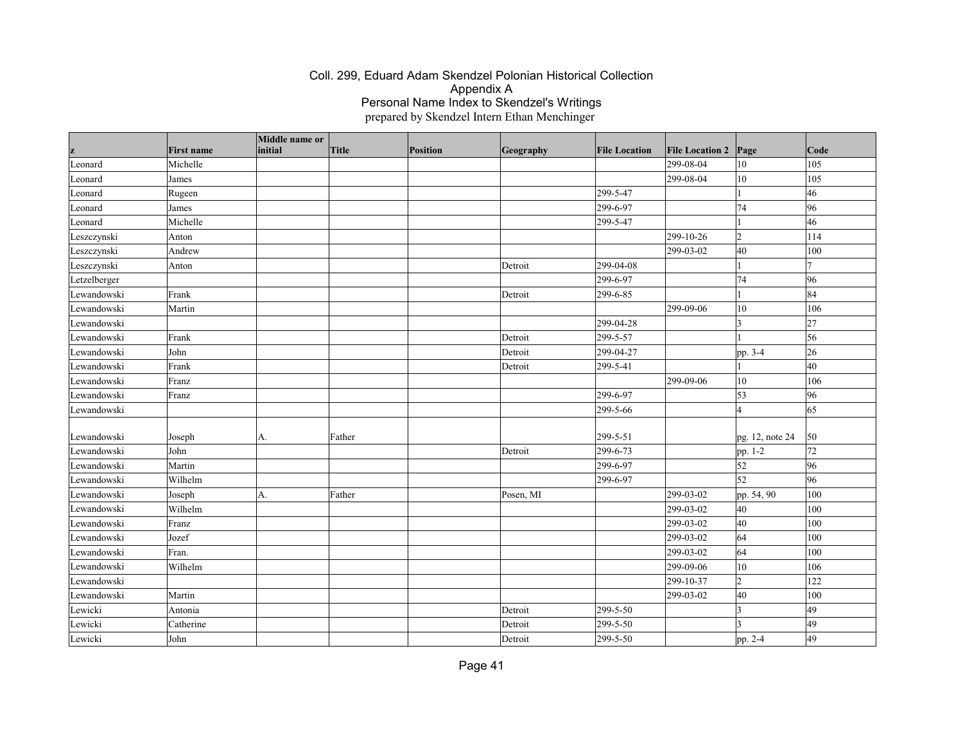| z            | <b>First name</b> | Middle name or<br>initial | Title  | Position | Geography | <b>File Location</b> | <b>File Location 2</b> | Page            | Code |
|--------------|-------------------|---------------------------|--------|----------|-----------|----------------------|------------------------|-----------------|------|
| Leonard      | Michelle          |                           |        |          |           |                      | 299-08-04              | 10              | 105  |
| Leonard      | James             |                           |        |          |           |                      | 299-08-04              | 10              | 105  |
| Leonard      | Rugeen            |                           |        |          |           | 299-5-47             |                        |                 | 46   |
| Leonard      | James             |                           |        |          |           | 299-6-97             |                        | 74              | 96   |
| Leonard      | Michelle          |                           |        |          |           | 299-5-47             |                        |                 | 46   |
| Leszczynski  | Anton             |                           |        |          |           |                      | 299-10-26              | $ 2\rangle$     | 114  |
| Leszczynski  | Andrew            |                           |        |          |           |                      | 299-03-02              | 40              | 100  |
| Leszczynski  | Anton             |                           |        |          | Detroit   | 299-04-08            |                        |                 |      |
| Letzelberger |                   |                           |        |          |           | 299-6-97             |                        | 74              | 96   |
| Lewandowski  | Frank             |                           |        |          | Detroit   | 299-6-85             |                        |                 | 84   |
| Lewandowski  | Martin            |                           |        |          |           |                      | 299-09-06              | 10              | 106  |
| Lewandowski  |                   |                           |        |          |           | 299-04-28            |                        | 13              | 27   |
| Lewandowski  | Frank             |                           |        |          | Detroit   | 299-5-57             |                        |                 | 56   |
| Lewandowski  | John              |                           |        |          | Detroit   | 299-04-27            |                        | pp. 3-4         | 26   |
| Lewandowski  | Frank             |                           |        |          | Detroit   | 299-5-41             |                        |                 | 40   |
| Lewandowski  | Franz             |                           |        |          |           |                      | 299-09-06              | $10\,$          | 106  |
| Lewandowski  | Franz             |                           |        |          |           | 299-6-97             |                        | 53              | 96   |
| Lewandowski  |                   |                           |        |          |           | 299-5-66             |                        | $\overline{A}$  | 65   |
|              |                   |                           |        |          |           |                      |                        |                 |      |
| Lewandowski  | Joseph            | А.                        | Father |          |           | 299-5-51             |                        | pg. 12, note 24 | 50   |
| Lewandowski  | John              |                           |        |          | Detroit   | 299-6-73             |                        | pp. 1-2         | 72   |
| Lewandowski  | Martin            |                           |        |          |           | 299-6-97             |                        | 52              | 96   |
| Lewandowski  | Wilhelm           |                           |        |          |           | 299-6-97             |                        | 52              | 96   |
| Lewandowski  | Joseph            | A.                        | Father |          | Posen, MI |                      | 299-03-02              | pp. 54, 90      | 100  |
| Lewandowski  | Wilhelm           |                           |        |          |           |                      | 299-03-02              | 40              | 100  |
| Lewandowski  | Franz             |                           |        |          |           |                      | 299-03-02              | 40              | 100  |
| Lewandowski  | Jozef             |                           |        |          |           |                      | 299-03-02              | 64              | 100  |
| Lewandowski  | Fran.             |                           |        |          |           |                      | 299-03-02              | 64              | 100  |
| Lewandowski  | Wilhelm           |                           |        |          |           |                      | 299-09-06              | 10              | 106  |
| Lewandowski  |                   |                           |        |          |           |                      | 299-10-37              | $\vert$ 2       | 122  |
| Lewandowski  | Martin            |                           |        |          |           |                      | 299-03-02              | 40              | 100  |
| Lewicki      | Antonia           |                           |        |          | Detroit   | 299-5-50             |                        | $\mathbf 3$     | 49   |
| Lewicki      | Catherine         |                           |        |          | Detroit   | 299-5-50             |                        |                 | 49   |
| Lewicki      | John              |                           |        |          | Detroit   | 299-5-50             |                        | pp. 2-4         | 49   |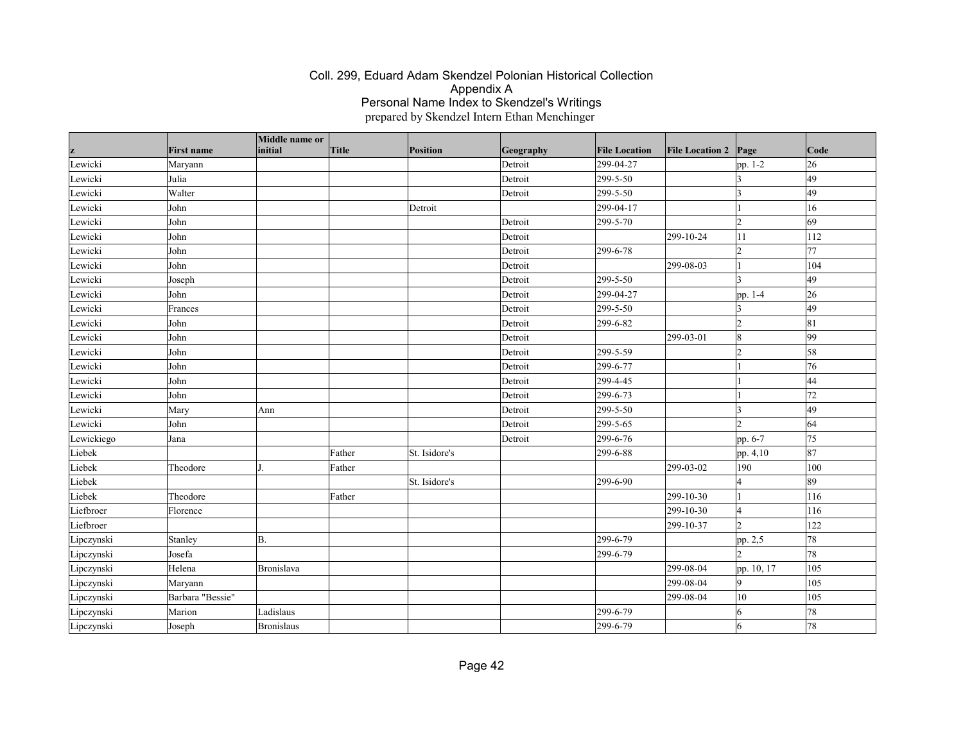| z          | <b>First name</b> | Middle name or<br>initial | <b>Title</b> | Position      | Geography | <b>File Location</b> | <b>File Location 2</b> | $\vert$ Page             | Code            |
|------------|-------------------|---------------------------|--------------|---------------|-----------|----------------------|------------------------|--------------------------|-----------------|
| Lewicki    | Maryann           |                           |              |               | Detroit   | 299-04-27            |                        | pp. 1-2                  | 26              |
| Lewicki    | Julia             |                           |              |               | Detroit   | 299-5-50             |                        | 3                        | $\overline{49}$ |
| Lewicki    | Walter            |                           |              |               | Detroit   | 299-5-50             |                        | $\vert$ 3                | 49              |
| Lewicki    | John              |                           |              | Detroit       |           | 299-04-17            |                        | $\vert$ 1                | 16              |
| Lewicki    | John              |                           |              |               | Detroit   | 299-5-70             |                        | $ 2\rangle$              | 69              |
| Lewicki    | John              |                           |              |               | Detroit   |                      | 299-10-24              | 11                       | 112             |
| Lewicki    | John              |                           |              |               | Detroit   | 299-6-78             |                        | $\overline{2}$           | 77              |
| Lewicki    | John              |                           |              |               | Detroit   |                      | 299-08-03              | $\vert$ 1                | 104             |
| Lewicki    | Joseph            |                           |              |               | Detroit   | 299-5-50             |                        | $\vert$ 3                | 49              |
| Lewicki    | John              |                           |              |               | Detroit   | 299-04-27            |                        | pp. 1-4                  | 26              |
| Lewicki    | Frances           |                           |              |               | Detroit   | 299-5-50             |                        | $\overline{3}$           | 49              |
| Lewicki    | John              |                           |              |               | Detroit   | 299-6-82             |                        | $\overline{2}$           | 81              |
| Lewicki    | John              |                           |              |               | Detroit   |                      | 299-03-01              | $\vert$ 8                | 99              |
| Lewicki    | John              |                           |              |               | Detroit   | 299-5-59             |                        | $\overline{2}$           | 58              |
| Lewicki    | John              |                           |              |               | Detroit   | 299-6-77             |                        |                          | 76              |
| Lewicki    | John              |                           |              |               | Detroit   | 299-4-45             |                        |                          | 44              |
| Lewicki    | John              |                           |              |               | Detroit   | 299-6-73             |                        |                          | 72              |
| Lewicki    | Mary              | Ann                       |              |               | Detroit   | 299-5-50             |                        | <sub>3</sub>             | 49              |
| Lewicki    | John              |                           |              |               | Detroit   | 299-5-65             |                        | $\overline{\mathcal{L}}$ | 64              |
| Lewickiego | Jana              |                           |              |               | Detroit   | 299-6-76             |                        | pp. 6-7                  | 75              |
| Liebek     |                   |                           | Father       | St. Isidore's |           | 299-6-88             |                        | pp. 4,10                 | 87              |
| Liebek     | Theodore          |                           | Father       |               |           |                      | 299-03-02              | 190                      | 100             |
| Liebek     |                   |                           |              | St. Isidore's |           | 299-6-90             |                        | $\overline{4}$           | 89              |
| Liebek     | Theodore          |                           | Father       |               |           |                      | 299-10-30              | $\overline{1}$           | $ 116\rangle$   |
| Liefbroer  | Florence          |                           |              |               |           |                      | 299-10-30              | $\overline{4}$           | 116             |
| Liefbroer  |                   |                           |              |               |           |                      | 299-10-37              | $\overline{2}$           | 122             |
| Lipczynski | Stanley           | B.                        |              |               |           | 299-6-79             |                        | pp. 2,5                  | 78              |
| Lipczynski | Josefa            |                           |              |               |           | 299-6-79             |                        | $\overline{2}$           | 78              |
| Lipczynski | Helena            | Bronislava                |              |               |           |                      | 299-08-04              | pp. 10, 17               | 105             |
| Lipczynski | Maryann           |                           |              |               |           |                      | 299-08-04              | 9                        | 105             |
| Lipczynski | Barbara "Bessie"  |                           |              |               |           |                      | 299-08-04              | 10                       | 105             |
| Lipczynski | Marion            | Ladislaus                 |              |               |           | 299-6-79             |                        | 6                        | 78              |
| Lipczynski | Joseph            | Bronislaus                |              |               |           | 299-6-79             |                        | 6                        | 78              |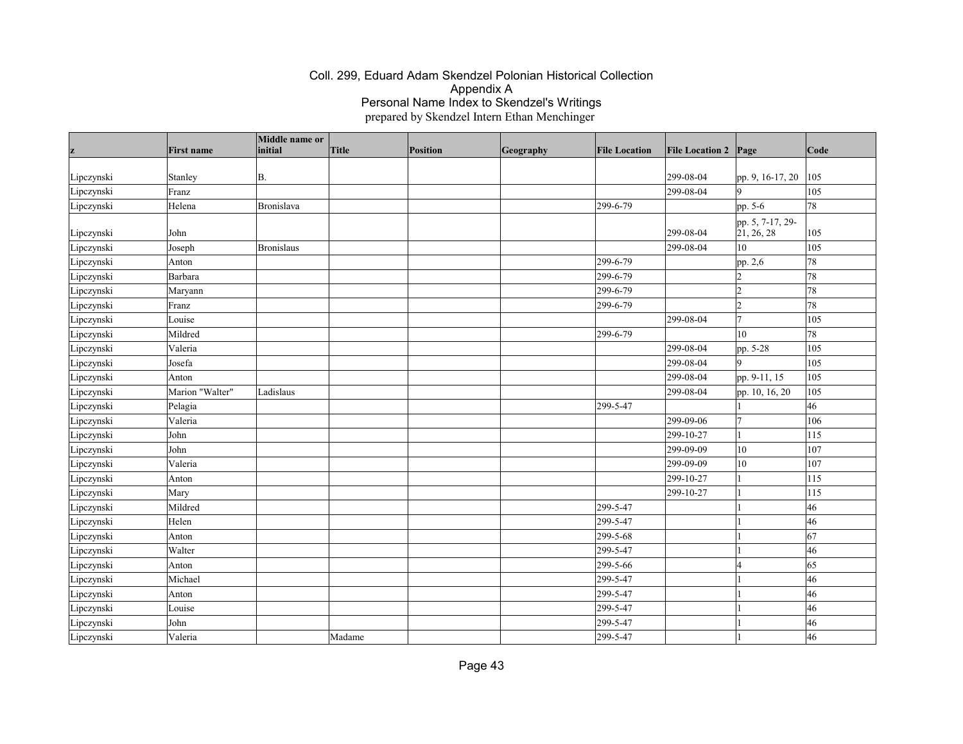| z          | <b>First name</b> | Middle name or<br>initial | Title  | Position | Geography | <b>File Location</b> | <b>File Location 2 Page</b> |                           | Code |
|------------|-------------------|---------------------------|--------|----------|-----------|----------------------|-----------------------------|---------------------------|------|
|            |                   |                           |        |          |           |                      |                             |                           |      |
| Lipczynski | Stanley           | B.                        |        |          |           |                      | 299-08-04                   | pp. 9, 16-17, 20          | 105  |
| Lipczynski | Franz             |                           |        |          |           |                      | 299-08-04                   | $\overline{Q}$            | 105  |
| Lipczynski | Helena            | Bronislava                |        |          |           | 299-6-79             |                             | pp. 5-6                   | 78   |
|            |                   |                           |        |          |           |                      |                             | pp. 5, 7-17, 29-          |      |
| Lipczynski | John              |                           |        |          |           |                      | 299-08-04                   | $\left[21, 26, 28\right]$ | 105  |
| Lipczynski | Joseph            | <b>Bronislaus</b>         |        |          |           |                      | 299-08-04                   | 10                        | 105  |
| Lipczynski | Anton             |                           |        |          |           | 299-6-79             |                             | pp. 2,6                   | 78   |
| Lipczynski | Barbara           |                           |        |          |           | 299-6-79             |                             |                           | 78   |
| Lipczynski | Maryann           |                           |        |          |           | 299-6-79             |                             | $\overline{2}$            | 78   |
| Lipczynski | Franz             |                           |        |          |           | 299-6-79             |                             | $\overline{2}$            | 78   |
| Lipczynski | Louise            |                           |        |          |           |                      | 299-08-04                   | 7                         | 105  |
| Lipczynski | Mildred           |                           |        |          |           | 299-6-79             |                             | 10                        | 78   |
| Lipczynski | Valeria           |                           |        |          |           |                      | 299-08-04                   | pp. 5-28                  | 105  |
| Lipczynski | Josefa            |                           |        |          |           |                      | 299-08-04                   |                           | 105  |
| Lipczynski | Anton             |                           |        |          |           |                      | 299-08-04                   | pp. 9-11, 15              | 105  |
| Lipczynski | Marion "Walter"   | Ladislaus                 |        |          |           |                      | 299-08-04                   | pp. 10, 16, 20            | 105  |
| Lipczynski | Pelagia           |                           |        |          |           | 299-5-47             |                             |                           | 46   |
| Lipczynski | Valeria           |                           |        |          |           |                      | 299-09-06                   | $\overline{7}$            | 106  |
| Lipczynski | John              |                           |        |          |           |                      | 299-10-27                   |                           | 115  |
| Lipczynski | John              |                           |        |          |           |                      | 299-09-09                   | 10                        | 107  |
| Lipczynski | Valeria           |                           |        |          |           |                      | 299-09-09                   | 10                        | 107  |
| Lipczynski | Anton             |                           |        |          |           |                      | 299-10-27                   |                           | 115  |
| Lipczynski | Mary              |                           |        |          |           |                      | 299-10-27                   |                           | 115  |
| Lipczynski | Mildred           |                           |        |          |           | 299-5-47             |                             |                           | 46   |
| Lipczynski | Helen             |                           |        |          |           | 299-5-47             |                             |                           | 46   |
| Lipczynski | Anton             |                           |        |          |           | 299-5-68             |                             |                           | 67   |
| Lipczynski | Walter            |                           |        |          |           | 299-5-47             |                             |                           | 46   |
| Lipczynski | Anton             |                           |        |          |           | 299-5-66             |                             |                           | 65   |
| Lipczynski | Michael           |                           |        |          |           | 299-5-47             |                             |                           | 46   |
| Lipczynski | Anton             |                           |        |          |           | 299-5-47             |                             |                           | 46   |
| Lipczynski | Louise            |                           |        |          |           | 299-5-47             |                             |                           | 46   |
| Lipczynski | John              |                           |        |          |           | 299-5-47             |                             |                           | 46   |
| Lipczynski | Valeria           |                           | Madame |          |           | 299-5-47             |                             |                           | 46   |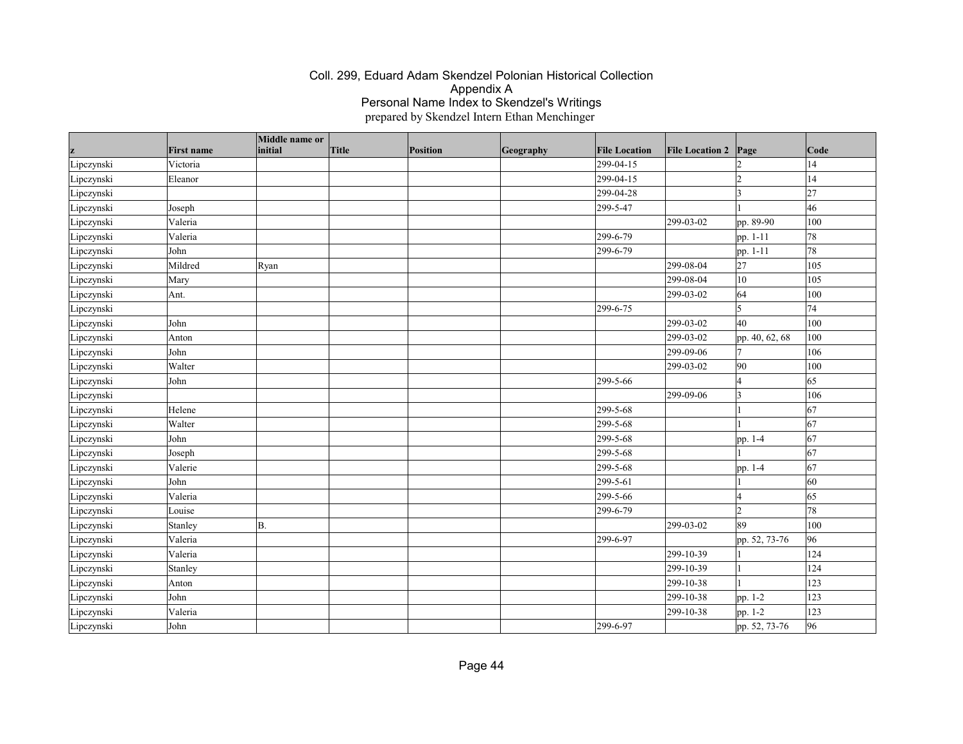|            | <b>First name</b> | Middle name or<br>initial | Title | Position | Geography | <b>File Location</b> | <b>File Location 2</b>  | Page           | Code |
|------------|-------------------|---------------------------|-------|----------|-----------|----------------------|-------------------------|----------------|------|
| Lipczynski | Victoria          |                           |       |          |           | 299-04-15            |                         |                | 14   |
| Lipczynski | Eleanor           |                           |       |          |           | 299-04-15            |                         | l2             | 14   |
| Lipczynski |                   |                           |       |          |           | 299-04-28            |                         | <sub>3</sub>   | 27   |
| Lipczynski | Joseph            |                           |       |          |           | 299-5-47             |                         |                | 46   |
| Lipczynski | Valeria           |                           |       |          |           |                      | 299-03-02               | pp. 89-90      | 100  |
| Lipczynski | Valeria           |                           |       |          |           | 299-6-79             |                         | pp. 1-11       | 78   |
| Lipczynski | John              |                           |       |          |           | 299-6-79             |                         | pp. 1-11       | 78   |
| Lipczynski | Mildred           | Ryan                      |       |          |           |                      | $\overline{299}$ -08-04 | 27             | 105  |
| Lipczynski | Mary              |                           |       |          |           |                      | 299-08-04               | 10             | 105  |
| Lipczynski | Ant.              |                           |       |          |           |                      | 299-03-02               | 64             | 100  |
| Lipczynski |                   |                           |       |          |           | 299-6-75             |                         | 5              | 74   |
| Lipczynski | John              |                           |       |          |           |                      | 299-03-02               | 40             | 100  |
| Lipczynski | Anton             |                           |       |          |           |                      | 299-03-02               | pp. 40, 62, 68 | 100  |
| Lipczynski | John              |                           |       |          |           |                      | 299-09-06               | 17             | 106  |
| Lipczynski | Walter            |                           |       |          |           |                      | 299-03-02               | 90             | 100  |
| Lipczynski | John              |                           |       |          |           | 299-5-66             |                         | l4             | 65   |
| Lipczynski |                   |                           |       |          |           |                      | 299-09-06               | $\vert$ 3      | 106  |
| Lipczynski | Helene            |                           |       |          |           | 299-5-68             |                         |                | 67   |
| Lipczynski | Walter            |                           |       |          |           | 299-5-68             |                         |                | 67   |
| Lipczynski | John              |                           |       |          |           | 299-5-68             |                         | pp. 1-4        | 67   |
| Lipczynski | Joseph            |                           |       |          |           | 299-5-68             |                         |                | 67   |
| Lipczynski | Valerie           |                           |       |          |           | 299-5-68             |                         | pp. 1-4        | 67   |
| Lipczynski | John              |                           |       |          |           | 299-5-61             |                         |                | 60   |
| Lipczynski | Valeria           |                           |       |          |           | 299-5-66             |                         | l4             | 65   |
| Lipczynski | Louise            |                           |       |          |           | 299-6-79             |                         | l2             | 78   |
| Lipczynski | Stanley           | B.                        |       |          |           |                      | 299-03-02               | 89             | 100  |
| Lipczynski | Valeria           |                           |       |          |           | 299-6-97             |                         | pp. 52, 73-76  | 96   |
| Lipczynski | Valeria           |                           |       |          |           |                      | 299-10-39               |                | 124  |
| Lipczynski | Stanley           |                           |       |          |           |                      | 299-10-39               |                | 124  |
| Lipczynski | Anton             |                           |       |          |           |                      | 299-10-38               |                | 123  |
| Lipczynski | John              |                           |       |          |           |                      | 299-10-38               | pp. 1-2        | 123  |
| Lipczynski | Valeria           |                           |       |          |           |                      | 299-10-38               | pp. 1-2        | 123  |
| Lipczynski | John              |                           |       |          |           | 299-6-97             |                         | pp. 52, 73-76  | 96   |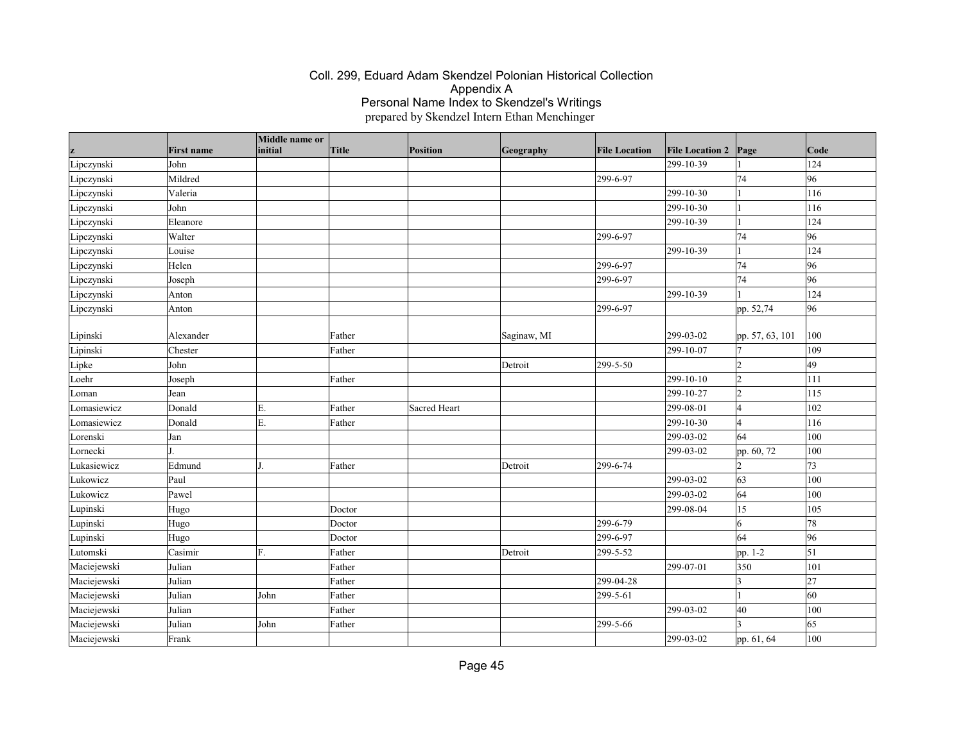| z           | <b>First name</b> | Middle name or<br>initial | Title  | Position     | Geography   | <b>File Location</b> | <b>File Location 2 Page</b> |                         | Code       |
|-------------|-------------------|---------------------------|--------|--------------|-------------|----------------------|-----------------------------|-------------------------|------------|
| Lipczynski  | John              |                           |        |              |             |                      | 299-10-39                   |                         | 124        |
| Lipczynski  | Mildred           |                           |        |              |             | 299-6-97             |                             | 74                      | 96         |
| Lipczynski  | Valeria           |                           |        |              |             |                      | 299-10-30                   |                         | 116        |
| Lipczynski  | John              |                           |        |              |             |                      | 299-10-30                   |                         | 116        |
| Lipczynski  | Eleanore          |                           |        |              |             |                      | 299-10-39                   |                         | 124        |
| Lipczynski  | Walter            |                           |        |              |             | 299-6-97             |                             | 74                      | 96         |
| Lipczynski  | Louise            |                           |        |              |             |                      | 299-10-39                   |                         | 124        |
| Lipczynski  | Helen             |                           |        |              |             | 299-6-97             |                             | 74                      | 96         |
| Lipczynski  | Joseph            |                           |        |              |             | 299-6-97             |                             | 74                      | 96         |
| Lipczynski  | Anton             |                           |        |              |             |                      | 299-10-39                   |                         | 124        |
| Lipczynski  | Anton             |                           |        |              |             | 299-6-97             |                             | pp. 52,74               | 96         |
| Lipinski    | Alexander         |                           | Father |              | Saginaw, MI |                      | 299-03-02                   | pp. 57, 63, 101         | 100        |
| Lipinski    | Chester           |                           | Father |              |             |                      | 299-10-07                   |                         | 109        |
| Lipke       | John              |                           |        |              | Detroit     | 299-5-50             |                             |                         | 49         |
| Loehr       | Joseph            |                           | Father |              |             |                      | 299-10-10                   | 12                      | 111        |
| Loman       | Jean              |                           |        |              |             |                      | 299-10-27                   | 12                      | 115        |
| Lomasiewicz | Donald            | Е.                        | Father | Sacred Heart |             |                      | 299-08-01                   | 4                       | 102        |
| Lomasiewicz | Donald            | E.                        | Father |              |             |                      | 299-10-30                   |                         | 116        |
| Lorenski    | Jan               |                           |        |              |             |                      | 299-03-02                   | 64                      | 100        |
| Lornecki    | LT.               |                           |        |              |             |                      | 299-03-02                   | pp. 60, 72              | 100        |
| Lukasiewicz | Edmund            | L                         | Father |              | Detroit     | 299-6-74             |                             | 2                       | 73         |
| Lukowicz    | Paul              |                           |        |              |             |                      | 299-03-02                   | 63                      | 100        |
| Lukowicz    | Pawel             |                           |        |              |             |                      | 299-03-02                   | 64                      | 100        |
| Lupinski    | Hugo              |                           | Doctor |              |             |                      | 299-08-04                   | 15                      | 105        |
| Lupinski    | Hugo              |                           | Doctor |              |             | 299-6-79             |                             | 16                      | 78         |
| Lupinski    | Hugo              |                           | Doctor |              |             | 299-6-97             |                             | 64                      | 96         |
| Lutomski    | Casimir           | F.                        | Father |              | Detroit     | 299-5-52             |                             | pp. 1-2                 | $\vert$ 51 |
| Maciejewski | Julian            |                           | Father |              |             |                      | 299-07-01                   | 350                     | 101        |
| Maciejewski | Julian            |                           | Father |              |             | 299-04-28            |                             | $\overline{\mathbf{3}}$ | 27         |
| Maciejewski | Julian            | John                      | Father |              |             | 299-5-61             |                             |                         | 60         |
| Maciejewski | Julian            |                           | Father |              |             |                      | 299-03-02                   | 40                      | 100        |
| Maciejewski | Julian            | John                      | Father |              |             | 299-5-66             |                             |                         | 65         |
| Maciejewski | Frank             |                           |        |              |             |                      | 299-03-02                   | pp. 61, 64              | 100        |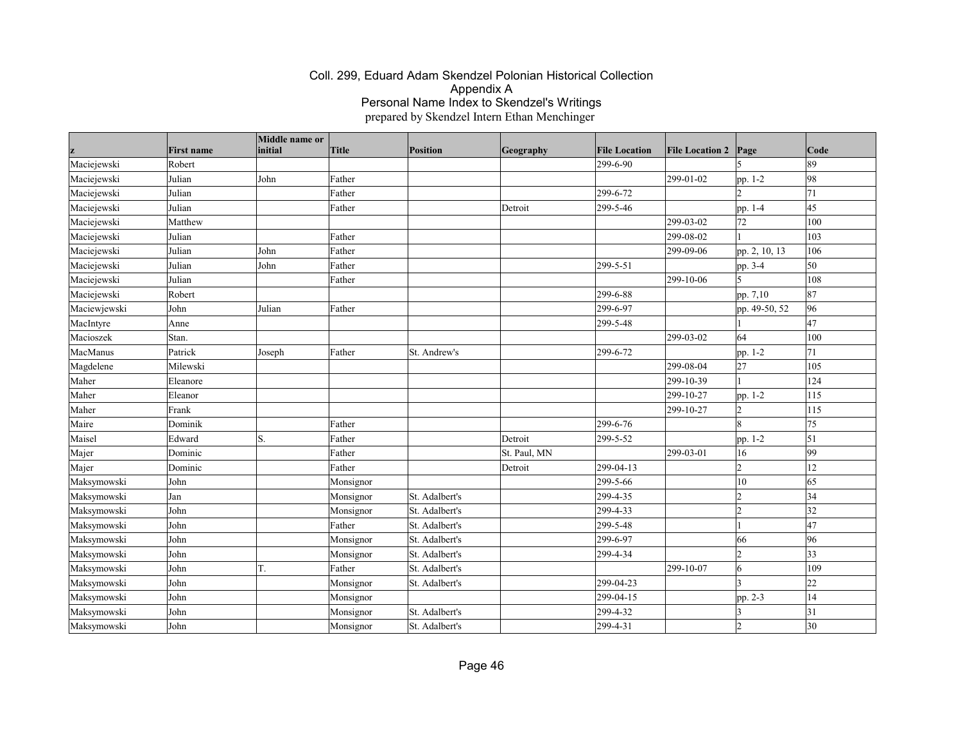|              |                   | Middle name or |           |                |              |                      |                        |                          |              |
|--------------|-------------------|----------------|-----------|----------------|--------------|----------------------|------------------------|--------------------------|--------------|
|              | <b>First name</b> | initial        | Title     | Position       | Geography    | <b>File Location</b> | <b>File Location 2</b> | Page                     | Code         |
| Maciejewski  | Robert            |                |           |                |              | 299-6-90             |                        |                          | 89           |
| Maciejewski  | Julian            | John           | Father    |                |              |                      | 299-01-02              | pp. 1-2                  | 98           |
| Maciejewski  | Julian            |                | Father    |                |              | 299-6-72             |                        |                          | 71           |
| Maciejewski  | Julian            |                | Father    |                | Detroit      | 299-5-46             |                        | pp. 1-4                  | 45           |
| Maciejewski  | Matthew           |                |           |                |              |                      | 299-03-02              | 72                       | 100          |
| Maciejewski  | Julian            |                | Father    |                |              |                      | 299-08-02              |                          | 103          |
| Maciejewski  | Julian            | John           | Father    |                |              |                      | 299-09-06              | pp. 2, 10, 13            | 106          |
| Maciejewski  | Julian            | John           | Father    |                |              | 299-5-51             |                        | pp. 3-4                  | 50           |
| Maciejewski  | Julian            |                | Father    |                |              |                      | 299-10-06              | $\overline{\phantom{a}}$ | 108          |
| Maciejewski  | Robert            |                |           |                |              | 299-6-88             |                        | pp. 7,10                 | 87           |
| Maciewjewski | John              | Julian         | Father    |                |              | 299-6-97             |                        | pp. 49-50, 52            | 96           |
| MacIntyre    | Anne              |                |           |                |              | 299-5-48             |                        |                          | 47           |
| Macioszek    | Stan.             |                |           |                |              |                      | 299-03-02              | 64                       | 100          |
| MacManus     | Patrick           | Joseph         | Father    | St. Andrew's   |              | 299-6-72             |                        | pp. 1-2                  | 71           |
| Magdelene    | Milewski          |                |           |                |              |                      | 299-08-04              | $\overline{27}$          | 105          |
| Maher        | Eleanore          |                |           |                |              |                      | 299-10-39              |                          | 124          |
| Maher        | Eleanor           |                |           |                |              |                      | 299-10-27              | pp. 1-2                  | 115          |
| Maher        | Frank             |                |           |                |              |                      | 299-10-27              | 12                       | 115          |
| Maire        | Dominik           |                | Father    |                |              | 299-6-76             |                        | 8                        | 75           |
| Maisel       | Edward            | S.             | Father    |                | Detroit      | 299-5-52             |                        | pp. 1-2                  | $\vert$ 51   |
| Majer        | Dominic           |                | Father    |                | St. Paul, MN |                      | 299-03-01              | 16                       | 99           |
| Majer        | Dominic           |                | Father    |                | Detroit      | 299-04-13            |                        | 12                       | 12           |
| Maksymowski  | John              |                | Monsignor |                |              | 299-5-66             |                        | 10                       | 65           |
| Maksymowski  | Jan               |                | Monsignor | St. Adalbert's |              | 299-4-35             |                        | $\overline{2}$           | 34           |
| Maksymowski  | John              |                | Monsignor | St. Adalbert's |              | 299-4-33             |                        | l2                       | 32           |
| Maksymowski  | John              |                | Father    | St. Adalbert's |              | 299-5-48             |                        |                          | 47           |
| Maksymowski  | John              |                | Monsignor | St. Adalbert's |              | 299-6-97             |                        | 66                       | 96           |
| Maksymowski  | John              |                | Monsignor | St. Adalbert's |              | 299-4-34             |                        | l2                       | $ 33\rangle$ |
| Maksymowski  | John              | T.             | Father    | St. Adalbert's |              |                      | 299-10-07              | 6                        | 109          |
| Maksymowski  | John              |                | Monsignor | St. Adalbert's |              | 299-04-23            |                        |                          | 22           |
| Maksymowski  | John              |                | Monsignor |                |              | 299-04-15            |                        | pp. 2-3                  | 14           |
| Maksymowski  | John              |                | Monsignor | St. Adalbert's |              | 299-4-32             |                        | ς                        | 31           |
| Maksymowski  | John              |                | Monsignor | St. Adalbert's |              | 299-4-31             |                        |                          | 30           |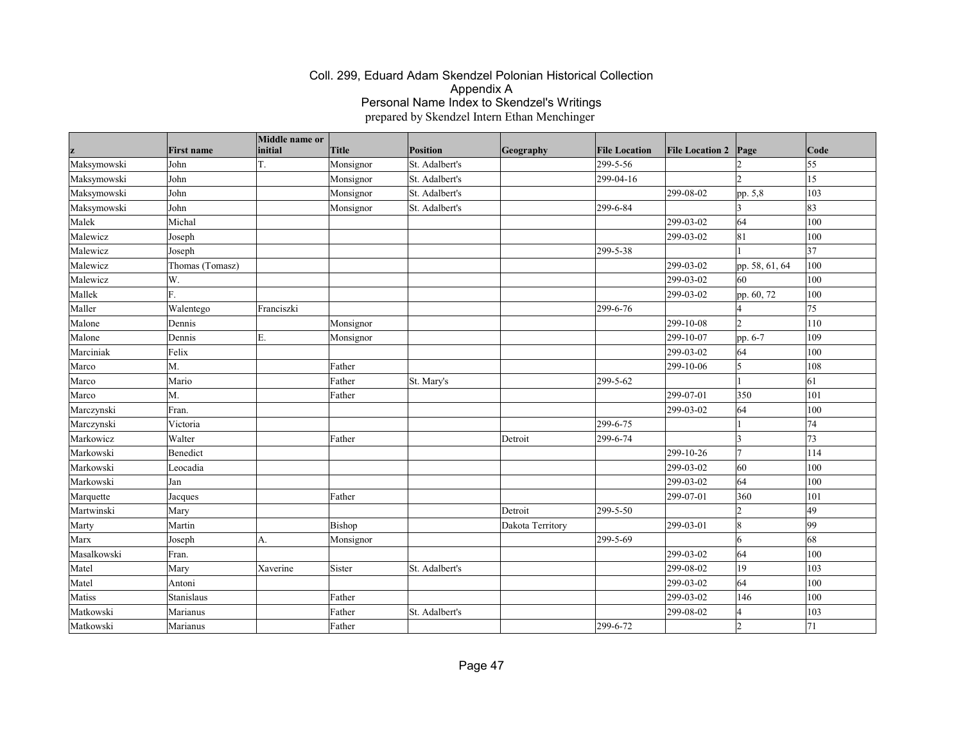|             | <b>First name</b> | Middle name or<br>initial | <b>Title</b> | Position       | Geography        | <b>File Location</b> | <b>File Location 2</b> | Page                     | Code |
|-------------|-------------------|---------------------------|--------------|----------------|------------------|----------------------|------------------------|--------------------------|------|
| Maksymowski | John              | T.                        | Monsignor    | St. Adalbert's |                  | 299-5-56             |                        |                          | 55   |
| Maksymowski | John              |                           | Monsignor    | St. Adalbert's |                  | 299-04-16            |                        | b.                       | 15   |
| Maksymowski | John              |                           | Monsignor    | St. Adalbert's |                  |                      | 299-08-02              | pp. 5,8                  | 103  |
| Maksymowski | John              |                           | Monsignor    | St. Adalbert's |                  | 299-6-84             |                        |                          | 83   |
| Malek       | Michal            |                           |              |                |                  |                      | 299-03-02              | 64                       | 100  |
| Malewicz    | Joseph            |                           |              |                |                  |                      | 299-03-02              | 81                       | 100  |
| Malewicz    | Joseph            |                           |              |                |                  | 299-5-38             |                        |                          | 37   |
| Malewicz    | Thomas (Tomasz)   |                           |              |                |                  |                      | 299-03-02              | pp. 58, 61, 64           | 100  |
| Malewicz    | W.                |                           |              |                |                  |                      | 299-03-02              | 60                       | 100  |
| Mallek      | lF.               |                           |              |                |                  |                      | 299-03-02              | pp. 60, 72               | 100  |
| Maller      | Walentego         | Franciszki                |              |                |                  | 299-6-76             |                        |                          | 75   |
| Malone      | Dennis            |                           | Monsignor    |                |                  |                      | 299-10-08              | $\overline{2}$           | 110  |
| Malone      | Dennis            | Ε.                        | Monsignor    |                |                  |                      | 299-10-07              | pp. 6-7                  | 109  |
| Marciniak   | Felix             |                           |              |                |                  |                      | 299-03-02              | 64                       | 100  |
| Marco       | M.                |                           | Father       |                |                  |                      | 299-10-06              | 15                       | 108  |
| Marco       | Mario             |                           | Father       | St. Mary's     |                  | 299-5-62             |                        |                          | 61   |
| Marco       | M.                |                           | Father       |                |                  |                      | 299-07-01              | 350                      | 101  |
| Marczynski  | Fran.             |                           |              |                |                  |                      | 299-03-02              | 64                       | 100  |
| Marczynski  | Victoria          |                           |              |                |                  | 299-6-75             |                        |                          | 74   |
| Markowicz   | Walter            |                           | Father       |                | Detroit          | 299-6-74             |                        |                          | 73   |
| Markowski   | Benedict          |                           |              |                |                  |                      | 299-10-26              |                          | 114  |
| Markowski   | Leocadia          |                           |              |                |                  |                      | 299-03-02              | 60                       | 100  |
| Markowski   | Jan               |                           |              |                |                  |                      | 299-03-02              | 64                       | 100  |
| Marquette   | Jacques           |                           | Father       |                |                  |                      | 299-07-01              | 360                      | 101  |
| Martwinski  | Mary              |                           |              |                | Detroit          | 299-5-50             |                        | 12                       | 49   |
| Marty       | Martin            |                           | Bishop       |                | Dakota Territory |                      | 299-03-01              | $\overline{8}$           | 99   |
| Marx        | Joseph            | A.                        | Monsignor    |                |                  | 299-5-69             |                        | 6                        | 68   |
| Masalkowski | Fran.             |                           |              |                |                  |                      | 299-03-02              | 64                       | 100  |
| Matel       | Mary              | Xaverine                  | Sister       | St. Adalbert's |                  |                      | 299-08-02              | 19                       | 103  |
| Matel       | Antoni            |                           |              |                |                  |                      | 299-03-02              | 64                       | 100  |
| Matiss      | Stanislaus        |                           | Father       |                |                  |                      | 299-03-02              | 146                      | 100  |
| Matkowski   | Marianus          |                           | Father       | St. Adalbert's |                  |                      | 299-08-02              | $\overline{\mathcal{A}}$ | 103  |
| Matkowski   | Marianus          |                           | Father       |                |                  | 299-6-72             |                        | $\mathbf{\Omega}$        | 71   |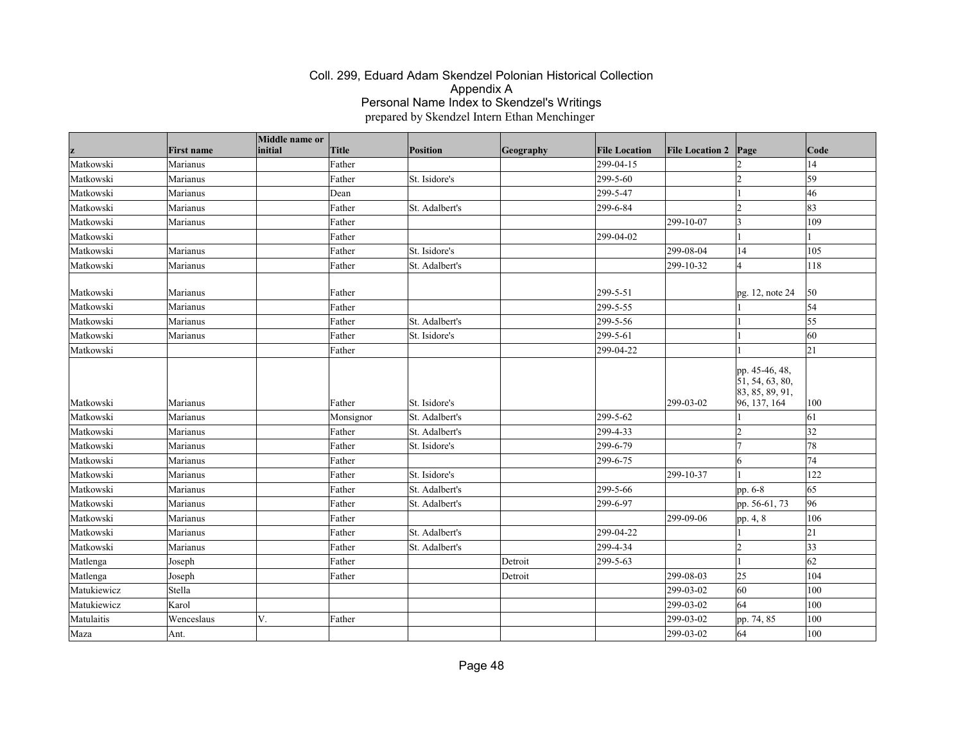|             |                   | Middle name or |           |                |           |                      |                        |                                                                      |                 |
|-------------|-------------------|----------------|-----------|----------------|-----------|----------------------|------------------------|----------------------------------------------------------------------|-----------------|
|             | <b>First name</b> | initial        | Title     | Position       | Geography | <b>File Location</b> | <b>File Location 2</b> | Page                                                                 | Code            |
| Matkowski   | Marianus          |                | Father    |                |           | 299-04-15            |                        |                                                                      | 14              |
| Matkowski   | Marianus          |                | Father    | St. Isidore's  |           | 299-5-60             |                        | l2                                                                   | 59              |
| Matkowski   | Marianus          |                | Dean      |                |           | 299-5-47             |                        |                                                                      | 46              |
| Matkowski   | Marianus          |                | Father    | St. Adalbert's |           | 299-6-84             |                        | l2                                                                   | 83              |
| Matkowski   | Marianus          |                | Father    |                |           |                      | 299-10-07              | $\vert$ 3                                                            | 109             |
| Matkowski   |                   |                | Father    |                |           | 299-04-02            |                        |                                                                      |                 |
| Matkowski   | Marianus          |                | Father    | St. Isidore's  |           |                      | 299-08-04              | 14                                                                   | 105             |
| Matkowski   | Marianus          |                | Father    | St. Adalbert's |           |                      | 299-10-32              | l4                                                                   | 118             |
| Matkowski   | Marianus          |                | Father    |                |           | 299-5-51             |                        | pg. 12, note 24                                                      | 50              |
| Matkowski   | Marianus          |                | Father    |                |           | 299-5-55             |                        |                                                                      | $\overline{54}$ |
| Matkowski   | Marianus          |                | Father    | St. Adalbert's |           | 299-5-56             |                        |                                                                      | 55              |
| Matkowski   | Marianus          |                | Father    | St. Isidore's  |           | 299-5-61             |                        |                                                                      | 60              |
| Matkowski   |                   |                | Father    |                |           | 299-04-22            |                        |                                                                      | 21              |
| Matkowski   | Marianus          |                | Father    | St. Isidore's  |           |                      | 299-03-02              | pp. 45-46, 48,<br>51, 54, 63, 80,<br>83, 85, 89, 91,<br>96, 137, 164 | 100             |
| Matkowski   | Marianus          |                | Monsignor | St. Adalbert's |           | 299-5-62             |                        |                                                                      | 61              |
| Matkowski   | Marianus          |                | Father    | St. Adalbert's |           | 299-4-33             |                        | l2                                                                   | 32              |
| Matkowski   | Marianus          |                | Father    | St. Isidore's  |           | 299-6-79             |                        | 17                                                                   | 78              |
| Matkowski   | Marianus          |                | Father    |                |           | 299-6-75             |                        | 6                                                                    | 74              |
| Matkowski   | Marianus          |                | Father    | St. Isidore's  |           |                      | 299-10-37              |                                                                      | 122             |
| Matkowski   | Marianus          |                | Father    | St. Adalbert's |           | 299-5-66             |                        | pp. 6-8                                                              | 65              |
| Matkowski   | Marianus          |                | Father    | St. Adalbert's |           | 299-6-97             |                        | pp. 56-61, 73                                                        | 96              |
| Matkowski   | Marianus          |                | Father    |                |           |                      | 299-09-06              | pp. 4, 8                                                             | 106             |
| Matkowski   | Marianus          |                | Father    | St. Adalbert's |           | 299-04-22            |                        |                                                                      | 21              |
| Matkowski   | Marianus          |                | Father    | St. Adalbert's |           | 299-4-34             |                        | 2                                                                    | $ 33\rangle$    |
| Matlenga    | Joseph            |                | Father    |                | Detroit   | 299-5-63             |                        | $\mathbf{1}$                                                         | 62              |
| Matlenga    | Joseph            |                | Father    |                | Detroit   |                      | 299-08-03              | 25                                                                   | 104             |
| Matukiewicz | Stella            |                |           |                |           |                      | 299-03-02              | 60                                                                   | 100             |
| Matukiewicz | Karol             |                |           |                |           |                      | 299-03-02              | 64                                                                   | 100             |
| Matulaitis  | Wenceslaus        | V.             | Father    |                |           |                      | 299-03-02              | pp. 74, 85                                                           | 100             |
| Maza        | Ant.              |                |           |                |           |                      | 299-03-02              | 64                                                                   | 100             |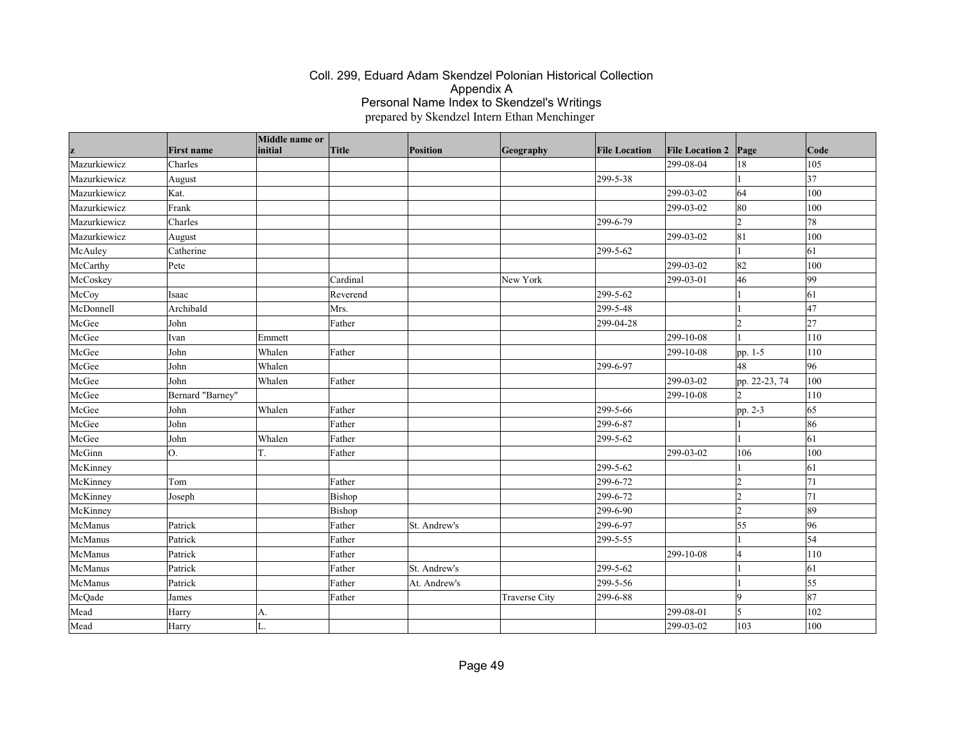|              | <b>First name</b> | Middle name or<br>initial | Title    | Position     | Geography            | <b>File Location</b> | <b>File Location 2</b> | Page           | Code            |
|--------------|-------------------|---------------------------|----------|--------------|----------------------|----------------------|------------------------|----------------|-----------------|
| Mazurkiewicz | Charles           |                           |          |              |                      |                      | 299-08-04              | 18             | 105             |
| Mazurkiewicz | August            |                           |          |              |                      | 299-5-38             |                        |                | $\overline{37}$ |
| Mazurkiewicz | Kat.              |                           |          |              |                      |                      | 299-03-02              | 64             | 100             |
| Mazurkiewicz | Frank             |                           |          |              |                      |                      | 299-03-02              | 80             | 100             |
| Mazurkiewicz | Charles           |                           |          |              |                      | 299-6-79             |                        | 2              | 78              |
| Mazurkiewicz | August            |                           |          |              |                      |                      | 299-03-02              | 81             | 100             |
| McAuley      | Catherine         |                           |          |              |                      | 299-5-62             |                        |                | 61              |
| McCarthy     | Pete              |                           |          |              |                      |                      | 299-03-02              | 82             | 100             |
| McCoskey     |                   |                           | Cardinal |              | New York             |                      | 299-03-01              | 46             | 99              |
| McCoy        | Isaac             |                           | Reverend |              |                      | 299-5-62             |                        |                | 61              |
| McDonnell    | Archibald         |                           | Mrs.     |              |                      | 299-5-48             |                        |                | 47              |
| McGee        | John              |                           | Father   |              |                      | 299-04-28            |                        | l2             | 27              |
| McGee        | Ivan              | Emmett                    |          |              |                      |                      | 299-10-08              |                | 110             |
| McGee        | John              | Whalen                    | Father   |              |                      |                      | 299-10-08              | pp. 1-5        | 110             |
| McGee        | John              | Whalen                    |          |              |                      | 299-6-97             |                        | 48             | 96              |
| McGee        | John              | Whalen                    | Father   |              |                      |                      | 299-03-02              | pp. 22-23, 74  | 100             |
| McGee        | Bernard "Barney"  |                           |          |              |                      |                      | 299-10-08              |                | 110             |
| McGee        | John              | Whalen                    | Father   |              |                      | 299-5-66             |                        | pp. 2-3        | 65              |
| McGee        | John              |                           | Father   |              |                      | 299-6-87             |                        |                | 86              |
| McGee        | John              | Whalen                    | Father   |              |                      | 299-5-62             |                        |                | 61              |
| McGinn       | Ю.                | T.                        | Father   |              |                      |                      | 299-03-02              | 106            | 100             |
| McKinney     |                   |                           |          |              |                      | 299-5-62             |                        |                | 61              |
| McKinney     | Tom               |                           | Father   |              |                      | 299-6-72             |                        | 12             | 71              |
| McKinney     | Joseph            |                           | Bishop   |              |                      | 299-6-72             |                        | l2             | 71              |
| McKinney     |                   |                           | Bishop   |              |                      | 299-6-90             |                        | $\vert$ 2      | 89              |
| McManus      | Patrick           |                           | Father   | St. Andrew's |                      | 299-6-97             |                        | 55             | 96              |
| McManus      | Patrick           |                           | Father   |              |                      | 299-5-55             |                        |                | 54              |
| McManus      | Patrick           |                           | Father   |              |                      |                      | 299-10-08              | 4              | 110             |
| McManus      | Patrick           |                           | Father   | St. Andrew's |                      | 299-5-62             |                        |                | 61              |
| McManus      | Patrick           |                           | Father   | At. Andrew's |                      | 299-5-56             |                        |                | 55              |
| McQade       | James             |                           | Father   |              | <b>Traverse City</b> | 299-6-88             |                        | <b>Q</b>       | 87              |
| Mead         | Harry             | A.                        |          |              |                      |                      | 299-08-01              | $\overline{5}$ | 102             |
| Mead         | Harry             | L.                        |          |              |                      |                      | 299-03-02              | 103            | 100             |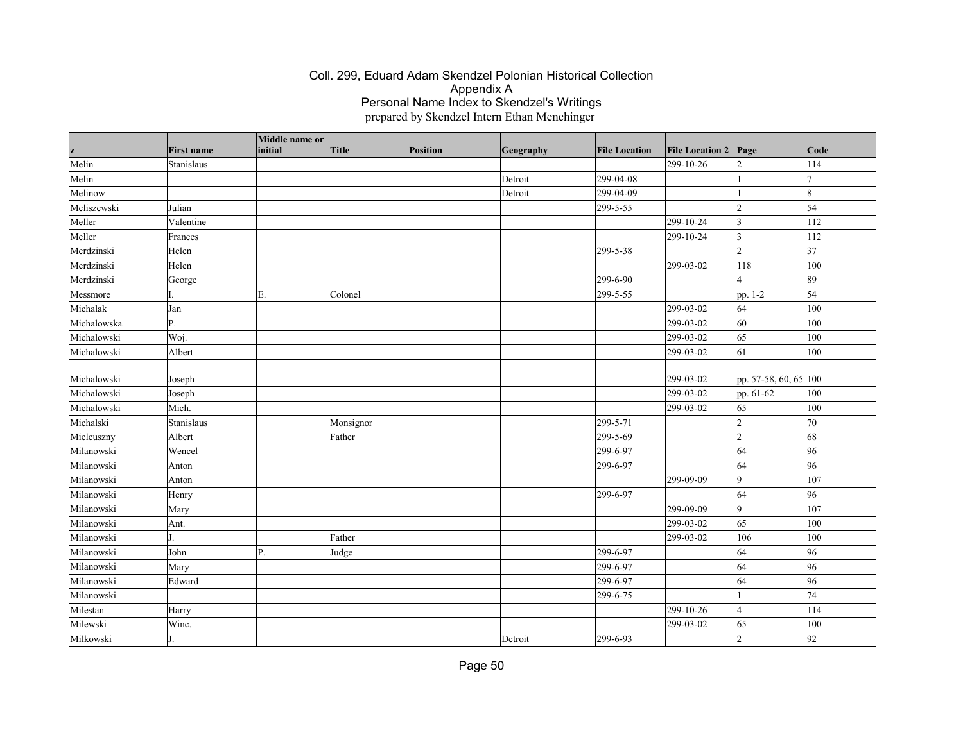| z           | <b>First name</b> | Middle name or<br>initial | Title     | Position | Geography | <b>File Location</b> | <b>File Location 2</b> | Page                  | Code |
|-------------|-------------------|---------------------------|-----------|----------|-----------|----------------------|------------------------|-----------------------|------|
| Melin       | Stanislaus        |                           |           |          |           |                      | 299-10-26              | $\mathcal{D}$         | 114  |
| Melin       |                   |                           |           |          | Detroit   | 299-04-08            |                        |                       |      |
| Melinow     |                   |                           |           |          | Detroit   | 299-04-09            |                        |                       | l8   |
| Meliszewski | Julian            |                           |           |          |           | 299-5-55             |                        | $\mathcal{D}$         | 54   |
| Meller      | Valentine         |                           |           |          |           |                      | 299-10-24              | 3                     | 112  |
| Meller      | Frances           |                           |           |          |           |                      | 299-10-24              | 3                     | 112  |
| Merdzinski  | Helen             |                           |           |          |           | 299-5-38             |                        | $\overline{2}$        | 37   |
| Merdzinski  | Helen             |                           |           |          |           |                      | 299-03-02              | 118                   | 100  |
| Merdzinski  | George            |                           |           |          |           | 299-6-90             |                        |                       | 89   |
| Messmore    |                   | Ε.                        | Colonel   |          |           | 299-5-55             |                        | pp. 1-2               | 54   |
| Michalak    | Jan               |                           |           |          |           |                      | 299-03-02              | 64                    | 100  |
| Michalowska | P.                |                           |           |          |           |                      | 299-03-02              | 60                    | 100  |
| Michalowski | Woj.              |                           |           |          |           |                      | 299-03-02              | 65                    | 100  |
| Michalowski | Albert            |                           |           |          |           |                      | 299-03-02              | 61                    | 100  |
|             |                   |                           |           |          |           |                      |                        |                       |      |
| Michalowski | Joseph            |                           |           |          |           |                      | 299-03-02              | pp. 57-58, 60, 65 100 |      |
| Michalowski | Joseph            |                           |           |          |           |                      | 299-03-02              | pp. 61-62             | 100  |
| Michalowski | Mich.             |                           |           |          |           |                      | 299-03-02              | 65                    | 100  |
| Michalski   | Stanislaus        |                           | Monsignor |          |           | 299-5-71             |                        | $\overline{2}$        | 70   |
| Mielcuszny  | Albert            |                           | Father    |          |           | 299-5-69             |                        | 12                    | 68   |
| Milanowski  | Wencel            |                           |           |          |           | 299-6-97             |                        | 64                    | 96   |
| Milanowski  | Anton             |                           |           |          |           | 299-6-97             |                        | 64                    | 96   |
| Milanowski  | Anton             |                           |           |          |           |                      | 299-09-09              | 9                     | 107  |
| Milanowski  | Henry             |                           |           |          |           | 299-6-97             |                        | 64                    | 96   |
| Milanowski  | Mary              |                           |           |          |           |                      | 299-09-09              | 9                     | 107  |
| Milanowski  | Ant.              |                           |           |          |           |                      | 299-03-02              | 65                    | 100  |
| Milanowski  |                   |                           | Father    |          |           |                      | 299-03-02              | 106                   | 100  |
| Milanowski  | John              | Ρ.                        | Judge     |          |           | 299-6-97             |                        | 64                    | 96   |
| Milanowski  | Mary              |                           |           |          |           | 299-6-97             |                        | 64                    | 96   |
| Milanowski  | Edward            |                           |           |          |           | 299-6-97             |                        | 64                    | 96   |
| Milanowski  |                   |                           |           |          |           | 299-6-75             |                        |                       | 74   |
| Milestan    | Harry             |                           |           |          |           |                      | 299-10-26              | $\overline{4}$        | 114  |
| Milewski    | Winc.             |                           |           |          |           |                      | 299-03-02              | 65                    | 100  |
| Milkowski   |                   |                           |           |          | Detroit   | 299-6-93             |                        | $\overline{2}$        | 92   |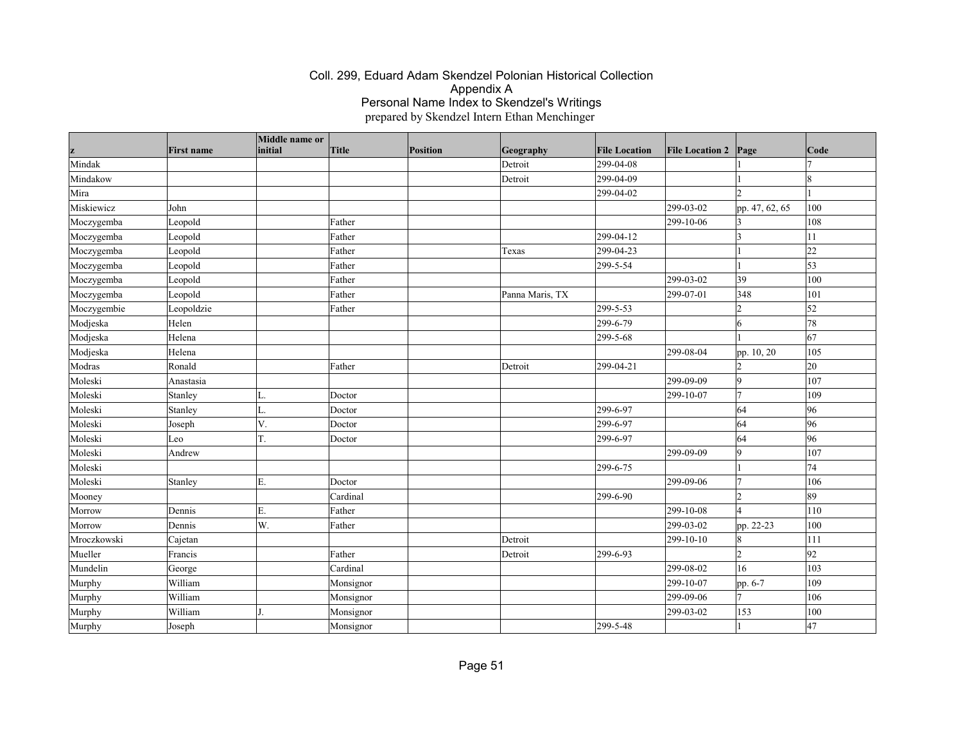|             | <b>First name</b> | Middle name or<br>initial | Title     | <b>Position</b> | Geography       | <b>File Location</b> | <b>File Location 2</b> | Page           | Code       |
|-------------|-------------------|---------------------------|-----------|-----------------|-----------------|----------------------|------------------------|----------------|------------|
| Mindak      |                   |                           |           |                 | Detroit         | 299-04-08            |                        |                |            |
| Mindakow    |                   |                           |           |                 | Detroit         | 299-04-09            |                        |                | 18         |
| Mira        |                   |                           |           |                 |                 | 299-04-02            |                        | b.             |            |
| Miskiewicz  | John              |                           |           |                 |                 |                      | 299-03-02              | pp. 47, 62, 65 | 100        |
| Moczygemba  | Leopold           |                           | Father    |                 |                 |                      | 299-10-06              | 3              | 108        |
| Moczygemba  | Leopold           |                           | Father    |                 |                 | 299-04-12            |                        | I٩             | 11         |
| Moczygemba  | Leopold           |                           | Father    |                 | Texas           | 299-04-23            |                        |                | 22         |
| Moczygemba  | Leopold           |                           | Father    |                 |                 | 299-5-54             |                        |                | 53         |
| Moczygemba  | Leopold           |                           | Father    |                 |                 |                      | 299-03-02              | 39             | 100        |
| Moczygemba  | Leopold           |                           | Father    |                 | Panna Maris, TX |                      | 299-07-01              | 348            | 101        |
| Moczygembie | Leopoldzie        |                           | Father    |                 |                 | 299-5-53             |                        | 2              | $\vert$ 52 |
| Modjeska    | Helen             |                           |           |                 |                 | 299-6-79             |                        | 6              | 78         |
| Modjeska    | Helena            |                           |           |                 |                 | 299-5-68             |                        |                | 67         |
| Modjeska    | Helena            |                           |           |                 |                 |                      | 299-08-04              | pp. 10, 20     | 105        |
| Modras      | Ronald            |                           | Father    |                 | Detroit         | 299-04-21            |                        | l2             | 20         |
| Moleski     | Anastasia         |                           |           |                 |                 |                      | 299-09-09              | $ 9\rangle$    | 107        |
| Moleski     | Stanley           | L.                        | Doctor    |                 |                 |                      | 299-10-07              | 17             | 109        |
| Moleski     | Stanley           | L.                        | Doctor    |                 |                 | 299-6-97             |                        | 64             | 96         |
| Moleski     | Joseph            | V.                        | Doctor    |                 |                 | 299-6-97             |                        | 64             | 96         |
| Moleski     | Leo               | T.                        | Doctor    |                 |                 | 299-6-97             |                        | 64             | 96         |
| Moleski     | Andrew            |                           |           |                 |                 |                      | 299-09-09              | 9              | 107        |
| Moleski     |                   |                           |           |                 |                 | 299-6-75             |                        |                | 74         |
| Moleski     | Stanley           | Ε.                        | Doctor    |                 |                 |                      | 299-09-06              | 17             | 106        |
| Mooney      |                   |                           | Cardinal  |                 |                 | 299-6-90             |                        | l2             | 89         |
| Morrow      | Dennis            | E.                        | Father    |                 |                 |                      | 299-10-08              | l4             | 110        |
| Morrow      | Dennis            | W.                        | Father    |                 |                 |                      | 299-03-02              | pp. 22-23      | 100        |
| Mroczkowski | Cajetan           |                           |           |                 | Detroit         |                      | 299-10-10              | $\vert 8$      | 111        |
| Mueller     | Francis           |                           | Father    |                 | Detroit         | 299-6-93             |                        | $\overline{2}$ | 92         |
| Mundelin    | George            |                           | Cardinal  |                 |                 |                      | 299-08-02              | 16             | 103        |
| Murphy      | William           |                           | Monsignor |                 |                 |                      | 299-10-07              | pp. 6-7        | 109        |
| Murphy      | William           |                           | Monsignor |                 |                 |                      | 299-09-06              | 17             | 106        |
| Murphy      | William           |                           | Monsignor |                 |                 |                      | 299-03-02              | 153            | 100        |
| Murphy      | Joseph            |                           | Monsignor |                 |                 | 299-5-48             |                        |                | 47         |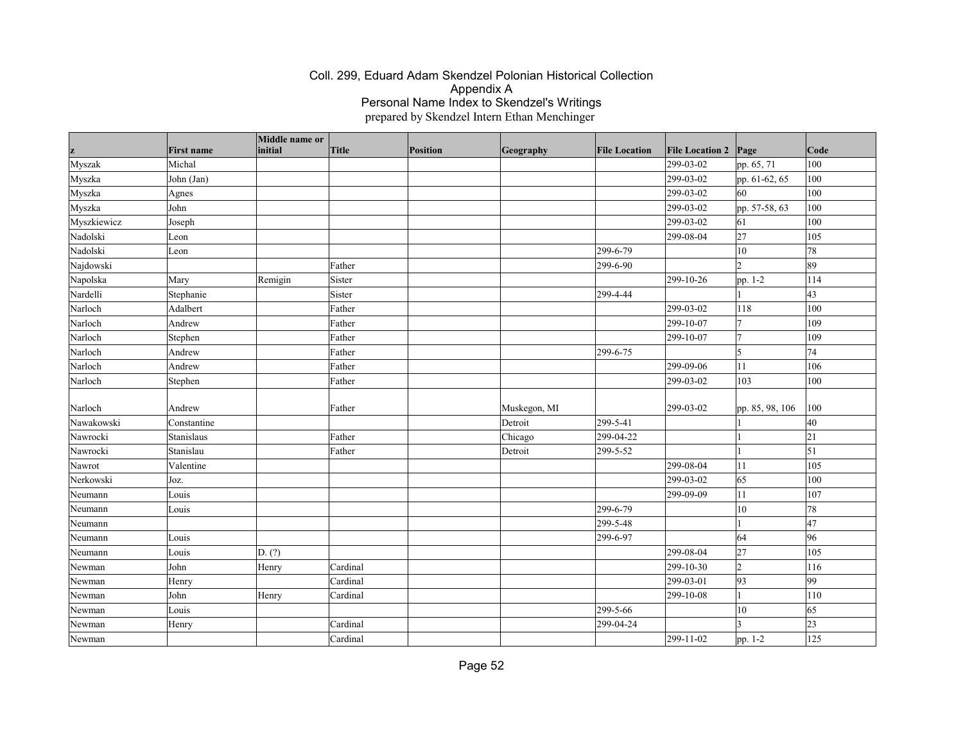| z           | <b>First name</b> | Middle name or<br>initial | Title    | Position | Geography    | <b>File Location</b> | <b>File Location 2</b> | Page            | Code       |
|-------------|-------------------|---------------------------|----------|----------|--------------|----------------------|------------------------|-----------------|------------|
| Myszak      | Michal            |                           |          |          |              |                      | 299-03-02              | pp. 65, 71      | 100        |
| Myszka      | John (Jan)        |                           |          |          |              |                      | 299-03-02              | pp. 61-62, 65   | 100        |
| Myszka      | Agnes             |                           |          |          |              |                      | 299-03-02              | 60              | 100        |
| Myszka      | John              |                           |          |          |              |                      | 299-03-02              | pp. 57-58, 63   | 100        |
| Myszkiewicz | Joseph            |                           |          |          |              |                      | 299-03-02              | 61              | 100        |
| Nadolski    | Leon              |                           |          |          |              |                      | 299-08-04              | 27              | 105        |
| Nadolski    | Leon              |                           |          |          |              | 299-6-79             |                        | $10\,$          | 78         |
| Najdowski   |                   |                           | Father   |          |              | 299-6-90             |                        | $\overline{2}$  | 89         |
| Napolska    | Mary              | Remigin                   | Sister   |          |              |                      | 299-10-26              | pp. 1-2         | 114        |
| Nardelli    | Stephanie         |                           | Sister   |          |              | 299-4-44             |                        |                 | 43         |
| Narloch     | Adalbert          |                           | Father   |          |              |                      | 299-03-02              | 118             | 100        |
| Narloch     | Andrew            |                           | Father   |          |              |                      | 299-10-07              | 7               | 109        |
| Narloch     | Stephen           |                           | Father   |          |              |                      | 299-10-07              | 7               | 109        |
| Narloch     | Andrew            |                           | Father   |          |              | 299-6-75             |                        | $\overline{5}$  | 74         |
| Narloch     | Andrew            |                           | Father   |          |              |                      | 299-09-06              | 11              | 106        |
| Narloch     | Stephen           |                           | Father   |          |              |                      | 299-03-02              | 103             | 100        |
| Narloch     | Andrew            |                           | Father   |          | Muskegon, MI |                      | 299-03-02              | pp. 85, 98, 106 | 100        |
| Nawakowski  | Constantine       |                           |          |          | Detroit      | 299-5-41             |                        |                 | 40         |
| Nawrocki    | Stanislaus        |                           | Father   |          | Chicago      | 299-04-22            |                        |                 | 21         |
| Nawrocki    | Stanislau         |                           | Father   |          | Detroit      | 299-5-52             |                        |                 | $\vert$ 51 |
| Nawrot      | Valentine         |                           |          |          |              |                      | 299-08-04              | 11              | 105        |
| Nerkowski   | Joz.              |                           |          |          |              |                      | 299-03-02              | 65              | 100        |
| Neumann     | Louis             |                           |          |          |              |                      | 299-09-09              | 11              | 107        |
| Neumann     | Louis             |                           |          |          |              | 299-6-79             |                        | 10              | 78         |
| Neumann     |                   |                           |          |          |              | 299-5-48             |                        |                 | 47         |
| Neumann     | Louis             |                           |          |          |              | 299-6-97             |                        | 64              | 96         |
| Neumann     | Louis             | D. (?)                    |          |          |              |                      | 299-08-04              | 27              | 105        |
| Newman      | John              | Henry                     | Cardinal |          |              |                      | 299-10-30              | $ 2\rangle$     | 116        |
| Newman      | Henry             |                           | Cardinal |          |              |                      | 299-03-01              | 93              | 99         |
| Newman      | John              | Henry                     | Cardinal |          |              |                      | 299-10-08              |                 | 110        |
| Newman      | Louis             |                           |          |          |              | 299-5-66             |                        | 10              | 65         |
| Newman      | Henry             |                           | Cardinal |          |              | 299-04-24            |                        |                 | 23         |
| Newman      |                   |                           | Cardinal |          |              |                      | 299-11-02              | pp. 1-2         | 125        |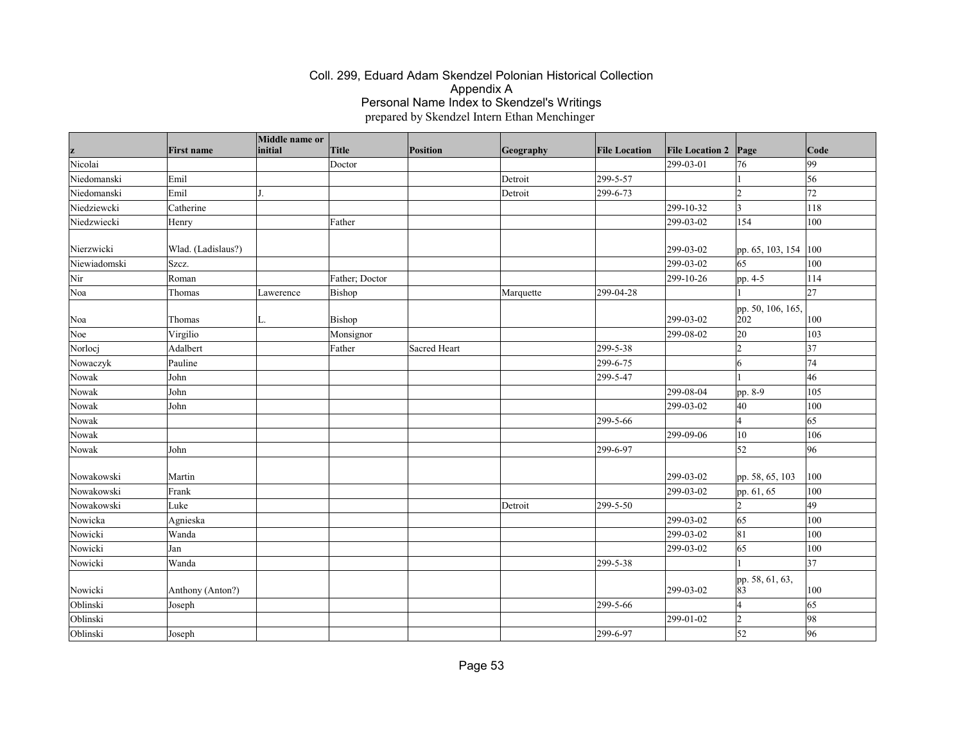| z            | <b>First name</b>  | Middle name or<br>initial | Title          | <b>Position</b> | Geography | <b>File Location</b> | <b>File Location 2</b> | Page                     | Code |
|--------------|--------------------|---------------------------|----------------|-----------------|-----------|----------------------|------------------------|--------------------------|------|
| Nicolai      |                    |                           | Doctor         |                 |           |                      | 299-03-01              | 76                       | 99   |
| Niedomanski  | Emil               |                           |                |                 | Detroit   | 299-5-57             |                        |                          | 56   |
| Niedomanski  | Emil               | J.                        |                |                 | Detroit   | 299-6-73             |                        |                          | 72   |
| Niedziewcki  | Catherine          |                           |                |                 |           |                      | 299-10-32              | 3                        | 118  |
| Niedzwiecki  | Henry              |                           | Father         |                 |           |                      | 299-03-02              | 154                      | 100  |
| Nierzwicki   | Wlad. (Ladislaus?) |                           |                |                 |           |                      | 299-03-02              | pp. 65, 103, 154         | 100  |
| Niewiadomski | Szcz.              |                           |                |                 |           |                      | 299-03-02              | 65                       | 100  |
| Nir          | Roman              |                           | Father; Doctor |                 |           |                      | 299-10-26              | pp. 4-5                  | 114  |
| Noa          | Thomas             | Lawerence                 | Bishop         |                 | Marquette | 299-04-28            |                        |                          | 27   |
| Noa          | Thomas             | L.                        | Bishop         |                 |           |                      | 299-03-02              | pp. 50, 106, 165,<br>202 | 100  |
| Noe          | Virgilio           |                           | Monsignor      |                 |           |                      | 299-08-02              | 20                       | 103  |
| Norlocj      | Adalbert           |                           | Father         | Sacred Heart    |           | 299-5-38             |                        | $\overline{c}$           | 37   |
| Nowaczyk     | Pauline            |                           |                |                 |           | 299-6-75             |                        | 16                       | 74   |
| Nowak        | John               |                           |                |                 |           | 299-5-47             |                        |                          | 46   |
| Nowak        | John               |                           |                |                 |           |                      | 299-08-04              | pp. 8-9                  | 105  |
| Nowak        | John               |                           |                |                 |           |                      | 299-03-02              | 40                       | 100  |
| Nowak        |                    |                           |                |                 |           | 299-5-66             |                        | $\overline{4}$           | 65   |
| Nowak        |                    |                           |                |                 |           |                      | 299-09-06              | $10\,$                   | 106  |
| Nowak        | John               |                           |                |                 |           | 299-6-97             |                        | 52                       | 96   |
| Nowakowski   | Martin             |                           |                |                 |           |                      | 299-03-02              | pp. 58, 65, 103          | 100  |
| Nowakowski   | Frank              |                           |                |                 |           |                      | 299-03-02              | pp. 61, 65               | 100  |
| Nowakowski   | Luke               |                           |                |                 | Detroit   | 299-5-50             |                        | $\overline{2}$           | 49   |
| Nowicka      | Agnieska           |                           |                |                 |           |                      | 299-03-02              | 65                       | 100  |
| Nowicki      | Wanda              |                           |                |                 |           |                      | 299-03-02              | 81                       | 100  |
| Nowicki      | Jan                |                           |                |                 |           |                      | 299-03-02              | 65                       | 100  |
| Nowicki      | Wanda              |                           |                |                 |           | 299-5-38             |                        |                          | 37   |
| Nowicki      | Anthony (Anton?)   |                           |                |                 |           |                      | $299 - 03 - 02$        | pp. 58, 61, 63,<br>83    | 100  |
| Oblinski     | Joseph             |                           |                |                 |           | 299-5-66             |                        |                          | 65   |
| Oblinski     |                    |                           |                |                 |           |                      | 299-01-02              | $\overline{2}$           | 98   |
| Oblinski     | Joseph             |                           |                |                 |           | 299-6-97             |                        | 52                       | 96   |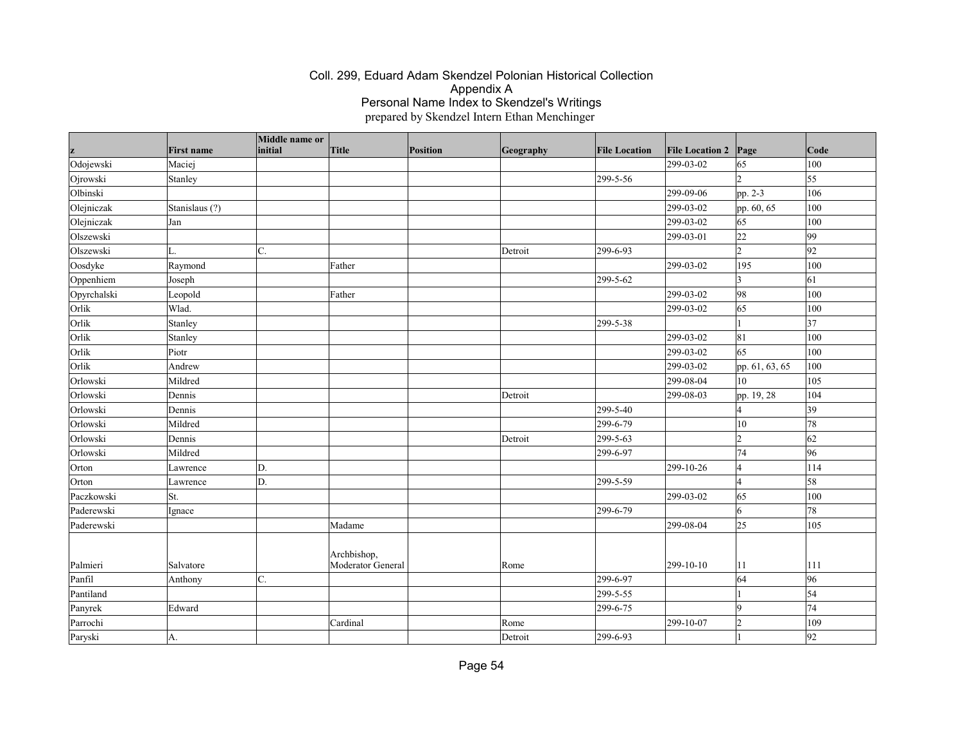| z           | <b>First name</b> | Middle name or<br>initial | Title                            | Position | Geography | <b>File Location</b> | <b>File Location 2</b> | Page           | Code            |
|-------------|-------------------|---------------------------|----------------------------------|----------|-----------|----------------------|------------------------|----------------|-----------------|
| Odojewski   | Maciej            |                           |                                  |          |           |                      | 299-03-02              | 65             | 100             |
| Ojrowski    | Stanley           |                           |                                  |          |           | 299-5-56             |                        | $\mathfrak{D}$ | $\overline{55}$ |
| Olbinski    |                   |                           |                                  |          |           |                      | 299-09-06              | pp. 2-3        | 106             |
| Olejniczak  | Stanislaus (?)    |                           |                                  |          |           |                      | 299-03-02              | pp. 60, 65     | 100             |
| Olejniczak  | Jan               |                           |                                  |          |           |                      | 299-03-02              | 65             | 100             |
| Olszewski   |                   |                           |                                  |          |           |                      | 299-03-01              | 22             | 99              |
| Olszewski   | L.                | C.                        |                                  |          | Detroit   | 299-6-93             |                        | $\overline{2}$ | 92              |
| Oosdyke     | Raymond           |                           | Father                           |          |           |                      | 299-03-02              | 195            | 100             |
| Oppenhiem   | Joseph            |                           |                                  |          |           | 299-5-62             |                        | 3              | 61              |
| Opyrchalski | Leopold           |                           | Father                           |          |           |                      | 299-03-02              | 98             | 100             |
| Orlik       | Wlad.             |                           |                                  |          |           |                      | 299-03-02              | 65             | 100             |
| Orlik       | Stanley           |                           |                                  |          |           | 299-5-38             |                        |                | 37              |
| Orlik       | Stanley           |                           |                                  |          |           |                      | 299-03-02              | 81             | 100             |
| Orlik       | Piotr             |                           |                                  |          |           |                      | 299-03-02              | 65             | 100             |
| Orlik       | Andrew            |                           |                                  |          |           |                      | 299-03-02              | pp. 61, 63, 65 | 100             |
| Orlowski    | Mildred           |                           |                                  |          |           |                      | 299-08-04              | 10             | 105             |
| Orlowski    | Dennis            |                           |                                  |          | Detroit   |                      | 299-08-03              | pp. 19, 28     | 104             |
| Orlowski    | Dennis            |                           |                                  |          |           | 299-5-40             |                        | $\overline{A}$ | 39              |
| Orlowski    | Mildred           |                           |                                  |          |           | 299-6-79             |                        | 10             | 78              |
| Orlowski    | Dennis            |                           |                                  |          | Detroit   | 299-5-63             |                        | $\mathfrak{D}$ | 62              |
| Orlowski    | Mildred           |                           |                                  |          |           | 299-6-97             |                        | 74             | 96              |
| Orton       | Lawrence          | D.                        |                                  |          |           |                      | 299-10-26              | 4              | 114             |
| Orton       | Lawrence          | D.                        |                                  |          |           | 299-5-59             |                        | $\Delta$       | 58              |
| Paczkowski  | St.               |                           |                                  |          |           |                      | 299-03-02              | 65             | 100             |
| Paderewski  | Ignace            |                           |                                  |          |           | 299-6-79             |                        | 6              | 78              |
| Paderewski  |                   |                           | Madame                           |          |           |                      | 299-08-04              | 25             | 105             |
| Palmieri    | Salvatore         |                           | Archbishop,<br>Moderator General |          | Rome      |                      | 299-10-10              | 11             | 111             |
| Panfil      | Anthony           | C.                        |                                  |          |           | 299-6-97             |                        | 64             | 96              |
| Pantiland   |                   |                           |                                  |          |           | 299-5-55             |                        |                | 54              |
| Panyrek     | Edward            |                           |                                  |          |           | 299-6-75             |                        | $\overline{Q}$ | 74              |
| Parrochi    |                   |                           | Cardinal                         |          | Rome      |                      | 299-10-07              | $\overline{2}$ | 109             |
| Paryski     | A.                |                           |                                  |          | Detroit   | 299-6-93             |                        |                | 92              |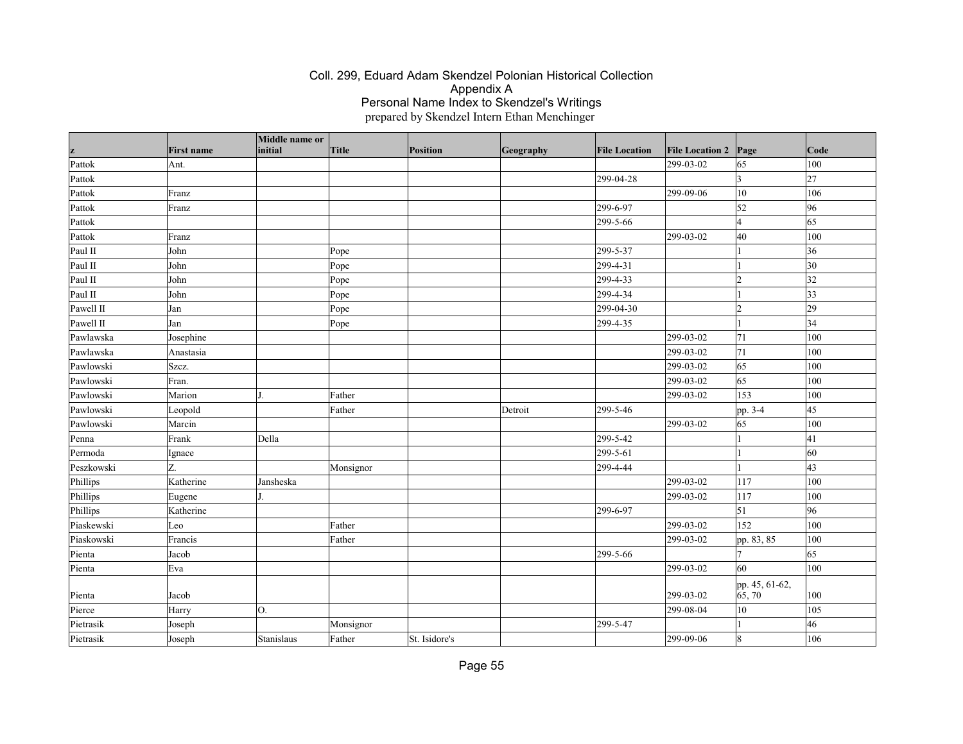|            |                   | Middle name or<br>initial |              |                 |           |                      |                        |                      | Code         |
|------------|-------------------|---------------------------|--------------|-----------------|-----------|----------------------|------------------------|----------------------|--------------|
| z          | <b>First name</b> |                           | <b>Title</b> | <b>Position</b> | Geography | <b>File Location</b> | <b>File Location 2</b> | Page                 |              |
| Pattok     | Ant.              |                           |              |                 |           |                      | 299-03-02              | 65                   | 100          |
| Pattok     |                   |                           |              |                 |           | 299-04-28            |                        | $\overline{3}$       | 27           |
| Pattok     | Franz             |                           |              |                 |           |                      | 299-09-06              | $ 10\rangle$         | 106          |
| Pattok     | Franz             |                           |              |                 |           | 299-6-97             |                        | 52                   | 96           |
| Pattok     |                   |                           |              |                 |           | 299-5-66             |                        | $\vert$ 4            | 65           |
| Pattok     | Franz             |                           |              |                 |           |                      | 299-03-02              | 40                   | 100          |
| Paul II    | John              |                           | Pope         |                 |           | 299-5-37             |                        | $\vert$ 1            | 36           |
| Paul II    | John              |                           | Pope         |                 |           | 299-4-31             |                        | 1                    | $ 30\rangle$ |
| Paul II    | John              |                           | Pope         |                 |           | 299-4-33             |                        | $\vert$ <sub>2</sub> | 32           |
| Paul II    | John              |                           | Pope         |                 |           | 299-4-34             |                        |                      | $ 33\rangle$ |
| Pawell II  | Jan               |                           | Pope         |                 |           | 299-04-30            |                        | $\overline{2}$       | $ 29\rangle$ |
| Pawell II  | Jan               |                           | Pope         |                 |           | 299-4-35             |                        |                      | 34           |
| Pawlawska  | Josephine         |                           |              |                 |           |                      | 299-03-02              | 71                   | 100          |
| Pawlawska  | Anastasia         |                           |              |                 |           |                      | 299-03-02              | 71                   | 100          |
| Pawlowski  | Szcz.             |                           |              |                 |           |                      | 299-03-02              | 65                   | 100          |
| Pawlowski  | Fran.             |                           |              |                 |           |                      | 299-03-02              | 65                   | 100          |
| Pawlowski  | Marion            |                           | Father       |                 |           |                      | 299-03-02              | 153                  | 100          |
| Pawlowski  | Leopold           |                           | Father       |                 | Detroit   | 299-5-46             |                        | pp. 3-4              | 45           |
| Pawlowski  | Marcin            |                           |              |                 |           |                      | 299-03-02              | 65                   | 100          |
| Penna      | Frank             | Della                     |              |                 |           | 299-5-42             |                        |                      | 41           |
| Permoda    | Ignace            |                           |              |                 |           | 299-5-61             |                        |                      | 60           |
| Peszkowski | Z.                |                           | Monsignor    |                 |           | 299-4-44             |                        |                      | 43           |
| Phillips   | Katherine         | Jansheska                 |              |                 |           |                      | 299-03-02              | 117                  | 100          |
| Phillips   | Eugene            |                           |              |                 |           |                      | 299-03-02              | 117                  | 100          |
| Phillips   | Katherine         |                           |              |                 |           | 299-6-97             |                        | 51                   | 96           |
| Piaskewski | Leo               |                           | Father       |                 |           |                      | 299-03-02              | 152                  | 100          |
| Piaskowski | Francis           |                           | Father       |                 |           |                      | 299-03-02              | pp. 83, 85           | 100          |
| Pienta     | Jacob             |                           |              |                 |           | 299-5-66             |                        | 17                   | 65           |
| Pienta     | Eva               |                           |              |                 |           |                      | 299-03-02              | 60                   | 100          |
|            |                   |                           |              |                 |           |                      |                        | pp. 45, 61-62,       |              |
| Pienta     | Jacob             |                           |              |                 |           |                      | 299-03-02              | 65, 70               | 100          |
| Pierce     | Harry             | O.                        |              |                 |           |                      | 299-08-04              | 10                   | 105          |
| Pietrasik  | Joseph            |                           | Monsignor    |                 |           | 299-5-47             |                        |                      | 46           |
| Pietrasik  | Joseph            | Stanislaus                | Father       | St. Isidore's   |           |                      | 299-09-06              | $\overline{8}$       | 106          |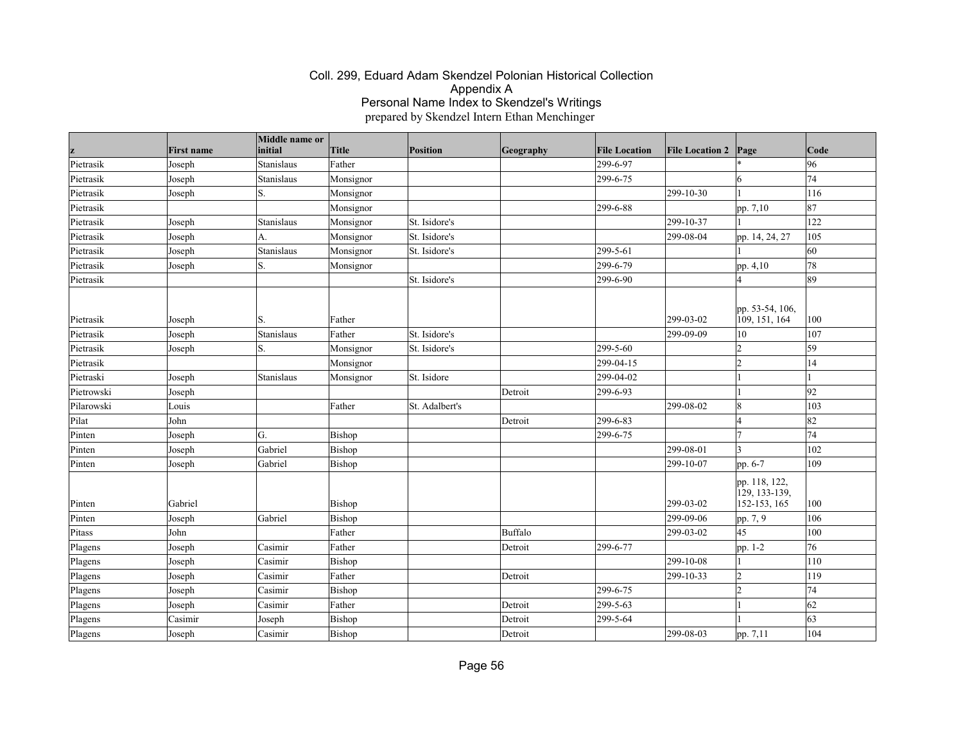|            | <b>First name</b> | Middle name or<br>initial | <b>Title</b> | <b>Position</b> | Geography | <b>File Location</b> | <b>File Location 2</b> | Page                                           | Code          |
|------------|-------------------|---------------------------|--------------|-----------------|-----------|----------------------|------------------------|------------------------------------------------|---------------|
| Pietrasik  | Joseph            | Stanislaus                | Father       |                 |           | 299-6-97             |                        |                                                | 96            |
| Pietrasik  | Joseph            | Stanislaus                | Monsignor    |                 |           | 299-6-75             |                        | 16                                             | 74            |
| Pietrasik  | Joseph            | S.                        | Monsignor    |                 |           |                      | 299-10-30              |                                                | 116           |
| Pietrasik  |                   |                           | Monsignor    |                 |           | 299-6-88             |                        | pp. 7,10                                       | 87            |
| Pietrasik  | Joseph            | Stanislaus                | Monsignor    | St. Isidore's   |           |                      | 299-10-37              |                                                | 122           |
| Pietrasik  | Joseph            | A.                        | Monsignor    | St. Isidore's   |           |                      | 299-08-04              | pp. 14, 24, 27                                 | 105           |
| Pietrasik  | Joseph            | Stanislaus                | Monsignor    | St. Isidore's   |           | 299-5-61             |                        |                                                | 60            |
| Pietrasik  | Joseph            | S.                        | Monsignor    |                 |           | 299-6-79             |                        | pp. 4,10                                       | 78            |
| Pietrasik  |                   |                           |              | St. Isidore's   |           | 299-6-90             |                        |                                                | 89            |
| Pietrasik  | Joseph            | S.                        | Father       |                 |           |                      | 299-03-02              | pp. 53-54, 106,<br>109, 151, 164               | 100           |
| Pietrasik  | Joseph            | Stanislaus                | Father       | St. Isidore's   |           |                      | 299-09-09              | 10                                             | 107           |
| Pietrasik  | Joseph            | S.                        | Monsignor    | St. Isidore's   |           | 299-5-60             |                        | l2                                             | 59            |
| Pietrasik  |                   |                           | Monsignor    |                 |           | 299-04-15            |                        | 2                                              | 14            |
| Pietraski  | Joseph            | Stanislaus                | Monsignor    | St. Isidore     |           | 299-04-02            |                        |                                                |               |
| Pietrowski | Joseph            |                           |              |                 | Detroit   | 299-6-93             |                        |                                                | 92            |
| Pilarowski | Louis             |                           | Father       | St. Adalbert's  |           |                      | 299-08-02              | 8                                              | $ 103\rangle$ |
| Pilat      | John              |                           |              |                 | Detroit   | 299-6-83             |                        | l4                                             | 82            |
| Pinten     | Joseph            | G.                        | Bishop       |                 |           | 299-6-75             |                        | 17                                             | 74            |
| Pinten     | Joseph            | Gabriel                   | Bishop       |                 |           |                      | 299-08-01              | 13                                             | 102           |
| Pinten     | Joseph            | Gabriel                   | Bishop       |                 |           |                      | 299-10-07              | pp. 6-7                                        | 109           |
| Pinten     | Gabriel           |                           | Bishop       |                 |           |                      | 299-03-02              | pp. 118, 122,<br>129, 133-139,<br>152-153, 165 | 100           |
| Pinten     | Joseph            | Gabriel                   | Bishop       |                 |           |                      | 299-09-06              | pp. 7, 9                                       | 106           |
| Pitass     | John              |                           | Father       |                 | Buffalo   |                      | 299-03-02              | 45                                             | 100           |
| Plagens    | Joseph            | Casimir                   | Father       |                 | Detroit   | 299-6-77             |                        | pp. 1-2                                        | 76            |
| Plagens    | Joseph            | Casimir                   | Bishop       |                 |           |                      | 299-10-08              |                                                | 110           |
| Plagens    | Joseph            | Casimir                   | Father       |                 | Detroit   |                      | 299-10-33              | 2                                              | 119           |
| Plagens    | Joseph            | Casimir                   | Bishop       |                 |           | 299-6-75             |                        | 12                                             | 74            |
| Plagens    | Joseph            | Casimir                   | Father       |                 | Detroit   | 299-5-63             |                        |                                                | 62            |
| Plagens    | Casimir           | Joseph                    | Bishop       |                 | Detroit   | 299-5-64             |                        |                                                | 63            |
| Plagens    | Joseph            | Casimir                   | Bishop       |                 | Detroit   |                      | 299-08-03              | pp. 7,11                                       | 104           |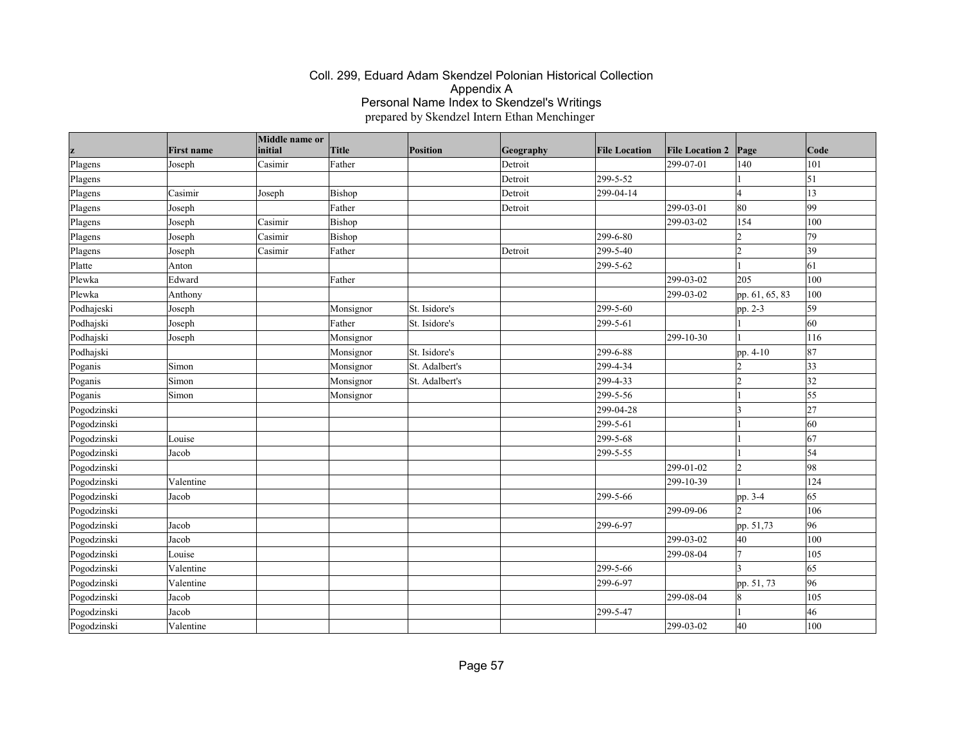|             |                   | Middle name or |              |                 |           |                      |                        |                |                 |
|-------------|-------------------|----------------|--------------|-----------------|-----------|----------------------|------------------------|----------------|-----------------|
|             | <b>First name</b> | initial        | <b>Title</b> | <b>Position</b> | Geography | <b>File Location</b> | <b>File Location 2</b> | Page           | Code            |
| Plagens     | Joseph            | Casimir        | Father       |                 | Detroit   |                      | 299-07-01              | 140            | 101             |
| Plagens     |                   |                |              |                 | Detroit   | 299-5-52             |                        |                | $\vert$ 51      |
| Plagens     | Casimir           | Joseph         | Bishop       |                 | Detroit   | 299-04-14            |                        | l4             | 13              |
| Plagens     | Joseph            |                | Father       |                 | Detroit   |                      | 299-03-01              | 80             | 99              |
| Plagens     | Joseph            | Casimir        | Bishop       |                 |           |                      | 299-03-02              | 154            | 100             |
| Plagens     | Joseph            | Casimir        | Bishop       |                 |           | 299-6-80             |                        | 12             | 79              |
| Plagens     | Joseph            | Casimir        | Father       |                 | Detroit   | 299-5-40             |                        | 2              | $ 39\rangle$    |
| Platte      | Anton             |                |              |                 |           | 299-5-62             |                        |                | 61              |
| Plewka      | Edward            |                | Father       |                 |           |                      | 299-03-02              | 205            | 100             |
| Plewka      | Anthony           |                |              |                 |           |                      | 299-03-02              | pp. 61, 65, 83 | 100             |
| Podhajeski  | Joseph            |                | Monsignor    | St. Isidore's   |           | 299-5-60             |                        | pp. 2-3        | 59              |
| Podhajski   | Joseph            |                | Father       | St. Isidore's   |           | 299-5-61             |                        |                | 60              |
| Podhajski   | Joseph            |                | Monsignor    |                 |           |                      | 299-10-30              |                | 116             |
| Podhajski   |                   |                | Monsignor    | St. Isidore's   |           | 299-6-88             |                        | pp. 4-10       | 87              |
| Poganis     | Simon             |                | Monsignor    | St. Adalbert's  |           | 299-4-34             |                        | l2             | $ 33\rangle$    |
| Poganis     | Simon             |                | Monsignor    | St. Adalbert's  |           | 299-4-33             |                        | 2              | 32              |
| Poganis     | Simon             |                | Monsignor    |                 |           | 299-5-56             |                        |                | 55              |
| Pogodzinski |                   |                |              |                 |           | 299-04-28            |                        | $\vert$ 3      | 27              |
| Pogodzinski |                   |                |              |                 |           | 299-5-61             |                        |                | 60              |
| Pogodzinski | Louise            |                |              |                 |           | 299-5-68             |                        |                | 67              |
| Pogodzinski | Jacob             |                |              |                 |           | 299-5-55             |                        |                | $\overline{54}$ |
| Pogodzinski |                   |                |              |                 |           |                      | 299-01-02              | 2              | 98              |
| Pogodzinski | Valentine         |                |              |                 |           |                      | 299-10-39              |                | 124             |
| Pogodzinski | Jacob             |                |              |                 |           | 299-5-66             |                        | pp. 3-4        | 65              |
| Pogodzinski |                   |                |              |                 |           |                      | 299-09-06              | l2             | 106             |
| Pogodzinski | Jacob             |                |              |                 |           | 299-6-97             |                        | pp. 51,73      | 96              |
| Pogodzinski | Jacob             |                |              |                 |           |                      | 299-03-02              | 40             | 100             |
| Pogodzinski | Louise            |                |              |                 |           |                      | 299-08-04              | 17             | 105             |
| Pogodzinski | Valentine         |                |              |                 |           | 299-5-66             |                        |                | 65              |
| Pogodzinski | Valentine         |                |              |                 |           | 299-6-97             |                        | pp. 51, 73     | 96              |
| Pogodzinski | Jacob             |                |              |                 |           |                      | 299-08-04              | 18             | 105             |
| Pogodzinski | Jacob             |                |              |                 |           | 299-5-47             |                        |                | 46              |
| Pogodzinski | Valentine         |                |              |                 |           |                      | 299-03-02              | 40             | 100             |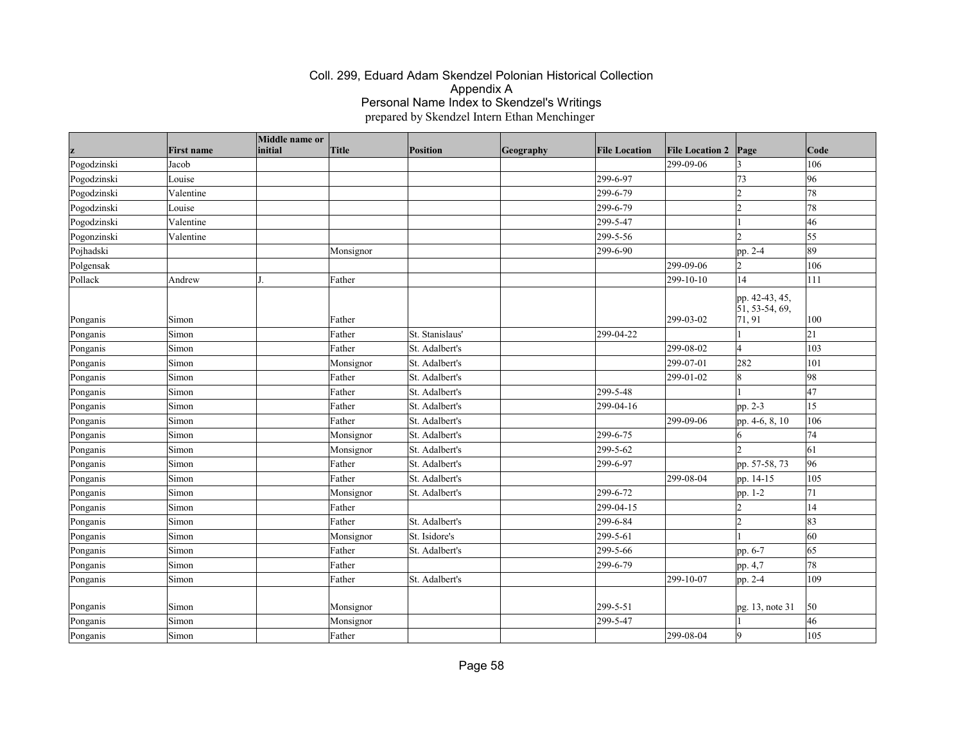|             | <b>First name</b> | Middle name or<br>initial | Title     | <b>Position</b> | Geography | <b>File Location</b> | <b>File Location 2</b> | Page                                                     | Code |
|-------------|-------------------|---------------------------|-----------|-----------------|-----------|----------------------|------------------------|----------------------------------------------------------|------|
| Pogodzinski | Jacob             |                           |           |                 |           |                      | 299-09-06              | 13                                                       | 106  |
| Pogodzinski | Louise            |                           |           |                 |           | 299-6-97             |                        | 73                                                       | 96   |
| Pogodzinski | Valentine         |                           |           |                 |           | 299-6-79             |                        | l2                                                       | 78   |
| Pogodzinski | Louise            |                           |           |                 |           | 299-6-79             |                        | 2                                                        | 78   |
| Pogodzinski | Valentine         |                           |           |                 |           | 299-5-47             |                        |                                                          | 46   |
| Pogonzinski | Valentine         |                           |           |                 |           | 299-5-56             |                        | I2                                                       | 55   |
| Pojhadski   |                   |                           | Monsignor |                 |           | 299-6-90             |                        | pp. 2-4                                                  | 89   |
| Polgensak   |                   |                           |           |                 |           |                      | 299-09-06              | 12                                                       | 106  |
| Pollack     | Andrew            |                           | Father    |                 |           |                      | 299-10-10              | 14                                                       | 111  |
| Ponganis    | Simon             |                           | Father    |                 |           |                      | 299-03-02              | pp. 42-43, 45,<br>$\overline{51}$ , 53-54, 69,<br>71, 91 | 100  |
| Ponganis    | Simon             |                           | Father    | St. Stanislaus' |           | 299-04-22            |                        |                                                          | 21   |
| Ponganis    | Simon             |                           | Father    | St. Adalbert's  |           |                      | 299-08-02              | l4                                                       | 103  |
| Ponganis    | Simon             |                           | Monsignor | St. Adalbert's  |           |                      | 299-07-01              | 282                                                      | 101  |
| Ponganis    | Simon             |                           | Father    | St. Adalbert's  |           |                      | 299-01-02              | 8                                                        | 98   |
| Ponganis    | Simon             |                           | Father    | St. Adalbert's  |           | 299-5-48             |                        |                                                          | 47   |
| Ponganis    | Simon             |                           | Father    | St. Adalbert's  |           | 299-04-16            |                        | pp. 2-3                                                  | 15   |
| Ponganis    | Simon             |                           | Father    | St. Adalbert's  |           |                      | 299-09-06              | pp. 4-6, 8, 10                                           | 106  |
| Ponganis    | Simon             |                           | Monsignor | St. Adalbert's  |           | 299-6-75             |                        | 16                                                       | 74   |
| Ponganis    | Simon             |                           | Monsignor | St. Adalbert's  |           | 299-5-62             |                        | b                                                        | 61   |
| Ponganis    | Simon             |                           | Father    | St. Adalbert's  |           | 299-6-97             |                        | pp. 57-58, 73                                            | 96   |
| Ponganis    | Simon             |                           | Father    | St. Adalbert's  |           |                      | 299-08-04              | pp. 14-15                                                | 105  |
| Ponganis    | Simon             |                           | Monsignor | St. Adalbert's  |           | 299-6-72             |                        | pp. 1-2                                                  | 71   |
| Ponganis    | Simon             |                           | Father    |                 |           | 299-04-15            |                        | 2                                                        | 14   |
| Ponganis    | Simon             |                           | Father    | St. Adalbert's  |           | 299-6-84             |                        | l2                                                       | 83   |
| Ponganis    | Simon             |                           | Monsignor | St. Isidore's   |           | 299-5-61             |                        |                                                          | 60   |
| Ponganis    | Simon             |                           | Father    | St. Adalbert's  |           | 299-5-66             |                        | pp. 6-7                                                  | 65   |
| Ponganis    | Simon             |                           | Father    |                 |           | 299-6-79             |                        | pp. 4,7                                                  | 78   |
| Ponganis    | Simon             |                           | Father    | St. Adalbert's  |           |                      | 299-10-07              | pp. 2-4                                                  | 109  |
| Ponganis    | Simon             |                           | Monsignor |                 |           | 299-5-51             |                        | pg. 13, note 31                                          | 50   |
| Ponganis    | Simon             |                           | Monsignor |                 |           | 299-5-47             |                        |                                                          | 46   |
| Ponganis    | Simon             |                           | Father    |                 |           |                      | 299-08-04              | g                                                        | 105  |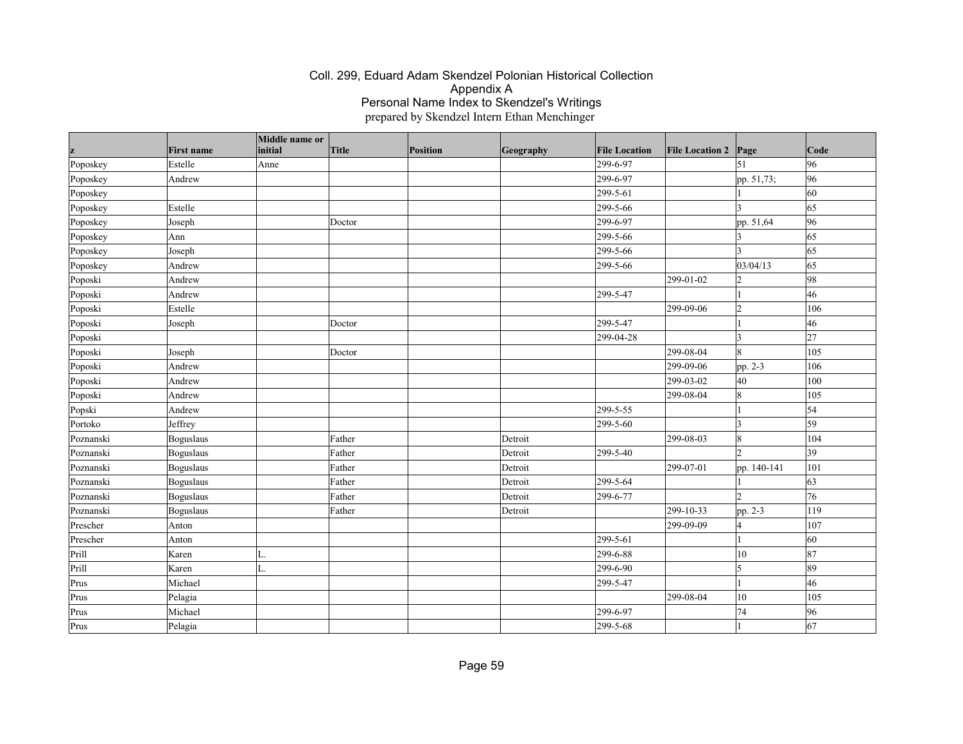| z         | <b>First name</b> | Middle name or<br>initial | Title  | Position | Geography | <b>File Location</b> | <b>File Location 2</b> | Page           | Code         |
|-----------|-------------------|---------------------------|--------|----------|-----------|----------------------|------------------------|----------------|--------------|
| Poposkey  | Estelle           | Anne                      |        |          |           | 299-6-97             |                        | 51             | 96           |
| Poposkey  | Andrew            |                           |        |          |           | 299-6-97             |                        | pp. 51,73;     | 96           |
| Poposkey  |                   |                           |        |          |           | 299-5-61             |                        |                | 60           |
| Poposkey  | Estelle           |                           |        |          |           | 299-5-66             |                        | ١3             | 65           |
| Poposkey  | Joseph            |                           | Doctor |          |           | 299-6-97             |                        | pp. 51,64      | 96           |
| Poposkey  | Ann               |                           |        |          |           | 299-5-66             |                        |                | 65           |
| Poposkey  | Joseph            |                           |        |          |           | 299-5-66             |                        | 13             | 65           |
| Poposkey  | Andrew            |                           |        |          |           | 299-5-66             |                        | 03/04/13       | 65           |
| Poposki   | Andrew            |                           |        |          |           |                      | 299-01-02              | 2              | 98           |
| Poposki   | Andrew            |                           |        |          |           | 299-5-47             |                        |                | 46           |
| Poposki   | Estelle           |                           |        |          |           |                      | 299-09-06              | 2              | 106          |
| Poposki   | Joseph            |                           | Doctor |          |           | 299-5-47             |                        |                | 46           |
| Poposki   |                   |                           |        |          |           | 299-04-28            |                        | 3              | 27           |
| Poposki   | Joseph            |                           | Doctor |          |           |                      | 299-08-04              | $\overline{8}$ | 105          |
| Poposki   | Andrew            |                           |        |          |           |                      | 299-09-06              | pp. 2-3        | 106          |
| Poposki   | Andrew            |                           |        |          |           |                      | 299-03-02              | 40             | 100          |
| Poposki   | Andrew            |                           |        |          |           |                      | 299-08-04              | 8              | 105          |
| Popski    | Andrew            |                           |        |          |           | 299-5-55             |                        |                | 54           |
| Portoko   | Jeffrey           |                           |        |          |           | 299-5-60             |                        | 3              | 59           |
| Poznanski | Boguslaus         |                           | Father |          | Detroit   |                      | 299-08-03              | 18             | 104          |
| Poznanski | Boguslaus         |                           | Father |          | Detroit   | 299-5-40             |                        | 12             | $ 39\rangle$ |
| Poznanski | <b>Boguslaus</b>  |                           | Father |          | Detroit   |                      | 299-07-01              | pp. 140-141    | 101          |
| Poznanski | Boguslaus         |                           | Father |          | Detroit   | 299-5-64             |                        |                | 63           |
| Poznanski | Boguslaus         |                           | Father |          | Detroit   | 299-6-77             |                        | 12             | 76           |
| Poznanski | Boguslaus         |                           | Father |          | Detroit   |                      | 299-10-33              | pp. 2-3        | 119          |
| Prescher  | Anton             |                           |        |          |           |                      | 299-09-09              | Z              | 107          |
| Prescher  | Anton             |                           |        |          |           | 299-5-61             |                        |                | 60           |
| Prill     | Karen             | L.                        |        |          |           | 299-6-88             |                        | 10             | 87           |
| Prill     | Karen             | ۱.                        |        |          |           | 299-6-90             |                        | 5              | 89           |
| Prus      | Michael           |                           |        |          |           | 299-5-47             |                        |                | 46           |
| Prus      | Pelagia           |                           |        |          |           |                      | 299-08-04              | 10             | 105          |
| Prus      | Michael           |                           |        |          |           | 299-6-97             |                        | 74             | 96           |
| Prus      | Pelagia           |                           |        |          |           | 299-5-68             |                        |                | 67           |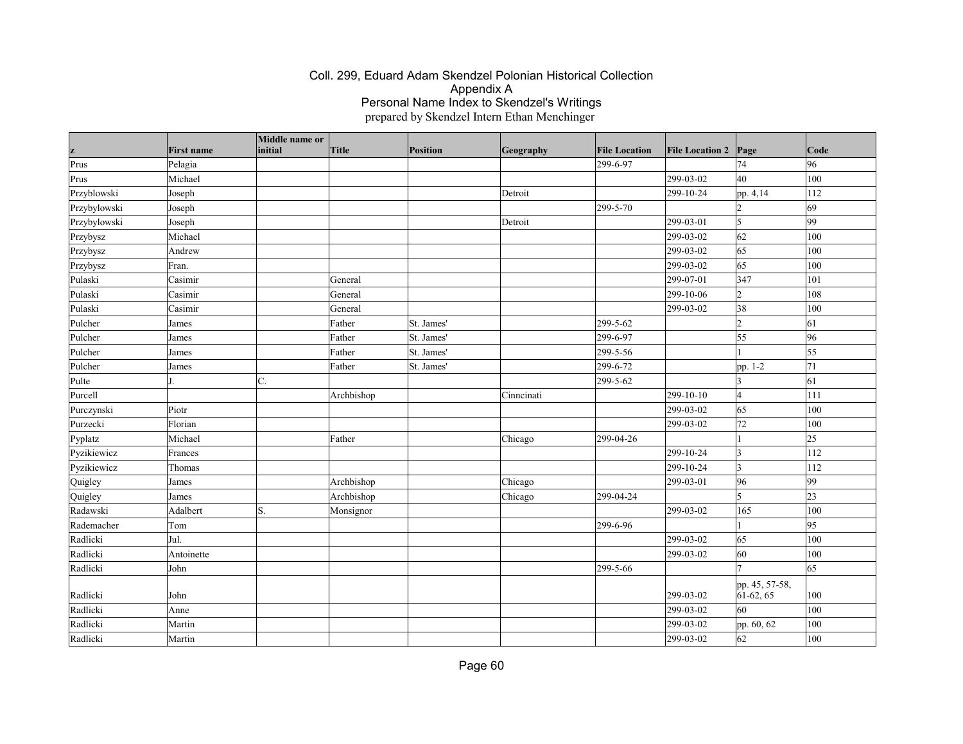| z            | <b>First name</b> | Middle name or<br>initial | Title      | <b>Position</b> | Geography  | <b>File Location</b> | <b>File Location 2</b> | Page                          | $\vert$ Code |
|--------------|-------------------|---------------------------|------------|-----------------|------------|----------------------|------------------------|-------------------------------|--------------|
| Prus         | Pelagia           |                           |            |                 |            | 299-6-97             |                        | 74                            | 96           |
| Prus         | Michael           |                           |            |                 |            |                      | 299-03-02              | 40                            | 100          |
| Przyblowski  | Joseph            |                           |            |                 | Detroit    |                      | 299-10-24              | pp. 4,14                      | 112          |
| Przybylowski | Joseph            |                           |            |                 |            | 299-5-70             |                        | $\overline{2}$                | 69           |
| Przybylowski | Joseph            |                           |            |                 | Detroit    |                      | 299-03-01              | 5                             | 99           |
| Przybysz     | Michael           |                           |            |                 |            |                      | 299-03-02              | 62                            | 100          |
| Przybysz     | Andrew            |                           |            |                 |            |                      | 299-03-02              | 65                            | 100          |
| Przybysz     | Fran.             |                           |            |                 |            |                      | 299-03-02              | 65                            | 100          |
| Pulaski      | Casimir           |                           | General    |                 |            |                      | 299-07-01              | 347                           | 101          |
| Pulaski      | Casimir           |                           | General    |                 |            |                      | 299-10-06              | 12                            | 108          |
| Pulaski      | Casimir           |                           | General    |                 |            |                      | 299-03-02              | 38                            | 100          |
| Pulcher      | James             |                           | Father     | St. James'      |            | 299-5-62             |                        | $\overline{2}$                | 61           |
| Pulcher      | James             |                           | Father     | St. James'      |            | 299-6-97             |                        | 55                            | 96           |
| Pulcher      | James             |                           | Father     | St. James'      |            | 299-5-56             |                        |                               | 55           |
| Pulcher      | James             |                           | Father     | St. James'      |            | 299-6-72             |                        | pp. 1-2                       | 71           |
| Pulte        |                   | C.                        |            |                 |            | 299-5-62             |                        | 3                             | 61           |
| Purcell      |                   |                           | Archbishop |                 | Cinncinati |                      | 299-10-10              | 14                            | 111          |
| Purczynski   | Piotr             |                           |            |                 |            |                      | 299-03-02              | 65                            | 100          |
| Purzecki     | Florian           |                           |            |                 |            |                      | 299-03-02              | 72                            | 100          |
| Pyplatz      | Michael           |                           | Father     |                 | Chicago    | 299-04-26            |                        |                               | $ 25\rangle$ |
| Pyzikiewicz  | Frances           |                           |            |                 |            |                      | 299-10-24              | 3                             | 112          |
| Pyzikiewicz  | Thomas            |                           |            |                 |            |                      | 299-10-24              | 3                             | 112          |
| Quigley      | James             |                           | Archbishop |                 | Chicago    |                      | 299-03-01              | 96                            | 99           |
| Quigley      | James             |                           | Archbishop |                 | Chicago    | 299-04-24            |                        | 5                             | 23           |
| Radawski     | Adalbert          | S.                        | Monsignor  |                 |            |                      | 299-03-02              | 165                           | 100          |
| Rademacher   | Tom               |                           |            |                 |            | 299-6-96             |                        |                               | 95           |
| Radlicki     | Jul.              |                           |            |                 |            |                      | 299-03-02              | 65                            | 100          |
| Radlicki     | Antoinette        |                           |            |                 |            |                      | 299-03-02              | 60                            | 100          |
| Radlicki     | John              |                           |            |                 |            | 299-5-66             |                        |                               | 65           |
| Radlicki     | John              |                           |            |                 |            |                      | 299-03-02              | pp. 45, 57-58,<br>$61-62, 65$ | 100          |
| Radlicki     | Anne              |                           |            |                 |            |                      | 299-03-02              | 60                            | 100          |
| Radlicki     | Martin            |                           |            |                 |            |                      | 299-03-02              | pp. 60, 62                    | 100          |
| Radlicki     | Martin            |                           |            |                 |            |                      | 299-03-02              | 62                            | 100          |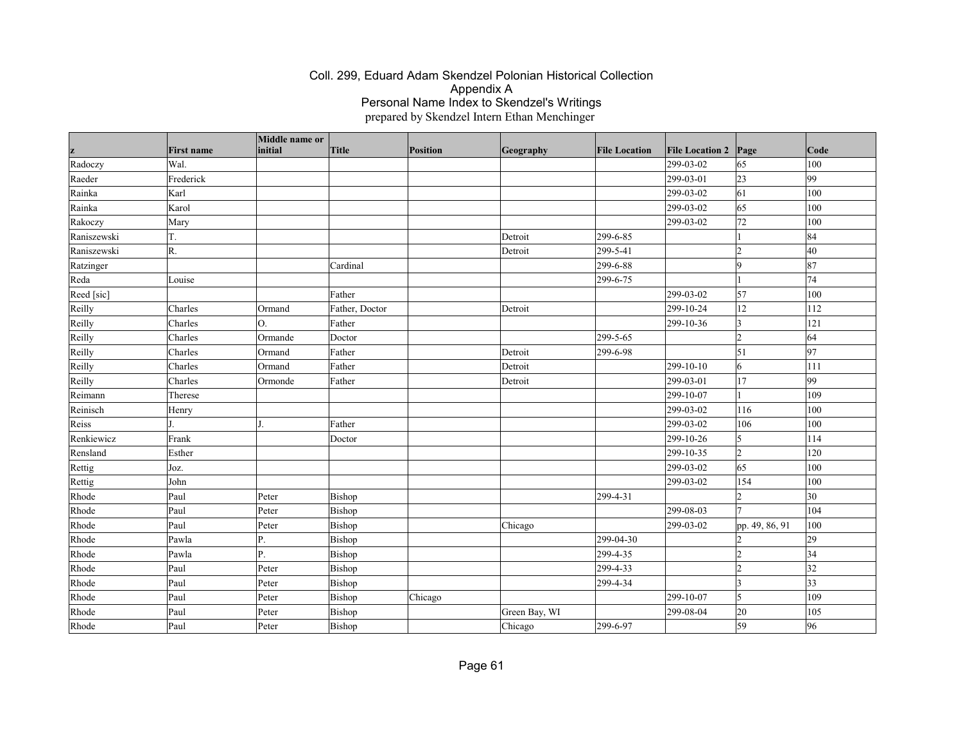|             |                   | Middle name or |                |          |               |                      |                        |                 |                 |
|-------------|-------------------|----------------|----------------|----------|---------------|----------------------|------------------------|-----------------|-----------------|
|             | <b>First name</b> | initial        | Title          | Position | Geography     | <b>File Location</b> | <b>File Location 2</b> | Page            | $\vert$ Code    |
| Radoczy     | Wal.              |                |                |          |               |                      | 299-03-02              | 65              | 100             |
| Raeder      | Frederick         |                |                |          |               |                      | 299-03-01              | 23              | 99              |
| Rainka      | Karl              |                |                |          |               |                      | 299-03-02              | 61              | 100             |
| Rainka      | Karol             |                |                |          |               |                      | 299-03-02              | 65              | 100             |
| Rakoczy     | Mary              |                |                |          |               |                      | 299-03-02              | 72              | 100             |
| Raniszewski | T.                |                |                |          | Detroit       | 299-6-85             |                        |                 | 84              |
| Raniszewski | R.                |                |                |          | Detroit       | 299-5-41             |                        | $\overline{2}$  | 40              |
| Ratzinger   |                   |                | Cardinal       |          |               | 299-6-88             |                        | 9               | 87              |
| Reda        | Louise            |                |                |          |               | 299-6-75             |                        |                 | 74              |
| Reed [sic]  |                   |                | Father         |          |               |                      | 299-03-02              | $\overline{57}$ | 100             |
| Reilly      | Charles           | Ormand         | Father, Doctor |          | Detroit       |                      | 299-10-24              | 12              | 112             |
| Reilly      | Charles           | О.             | Father         |          |               |                      | 299-10-36              | 3               | 121             |
| Reilly      | Charles           | Ormande        | Doctor         |          |               | 299-5-65             |                        | $\overline{2}$  | 64              |
| Reilly      | Charles           | Ormand         | Father         |          | Detroit       | 299-6-98             |                        | $\vert$ 51      | $\overline{97}$ |
| Reilly      | Charles           | Ormand         | Father         |          | Detroit       |                      | 299-10-10              | 6               | 111             |
| Reilly      | Charles           | Ormonde        | Father         |          | Detroit       |                      | 299-03-01              | 17              | 99              |
| Reimann     | Therese           |                |                |          |               |                      | 299-10-07              |                 | 109             |
| Reinisch    | Henry             |                |                |          |               |                      | 299-03-02              | 116             | 100             |
| Reiss       |                   |                | Father         |          |               |                      | 299-03-02              | 106             | 100             |
| Renkiewicz  | Frank             |                | Doctor         |          |               |                      | 299-10-26              | 15              | 114             |
| Rensland    | Esther            |                |                |          |               |                      | 299-10-35              | 12              | 120             |
| Rettig      | Joz.              |                |                |          |               |                      | 299-03-02              | 65              | 100             |
| Rettig      | John              |                |                |          |               |                      | 299-03-02              | 154             | 100             |
| Rhode       | Paul              | Peter          | Bishop         |          |               | 299-4-31             |                        | $\overline{2}$  | 30              |
| Rhode       | Paul              | Peter          | Bishop         |          |               |                      | 299-08-03              | $\overline{7}$  | 104             |
| Rhode       | Paul              | Peter          | Bishop         |          | Chicago       |                      | 299-03-02              | pp. 49, 86, 91  | 100             |
| Rhode       | Pawla             | P.             | Bishop         |          |               | 299-04-30            |                        |                 | 29              |
| Rhode       | Pawla             | Ρ.             | Bishop         |          |               | 299-4-35             |                        | l2              | 34              |
| Rhode       | Paul              | Peter          | Bishop         |          |               | 299-4-33             |                        | $\overline{2}$  | 32              |
| Rhode       | Paul              | Peter          | Bishop         |          |               | 299-4-34             |                        | I٩              | $ 33\rangle$    |
| Rhode       | Paul              | Peter          | Bishop         | Chicago  |               |                      | 299-10-07              | 15              | 109             |
| Rhode       | Paul              | Peter          | Bishop         |          | Green Bay, WI |                      | 299-08-04              | 20              | 105             |
| Rhode       | Paul              | Peter          | Bishop         |          | Chicago       | 299-6-97             |                        | 59              | 96              |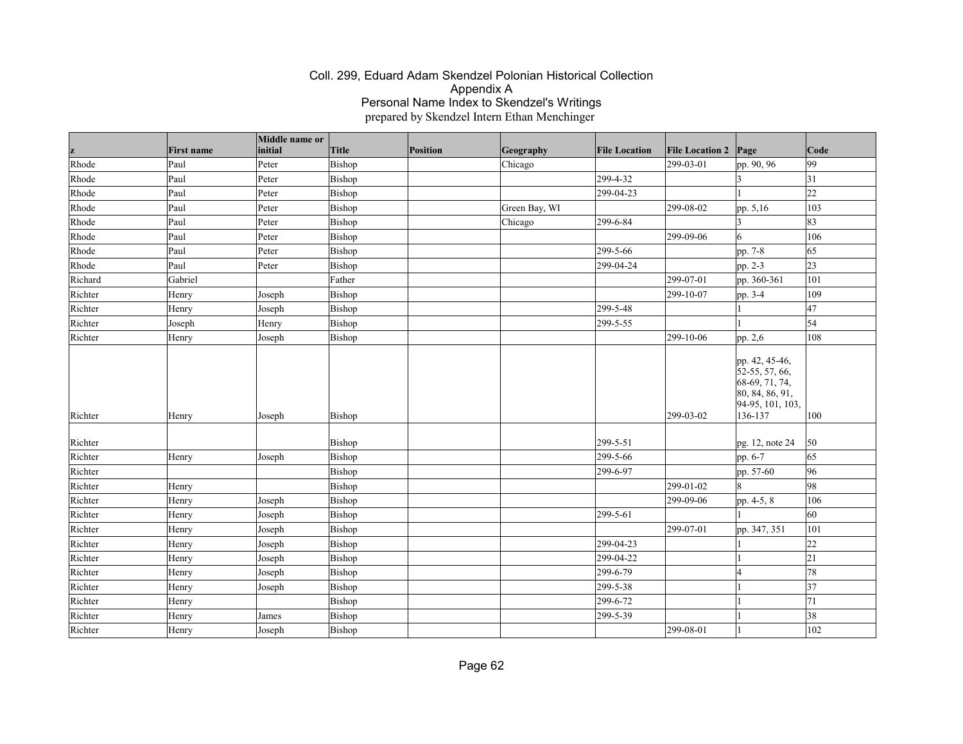| z       | <b>First name</b> | Middle name or<br>initial | Title  | Position | Geography     | <b>File Location</b> | <b>File Location 2</b> | Page                                                                                                   | Code            |
|---------|-------------------|---------------------------|--------|----------|---------------|----------------------|------------------------|--------------------------------------------------------------------------------------------------------|-----------------|
| Rhode   | Paul              | Peter                     | Bishop |          | Chicago       |                      | 299-03-01              | pp. 90, 96                                                                                             | 99              |
| Rhode   | Paul              | Peter                     | Bishop |          |               | 299-4-32             |                        |                                                                                                        | 31              |
| Rhode   | Paul              | Peter                     | Bishop |          |               | 299-04-23            |                        |                                                                                                        | $\overline{22}$ |
| Rhode   | Paul              | Peter                     | Bishop |          | Green Bay, WI |                      | 299-08-02              | pp. 5,16                                                                                               | 103             |
| Rhode   | Paul              | Peter                     | Bishop |          | Chicago       | 299-6-84             |                        |                                                                                                        | 83              |
| Rhode   | Paul              | Peter                     | Bishop |          |               |                      | 299-09-06              | 6                                                                                                      | 106             |
| Rhode   | Paul              | Peter                     | Bishop |          |               | 299-5-66             |                        | pp. 7-8                                                                                                | 65              |
| Rhode   | Paul              | Peter                     | Bishop |          |               | 299-04-24            |                        | pp. 2-3                                                                                                | 23              |
| Richard | Gabriel           |                           | Father |          |               |                      | 299-07-01              | pp. 360-361                                                                                            | 101             |
| Richter | Henry             | Joseph                    | Bishop |          |               |                      | 299-10-07              | pp. 3-4                                                                                                | 109             |
| Richter | Henry             | Joseph                    | Bishop |          |               | 299-5-48             |                        |                                                                                                        | 47              |
| Richter | Joseph            | Henry                     | Bishop |          |               | 299-5-55             |                        |                                                                                                        | 54              |
| Richter | Henry             | Joseph                    | Bishop |          |               |                      | 299-10-06              | pp. 2,6                                                                                                | 108             |
| Richter | Henry             | Joseph                    | Bishop |          |               |                      | $299 - 03 - 02$        | pp. 42, 45-46,<br>$52-55, 57, 66,$<br>68-69, 71, 74,<br>80, 84, 86, 91,<br>94-95, 101, 103,<br>136-137 | 100             |
| Richter |                   |                           | Bishop |          |               | 299-5-51             |                        | pg. 12, note 24                                                                                        | 50              |
| Richter | Henry             | Joseph                    | Bishop |          |               | 299-5-66             |                        | pp. 6-7                                                                                                | 65              |
| Richter |                   |                           | Bishop |          |               | 299-6-97             |                        | pp. 57-60                                                                                              | 96              |
| Richter | Henry             |                           | Bishop |          |               |                      | 299-01-02              | l8                                                                                                     | 98              |
| Richter | Henry             | Joseph                    | Bishop |          |               |                      | 299-09-06              | pp. 4-5, 8                                                                                             | 106             |
| Richter | Henry             | Joseph                    | Bishop |          |               | 299-5-61             |                        |                                                                                                        | 60              |
| Richter | Henry             | Joseph                    | Bishop |          |               |                      | 299-07-01              | pp. 347, 351                                                                                           | 101             |
| Richter | Henry             | Joseph                    | Bishop |          |               | 299-04-23            |                        |                                                                                                        | 22              |
| Richter | Henry             | Joseph                    | Bishop |          |               | 299-04-22            |                        |                                                                                                        | 21              |
| Richter | Henry             | Joseph                    | Bishop |          |               | 299-6-79             |                        |                                                                                                        | 78              |
| Richter | Henry             | Joseph                    | Bishop |          |               | 299-5-38             |                        |                                                                                                        | 37              |
| Richter | Henry             |                           | Bishop |          |               | 299-6-72             |                        |                                                                                                        | 71              |
| Richter | Henry             | James                     | Bishop |          |               | 299-5-39             |                        |                                                                                                        | 38              |
| Richter | Henry             | Joseph                    | Bishop |          |               |                      | 299-08-01              |                                                                                                        | 102             |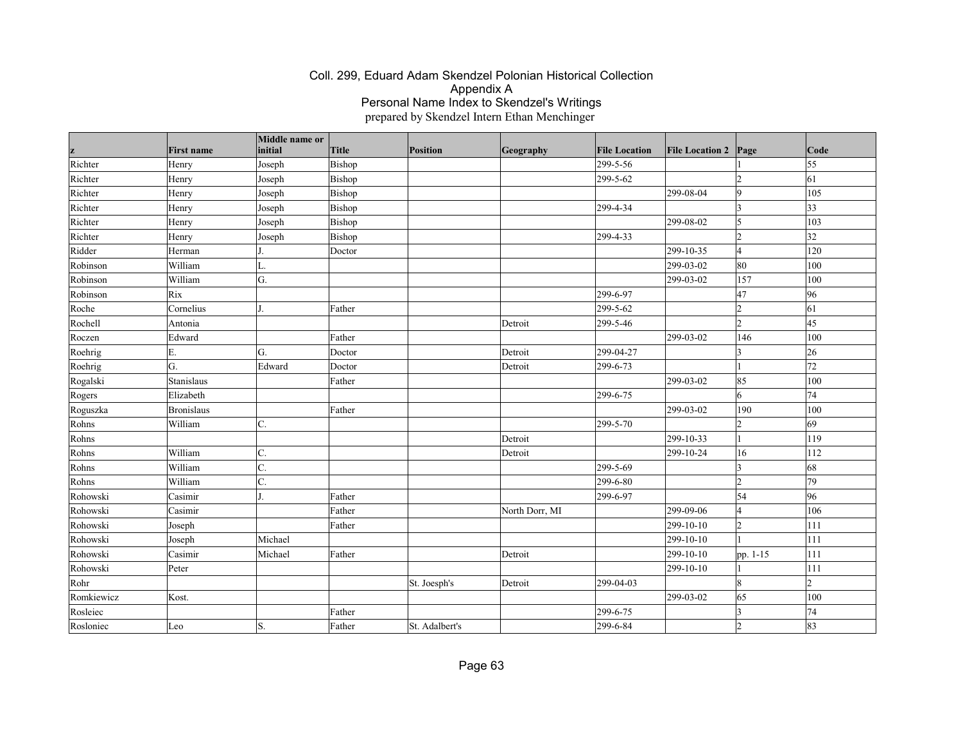|            |                   | Middle name or |              |                |                |                      |                        |                  |                 |
|------------|-------------------|----------------|--------------|----------------|----------------|----------------------|------------------------|------------------|-----------------|
| z          | <b>First name</b> | initial        | <b>Title</b> | Position       | Geography      | <b>File Location</b> | <b>File Location 2</b> | Page             | Code            |
| Richter    | Henry             | Joseph         | Bishop       |                |                | 299-5-56             |                        |                  | 55              |
| Richter    | Henry             | Joseph         | Bishop       |                |                | 299-5-62             |                        | $\overline{2}$   | $\vert$ 61      |
| Richter    | Henry             | Joseph         | Bishop       |                |                |                      | 299-08-04              | $ 9\rangle$      | 105             |
| Richter    | Henry             | Joseph         | Bishop       |                |                | 299-4-34             |                        | $\vert$ 3        | $ 33\rangle$    |
| Richter    | Henry             | Joseph         | Bishop       |                |                |                      | 299-08-02              | 5                | 103             |
| Richter    | Henry             | Joseph         | Bishop       |                |                | 299-4-33             |                        | $\overline{2}$   | 32              |
| Ridder     | Herman            |                | Doctor       |                |                |                      | 299-10-35              | 4                | 120             |
| Robinson   | William           | L.             |              |                |                |                      | 299-03-02              | 80               | 100             |
| Robinson   | William           | G.             |              |                |                |                      | 299-03-02              | 157              | 100             |
| Robinson   | Rix               |                |              |                |                | 299-6-97             |                        | 47               | 96              |
| Roche      | Cornelius         |                | Father       |                |                | 299-5-62             |                        | $\overline{c}$   | 61              |
| Rochell    | Antonia           |                |              |                | Detroit        | 299-5-46             |                        | $\overline{2}$   | 45              |
| Roczen     | Edward            |                | Father       |                |                |                      | 299-03-02              | 146              | 100             |
| Roehrig    | E.                | G.             | Doctor       |                | Detroit        | 299-04-27            |                        | $\overline{3}$   | 26              |
| Roehrig    | G.                | Edward         | Doctor       |                | Detroit        | 299-6-73             |                        |                  | $\overline{72}$ |
| Rogalski   | Stanislaus        |                | Father       |                |                |                      | 299-03-02              | 85               | 100             |
| Rogers     | Elizabeth         |                |              |                |                | 299-6-75             |                        | 6                | 74              |
| Roguszka   | Bronislaus        |                | Father       |                |                |                      | 299-03-02              | 190              | 100             |
| Rohns      | William           | C.             |              |                |                | 299-5-70             |                        | $\overline{2}$   | 69              |
| Rohns      |                   |                |              |                | Detroit        |                      | 299-10-33              | 1                | 119             |
| Rohns      | William           | C.             |              |                | Detroit        |                      | 299-10-24              | 16               | 112             |
| Rohns      | William           | C.             |              |                |                | 299-5-69             |                        | $\overline{3}$   | 68              |
| Rohns      | William           | C.             |              |                |                | 299-6-80             |                        | $\overline{2}$   | 79              |
| Rohowski   | Casimir           |                | Father       |                |                | 299-6-97             |                        | 54               | 96              |
| Rohowski   | Casimir           |                | Father       |                | North Dorr, MI |                      | 299-09-06              | $\overline{4}$   | 106             |
| Rohowski   | Joseph            |                | Father       |                |                |                      | 299-10-10              | $\overline{2}$   | 111             |
| Rohowski   | Joseph            | Michael        |              |                |                |                      | 299-10-10              |                  | 111             |
| Rohowski   | Casimir           | Michael        | Father       |                | Detroit        |                      | 299-10-10              | pp. 1-15         | 111             |
| Rohowski   | Peter             |                |              |                |                |                      | 299-10-10              | $\vert$ 1        | 111             |
| Rohr       |                   |                |              | St. Joesph's   | Detroit        | 299-04-03            |                        | $\boldsymbol{8}$ | 12              |
| Romkiewicz | Kost.             |                |              |                |                |                      | $299 - 03 - 02$        | 65               | 100             |
| Rosleiec   |                   |                | Father       |                |                | 299-6-75             |                        | $\overline{3}$   | 74              |
| Rosloniec  | Leo               | S.             | Father       | St. Adalbert's |                | 299-6-84             |                        | $\overline{2}$   | 83              |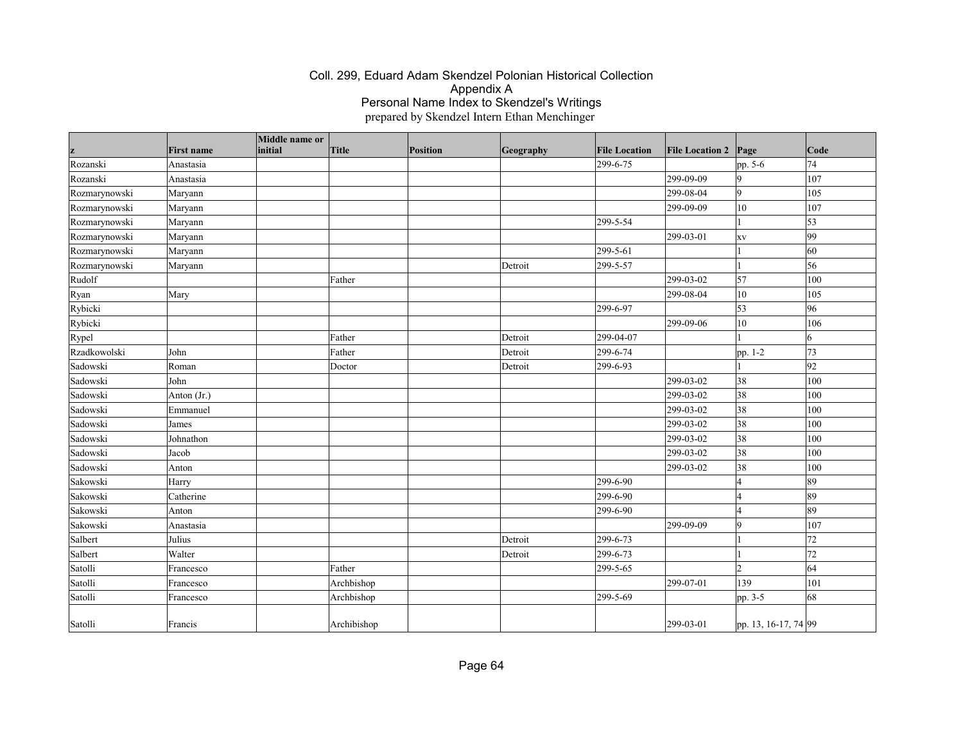| z             | <b>First name</b> | Middle name or<br>initial | <b>Title</b> | Position | Geography | <b>File Location</b> | <b>File Location 2</b> | Page                 | Code       |
|---------------|-------------------|---------------------------|--------------|----------|-----------|----------------------|------------------------|----------------------|------------|
| Rozanski      | Anastasia         |                           |              |          |           | 299-6-75             |                        | pp. 5-6              | 74         |
| Rozanski      | Anastasia         |                           |              |          |           |                      | 299-09-09              | 9                    | 107        |
| Rozmarynowski | Maryann           |                           |              |          |           |                      | 299-08-04              | $\vert$ 9            | 105        |
| Rozmarynowski | Maryann           |                           |              |          |           |                      | 299-09-09              | $ 10\rangle$         | 107        |
| Rozmarynowski | Maryann           |                           |              |          |           | 299-5-54             |                        |                      | $\vert$ 53 |
| Rozmarynowski | Maryann           |                           |              |          |           |                      | 299-03-01              | XV                   | 99         |
| Rozmarynowski | Maryann           |                           |              |          |           | 299-5-61             |                        |                      | 60         |
| Rozmarynowski | Maryann           |                           |              |          | Detroit   | 299-5-57             |                        |                      | 56         |
| Rudolf        |                   |                           | Father       |          |           |                      | 299-03-02              | 57                   | 100        |
| Ryan          | Mary              |                           |              |          |           |                      | 299-08-04              | 10                   | 105        |
| Rybicki       |                   |                           |              |          |           | 299-6-97             |                        | 53                   | 96         |
| Rybicki       |                   |                           |              |          |           |                      | 299-09-06              | 10                   | 106        |
| Rypel         |                   |                           | Father       |          | Detroit   | 299-04-07            |                        |                      | 6          |
| Rzadkowolski  | John              |                           | Father       |          | Detroit   | 299-6-74             |                        | pp. 1-2              | 73         |
| Sadowski      | Roman             |                           | Doctor       |          | Detroit   | 299-6-93             |                        |                      | 92         |
| Sadowski      | John              |                           |              |          |           |                      | 299-03-02              | 38                   | 100        |
| Sadowski      | Anton $(Jr.)$     |                           |              |          |           |                      | 299-03-02              | 38                   | 100        |
| Sadowski      | Emmanuel          |                           |              |          |           |                      | 299-03-02              | 38                   | 100        |
| Sadowski      | James             |                           |              |          |           |                      | 299-03-02              | 38                   | 100        |
| Sadowski      | Johnathon         |                           |              |          |           |                      | 299-03-02              | 38                   | 100        |
| Sadowski      | Jacob             |                           |              |          |           |                      | 299-03-02              | 38                   | 100        |
| Sadowski      | Anton             |                           |              |          |           |                      | 299-03-02              | 38                   | 100        |
| Sakowski      | Harry             |                           |              |          |           | 299-6-90             |                        | $\overline{4}$       | 89         |
| Sakowski      | Catherine         |                           |              |          |           | 299-6-90             |                        | $\overline{4}$       | 89         |
| Sakowski      | Anton             |                           |              |          |           | 299-6-90             |                        | $\overline{4}$       | 89         |
| Sakowski      | Anastasia         |                           |              |          |           |                      | 299-09-09              | 9                    | 107        |
| Salbert       | Julius            |                           |              |          | Detroit   | 299-6-73             |                        |                      | 72         |
| Salbert       | Walter            |                           |              |          | Detroit   | 299-6-73             |                        |                      | 72         |
| Satolli       | Francesco         |                           | Father       |          |           | 299-5-65             |                        | $\overline{2}$       | 64         |
| Satolli       | Francesco         |                           | Archbishop   |          |           |                      | 299-07-01              | 139                  | 101        |
| Satolli       | Francesco         |                           | Archbishop   |          |           | 299-5-69             |                        | pp. 3-5              | 68         |
| Satolli       | Francis           |                           | Archibishop  |          |           |                      | 299-03-01              | pp. 13, 16-17, 74 99 |            |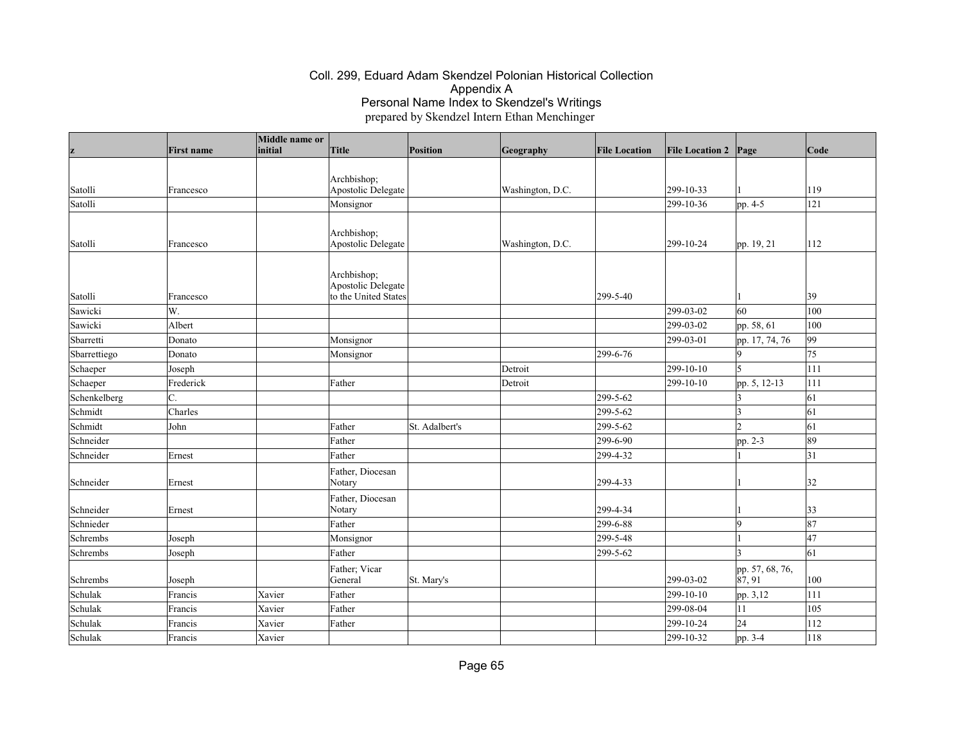|              | <b>First name</b> | Middle name or<br>initial | <b>Title</b>                               | Position       |                  | <b>File Location</b> | <b>File Location 2 Page</b> |                            | Code         |
|--------------|-------------------|---------------------------|--------------------------------------------|----------------|------------------|----------------------|-----------------------------|----------------------------|--------------|
| z            |                   |                           |                                            |                | Geography        |                      |                             |                            |              |
|              |                   |                           | Archbishop;                                |                |                  |                      |                             |                            |              |
| Satolli      | Francesco         |                           | Apostolic Delegate                         |                | Washington, D.C. |                      | 299-10-33                   |                            | 119          |
| Satolli      |                   |                           | Monsignor                                  |                |                  |                      | $ 299-10-36 $               | pp. 4-5                    | 121          |
|              |                   |                           |                                            |                |                  |                      |                             |                            |              |
|              |                   |                           | Archbishop;                                |                |                  |                      |                             |                            |              |
| Satolli      | Francesco         |                           | Apostolic Delegate                         |                | Washington, D.C. |                      | 299-10-24                   | pp. 19, 21                 | 112          |
|              |                   |                           |                                            |                |                  |                      |                             |                            |              |
|              |                   |                           | Archbishop;                                |                |                  |                      |                             |                            |              |
| Satolli      |                   |                           | Apostolic Delegate<br>to the United States |                |                  | 299-5-40             |                             |                            | $ 39\rangle$ |
| Sawicki      | Francesco<br>W.   |                           |                                            |                |                  |                      | 299-03-02                   | 60                         | 100          |
| Sawicki      | Albert            |                           |                                            |                |                  |                      | 299-03-02                   | pp. 58, 61                 | 100          |
| Sbarretti    | Donato            |                           | Monsignor                                  |                |                  |                      | 299-03-01                   |                            | 99           |
| Sbarrettiego | Donato            |                           | Monsignor                                  |                |                  | 299-6-76             |                             | pp. 17, 74, 76<br><b>g</b> | 75           |
| Schaeper     | Joseph            |                           |                                            |                | Detroit          |                      | 299-10-10                   | 5                          | 111          |
| Schaeper     | Frederick         |                           | Father                                     |                | Detroit          |                      | $ 299-10-10$                | pp. 5, 12-13               | 111          |
| Schenkelberg | C.                |                           |                                            |                |                  | 299-5-62             |                             |                            | 61           |
| Schmidt      | Charles           |                           |                                            |                |                  | 299-5-62             |                             | $\vert$ 3<br>$\vert$ 3     | 61           |
| Schmidt      | John              |                           | Father                                     | St. Adalbert's |                  | 299-5-62             |                             | $\overline{2}$             | 61           |
| Schneider    |                   |                           | Father                                     |                |                  | 299-6-90             |                             | pp. 2-3                    | 89           |
| Schneider    | Ernest            |                           | Father                                     |                |                  | 299-4-32             |                             |                            | 31           |
|              |                   |                           |                                            |                |                  |                      |                             |                            |              |
| Schneider    | Ernest            |                           | Father, Diocesan<br>Notary                 |                |                  | 299-4-33             |                             |                            | 32           |
|              |                   |                           | Father, Diocesan                           |                |                  |                      |                             |                            |              |
| Schneider    | Ernest            |                           | Notary                                     |                |                  | 299-4-34             |                             |                            | $ 33\rangle$ |
| Schnieder    |                   |                           | Father                                     |                |                  | 299-6-88             |                             | 9                          | 87           |
| Schrembs     | Joseph            |                           | Monsignor                                  |                |                  | 299-5-48             |                             |                            | 47           |
| Schrembs     | Joseph            |                           | Father                                     |                |                  | 299-5-62             |                             | I٩                         | 61           |
|              |                   |                           | Father; Vicar                              |                |                  |                      |                             | pp. 57, 68, 76,            |              |
| Schrembs     | Joseph            |                           | General                                    | St. Mary's     |                  |                      | 299-03-02                   | 87, 91                     | 100          |
| Schulak      | Francis           | Xavier                    | Father                                     |                |                  |                      | 299-10-10                   | pp. 3,12                   | 111          |
| Schulak      | Francis           | Xavier                    | Father                                     |                |                  |                      | 299-08-04                   | 11                         | 105          |
| Schulak      | Francis           | Xavier                    | Father                                     |                |                  |                      | 299-10-24                   | 24                         | 112          |
| Schulak      | Francis           | Xavier                    |                                            |                |                  |                      | 299-10-32                   | pp. 3-4                    | 118          |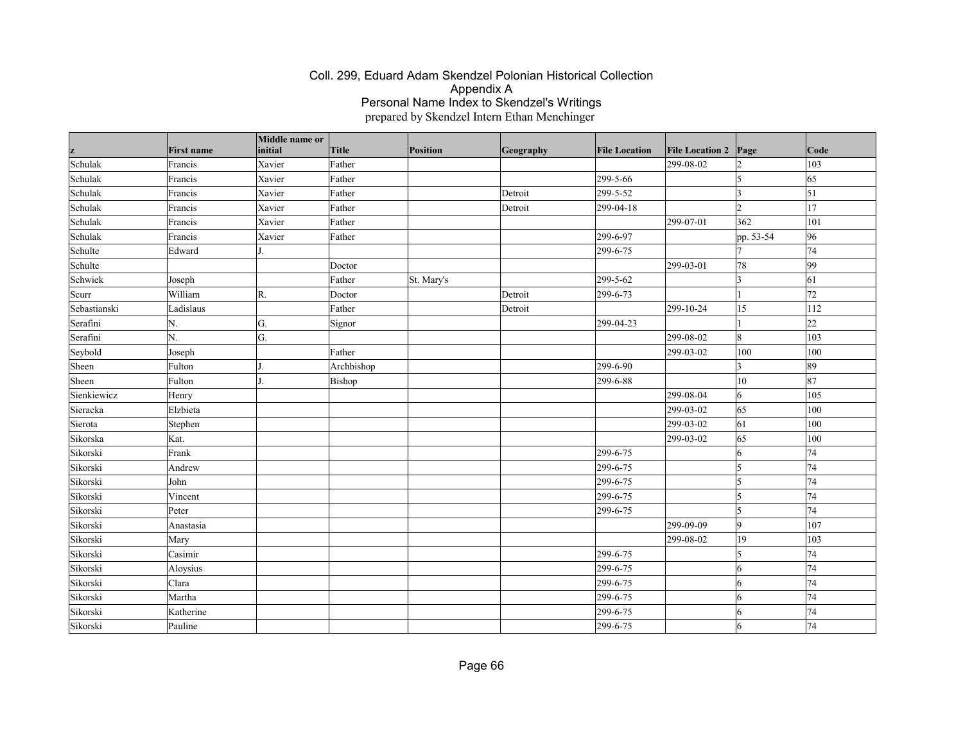| z            | <b>First name</b> | Middle name or<br>initial | <b>Title</b> | Position   | Geography | <b>File Location</b> | <b>File Location 2</b> | Page                    | Code            |
|--------------|-------------------|---------------------------|--------------|------------|-----------|----------------------|------------------------|-------------------------|-----------------|
| Schulak      | Francis           | Xavier                    | Father       |            |           |                      | 299-08-02              | $\overline{2}$          | 103             |
| Schulak      | Francis           | Xavier                    | Father       |            |           | 299-5-66             |                        | 5                       | $\overline{65}$ |
| Schulak      | Francis           | Xavier                    | Father       |            | Detroit   | 299-5-52             |                        | <sub>3</sub>            | $\vert$ 51      |
| Schulak      | Francis           | Xavier                    | Father       |            | Detroit   | 299-04-18            |                        | $\overline{2}$          | 17              |
| Schulak      | Francis           | Xavier                    | Father       |            |           |                      | 299-07-01              | 362                     | 101             |
| Schulak      | Francis           | Xavier                    | Father       |            |           | 299-6-97             |                        | pp. 53-54               | 96              |
| Schulte      | Edward            |                           |              |            |           | 299-6-75             |                        |                         | 74              |
| Schulte      |                   |                           | Doctor       |            |           |                      | 299-03-01              | 78                      | $\overline{99}$ |
| Schwiek      | Joseph            |                           | Father       | St. Mary's |           | 299-5-62             |                        | $\overline{3}$          | 61              |
| Scurr        | William           | R.                        | Doctor       |            | Detroit   | 299-6-73             |                        |                         | 72              |
| Sebastianski | Ladislaus         |                           | Father       |            | Detroit   |                      | 299-10-24              | 15                      | 112             |
| Serafini     | N.                | G.                        | Signor       |            |           | 299-04-23            |                        |                         | 22              |
| Serafini     | N.                | G.                        |              |            |           |                      | 299-08-02              | $\boldsymbol{8}$        | 103             |
| Seybold      | Joseph            |                           | Father       |            |           |                      | 299-03-02              | 100                     | 100             |
| Sheen        | Fulton            |                           | Archbishop   |            |           | 299-6-90             |                        | $\overline{\mathbf{3}}$ | 89              |
| Sheen        | Fulton            |                           | Bishop       |            |           | 299-6-88             |                        | $ 10\rangle$            | 87              |
| Sienkiewicz  | Henry             |                           |              |            |           |                      | 299-08-04              | 6                       | 105             |
| Sieracka     | Elzbieta          |                           |              |            |           |                      | 299-03-02              | 65                      | 100             |
| Sierota      | Stephen           |                           |              |            |           |                      | 299-03-02              | 61                      | 100             |
| Sikorska     | Kat.              |                           |              |            |           |                      | 299-03-02              | 65                      | 100             |
| Sikorski     | Frank             |                           |              |            |           | 299-6-75             |                        | 6                       | 74              |
| Sikorski     | Andrew            |                           |              |            |           | 299-6-75             |                        | $\vert$ 5               | 74              |
| Sikorski     | John              |                           |              |            |           | 299-6-75             |                        | 5                       | 74              |
| Sikorski     | Vincent           |                           |              |            |           | 299-6-75             |                        | $\vert$ 5               | 74              |
| Sikorski     | Peter             |                           |              |            |           | 299-6-75             |                        | $\vert$ 5               | 74              |
| Sikorski     | Anastasia         |                           |              |            |           |                      | 299-09-09              | $\overline{9}$          | 107             |
| Sikorski     | Mary              |                           |              |            |           |                      | 299-08-02              | $ 19\rangle$            | 103             |
| Sikorski     | Casimir           |                           |              |            |           | 299-6-75             |                        | $\vert$ 5               | 74              |
| Sikorski     | Aloysius          |                           |              |            |           | 299-6-75             |                        | 6                       | 74              |
| Sikorski     | Clara             |                           |              |            |           | 299-6-75             |                        | 6                       | 74              |
| Sikorski     | Martha            |                           |              |            |           | 299-6-75             |                        | 6                       | 74              |
| Sikorski     | Katherine         |                           |              |            |           | 299-6-75             |                        | 6                       | 74              |
| Sikorski     | Pauline           |                           |              |            |           | 299-6-75             |                        | 6                       | 74              |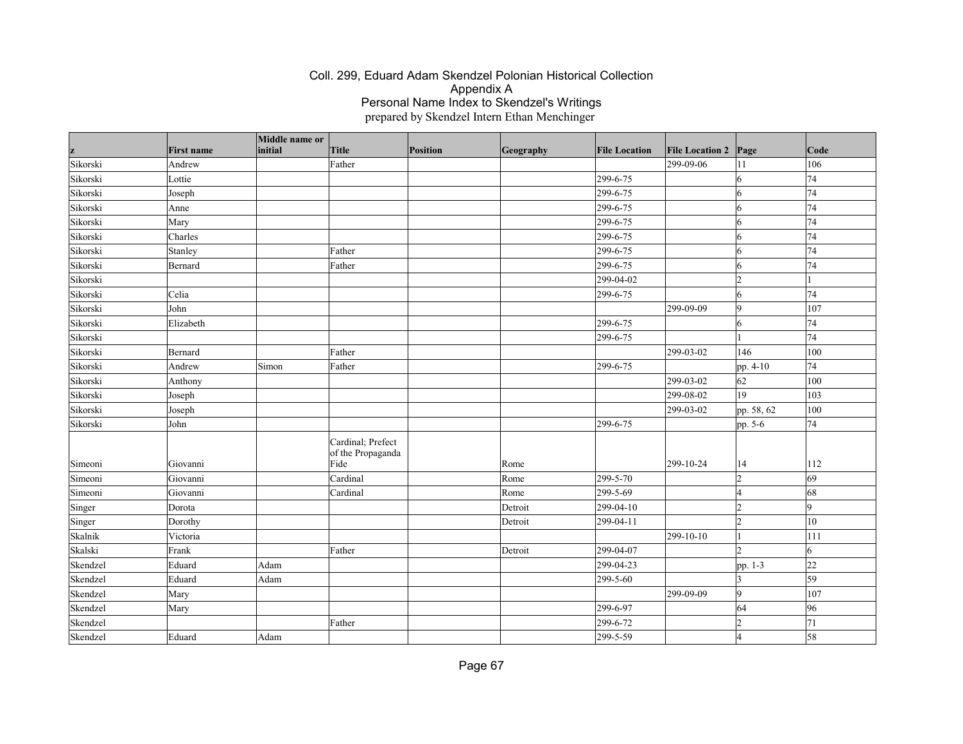|          |                   | Middle name or |                                                |          |           |                      |                        |                |                 |
|----------|-------------------|----------------|------------------------------------------------|----------|-----------|----------------------|------------------------|----------------|-----------------|
| z        | <b>First name</b> | initial        | Title                                          | Position | Geography | <b>File Location</b> | <b>File Location 2</b> | $\vert$ Page   | $\vert$ Code    |
| Sikorski | Andrew            |                | Father                                         |          |           |                      | 299-09-06              | 11             | 106             |
| Sikorski | Lottie            |                |                                                |          |           | 299-6-75             |                        | 6              | 74              |
| Sikorski | Joseph            |                |                                                |          |           | 299-6-75             |                        | 6              | 74              |
| Sikorski | Anne              |                |                                                |          |           | 299-6-75             |                        | 6              | 74              |
| Sikorski | Mary              |                |                                                |          |           | 299-6-75             |                        | 6              | 74              |
| Sikorski | Charles           |                |                                                |          |           | 299-6-75             |                        | 6              | 74              |
| Sikorski | Stanley           |                | Father                                         |          |           | 299-6-75             |                        | 6              | 74              |
| Sikorski | Bernard           |                | Father                                         |          |           | 299-6-75             |                        | 16             | 74              |
| Sikorski |                   |                |                                                |          |           | 299-04-02            |                        | l2             |                 |
| Sikorski | Celia             |                |                                                |          |           | 299-6-75             |                        | 6              | 74              |
| Sikorski | John              |                |                                                |          |           |                      | 299-09-09              | 9              | 107             |
| Sikorski | Elizabeth         |                |                                                |          |           | 299-6-75             |                        | 6              | 74              |
| Sikorski |                   |                |                                                |          |           | 299-6-75             |                        |                | 74              |
| Sikorski | Bernard           |                | Father                                         |          |           |                      | 299-03-02              | 146            | 100             |
| Sikorski | Andrew            | Simon          | Father                                         |          |           | 299-6-75             |                        | pp. 4-10       | 74              |
| Sikorski | Anthony           |                |                                                |          |           |                      | 299-03-02              | 62             | 100             |
| Sikorski | Joseph            |                |                                                |          |           |                      | 299-08-02              | 19             | 103             |
| Sikorski | Joseph            |                |                                                |          |           |                      | 299-03-02              | pp. 58, 62     | 100             |
| Sikorski | John              |                |                                                |          |           | 299-6-75             |                        | pp. 5-6        | 74              |
| Simeoni  | Giovanni          |                | Cardinal; Prefect<br>of the Propaganda<br>Fide |          | Rome      |                      | $ 299-10-24$           | 14             | 112             |
| Simeoni  | Giovanni          |                | Cardinal                                       |          | Rome      | 299-5-70             |                        | $\overline{2}$ | 69              |
| Simeoni  | Giovanni          |                | Cardinal                                       |          | Rome      | 299-5-69             |                        | 14             | 68              |
| Singer   | Dorota            |                |                                                |          | Detroit   | 299-04-10            |                        | l2             | 9               |
| Singer   | Dorothy           |                |                                                |          | Detroit   | 299-04-11            |                        | l2             | 10              |
| Skalnik  | Victoria          |                |                                                |          |           |                      | 299-10-10              |                | 111             |
| Skalski  | Frank             |                | Father                                         |          | Detroit   | 299-04-07            |                        | $\mathfrak{D}$ | 6               |
| Skendzel | Eduard            | Adam           |                                                |          |           | 299-04-23            |                        | pp. 1-3        | 22              |
| Skendzel | Eduard            | Adam           |                                                |          |           | 299-5-60             |                        | 3              | $\overline{59}$ |
| Skendzel | Mary              |                |                                                |          |           |                      | 299-09-09              | 9              | 107             |
| Skendzel | Mary              |                |                                                |          |           | 299-6-97             |                        | 64             | 96              |
| Skendzel |                   |                | Father                                         |          |           | 299-6-72             |                        | b              | 71              |
| Skendzel | Eduard            | Adam           |                                                |          |           | 299-5-59             |                        |                | 58              |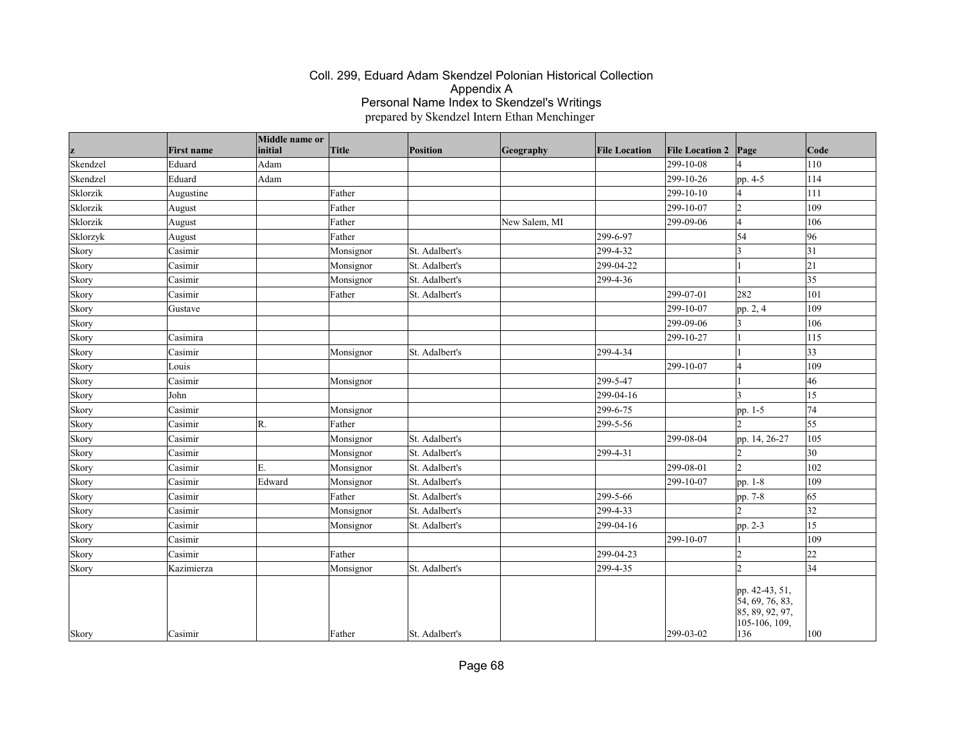|          |                   | Middle name or |              |                 |               |                      |                        |                                                                              |                 |
|----------|-------------------|----------------|--------------|-----------------|---------------|----------------------|------------------------|------------------------------------------------------------------------------|-----------------|
| z        | <b>First name</b> | initial        | <b>Title</b> | <b>Position</b> | Geography     | <b>File Location</b> | <b>File Location 2</b> | Page                                                                         | Code            |
| Skendzel | Eduard            | Adam           |              |                 |               |                      | 299-10-08              | $\overline{4}$                                                               | 110             |
| Skendzel | Eduard            | Adam           |              |                 |               |                      | 299-10-26              | pp. 4-5                                                                      | 114             |
| Sklorzik | Augustine         |                | Father       |                 |               |                      | 299-10-10              | $\overline{4}$                                                               | 111             |
| Sklorzik | August            |                | Father       |                 |               |                      | 299-10-07              | $\overline{2}$                                                               | 109             |
| Sklorzik | August            |                | Father       |                 | New Salem, MI |                      | 299-09-06              | $\overline{4}$                                                               | 106             |
| Sklorzyk | August            |                | Father       |                 |               | 299-6-97             |                        | 54                                                                           | 96              |
| Skory    | Casimir           |                | Monsignor    | St. Adalbert's  |               | 299-4-32             |                        | $\overline{3}$                                                               | 31              |
| Skory    | Casimir           |                | Monsignor    | St. Adalbert's  |               | 299-04-22            |                        |                                                                              | 21              |
| Skory    | Casimir           |                | Monsignor    | St. Adalbert's  |               | 299-4-36             |                        |                                                                              | $\overline{35}$ |
| Skory    | Casimir           |                | Father       | St. Adalbert's  |               |                      | 299-07-01              | 282                                                                          | 101             |
| Skory    | Gustave           |                |              |                 |               |                      | 299-10-07              | pp. 2, 4                                                                     | 109             |
| Skory    |                   |                |              |                 |               |                      | 299-09-06              | $\overline{3}$                                                               | 106             |
| Skory    | Casimira          |                |              |                 |               |                      | 299-10-27              |                                                                              | 115             |
| Skory    | Casimir           |                | Monsignor    | St. Adalbert's  |               | 299-4-34             |                        |                                                                              | $ 33\rangle$    |
| Skory    | Louis             |                |              |                 |               |                      | 299-10-07              | $\overline{4}$                                                               | 109             |
| Skory    | Casimir           |                | Monsignor    |                 |               | 299-5-47             |                        |                                                                              | 46              |
| Skory    | John              |                |              |                 |               | 299-04-16            |                        | ١3                                                                           | 15              |
| Skory    | Casimir           |                | Monsignor    |                 |               | 299-6-75             |                        | pp. 1-5                                                                      | 74              |
| Skory    | Casimir           | R.             | Father       |                 |               | 299-5-56             |                        | $\mathsf{D}$                                                                 | 55              |
| Skory    | Casimir           |                | Monsignor    | St. Adalbert's  |               |                      | 299-08-04              | pp. 14, 26-27                                                                | 105             |
| Skory    | Casimir           |                | Monsignor    | St. Adalbert's  |               | 299-4-31             |                        | $\overline{2}$                                                               | 30              |
| Skory    | Casimir           | E.             | Monsignor    | St. Adalbert's  |               |                      | 299-08-01              | $\overline{2}$                                                               | 102             |
| Skory    | Casimir           | Edward         | Monsignor    | St. Adalbert's  |               |                      | 299-10-07              | pp. 1-8                                                                      | 109             |
| Skory    | Casimir           |                | Father       | St. Adalbert's  |               | 299-5-66             |                        | pp. 7-8                                                                      | 65              |
| Skory    | Casimir           |                | Monsignor    | St. Adalbert's  |               | 299-4-33             |                        | $\overline{2}$                                                               | 32              |
| Skory    | Casimir           |                | Monsignor    | St. Adalbert's  |               | 299-04-16            |                        | pp. 2-3                                                                      | 15              |
| Skory    | Casimir           |                |              |                 |               |                      | 299-10-07              |                                                                              | 109             |
| Skory    | Casimir           |                | Father       |                 |               | 299-04-23            |                        | $\overline{2}$                                                               | 22              |
| Skory    | Kazimierza        |                | Monsignor    | St. Adalbert's  |               | 299-4-35             |                        | $\overline{2}$                                                               | 34              |
| Skory    | Casimir           |                | Father       | St. Adalbert's  |               |                      | $299 - 03 - 02$        | pp. 42-43, 51,<br>54, 69, 76, 83,<br>85, 89, 92, 97,<br>105-106, 109,<br>136 | 100             |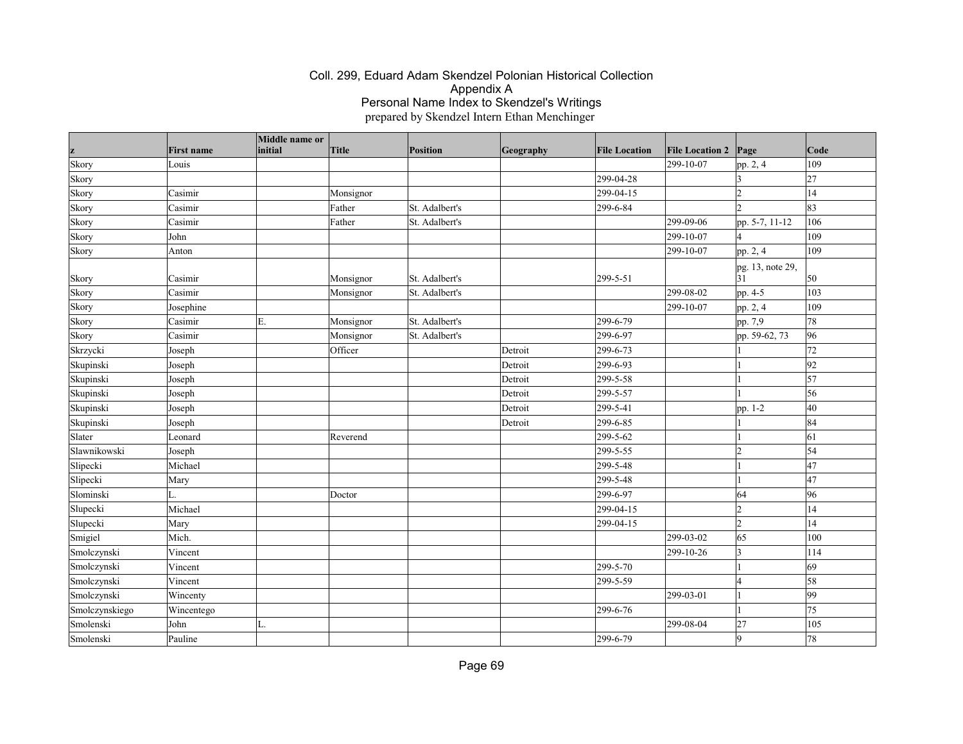| z              | <b>First name</b> | Middle name or<br>initial | <b>Title</b> | Position       | Geography | <b>File Location</b> | <b>File Location 2</b> | Page                     | Code            |
|----------------|-------------------|---------------------------|--------------|----------------|-----------|----------------------|------------------------|--------------------------|-----------------|
| Skory          | Louis             |                           |              |                |           |                      | 299-10-07              | pp. 2, 4                 | 109             |
| Skory          |                   |                           |              |                |           | 299-04-28            |                        |                          | 27              |
| Skory          | Casimir           |                           | Monsignor    |                |           | 299-04-15            |                        | $\overline{2}$           | 14              |
| Skory          | Casimir           |                           | Father       | St. Adalbert's |           | 299-6-84             |                        | $\overline{\phantom{a}}$ | 83              |
| Skory          | Casimir           |                           | Father       | St. Adalbert's |           |                      | 299-09-06              | pp. 5-7, 11-12           | 106             |
| Skory          | John              |                           |              |                |           |                      | 299-10-07              |                          | 109             |
| Skory          | Anton             |                           |              |                |           |                      | 299-10-07              | pp. 2, 4                 | 109             |
| Skory          | Casimir           |                           | Monsignor    | St. Adalbert's |           | 299-5-51             |                        | pg. 13, note 29,<br>31   | 50              |
| Skory          | Casimir           |                           | Monsignor    | St. Adalbert's |           |                      | 299-08-02              | pp. 4-5                  | 103             |
| Skory          | Josephine         |                           |              |                |           |                      | 299-10-07              | pp. 2, 4                 | 109             |
| Skory          | Casimir           | Ε.                        | Monsignor    | St. Adalbert's |           | 299-6-79             |                        | pp. 7,9                  | 78              |
| Skory          | Casimir           |                           | Monsignor    | St. Adalbert's |           | 299-6-97             |                        | pp. 59-62, 73            | 96              |
| Skrzycki       | Joseph            |                           | Officer      |                | Detroit   | 299-6-73             |                        |                          | 72              |
| Skupinski      | Joseph            |                           |              |                | Detroit   | 299-6-93             |                        |                          | $ 92\rangle$    |
| Skupinski      | Joseph            |                           |              |                | Detroit   | 299-5-58             |                        |                          | $\overline{57}$ |
| Skupinski      | Joseph            |                           |              |                | Detroit   | 299-5-57             |                        |                          | 56              |
| Skupinski      | Joseph            |                           |              |                | Detroit   | 299-5-41             |                        | pp. 1-2                  | 40              |
| Skupinski      | Joseph            |                           |              |                | Detroit   | 299-6-85             |                        |                          | 84              |
| Slater         | Leonard           |                           | Reverend     |                |           | 299-5-62             |                        |                          | 61              |
| Slawnikowski   | Joseph            |                           |              |                |           | 299-5-55             |                        | l2                       | 54              |
| Slipecki       | Michael           |                           |              |                |           | 299-5-48             |                        |                          | 47              |
| Slipecki       | Mary              |                           |              |                |           | 299-5-48             |                        |                          | 47              |
| Slominski      |                   |                           | Doctor       |                |           | 299-6-97             |                        | 64                       | 96              |
| Slupecki       | Michael           |                           |              |                |           | 299-04-15            |                        | l2                       | 14              |
| Slupecki       | Mary              |                           |              |                |           | 299-04-15            |                        | $\overline{2}$           | 14              |
| Smigiel        | Mich.             |                           |              |                |           |                      | 299-03-02              | 65                       | 100             |
| Smolczynski    | Vincent           |                           |              |                |           |                      | 299-10-26              | 3                        | 114             |
| Smolczynski    | Vincent           |                           |              |                |           | 299-5-70             |                        |                          | 69              |
| Smolczynski    | Vincent           |                           |              |                |           | 299-5-59             |                        |                          | 58              |
| Smolczynski    | Wincenty          |                           |              |                |           |                      | 299-03-01              |                          | 99              |
| Smolczynskiego | Wincentego        |                           |              |                |           | 299-6-76             |                        |                          | 75              |
| Smolenski      | John              | L.                        |              |                |           |                      | 299-08-04              | 27                       | 105             |
| Smolenski      | Pauline           |                           |              |                |           | 299-6-79             |                        | 9                        | 78              |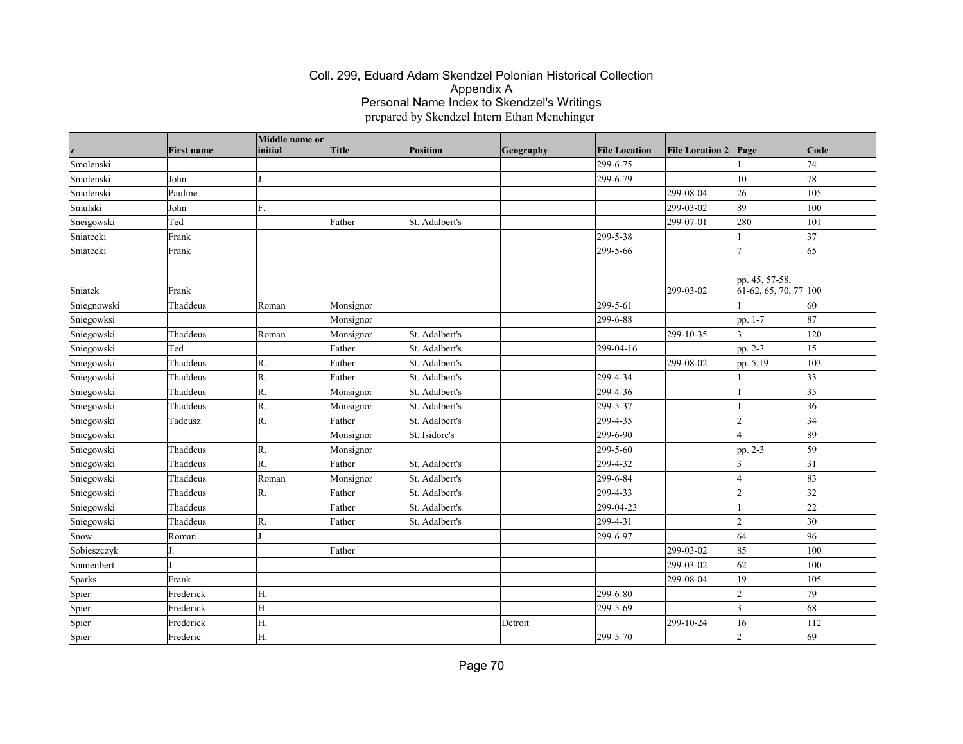| z           | <b>First name</b> | Middle name or<br>initial | Title     | Position       | Geography | <b>File Location</b> | <b>File Location 2</b> | Page                                                   | Code     |
|-------------|-------------------|---------------------------|-----------|----------------|-----------|----------------------|------------------------|--------------------------------------------------------|----------|
| Smolenski   |                   |                           |           |                |           | 299-6-75             |                        |                                                        | 74       |
| Smolenski   | John              |                           |           |                |           | 299-6-79             |                        | 10                                                     | 78       |
| Smolenski   | Pauline           |                           |           |                |           |                      | 299-08-04              | 26                                                     | 105      |
| Smulski     | John              | F.                        |           |                |           |                      | 299-03-02              | 89                                                     | 100      |
| Sneigowski  | Ted               |                           | Father    | St. Adalbert's |           |                      | 299-07-01              | 280                                                    | 101      |
| Sniatecki   | Frank             |                           |           |                |           | 299-5-38             |                        |                                                        | 37       |
| Sniatecki   | Frank             |                           |           |                |           | 299-5-66             |                        |                                                        | 65       |
| Sniatek     | Frank             |                           |           |                |           |                      | 299-03-02              | pp. 45, 57-58,<br>$\left[61-62, 65, 70, 77\right]$ 100 |          |
| Sniegnowski | Thaddeus          | Roman                     | Monsignor |                |           | 299-5-61             |                        |                                                        | 60       |
| Sniegowksi  |                   |                           | Monsignor |                |           | 299-6-88             |                        | pp. 1-7                                                | 87       |
| Sniegowski  | Thaddeus          | Roman                     | Monsignor | St. Adalbert's |           |                      | 299-10-35              | I٦                                                     | 120      |
| Sniegowski  | Ted               |                           | Father    | St. Adalbert's |           | 299-04-16            |                        | pp. 2-3                                                | 15       |
| Sniegowski  | Thaddeus          | R.                        | Father    | St. Adalbert's |           |                      | 299-08-02              | pp. 5,19                                               | 103      |
| Sniegowski  | Thaddeus          | R.                        | Father    | St. Adalbert's |           | 299-4-34             |                        |                                                        | 33       |
| Sniegowski  | Thaddeus          | R.                        | Monsignor | St. Adalbert's |           | 299-4-36             |                        |                                                        | 35       |
| Sniegowski  | Thaddeus          | R.                        | Monsignor | St. Adalbert's |           | 299-5-37             |                        |                                                        | 36       |
| Sniegowski  | Tadeusz           | R.                        | Father    | St. Adalbert's |           | 299-4-35             |                        | 12                                                     | 34       |
| Sniegowski  |                   |                           | Monsignor | St. Isidore's  |           | 299-6-90             |                        |                                                        | 89       |
| Sniegowski  | Thaddeus          | $\mathsf{R}$              | Monsignor |                |           | 299-5-60             |                        | pp. 2-3                                                | 59       |
| Sniegowski  | Thaddeus          | R.                        | Father    | St. Adalbert's |           | 299-4-32             |                        | 13                                                     | 31       |
| Sniegowski  | Thaddeus          | Roman                     | Monsignor | St. Adalbert's |           | 299-6-84             |                        |                                                        | 83       |
| Sniegowski  | Thaddeus          | R.                        | Father    | St. Adalbert's |           | 299-4-33             |                        | 2                                                      | 32       |
| Sniegowski  | Thaddeus          |                           | Father    | St. Adalbert's |           | 299-04-23            |                        |                                                        | $ _{22}$ |
| Sniegowski  | Thaddeus          | R.                        | Father    | St. Adalbert's |           | 299-4-31             |                        | $\overline{2}$                                         | 30       |
| Snow        | Roman             |                           |           |                |           | 299-6-97             |                        | 64                                                     | 96       |
| Sobieszczyk |                   |                           | Father    |                |           |                      | 299-03-02              | 85                                                     | 100      |
| Sonnenbert  |                   |                           |           |                |           |                      | 299-03-02              | 62                                                     | 100      |
| Sparks      | Frank             |                           |           |                |           |                      | 299-08-04              | 19                                                     | 105      |
| Spier       | Frederick         | Η.                        |           |                |           | 299-6-80             |                        | $\overline{2}$                                         | 79       |
| Spier       | Frederick         | Η.                        |           |                |           | 299-5-69             |                        | 3                                                      | 68       |
| Spier       | Frederick         | Н.                        |           |                | Detroit   |                      | 299-10-24              | 16                                                     | 112      |
| Spier       | Frederic          | H.                        |           |                |           | 299-5-70             |                        | l2                                                     | 69       |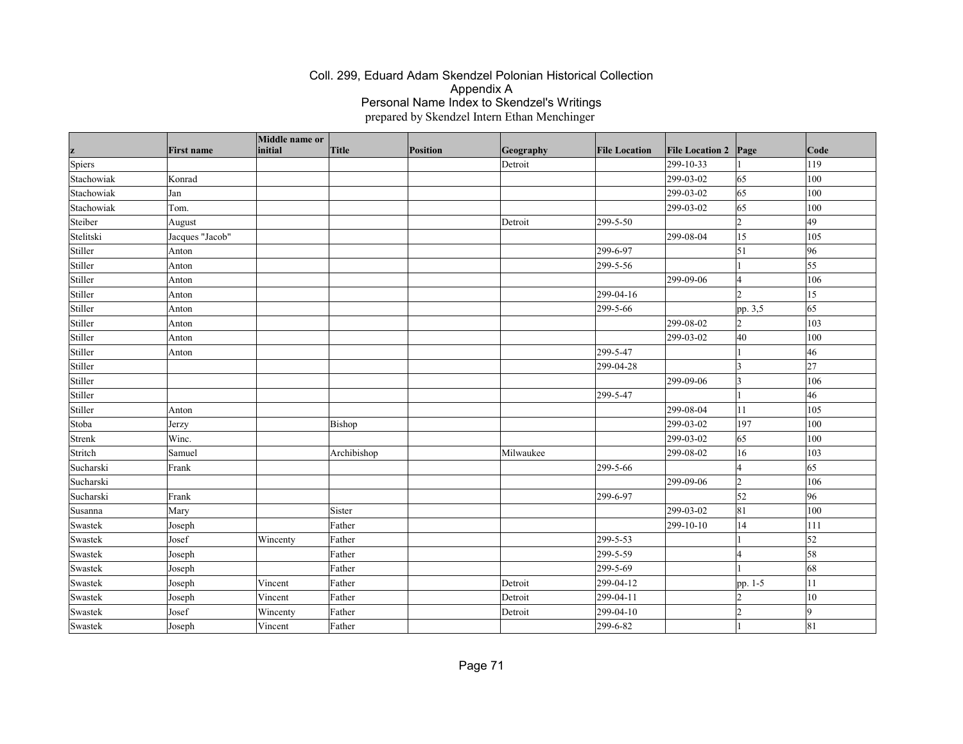| z          | <b>First name</b> | Middle name or<br>initial | Title       | Position | Geography | <b>File Location</b> | <b>File Location 2</b> | $\vert$ Page   | Code       |
|------------|-------------------|---------------------------|-------------|----------|-----------|----------------------|------------------------|----------------|------------|
| Spiers     |                   |                           |             |          | Detroit   |                      | 299-10-33              |                | 119        |
| Stachowiak | Konrad            |                           |             |          |           |                      | 299-03-02              | 65             | 100        |
| Stachowiak | Jan               |                           |             |          |           |                      | 299-03-02              | 65             | 100        |
| Stachowiak | Tom.              |                           |             |          |           |                      | 299-03-02              | 65             | 100        |
| Steiber    | August            |                           |             |          | Detroit   | 299-5-50             |                        | $ 2\rangle$    | 49         |
| Stelitski  | Jacques "Jacob"   |                           |             |          |           |                      | 299-08-04              | 15             | 105        |
| Stiller    | Anton             |                           |             |          |           | 299-6-97             |                        | $\vert$ 51     | 96         |
| Stiller    | Anton             |                           |             |          |           | 299-5-56             |                        |                | 55         |
| Stiller    | Anton             |                           |             |          |           |                      | 299-09-06              | 14             | 106        |
| Stiller    | Anton             |                           |             |          |           | 299-04-16            |                        | $\overline{2}$ | 15         |
| Stiller    | Anton             |                           |             |          |           | 299-5-66             |                        | pp. 3,5        | 65         |
| Stiller    | Anton             |                           |             |          |           |                      | 299-08-02              | $ 2\rangle$    | 103        |
| Stiller    | Anton             |                           |             |          |           |                      | 299-03-02              | 40             | 100        |
| Stiller    | Anton             |                           |             |          |           | 299-5-47             |                        |                | 46         |
| Stiller    |                   |                           |             |          |           | 299-04-28            |                        | 3              | 27         |
| Stiller    |                   |                           |             |          |           |                      | 299-09-06              | $ 3\rangle$    | 106        |
| Stiller    |                   |                           |             |          |           | 299-5-47             |                        |                | 46         |
| Stiller    | Anton             |                           |             |          |           |                      | 299-08-04              | 11             | 105        |
| Stoba      | Jerzy             |                           | Bishop      |          |           |                      | 299-03-02              | 197            | 100        |
| Strenk     | Winc.             |                           |             |          |           |                      | 299-03-02              | 65             | 100        |
| Stritch    | Samuel            |                           | Archibishop |          | Milwaukee |                      | 299-08-02              | 16             | 103        |
| Sucharski  | Frank             |                           |             |          |           | 299-5-66             |                        | 4              | 65         |
| Sucharski  |                   |                           |             |          |           |                      | 299-09-06              | $\vert$ 2      | 106        |
| Sucharski  | Frank             |                           |             |          |           | 299-6-97             |                        | 52             | 96         |
| Susanna    | Mary              |                           | Sister      |          |           |                      | 299-03-02              | 81             | 100        |
| Swastek    | Joseph            |                           | Father      |          |           |                      | 299-10-10              | 14             | 111        |
| Swastek    | Josef             | Wincenty                  | Father      |          |           | 299-5-53             |                        |                | $\vert$ 52 |
| Swastek    | Joseph            |                           | Father      |          |           | 299-5-59             |                        | 14             | 58         |
| Swastek    | Joseph            |                           | Father      |          |           | 299-5-69             |                        |                | 68         |
| Swastek    | Joseph            | Vincent                   | Father      |          | Detroit   | 299-04-12            |                        | pp. 1-5        | 11         |
| Swastek    | Joseph            | Vincent                   | Father      |          | Detroit   | 299-04-11            |                        | 2              | 10         |
| Swastek    | Josef             | Wincenty                  | Father      |          | Detroit   | 299-04-10            |                        | l2             | $\Omega$   |
| Swastek    | Joseph            | Vincent                   | Father      |          |           | 299-6-82             |                        |                | 81         |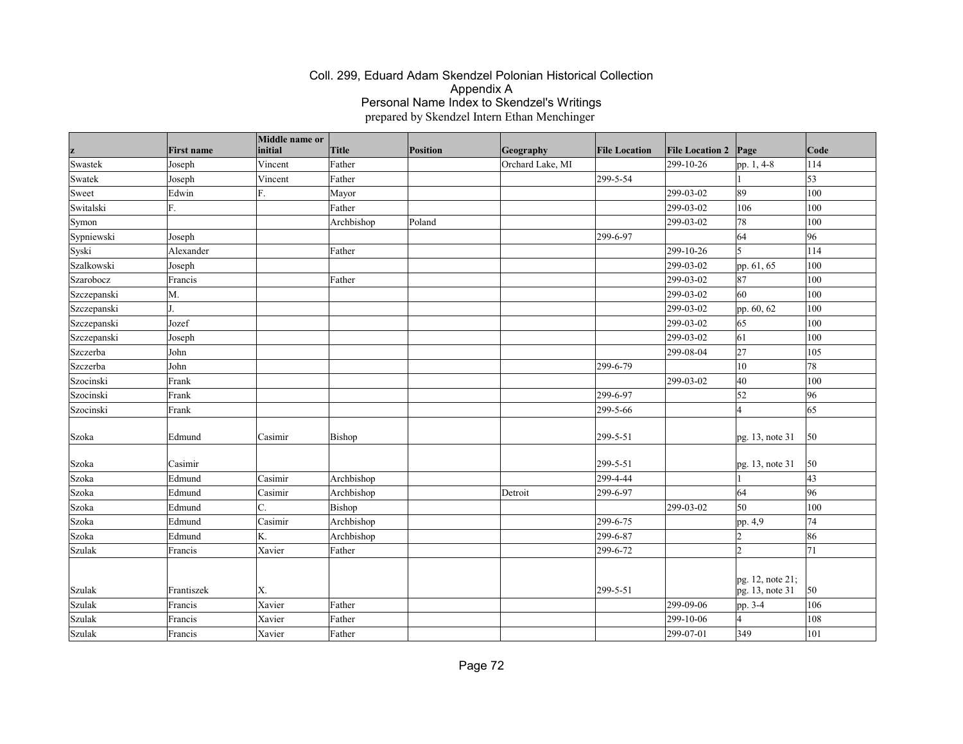|             | <b>First name</b> | Middle name or<br>initial | Title      | Position | Geography        | <b>File Location</b> | <b>File Location 2</b> | Page                                | Code |
|-------------|-------------------|---------------------------|------------|----------|------------------|----------------------|------------------------|-------------------------------------|------|
| Swastek     | Joseph            | Vincent                   | Father     |          | Orchard Lake, MI |                      | 299-10-26              | pp. 1, 4-8                          | 114  |
| Swatek      | Joseph            | Vincent                   | Father     |          |                  | 299-5-54             |                        |                                     | 53   |
| Sweet       | Edwin             | F.                        | Mayor      |          |                  |                      | 299-03-02              | 89                                  | 100  |
| Switalski   | F.                |                           | Father     |          |                  |                      | 299-03-02              | 106                                 | 100  |
| Symon       |                   |                           | Archbishop | Poland   |                  |                      | 299-03-02              | 78                                  | 100  |
| Sypniewski  | Joseph            |                           |            |          |                  | 299-6-97             |                        | 64                                  | 96   |
| Syski       | Alexander         |                           | Father     |          |                  |                      | 299-10-26              | 5                                   | 114  |
| Szalkowski  | Joseph            |                           |            |          |                  |                      | 299-03-02              | pp. 61, 65                          | 100  |
| Szarobocz   | Francis           |                           | Father     |          |                  |                      | 299-03-02              | 87                                  | 100  |
| Szczepanski | M.                |                           |            |          |                  |                      | 299-03-02              | 60                                  | 100  |
| Szczepanski |                   |                           |            |          |                  |                      | 299-03-02              | pp. 60, 62                          | 100  |
| Szczepanski | Jozef             |                           |            |          |                  |                      | 299-03-02              | 65                                  | 100  |
| Szczepanski | Joseph            |                           |            |          |                  |                      | 299-03-02              | 61                                  | 100  |
| Szczerba    | John              |                           |            |          |                  |                      | 299-08-04              | 27                                  | 105  |
| Szczerba    | John              |                           |            |          |                  | 299-6-79             |                        | 10                                  | 78   |
| Szocinski   | Frank             |                           |            |          |                  |                      | 299-03-02              | 40                                  | 100  |
| Szocinski   | Frank             |                           |            |          |                  | 299-6-97             |                        | 52                                  | 96   |
| Szocinski   | Frank             |                           |            |          |                  | 299-5-66             |                        | $\overline{A}$                      | 65   |
| Szoka       | Edmund            | Casimir                   | Bishop     |          |                  | 299-5-51             |                        | pg. 13, note 31                     | 50   |
| Szoka       | Casimir           |                           |            |          |                  | 299-5-51             |                        | pg. 13, note 31                     | 50   |
| Szoka       | Edmund            | Casimir                   | Archbishop |          |                  | 299-4-44             |                        |                                     | 43   |
| Szoka       | Edmund            | Casimir                   | Archbishop |          | Detroit          | 299-6-97             |                        | 64                                  | 96   |
| Szoka       | Edmund            | C.                        | Bishop     |          |                  |                      | 299-03-02              | 50                                  | 100  |
| Szoka       | Edmund            | Casimir                   | Archbishop |          |                  | 299-6-75             |                        | pp. 4,9                             | 74   |
| Szoka       | Edmund            | K.                        | Archbishop |          |                  | 299-6-87             |                        | $\overline{2}$                      | 86   |
| Szulak      | Francis           | Xavier                    | Father     |          |                  | 299-6-72             |                        | $\mathsf{D}$                        | 71   |
| Szulak      | Frantiszek        | Χ.                        |            |          |                  | 299-5-51             |                        | pg. 12, note 21;<br>pg. 13, note 31 | 50   |
| Szulak      | Francis           | Xavier                    | Father     |          |                  |                      | 299-09-06              | pp. 3-4                             | 106  |
| Szulak      | Francis           | Xavier                    | Father     |          |                  |                      | 299-10-06              | $\overline{A}$                      | 108  |
| Szulak      | Francis           | Xavier                    | Father     |          |                  |                      | $ 299-07-01$           | 349                                 | 101  |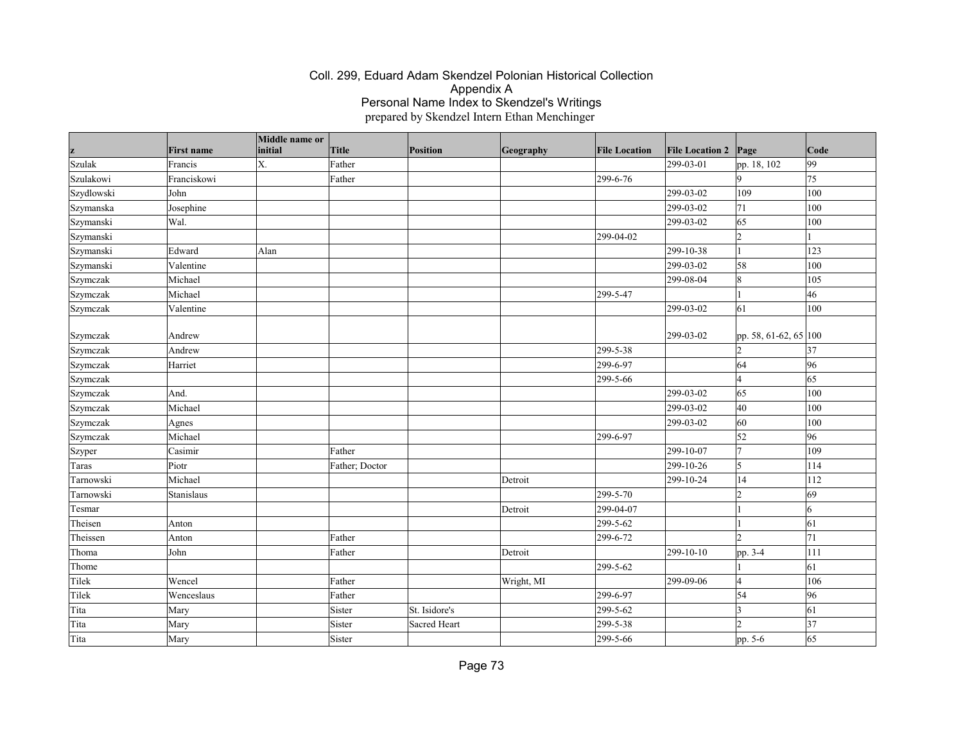| z          | <b>First name</b> | Middle name or<br>initial | <b>Title</b>   | Position      | Geography  | <b>File Location</b>   | <b>File Location 2</b> | Page                    | Code |
|------------|-------------------|---------------------------|----------------|---------------|------------|------------------------|------------------------|-------------------------|------|
| Szulak     | Francis           | X.                        | Father         |               |            |                        | 299-03-01              | pp. 18, 102             | 99   |
| Szulakowi  | Franciskowi       |                           | Father         |               |            | 299-6-76               |                        | 9                       | 75   |
| Szydlowski | John              |                           |                |               |            |                        | 299-03-02              | 109                     | 100  |
| Szymanska  | Josephine         |                           |                |               |            |                        | 299-03-02              | 71                      | 100  |
| Szymanski  | Wal.              |                           |                |               |            |                        | 299-03-02              | 65                      | 100  |
| Szymanski  |                   |                           |                |               |            | 299-04-02              |                        | $\overline{c}$          |      |
| Szymanski  | Edward            | Alan                      |                |               |            |                        | 299-10-38              | $\vert$ 1               | 123  |
| Szymanski  | Valentine         |                           |                |               |            |                        | 299-03-02              | 58                      | 100  |
| Szymczak   | Michael           |                           |                |               |            |                        | 299-08-04              | $\vert$ 8               | 105  |
| Szymczak   | Michael           |                           |                |               |            | 299-5-47               |                        |                         | 46   |
| Szymczak   | Valentine         |                           |                |               |            |                        | 299-03-02              | 61                      | 100  |
| Szymczak   | Andrew            |                           |                |               |            |                        | 299-03-02              | pp. 58, 61-62, 65 100   |      |
| Szymczak   | Andrew            |                           |                |               |            | 299-5-38               |                        | $\overline{2}$          | 37   |
| Szymczak   | Harriet           |                           |                |               |            | 299-6-97               |                        | 64                      | 96   |
| Szymczak   |                   |                           |                |               |            | 299-5-66               |                        | $\overline{4}$          | 65   |
| Szymczak   | And.              |                           |                |               |            |                        | 299-03-02              | 65                      | 100  |
| Szymczak   | Michael           |                           |                |               |            |                        | 299-03-02              | 40                      | 100  |
| Szymczak   | Agnes             |                           |                |               |            |                        | 299-03-02              | 60                      | 100  |
| Szymczak   | Michael           |                           |                |               |            | 299-6-97               |                        | 52                      | 96   |
| Szyper     | Casimir           |                           | Father         |               |            |                        | 299-10-07              | $\overline{7}$          | 109  |
| Taras      | Piotr             |                           | Father; Doctor |               |            |                        | 299-10-26              | $\vert$ 5               | 114  |
| Tarnowski  | Michael           |                           |                |               | Detroit    |                        | 299-10-24              | 14                      | 112  |
| Tarnowski  | Stanislaus        |                           |                |               |            | $\overline{299}$ -5-70 |                        | $\overline{2}$          | 69   |
| Tesmar     |                   |                           |                |               | Detroit    | 299-04-07              |                        |                         | 6    |
| Theisen    | Anton             |                           |                |               |            | 299-5-62               |                        |                         | 61   |
| Theissen   | Anton             |                           | Father         |               |            | 299-6-72               |                        | $\overline{2}$          | 71   |
| Thoma      | John              |                           | Father         |               | Detroit    |                        | 299-10-10              | pp. 3-4                 | 111  |
| Thome      |                   |                           |                |               |            | 299-5-62               |                        |                         | 61   |
| Tilek      | Wencel            |                           | Father         |               | Wright, MI |                        | 299-09-06              | $\overline{4}$          | 106  |
| Tilek      | Wenceslaus        |                           | Father         |               |            | 299-6-97               |                        | 54                      | 96   |
| Tita       | Mary              |                           | Sister         | St. Isidore's |            | 299-5-62               |                        | $\overline{\mathbf{3}}$ | 61   |
| Tita       | Mary              |                           | Sister         | Sacred Heart  |            | 299-5-38               |                        | $\overline{2}$          | 37   |
| Tita       | Mary              |                           | Sister         |               |            | 299-5-66               |                        | pp. 5-6                 | 65   |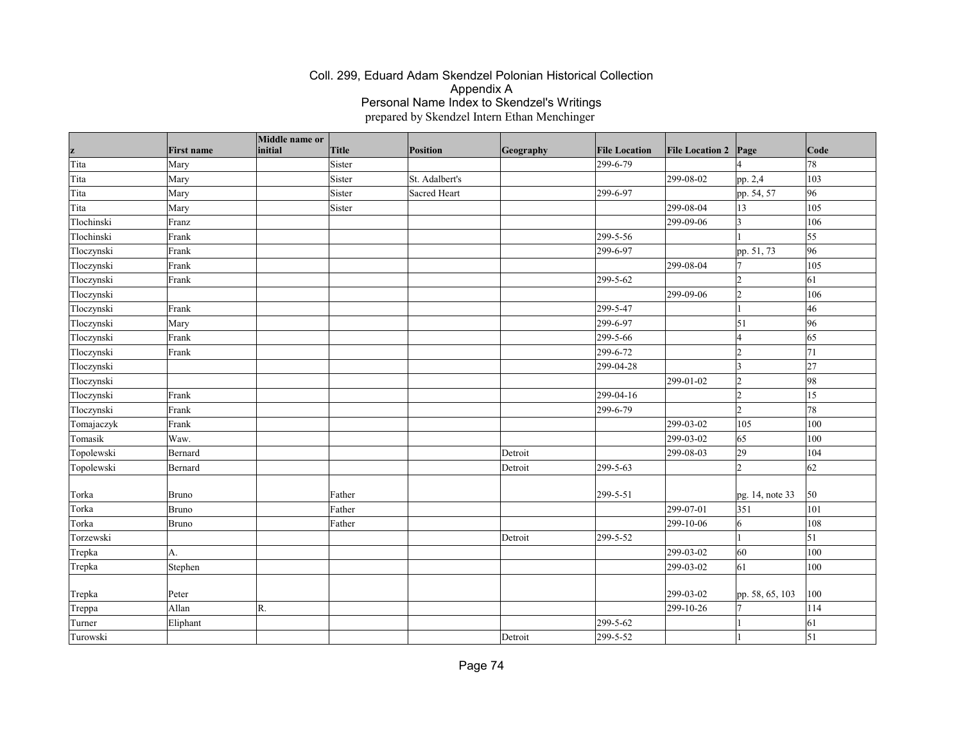| z          | <b>First name</b> | Middle name or<br>initial | <b>Title</b> | Position       | Geography | <b>File Location</b> | <b>File Location 2</b> | Page                 | Code       |
|------------|-------------------|---------------------------|--------------|----------------|-----------|----------------------|------------------------|----------------------|------------|
| Tita       | Mary              |                           | Sister       |                |           | 299-6-79             |                        | $\overline{A}$       | 78         |
| Tita       | Mary              |                           | Sister       | St. Adalbert's |           |                      | 299-08-02              | pp. 2,4              | 103        |
| Tita       | Mary              |                           | Sister       | Sacred Heart   |           | 299-6-97             |                        | pp. 54, 57           | 96         |
| Tita       | Mary              |                           | Sister       |                |           |                      | 299-08-04              | 13                   | 105        |
| Tlochinski | Franz             |                           |              |                |           |                      | 299-09-06              | $ 3\rangle$          | 106        |
| Tlochinski | Frank             |                           |              |                |           | 299-5-56             |                        |                      | 55         |
| Tloczynski | Frank             |                           |              |                |           | 299-6-97             |                        | pp. 51, 73           | 96         |
| Tloczynski | Frank             |                           |              |                |           |                      | 299-08-04              | 17                   | 105        |
| Tloczynski | Frank             |                           |              |                |           | 299-5-62             |                        | $\overline{2}$       | 61         |
| Tloczynski |                   |                           |              |                |           |                      | 299-09-06              | $\overline{2}$       | 106        |
| Tloczynski | Frank             |                           |              |                |           | 299-5-47             |                        |                      | 46         |
| Tloczynski | Mary              |                           |              |                |           | 299-6-97             |                        | $\vert$ 51           | 96         |
| Tloczynski | Frank             |                           |              |                |           | 299-5-66             |                        | 14                   | 65         |
| Tloczynski | Frank             |                           |              |                |           | 299-6-72             |                        | $ 2\rangle$          | 71         |
| Tloczynski |                   |                           |              |                |           | 299-04-28            |                        | $ 3\rangle$          | 27         |
| Tloczynski |                   |                           |              |                |           |                      | 299-01-02              | $\vert$ <sub>2</sub> | 98         |
| Tloczynski | Frank             |                           |              |                |           | 299-04-16            |                        | $\overline{2}$       | $\vert$ 15 |
| Tloczynski | Frank             |                           |              |                |           | 299-6-79             |                        | $\overline{2}$       | 78         |
| Tomajaczyk | Frank             |                           |              |                |           |                      | 299-03-02              | 105                  | 100        |
| Tomasik    | Waw.              |                           |              |                |           |                      | 299-03-02              | 65                   | 100        |
| Topolewski | Bernard           |                           |              |                | Detroit   |                      | 299-08-03              | 29                   | 104        |
| Topolewski | Bernard           |                           |              |                | Detroit   | 299-5-63             |                        | $\overline{2}$       | 62         |
| Torka      | <b>Bruno</b>      |                           | Father       |                |           | 299-5-51             |                        | pg. 14, note 33      | 50         |
| Torka      | <b>Bruno</b>      |                           | Father       |                |           |                      | 299-07-01              | 351                  | 101        |
| Torka      | Bruno             |                           | Father       |                |           |                      | 299-10-06              | $\overline{6}$       | 108        |
| Torzewski  |                   |                           |              |                | Detroit   | 299-5-52             |                        | $\vert$ 1            | 51         |
| Trepka     | AA.               |                           |              |                |           |                      | 299-03-02              | 60                   | 100        |
| Trepka     | Stephen           |                           |              |                |           |                      | 299-03-02              | $\vert 61 \vert$     | 100        |
|            |                   |                           |              |                |           |                      |                        |                      |            |
| Trepka     | Peter             |                           |              |                |           |                      | 299-03-02              | pp. 58, 65, 103      | 100        |
| Treppa     | Allan             | R.                        |              |                |           |                      | 299-10-26              | 7                    | 114        |
| Turner     | Eliphant          |                           |              |                |           | 299-5-62             |                        |                      | 61         |
| Turowski   |                   |                           |              |                | Detroit   | 299-5-52             |                        |                      | $\vert$ 51 |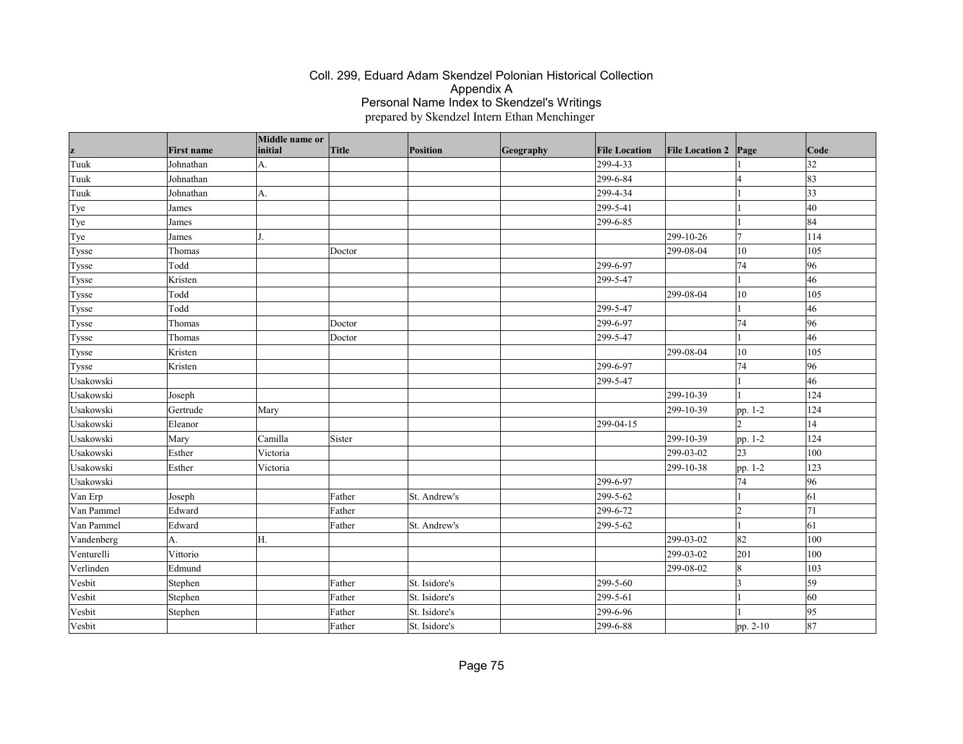| z          | <b>First name</b> | Middle name or<br>initial | <b>Title</b> | Position      | Geography | <b>File Location</b> | <b>File Location 2</b> | Page             | Code         |
|------------|-------------------|---------------------------|--------------|---------------|-----------|----------------------|------------------------|------------------|--------------|
| Tuuk       | Johnathan         | A.                        |              |               |           | 299-4-33             |                        |                  | 32           |
| Tuuk       | Johnathan         |                           |              |               |           | 299-6-84             |                        | $\overline{4}$   | 83           |
| Tuuk       | Johnathan         | A.                        |              |               |           | 299-4-34             |                        |                  | $ 33\rangle$ |
| Tye        | James             |                           |              |               |           | 299-5-41             |                        |                  | 40           |
| Tye        | James             |                           |              |               |           | 299-6-85             |                        | $\vert$ 1        | 84           |
| Tye        | James             |                           |              |               |           |                      | 299-10-26              | 7                | 114          |
| Tysse      | Thomas            |                           | Doctor       |               |           |                      | 299-08-04              | 10               | 105          |
| Tysse      | Todd              |                           |              |               |           | 299-6-97             |                        | 74               | 96           |
| Tysse      | Kristen           |                           |              |               |           | 299-5-47             |                        |                  | 46           |
| Tysse      | Todd              |                           |              |               |           |                      | 299-08-04              | 10               | 105          |
| Tysse      | Todd              |                           |              |               |           | 299-5-47             |                        |                  | 46           |
| Tysse      | Thomas            |                           | Doctor       |               |           | 299-6-97             |                        | 74               | 96           |
| Tysse      | Thomas            |                           | Doctor       |               |           | 299-5-47             |                        |                  | 46           |
| Tysse      | Kristen           |                           |              |               |           |                      | 299-08-04              | 10               | 105          |
| Tysse      | Kristen           |                           |              |               |           | 299-6-97             |                        | 74               | 96           |
| Usakowski  |                   |                           |              |               |           | 299-5-47             |                        |                  | 46           |
| Usakowski  | Joseph            |                           |              |               |           |                      | 299-10-39              |                  | 124          |
| Usakowski  | Gertrude          | Mary                      |              |               |           |                      | $ 299-10-39$           | pp. 1-2          | 124          |
| Usakowski  | Eleanor           |                           |              |               |           | 299-04-15            |                        | $\mathcal{D}$    | 14           |
| Usakowski  | Mary              | Camilla                   | Sister       |               |           |                      | 299-10-39              | pp. 1-2          | 124          |
| Usakowski  | Esther            | Victoria                  |              |               |           |                      | 299-03-02              | 23               | 100          |
| Usakowski  | Esther            | Victoria                  |              |               |           |                      | 299-10-38              | pp. 1-2          | 123          |
| Usakowski  |                   |                           |              |               |           | 299-6-97             |                        | 74               | 96           |
| Van Erp    | Joseph            |                           | Father       | St. Andrew's  |           | 299-5-62             |                        | $\vert$ 1        | 61           |
| Van Pammel | Edward            |                           | Father       |               |           | 299-6-72             |                        | $\overline{2}$   | 71           |
| Van Pammel | Edward            |                           | Father       | St. Andrew's  |           | 299-5-62             |                        |                  | $\vert$ 61   |
| Vandenberg | A.                | Н.                        |              |               |           |                      | 299-03-02              | 82               | 100          |
| Venturelli | Vittorio          |                           |              |               |           |                      | 299-03-02              | 201              | 100          |
| Verlinden  | Edmund            |                           |              |               |           |                      | 299-08-02              | $\boldsymbol{8}$ | 103          |
| Vesbit     | Stephen           |                           | Father       | St. Isidore's |           | 299-5-60             |                        | $\overline{3}$   | 59           |
| Vesbit     | Stephen           |                           | Father       | St. Isidore's |           | 299-5-61             |                        |                  | 60           |
| Vesbit     | Stephen           |                           | Father       | St. Isidore's |           | 299-6-96             |                        |                  | 95           |
| Vesbit     |                   |                           | Father       | St. Isidore's |           | 299-6-88             |                        | pp. 2-10         | 87           |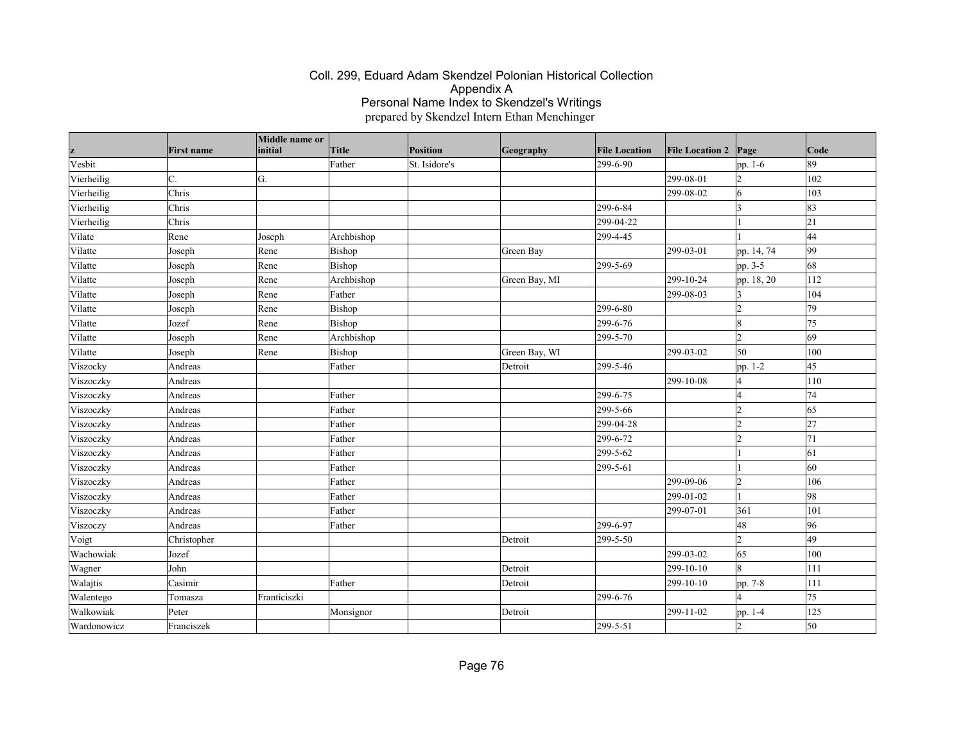| z           | <b>First name</b> | Middle name or<br>initial | <b>Title</b> | Position      | Geography     | <b>File Location</b> | <b>File Location 2</b> | Page           | Code |
|-------------|-------------------|---------------------------|--------------|---------------|---------------|----------------------|------------------------|----------------|------|
| Vesbit      |                   |                           | Father       | St. Isidore's |               | 299-6-90             |                        | pp. 1-6        | 89   |
| Vierheilig  | C.                | G.                        |              |               |               |                      | 299-08-01              | $\overline{2}$ | 102  |
| Vierheilig  | Chris             |                           |              |               |               |                      | 299-08-02              | 6              | 103  |
| Vierheilig  | Chris             |                           |              |               |               | 299-6-84             |                        | $\vert$ 3      | 83   |
| Vierheilig  | Chris             |                           |              |               |               | 299-04-22            |                        |                | 21   |
| Vilate      | Rene              | Joseph                    | Archbishop   |               |               | 299-4-45             |                        |                | 44   |
| Vilatte     | Joseph            | Rene                      | Bishop       |               | Green Bay     |                      | 299-03-01              | pp. 14, 74     | 99   |
| Vilatte     | Joseph            | Rene                      | Bishop       |               |               | 299-5-69             |                        | pp. $3-5$      | 68   |
| Vilatte     | Joseph            | Rene                      | Archbishop   |               | Green Bay, MI |                      | 299-10-24              | pp. 18, 20     | 112  |
| Vilatte     | Joseph            | Rene                      | Father       |               |               |                      | 299-08-03              | $\overline{3}$ | 104  |
| Vilatte     | Joseph            | Rene                      | Bishop       |               |               | 299-6-80             |                        | $\overline{2}$ | 79   |
| Vilatte     | Jozef             | Rene                      | Bishop       |               |               | 299-6-76             |                        | $\overline{8}$ | 75   |
| Vilatte     | Joseph            | Rene                      | Archbishop   |               |               | 299-5-70             |                        | $\overline{2}$ | 69   |
| Vilatte     | Joseph            | Rene                      | Bishop       |               | Green Bay, WI |                      | 299-03-02              | 50             | 100  |
| Viszocky    | Andreas           |                           | Father       |               | Detroit       | 299-5-46             |                        | pp. 1-2        | 45   |
| Viszoczky   | Andreas           |                           |              |               |               |                      | 299-10-08              | $\overline{4}$ | 110  |
| Viszoczky   | Andreas           |                           | Father       |               |               | 299-6-75             |                        | 4              | 74   |
| Viszoczky   | Andreas           |                           | Father       |               |               | 299-5-66             |                        | $\overline{2}$ | 65   |
| Viszoczky   | Andreas           |                           | Father       |               |               | 299-04-28            |                        | $\overline{2}$ | 27   |
| Viszoczky   | Andreas           |                           | Father       |               |               | 299-6-72             |                        | $\overline{2}$ | 71   |
| Viszoczky   | Andreas           |                           | Father       |               |               | 299-5-62             |                        |                | 61   |
| Viszoczky   | Andreas           |                           | Father       |               |               | 299-5-61             |                        |                | 60   |
| Viszoczky   | Andreas           |                           | Father       |               |               |                      | 299-09-06              | $\overline{2}$ | 106  |
| Viszoczky   | Andreas           |                           | Father       |               |               |                      | 299-01-02              | $\vert$ 1      | 98   |
| Viszoczky   | Andreas           |                           | Father       |               |               |                      | 299-07-01              | 361            | 101  |
| Viszoczy    | Andreas           |                           | Father       |               |               | 299-6-97             |                        | 48             | 96   |
| Voigt       | Christopher       |                           |              |               | Detroit       | 299-5-50             |                        | $\overline{2}$ | 49   |
| Wachowiak   | Jozef             |                           |              |               |               |                      | 299-03-02              | 65             | 100  |
| Wagner      | John              |                           |              |               | Detroit       |                      | 299-10-10              | $\overline{8}$ | 111  |
| Walajtis    | Casimir           |                           | Father       |               | Detroit       |                      | 299-10-10              | pp. 7-8        | 111  |
| Walentego   | Tomasza           | Franticiszki              |              |               |               | 299-6-76             |                        | $\overline{4}$ | 75   |
| Walkowiak   | Peter             |                           | Monsignor    |               | Detroit       |                      | 299-11-02              | pp. 1-4        | 125  |
| Wardonowicz | Franciszek        |                           |              |               |               | 299-5-51             |                        | $\overline{2}$ | 50   |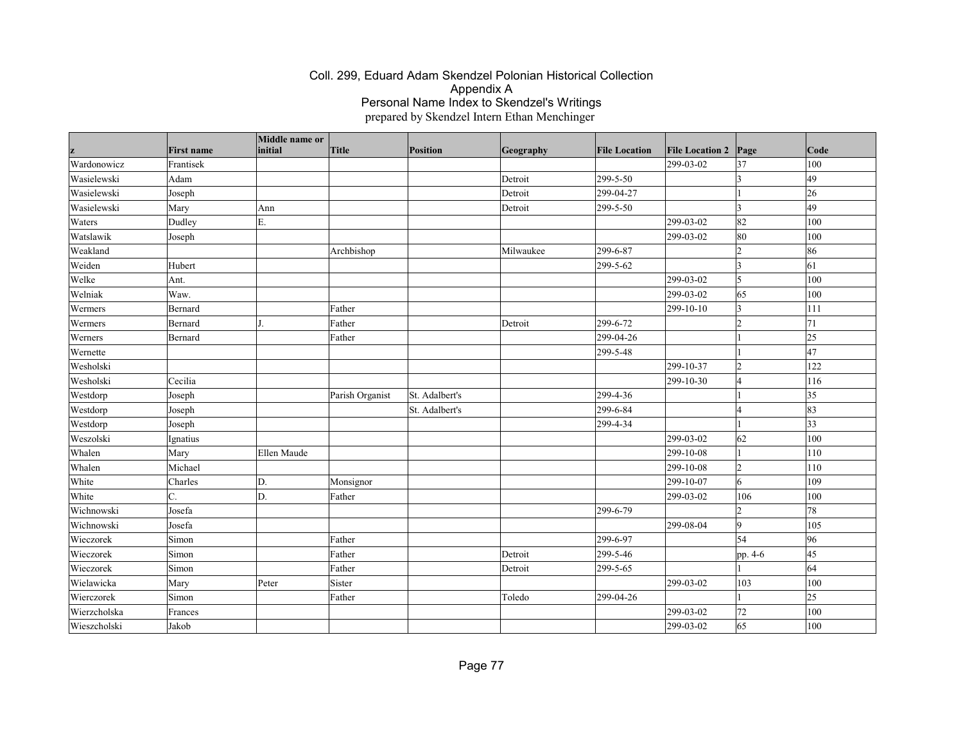|              | <b>First name</b> | Middle name or<br>initial | Title           | <b>Position</b> | Geography | <b>File Location</b> | <b>File Location 2</b> | Page            | Code            |
|--------------|-------------------|---------------------------|-----------------|-----------------|-----------|----------------------|------------------------|-----------------|-----------------|
| Wardonowicz  |                   |                           |                 |                 |           |                      | 299-03-02              | 37              | 100             |
| Wasielewski  | Frantisek<br>Adam |                           |                 |                 | Detroit   | 299-5-50             |                        | I٩              | $\overline{49}$ |
|              |                   |                           |                 |                 |           |                      |                        |                 |                 |
| Wasielewski  | Joseph            |                           |                 |                 | Detroit   | 299-04-27            |                        |                 | 26              |
| Wasielewski  | Mary              | Ann                       |                 |                 | Detroit   | 299-5-50             |                        | $\vert$ 3       | 49              |
| Waters       | Dudley            | Ε.                        |                 |                 |           |                      | 299-03-02              | 82              | 100             |
| Watslawik    | Joseph            |                           |                 |                 |           |                      | 299-03-02              | 80              | 100             |
| Weakland     |                   |                           | Archbishop      |                 | Milwaukee | 299-6-87             |                        | l2              | 86              |
| Weiden       | Hubert            |                           |                 |                 |           | 299-5-62             |                        | 3               | 61              |
| Welke        | Ant.              |                           |                 |                 |           |                      | 299-03-02              | 5               | 100             |
| Welniak      | Waw.              |                           |                 |                 |           |                      | 299-03-02              | 65              | 100             |
| Wermers      | Bernard           |                           | Father          |                 |           |                      | 299-10-10              | $\vert$ 3       | 111             |
| Wermers      | Bernard           |                           | Father          |                 | Detroit   | 299-6-72             |                        | 2               | 71              |
| Werners      | Bernard           |                           | Father          |                 |           | 299-04-26            |                        |                 | $ 25\rangle$    |
| Wernette     |                   |                           |                 |                 |           | 299-5-48             |                        |                 | 47              |
| Wesholski    |                   |                           |                 |                 |           |                      | 299-10-37              | $\vert$ 2       | 122             |
| Wesholski    | Cecilia           |                           |                 |                 |           |                      | 299-10-30              | l4              | 116             |
| Westdorp     | Joseph            |                           | Parish Organist | St. Adalbert's  |           | 299-4-36             |                        |                 | $ 35\rangle$    |
| Westdorp     | Joseph            |                           |                 | St. Adalbert's  |           | 299-6-84             |                        | l4              | 83              |
| Westdorp     | Joseph            |                           |                 |                 |           | 299-4-34             |                        |                 | $ 33\rangle$    |
| Weszolski    | Ignatius          |                           |                 |                 |           |                      | 299-03-02              | 62              | 100             |
| Whalen       | Mary              | Ellen Maude               |                 |                 |           |                      | 299-10-08              |                 | 110             |
| Whalen       | Michael           |                           |                 |                 |           |                      | 299-10-08              | $ 2\rangle$     | 110             |
| White        | Charles           | D.                        | Monsignor       |                 |           |                      | 299-10-07              | 6               | 109             |
| White        | lc.               | D.                        | Father          |                 |           |                      | 299-03-02              | 106             | 100             |
| Wichnowski   | Josefa            |                           |                 |                 |           | 299-6-79             |                        | 2               | 78              |
| Wichnowski   | Josefa            |                           |                 |                 |           |                      | 299-08-04              | $ 9\rangle$     | 105             |
| Wieczorek    | Simon             |                           | Father          |                 |           | 299-6-97             |                        | 54              | 96              |
| Wieczorek    | Simon             |                           | Father          |                 | Detroit   | 299-5-46             |                        | pp. 4-6         | 45              |
| Wieczorek    | Simon             |                           | Father          |                 | Detroit   | 299-5-65             |                        |                 | 64              |
| Wielawicka   | Mary              | Peter                     | Sister          |                 |           |                      | 299-03-02              | 103             | 100             |
| Wierczorek   | Simon             |                           | Father          |                 | Toledo    | 299-04-26            |                        |                 | $ 25\rangle$    |
| Wierzcholska | Frances           |                           |                 |                 |           |                      | 299-03-02              | 72              | 100             |
| Wieszcholski | Jakob             |                           |                 |                 |           |                      | 299-03-02              | $\overline{65}$ | 100             |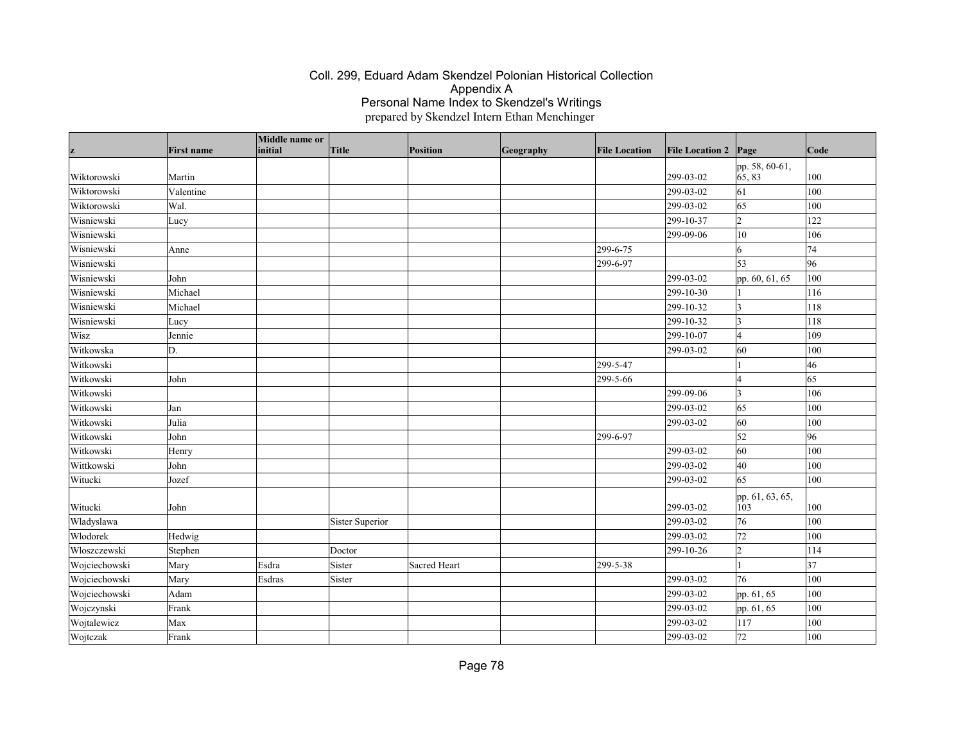|               | <b>First name</b> | Middle name or<br>initial | Title           | <b>Position</b>     | Geography | <b>File Location</b> | <b>File Location 2</b> | Page                     | Code |
|---------------|-------------------|---------------------------|-----------------|---------------------|-----------|----------------------|------------------------|--------------------------|------|
| z             |                   |                           |                 |                     |           |                      |                        |                          |      |
| Wiktorowski   | Martin            |                           |                 |                     |           |                      | 299-03-02              | pp. 58, 60-61,<br>65, 83 | 100  |
| Wiktorowski   | Valentine         |                           |                 |                     |           |                      | 299-03-02              | 61                       | 100  |
| Wiktorowski   | Wal.              |                           |                 |                     |           |                      | 299-03-02              | 65                       | 100  |
| Wisniewski    | Lucy              |                           |                 |                     |           |                      | 299-10-37              | $\overline{2}$           | 122  |
| Wisniewski    |                   |                           |                 |                     |           |                      | 299-09-06              | 10                       | 106  |
| Wisniewski    | Anne              |                           |                 |                     |           | 299-6-75             |                        | 6                        | 74   |
| Wisniewski    |                   |                           |                 |                     |           | 299-6-97             |                        | 53                       | 96   |
| Wisniewski    | John              |                           |                 |                     |           |                      | 299-03-02              | pp. 60, 61, 65           | 100  |
| Wisniewski    | Michael           |                           |                 |                     |           |                      | 299-10-30              |                          | 116  |
| Wisniewski    | Michael           |                           |                 |                     |           |                      | 299-10-32              | ١3                       | 118  |
| Wisniewski    | Lucy              |                           |                 |                     |           |                      | 299-10-32              | 3                        | 118  |
| Wisz          | Jennie            |                           |                 |                     |           |                      | 299-10-07              | $\overline{4}$           | 109  |
| Witkowska     | D.                |                           |                 |                     |           |                      | 299-03-02              | 60                       | 100  |
| Witkowski     |                   |                           |                 |                     |           | 299-5-47             |                        |                          | 46   |
| Witkowski     | John              |                           |                 |                     |           | 299-5-66             |                        | 4                        | 65   |
| Witkowski     |                   |                           |                 |                     |           |                      | 299-09-06              | 3                        | 106  |
| Witkowski     | Jan               |                           |                 |                     |           |                      | 299-03-02              | 65                       | 100  |
| Witkowski     | Julia             |                           |                 |                     |           |                      | 299-03-02              | 60                       | 100  |
| Witkowski     | John              |                           |                 |                     |           | 299-6-97             |                        | 52                       | 96   |
| Witkowski     | Henry             |                           |                 |                     |           |                      | 299-03-02              | 60                       | 100  |
| Wittkowski    | John              |                           |                 |                     |           |                      | 299-03-02              | 40                       | 100  |
| Witucki       | Jozef             |                           |                 |                     |           |                      | 299-03-02              | 65                       | 100  |
| Witucki       | John              |                           |                 |                     |           |                      | 299-03-02              | pp. 61, 63, 65,<br>103   | 100  |
| Wladyslawa    |                   |                           | Sister Superior |                     |           |                      | 299-03-02              | 76                       | 100  |
| Wlodorek      | Hedwig            |                           |                 |                     |           |                      | 299-03-02              | 72                       | 100  |
| Włoszczewski  | Stephen           |                           | Doctor          |                     |           |                      | 299-10-26              | $\overline{2}$           | 114  |
| Wojciechowski | Mary              | Esdra                     | Sister          | <b>Sacred Heart</b> |           | 299-5-38             |                        |                          | 37   |
| Wojciechowski | Mary              | Esdras                    | Sister          |                     |           |                      | 299-03-02              | 76                       | 100  |
| Wojciechowski | Adam              |                           |                 |                     |           |                      | 299-03-02              | pp. 61, 65               | 100  |
| Wojczynski    | Frank             |                           |                 |                     |           |                      | 299-03-02              | pp. 61, 65               | 100  |
| Wojtalewicz   | Max               |                           |                 |                     |           |                      | 299-03-02              | 117                      | 100  |
| Wojtczak      | Frank             |                           |                 |                     |           |                      | 299-03-02              | 72                       | 100  |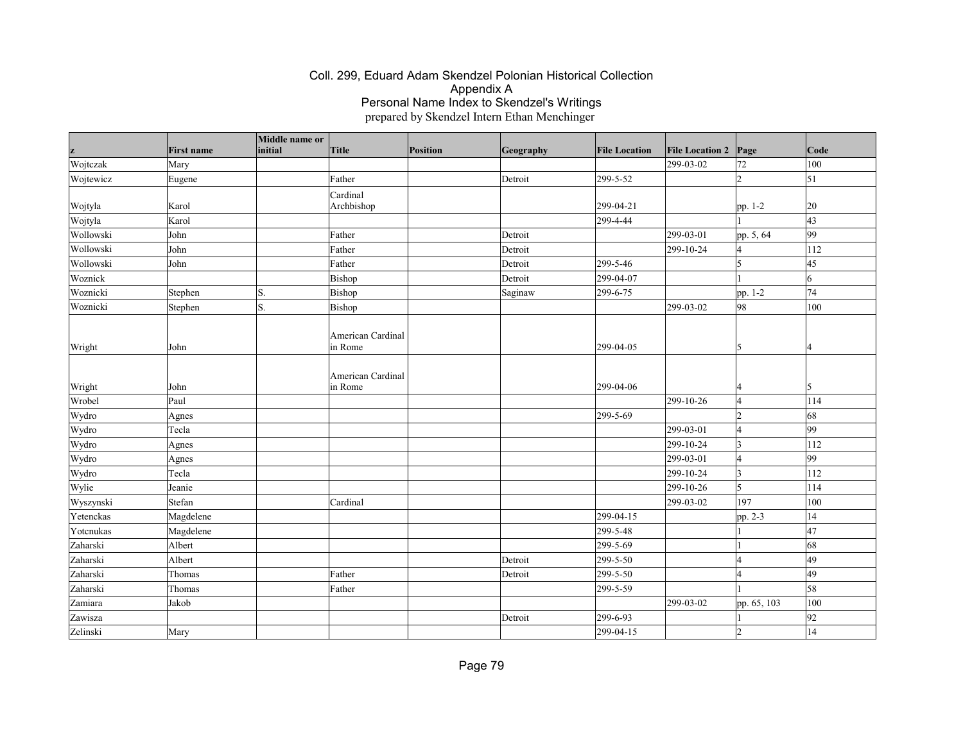|           |                   | Middle name or |                              |                 |           |                      |                        |               |            |
|-----------|-------------------|----------------|------------------------------|-----------------|-----------|----------------------|------------------------|---------------|------------|
|           | <b>First name</b> | initial        | Title                        | <b>Position</b> | Geography | <b>File Location</b> | <b>File Location 2</b> | Page          | Code       |
| Wojtczak  | Mary              |                |                              |                 |           |                      | 299-03-02              | 72            | 100        |
| Wojtewicz | Eugene            |                | Father                       |                 | Detroit   | 299-5-52             |                        | l2            | $\vert$ 51 |
|           |                   |                | Cardinal                     |                 |           |                      |                        |               |            |
| Wojtyla   | Karol             |                | Archbishop                   |                 |           | 299-04-21            |                        | pp. 1-2       | 20         |
| Wojtyla   | Karol             |                |                              |                 |           | 299-4-44             |                        |               | 43         |
| Wollowski | John              |                | Father                       |                 | Detroit   |                      | 299-03-01              | pp. 5, 64     | 99         |
| Wollowski | John              |                | Father                       |                 | Detroit   |                      | 299-10-24              | 14            | 112        |
| Wollowski | John              |                | Father                       |                 | Detroit   | 299-5-46             |                        | 5             | 45         |
| Woznick   |                   |                | Bishop                       |                 | Detroit   | 299-04-07            |                        |               | 6          |
| Woznicki  | Stephen           | S.             | Bishop                       |                 | Saginaw   | 299-6-75             |                        | pp. 1-2       | 74         |
| Woznicki  | Stephen           | S.             | Bishop                       |                 |           |                      | 299-03-02              | 98            | 100        |
| Wright    | John              |                | American Cardinal<br>in Rome |                 |           | 299-04-05            |                        | 15            | 14         |
| Wright    | John              |                | American Cardinal<br>in Rome |                 |           | 299-04-06            |                        |               | 15         |
| Wrobel    | Paul              |                |                              |                 |           |                      | 299-10-26              | 4             | 114        |
| Wydro     | Agnes             |                |                              |                 |           | 299-5-69             |                        | $\vert$ 2     | 68         |
| Wydro     | Tecla             |                |                              |                 |           |                      | 299-03-01              | $\vert 4$     | 99         |
| Wydro     | Agnes             |                |                              |                 |           |                      | 299-10-24              | <sub>3</sub>  | 112        |
| Wydro     | Agnes             |                |                              |                 |           |                      | 299-03-01              | $\vert 4$     | 99         |
| Wydro     | Tecla             |                |                              |                 |           |                      | 299-10-24              | $\vert$ 3     | 112        |
| Wylie     | Jeanie            |                |                              |                 |           |                      | 299-10-26              | <sup>15</sup> | 114        |
| Wyszynski | Stefan            |                | Cardinal                     |                 |           |                      | 299-03-02              | 197           | 100        |
| Yetenckas | Magdelene         |                |                              |                 |           | 299-04-15            |                        | pp. 2-3       | 14         |
| Yotcnukas | Magdelene         |                |                              |                 |           | 299-5-48             |                        |               | 47         |
| Zaharski  | Albert            |                |                              |                 |           | 299-5-69             |                        |               | 68         |
| Zaharski  | Albert            |                |                              |                 | Detroit   | 299-5-50             |                        | l4            | 49         |
| Zaharski  | Thomas            |                | Father                       |                 | Detroit   | 299-5-50             |                        | l4            | 49         |
| Zaharski  | Thomas            |                | Father                       |                 |           | 299-5-59             |                        |               | 58         |
| Zamiara   | Jakob             |                |                              |                 |           |                      | 299-03-02              | pp. 65, 103   | 100        |
| Zawisza   |                   |                |                              |                 | Detroit   | 299-6-93             |                        |               | 92         |
| Zelinski  | Mary              |                |                              |                 |           | 299-04-15            |                        | 2             | 14         |